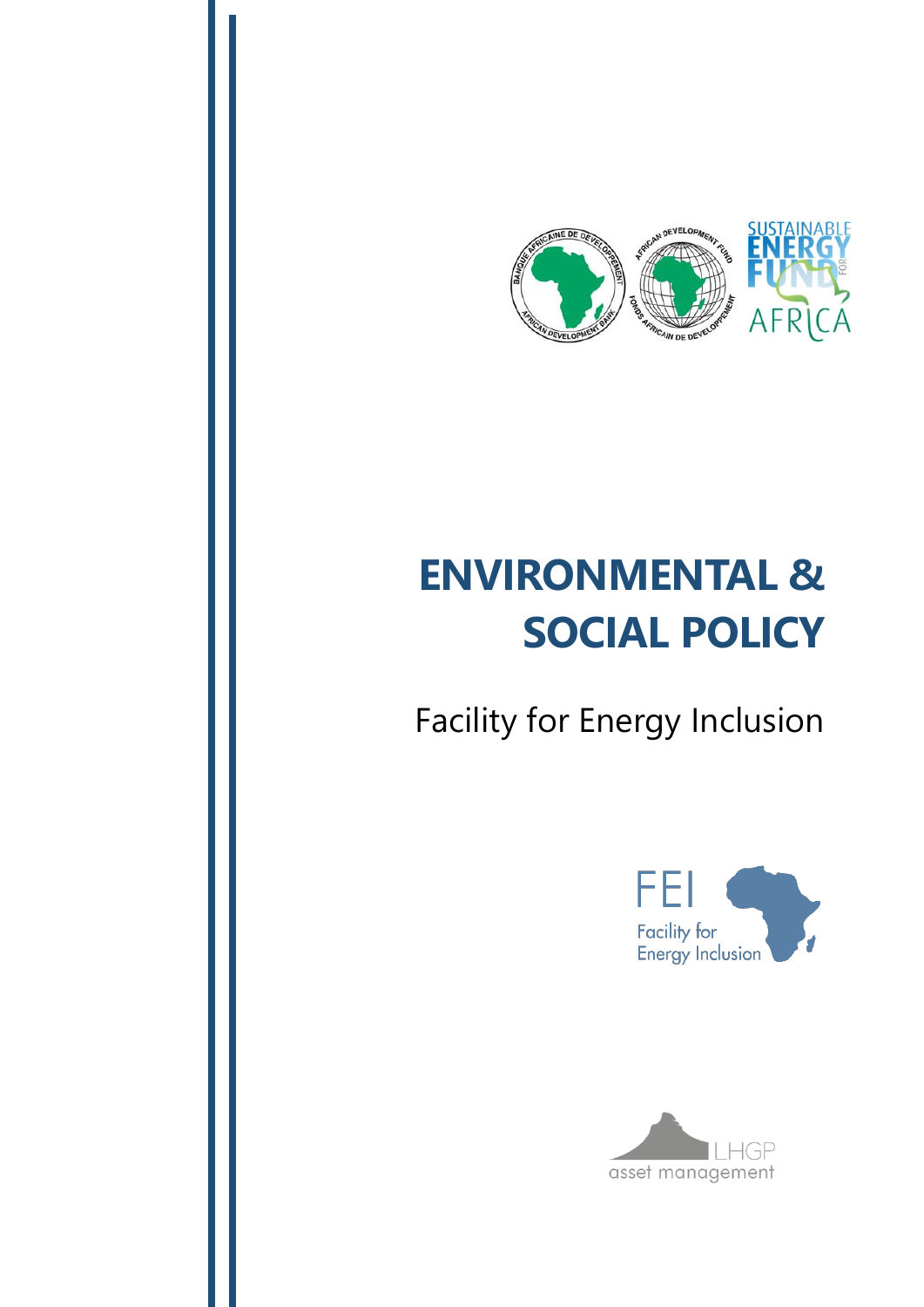

# **ENVIRONMENTAL & SOCIAL POLICY**

Facility for Energy Inclusion



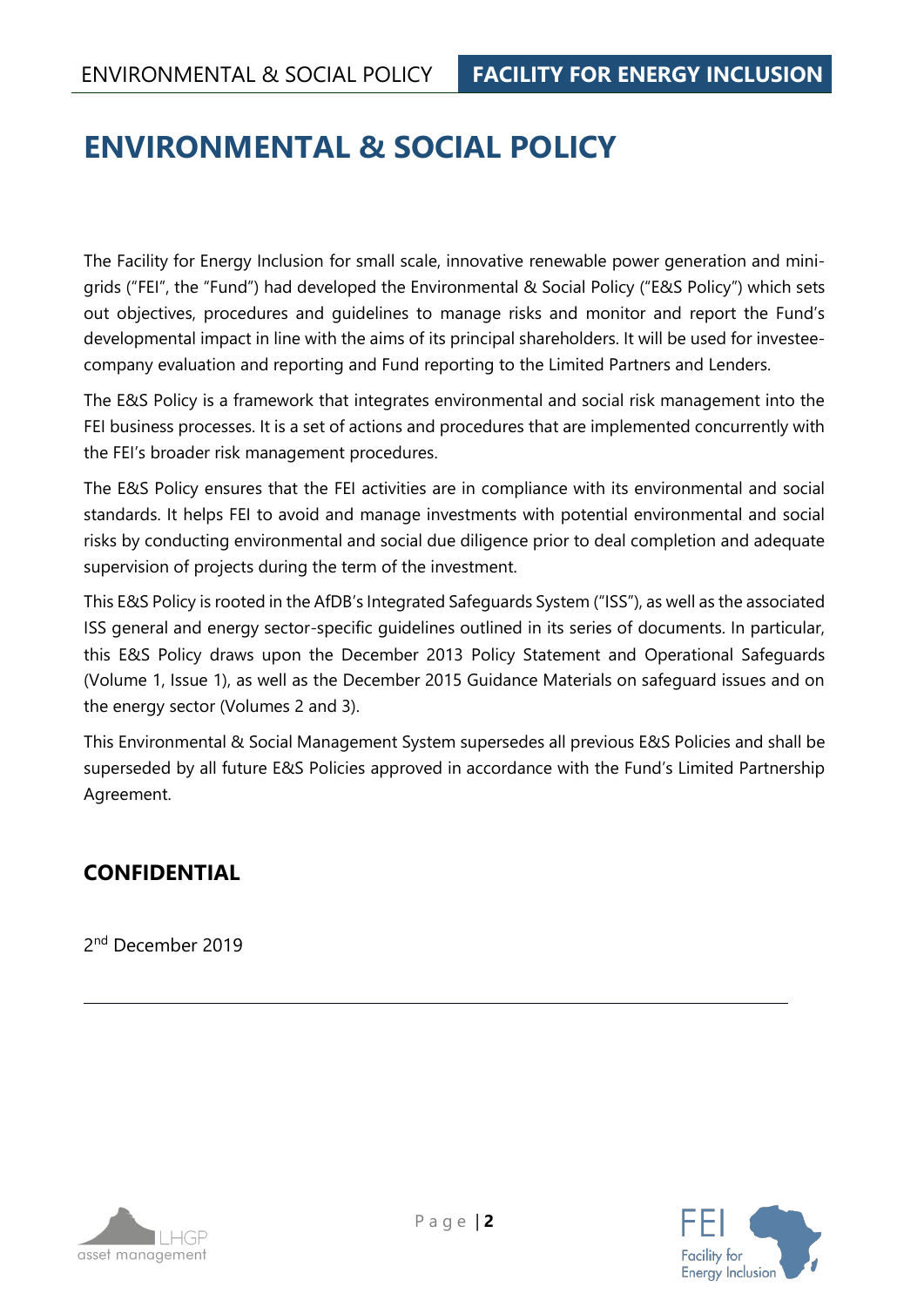## **ENVIRONMENTAL & SOCIAL POLICY**

The Facility for Energy Inclusion for small scale, innovative renewable power generation and minigrids ("FEI", the "Fund") had developed the Environmental & Social Policy ("E&S Policy") which sets out objectives, procedures and guidelines to manage risks and monitor and report the Fund's developmental impact in line with the aims of its principal shareholders. It will be used for investeecompany evaluation and reporting and Fund reporting to the Limited Partners and Lenders.

The E&S Policy is a framework that integrates environmental and social risk management into the FEI business processes. It is a set of actions and procedures that are implemented concurrently with the FEI's broader risk management procedures.

The E&S Policy ensures that the FEI activities are in compliance with its environmental and social standards. It helps FEI to avoid and manage investments with potential environmental and social risks by conducting environmental and social due diligence prior to deal completion and adequate supervision of projects during the term of the investment.

This E&S Policy is rooted in the AfDB's Integrated Safeguards System ("ISS"), as well as the associated ISS general and energy sector-specific guidelines outlined in its series of documents. In particular, this E&S Policy draws upon the December 2013 Policy Statement and Operational Safeguards (Volume 1, Issue 1), as well as the December 2015 Guidance Materials on safeguard issues and on the energy sector (Volumes 2 and 3).

This Environmental & Social Management System supersedes all previous E&S Policies and shall be superseded by all future E&S Policies approved in accordance with the Fund's Limited Partnership Agreement.

## **CONFIDENTIAL**

2<sup>nd</sup> December 2019



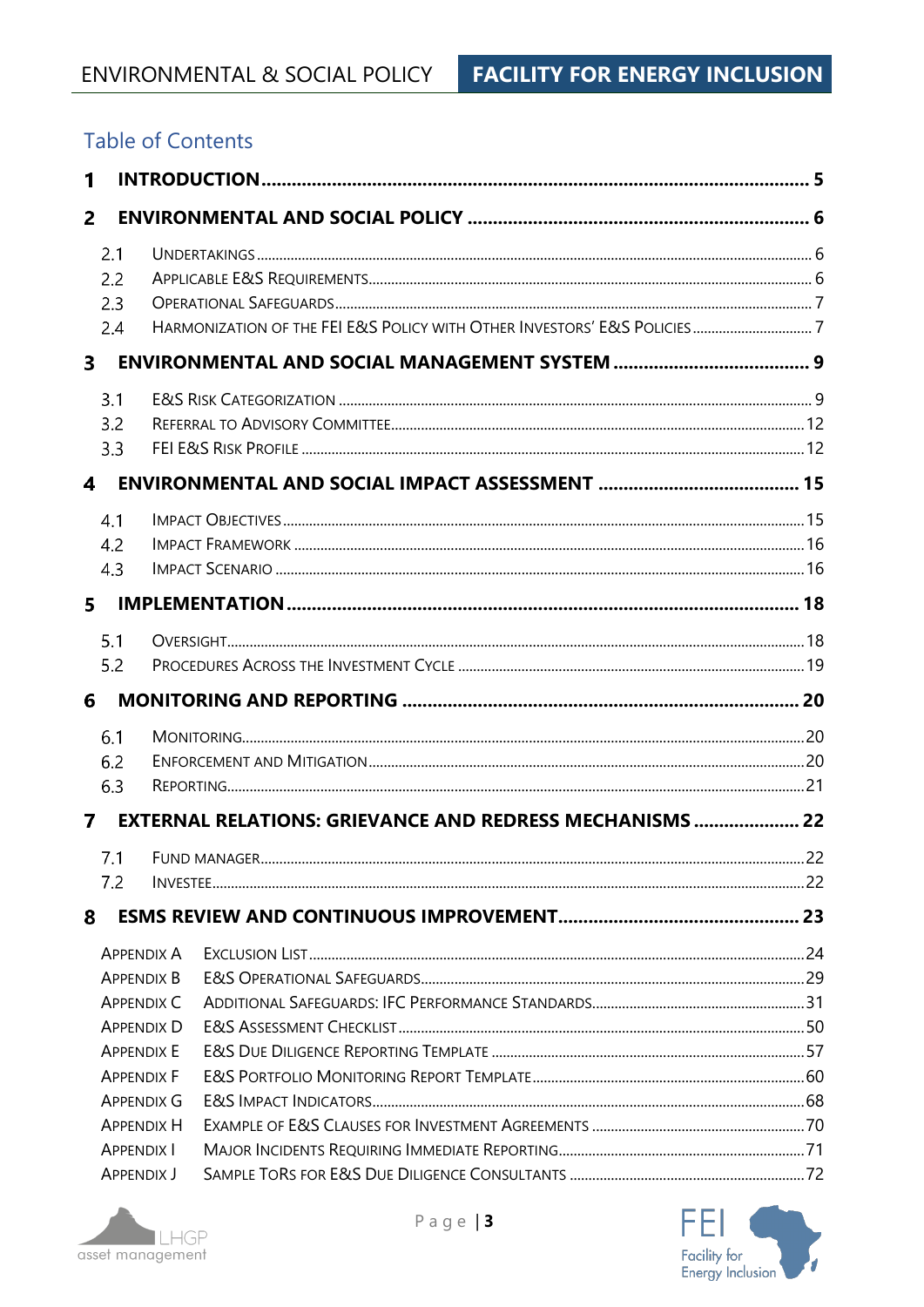## **Table of Contents**

| 1              |                   |                   |                                                                |  |
|----------------|-------------------|-------------------|----------------------------------------------------------------|--|
| $\overline{2}$ |                   |                   |                                                                |  |
|                | 2.1               |                   |                                                                |  |
|                | 2.2               |                   |                                                                |  |
|                | 2.3               |                   |                                                                |  |
|                | 2.4               |                   |                                                                |  |
| 3              |                   |                   |                                                                |  |
|                | 3.1               |                   |                                                                |  |
|                | 3.2               |                   |                                                                |  |
|                | 3.3               |                   |                                                                |  |
| 4              |                   |                   |                                                                |  |
|                | 4.1               |                   |                                                                |  |
|                | 4.2               |                   |                                                                |  |
|                | 4.3               |                   |                                                                |  |
| 5              |                   |                   |                                                                |  |
|                | 5.1               |                   |                                                                |  |
| 5.2            |                   |                   |                                                                |  |
| 6              |                   |                   |                                                                |  |
|                | 6.1               |                   |                                                                |  |
|                | 6.2               |                   |                                                                |  |
|                | 6.3               |                   |                                                                |  |
| 7              |                   |                   | <b>EXTERNAL RELATIONS: GRIEVANCE AND REDRESS MECHANISMS 22</b> |  |
|                |                   |                   |                                                                |  |
|                | 7.2               |                   |                                                                |  |
| 8              |                   |                   |                                                                |  |
|                |                   | <b>APPENDIX A</b> |                                                                |  |
|                |                   | <b>APPENDIX B</b> |                                                                |  |
|                |                   | <b>APPENDIX C</b> |                                                                |  |
|                |                   | <b>APPENDIX D</b> |                                                                |  |
|                |                   | <b>APPENDIX E</b> |                                                                |  |
|                |                   | <b>APPENDIX F</b> |                                                                |  |
|                |                   | <b>APPENDIX G</b> |                                                                |  |
|                |                   | <b>APPENDIX H</b> |                                                                |  |
|                | <b>APPENDIX I</b> |                   |                                                                |  |
|                | <b>APPENDIX J</b> |                   |                                                                |  |



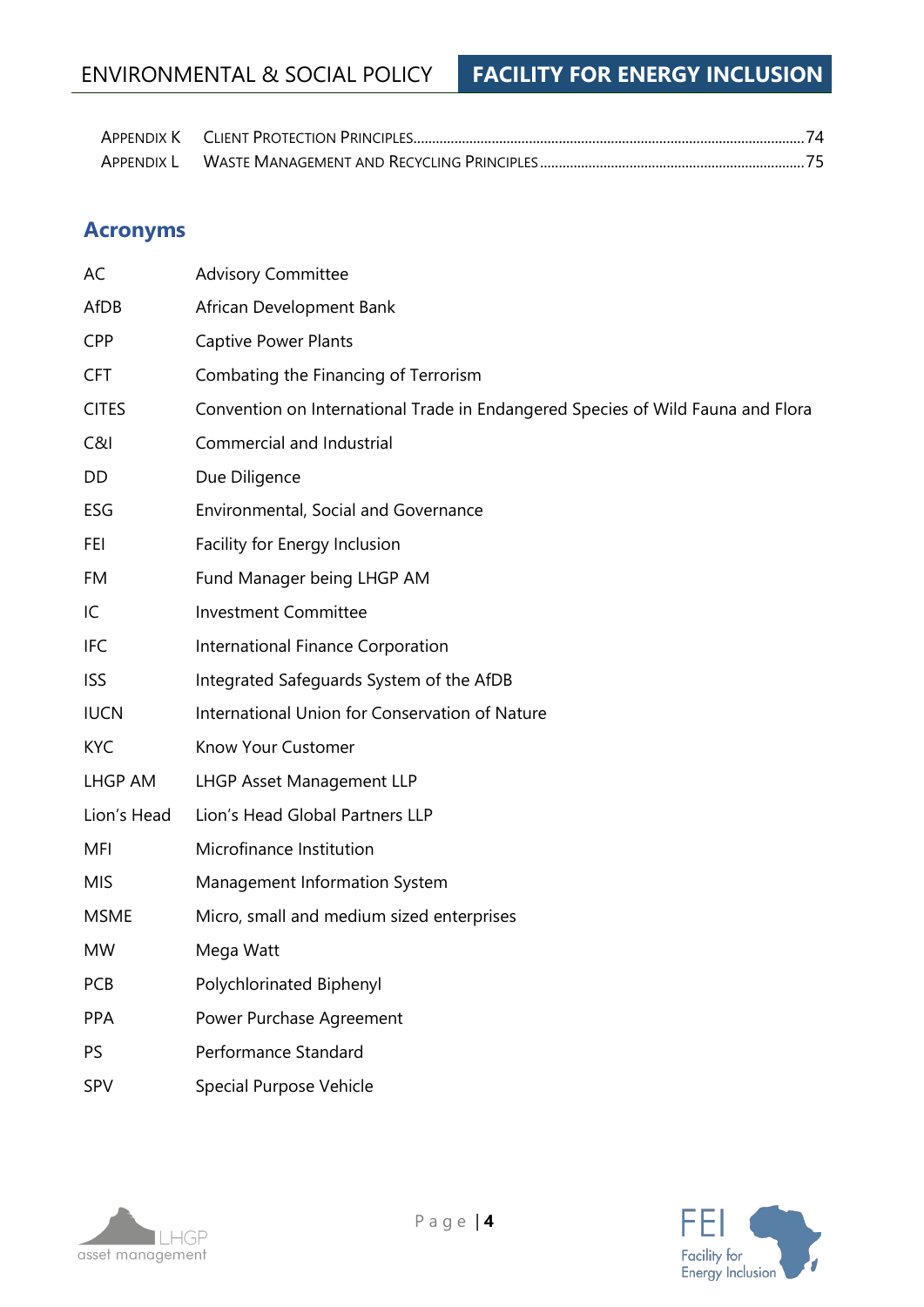## ENVIRONMENTAL & SOCIAL POLICY **FACILITY FOR ENERGY INCLUSION**

## **Acronyms**

| AC           | <b>Advisory Committee</b>                                                       |
|--------------|---------------------------------------------------------------------------------|
| AfDB         | African Development Bank                                                        |
| <b>CPP</b>   | <b>Captive Power Plants</b>                                                     |
| <b>CFT</b>   | Combating the Financing of Terrorism                                            |
| <b>CITES</b> | Convention on International Trade in Endangered Species of Wild Fauna and Flora |
| C&1          | Commercial and Industrial                                                       |
| DD           | Due Diligence                                                                   |
| ESG          | Environmental, Social and Governance                                            |
| FEI          | Facility for Energy Inclusion                                                   |
| FM           | Fund Manager being LHGP AM                                                      |
| IC           | <b>Investment Committee</b>                                                     |
| <b>IFC</b>   | International Finance Corporation                                               |
| <b>ISS</b>   | Integrated Safeguards System of the AfDB                                        |
| <b>IUCN</b>  | International Union for Conservation of Nature                                  |
| <b>KYC</b>   | Know Your Customer                                                              |
| LHGP AM      | <b>LHGP Asset Management LLP</b>                                                |
| Lion's Head  | Lion's Head Global Partners LLP                                                 |
| <b>MFI</b>   | Microfinance Institution                                                        |
| <b>MIS</b>   | Management Information System                                                   |
| <b>MSME</b>  | Micro, small and medium sized enterprises                                       |
| <b>MW</b>    | Mega Watt                                                                       |
| <b>PCB</b>   | Polychlorinated Biphenyl                                                        |
| <b>PPA</b>   | Power Purchase Agreement                                                        |
| PS           | Performance Standard                                                            |
| SPV          | <b>Special Purpose Vehicle</b>                                                  |



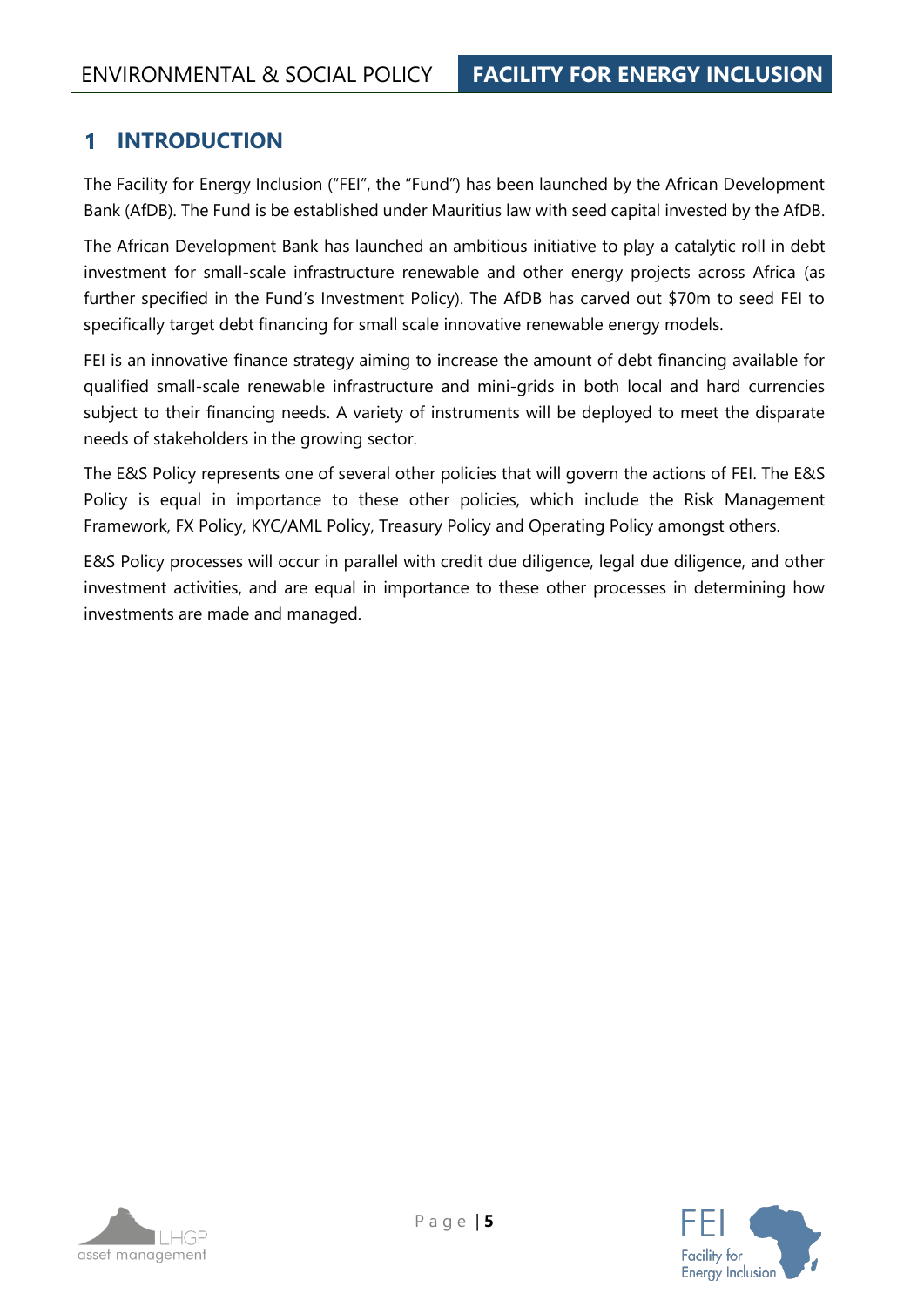#### <span id="page-4-0"></span> $\mathbf 1$ **INTRODUCTION**

The Facility for Energy Inclusion ("FEI", the "Fund") has been launched by the African Development Bank (AfDB). The Fund is be established under Mauritius law with seed capital invested by the AfDB.

The African Development Bank has launched an ambitious initiative to play a catalytic roll in debt investment for small-scale infrastructure renewable and other energy projects across Africa (as further specified in the Fund's Investment Policy). The AfDB has carved out \$70m to seed FEI to specifically target debt financing for small scale innovative renewable energy models.

FEI is an innovative finance strategy aiming to increase the amount of debt financing available for qualified small-scale renewable infrastructure and mini-grids in both local and hard currencies subject to their financing needs. A variety of instruments will be deployed to meet the disparate needs of stakeholders in the growing sector.

The E&S Policy represents one of several other policies that will govern the actions of FEI. The E&S Policy is equal in importance to these other policies, which include the Risk Management Framework, FX Policy, KYC/AML Policy, Treasury Policy and Operating Policy amongst others.

E&S Policy processes will occur in parallel with credit due diligence, legal due diligence, and other investment activities, and are equal in importance to these other processes in determining how investments are made and managed.

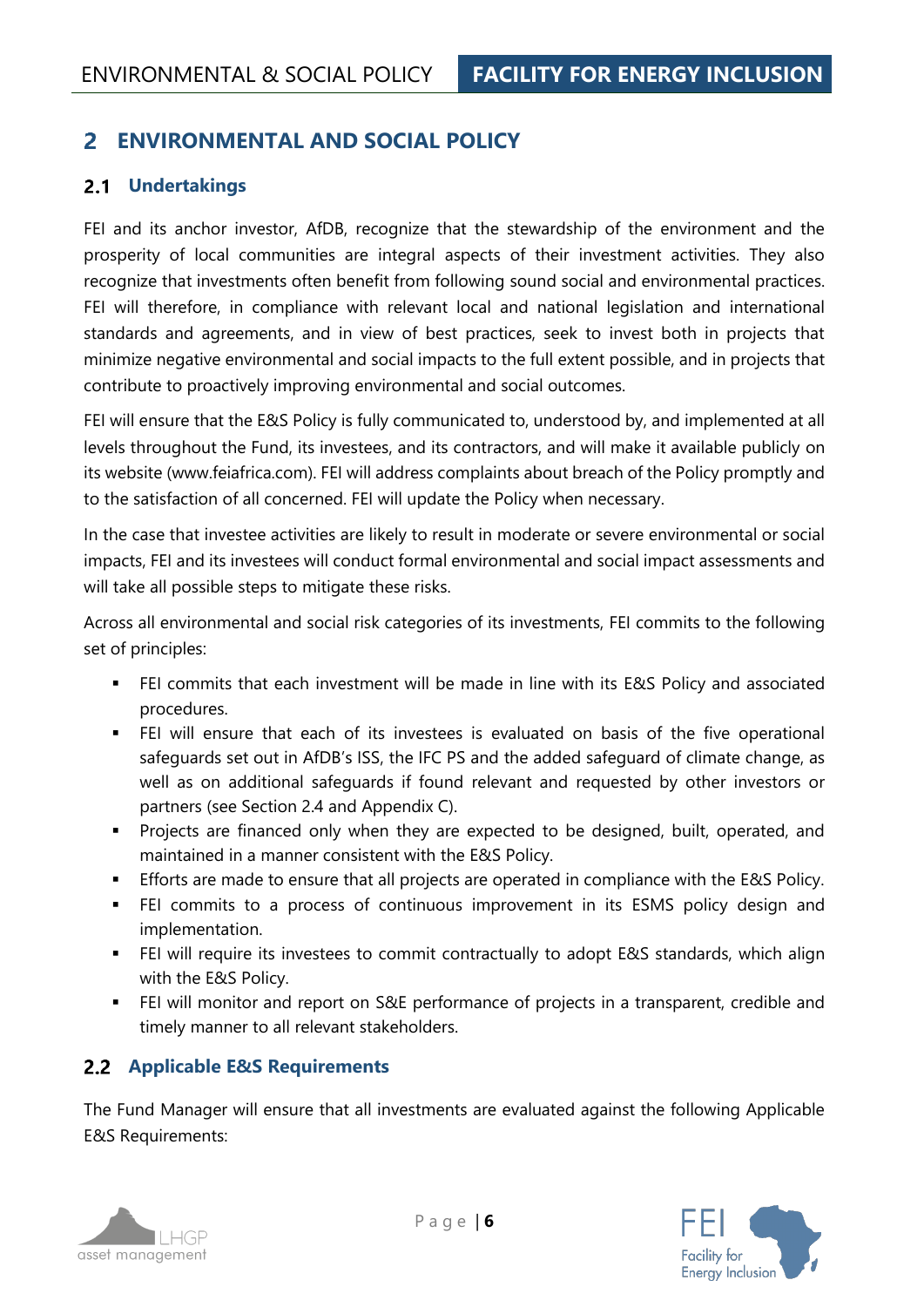#### <span id="page-5-0"></span>**ENVIRONMENTAL AND SOCIAL POLICY**  $\overline{\mathbf{z}}$

#### <span id="page-5-1"></span>**Undertakings**

FEI and its anchor investor, AfDB, recognize that the stewardship of the environment and the prosperity of local communities are integral aspects of their investment activities. They also recognize that investments often benefit from following sound social and environmental practices. FEI will therefore, in compliance with relevant local and national legislation and international standards and agreements, and in view of best practices, seek to invest both in projects that minimize negative environmental and social impacts to the full extent possible, and in projects that contribute to proactively improving environmental and social outcomes.

FEI will ensure that the E&S Policy is fully communicated to, understood by, and implemented at all levels throughout the Fund, its investees, and its contractors, and will make it available publicly on its website (www.feiafrica.com). FEI will address complaints about breach of the Policy promptly and to the satisfaction of all concerned. FEI will update the Policy when necessary.

In the case that investee activities are likely to result in moderate or severe environmental or social impacts, FEI and its investees will conduct formal environmental and social impact assessments and will take all possible steps to mitigate these risks.

Across all environmental and social risk categories of its investments, FEI commits to the following set of principles:

- FEI commits that each investment will be made in line with its E&S Policy and associated procedures.
- FEI will ensure that each of its investees is evaluated on basis of the five operational safeguards set out in AfDB's ISS, the IFC PS and the added safeguard of climate change, as well as on additional safeguards if found relevant and requested by other investors or partners (see Section [2.4](#page-6-1) and [Appendix C\)](#page-30-0).
- **•** Projects are financed only when they are expected to be designed, built, operated, and maintained in a manner consistent with the E&S Policy.
- **Efforts are made to ensure that all projects are operated in compliance with the E&S Policy.**
- FEI commits to a process of continuous improvement in its ESMS policy design and implementation.
- FEI will require its investees to commit contractually to adopt E&S standards, which align with the E&S Policy.
- FEI will monitor and report on S&E performance of projects in a transparent, credible and timely manner to all relevant stakeholders.

#### <span id="page-5-2"></span>**Applicable E&S Requirements**

The Fund Manager will ensure that all investments are evaluated against the following Applicable E&S Requirements:



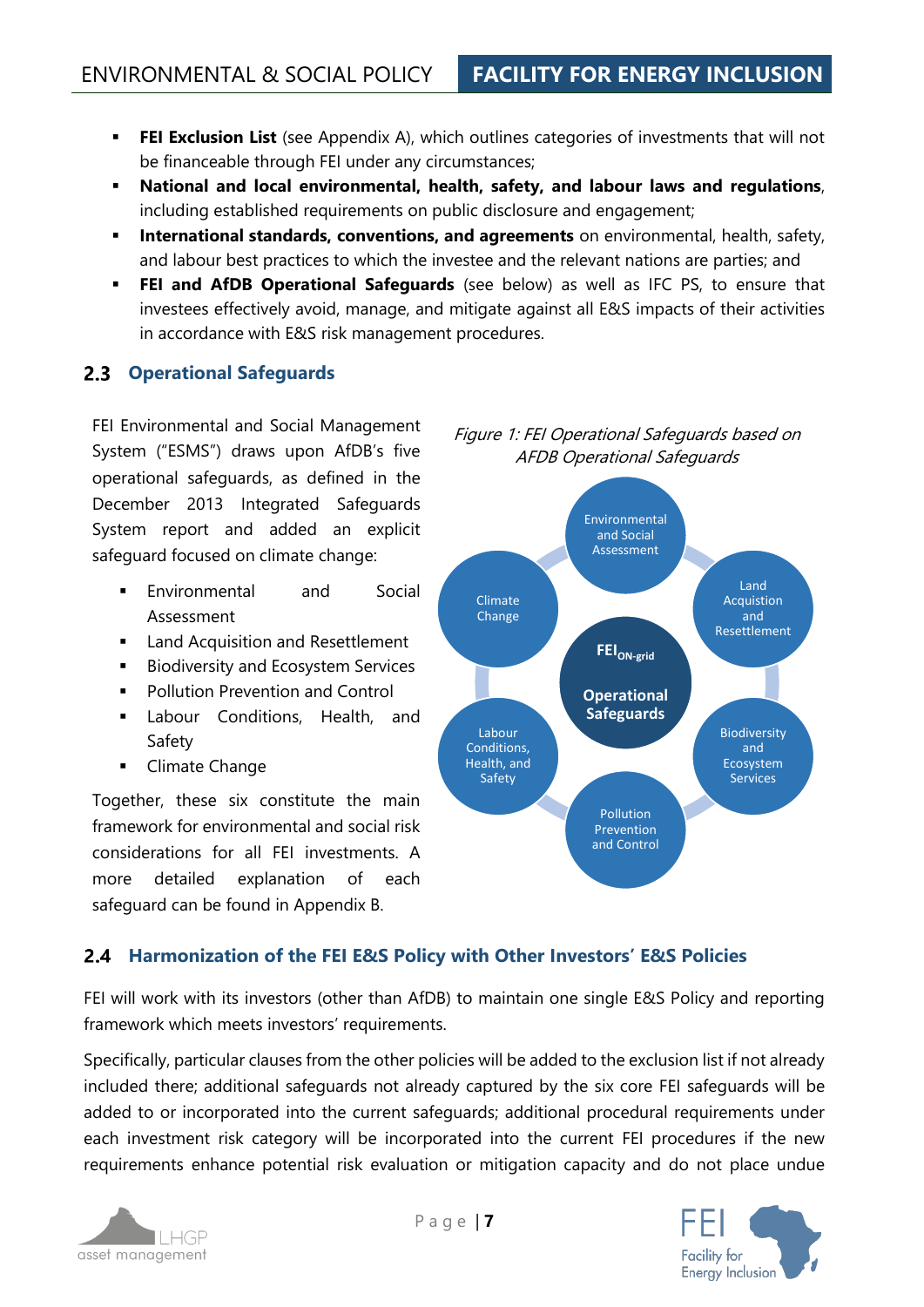- **FEI Exclusion List** (see [Appendix A\)](#page-23-0), which outlines categories of investments that will not be financeable through FEI under any circumstances;
- **National and local environmental, health, safety, and labour laws and regulations**, including established requirements on public disclosure and engagement;
- **International standards, conventions, and agreements** on environmental, health, safety, and labour best practices to which the investee and the relevant nations are parties; and
- **EEI and AfDB Operational Safequards** (see below) as well as IFC PS, to ensure that investees effectively avoid, manage, and mitigate against all E&S impacts of their activities in accordance with E&S risk management procedures.

#### <span id="page-6-0"></span>**Operational Safeguards**

FEI Environmental and Social Management System ("ESMS") draws upon AfDB's five operational safeguards, as defined in the December 2013 Integrated Safeguards System report and added an explicit safeguard focused on climate change:

- Environmental and Social Assessment
- Land Acquisition and Resettlement
- Biodiversity and Ecosystem Services
- Pollution Prevention and Control
- Labour Conditions, Health, and Safety
- Climate Change

Together, these six constitute the main framework for environmental and social risk considerations for all FEI investments. A more detailed explanation of each safeguard can be found in [Appendix B.](#page-28-0)

AFDB Operational Safeguards **FEION-grid** Environmental and Social Assessment Land Acquistion and Resettlement Climate **Change** 

Figure 1: FEI Operational Safeguards based on



#### <span id="page-6-1"></span>**Harmonization of the FEI E&S Policy with Other Investors' E&S Policies**

FEI will work with its investors (other than AfDB) to maintain one single E&S Policy and reporting framework which meets investors' requirements.

Specifically, particular clauses from the other policies will be added to the exclusion list if not already included there; additional safeguards not already captured by the six core FEI safeguards will be added to or incorporated into the current safeguards; additional procedural requirements under each investment risk category will be incorporated into the current FEI procedures if the new requirements enhance potential risk evaluation or mitigation capacity and do not place undue



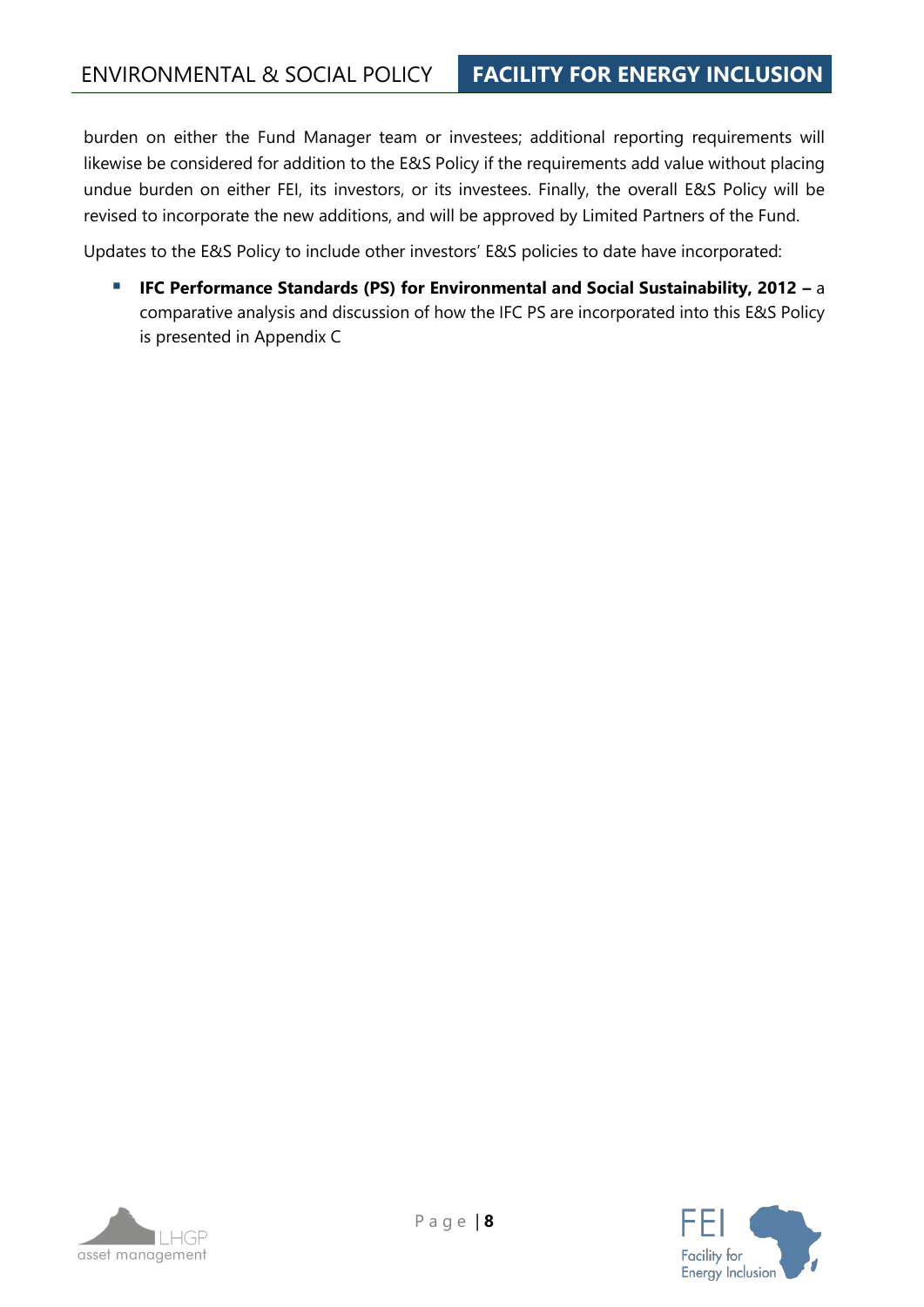burden on either the Fund Manager team or investees; additional reporting requirements will likewise be considered for addition to the E&S Policy if the requirements add value without placing undue burden on either FEI, its investors, or its investees. Finally, the overall E&S Policy will be revised to incorporate the new additions, and will be approved by Limited Partners of the Fund.

Updates to the E&S Policy to include other investors' E&S policies to date have incorporated:

▪ **IFC Performance Standards (PS) for Environmental and Social Sustainability, 2012 –** a comparative analysis and discussion of how the IFC PS are incorporated into this E&S Policy is presented in [Appendix C](#page-30-0)

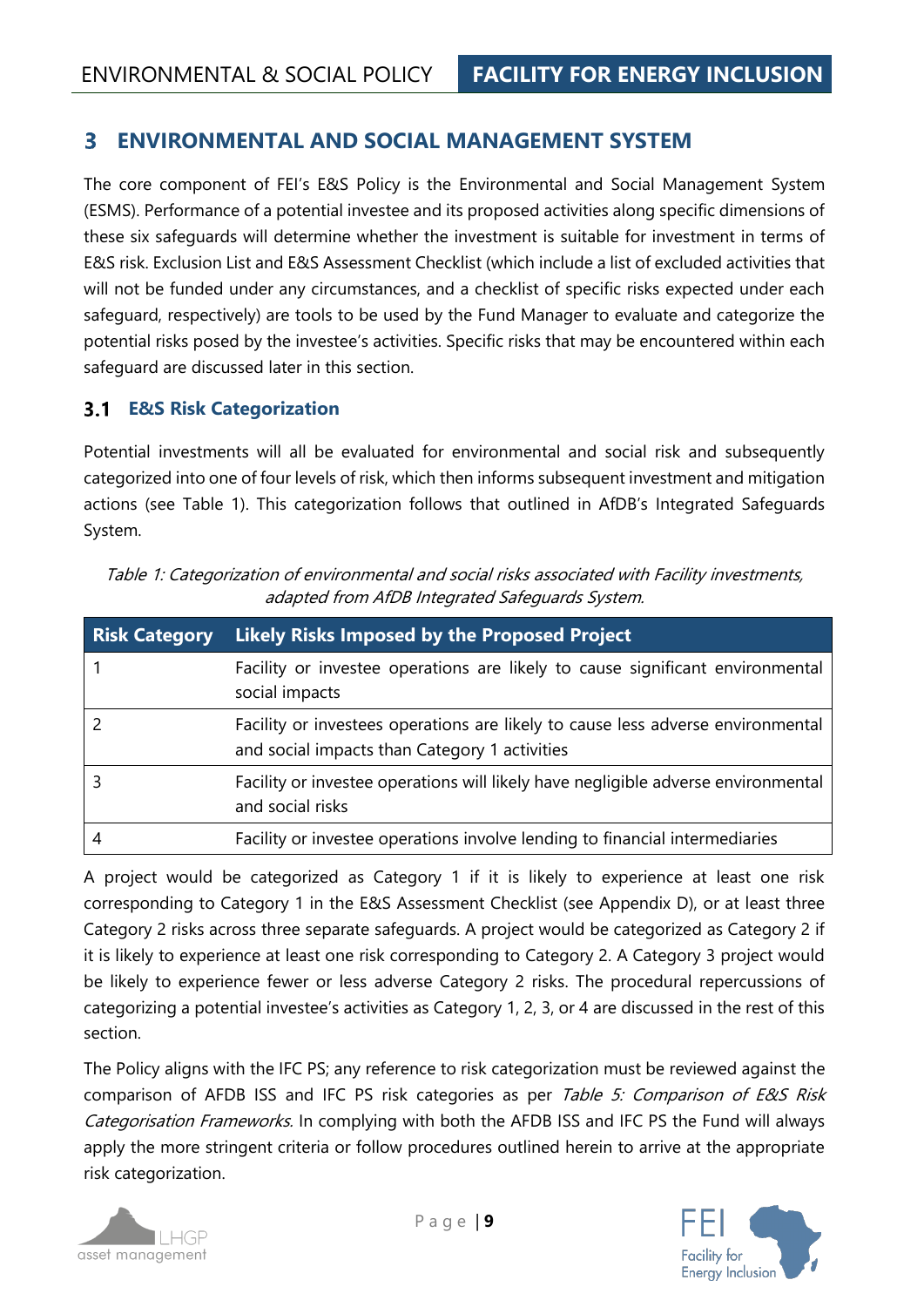#### <span id="page-8-0"></span>**ENVIRONMENTAL AND SOCIAL MANAGEMENT SYSTEM** 3

The core component of FEI's E&S Policy is the Environmental and Social Management System (ESMS). Performance of a potential investee and its proposed activities along specific dimensions of these six safeguards will determine whether the investment is suitable for investment in terms of E&S risk. [Exclusion List](#page-23-0) and [E&S Assessment](#page-49-0) Checklist (which include a list of excluded activities that will not be funded under any circumstances, and a checklist of specific risks expected under each safeguard, respectively) are tools to be used by the Fund Manager to evaluate and categorize the potential risks posed by the investee's activities. Specific risks that may be encountered within each safeguard are discussed later in this section.

#### <span id="page-8-1"></span>**E&S Risk Categorization**

Potential investments will all be evaluated for environmental and social risk and subsequently categorized into one of four levels of risk, which then informs subsequent investment and mitigation actions (see [Table 1\)](#page-8-2). This categorization follows that outlined in AfDB's Integrated Safeguards System.

<span id="page-8-2"></span>Table 1: Categorization of environmental and social risks associated with Facility investments, adapted from AfDB Integrated Safeguards System.

| <b>Risk Category</b> | <b>Likely Risks Imposed by the Proposed Project</b>                                                                              |
|----------------------|----------------------------------------------------------------------------------------------------------------------------------|
|                      | Facility or investee operations are likely to cause significant environmental<br>social impacts                                  |
|                      | Facility or investees operations are likely to cause less adverse environmental<br>and social impacts than Category 1 activities |
|                      | Facility or investee operations will likely have negligible adverse environmental<br>and social risks                            |
| 4                    | Facility or investee operations involve lending to financial intermediaries                                                      |

A project would be categorized as Category 1 if it is likely to experience at least one risk corresponding to Category 1 in the E&S Assessment Checklist (see [Appendix D\)](#page-49-0), or at least three Category 2 risks across three separate safeguards. A project would be categorized as Category 2 if it is likely to experience at least one risk corresponding to Category 2. A Category 3 project would be likely to experience fewer or less adverse Category 2 risks. The procedural repercussions of categorizing a potential investee's activities as Category 1, 2, 3, or 4 are discussed in the rest of this section.

The Policy aligns with the IFC PS; any reference to risk categorization must be reviewed against the comparison of AFDB ISS and IFC PS risk categories as per Table 5: Comparison of E&S Risk [Categorisation Frameworks.](#page-35-0) In complying with both the AFDB ISS and IFC PS the Fund will always apply the more stringent criteria or follow procedures outlined herein to arrive at the appropriate risk categorization.



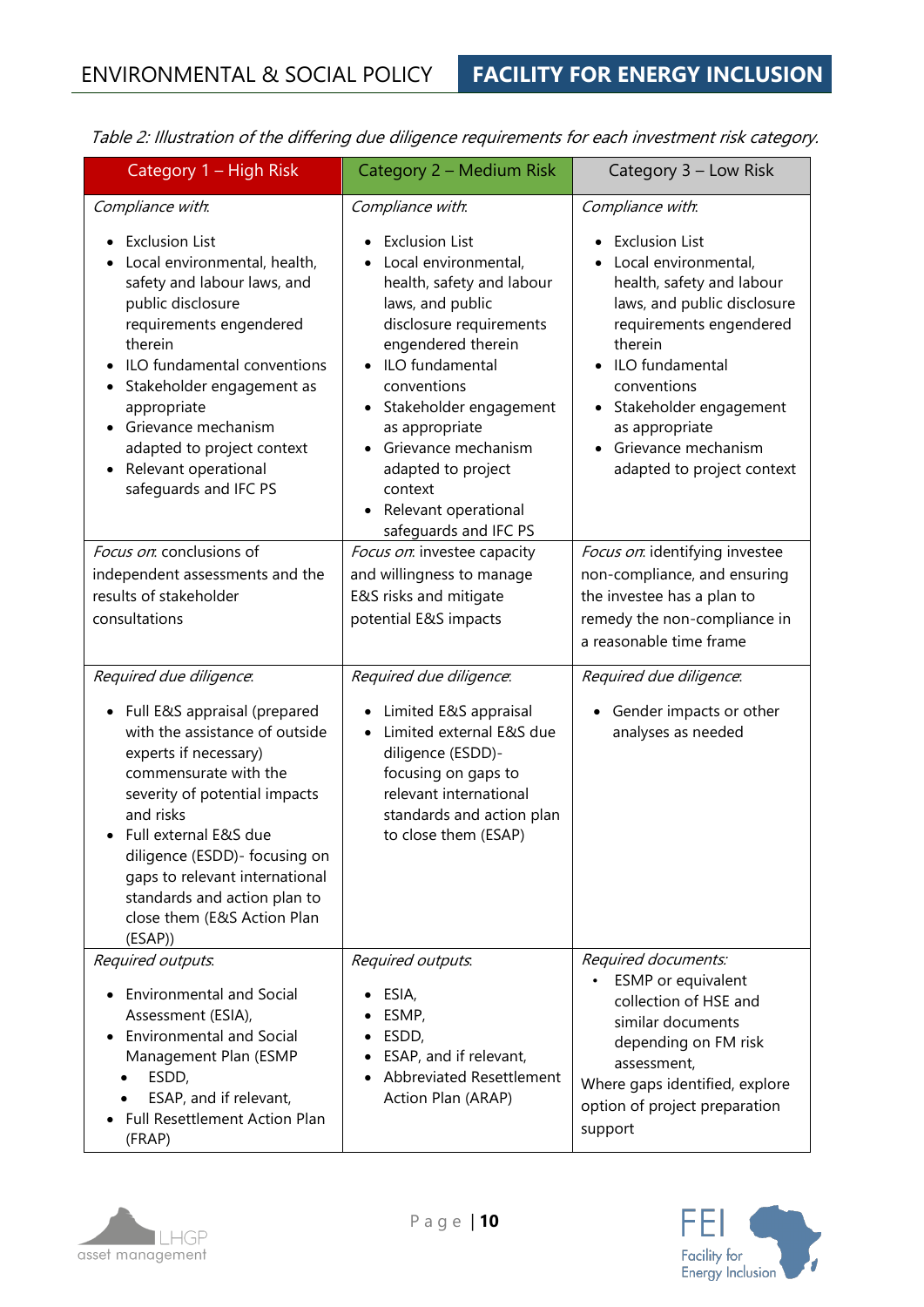| Table 2: illustration of the differing due diligence requirements for each investment risk category                                                                                                                                                                                                                                           |                                                                                                                                                                                                                                                                                                                                                                                   |                                                                                                                                                                                                                                                                                                 |  |  |  |
|-----------------------------------------------------------------------------------------------------------------------------------------------------------------------------------------------------------------------------------------------------------------------------------------------------------------------------------------------|-----------------------------------------------------------------------------------------------------------------------------------------------------------------------------------------------------------------------------------------------------------------------------------------------------------------------------------------------------------------------------------|-------------------------------------------------------------------------------------------------------------------------------------------------------------------------------------------------------------------------------------------------------------------------------------------------|--|--|--|
| Category 1 - High Risk                                                                                                                                                                                                                                                                                                                        | Category 2 – Medium Risk                                                                                                                                                                                                                                                                                                                                                          | Category 3 - Low Risk                                                                                                                                                                                                                                                                           |  |  |  |
| Compliance with.                                                                                                                                                                                                                                                                                                                              | Compliance with.                                                                                                                                                                                                                                                                                                                                                                  | Compliance with.                                                                                                                                                                                                                                                                                |  |  |  |
| <b>Exclusion List</b><br>Local environmental, health,<br>safety and labour laws, and<br>public disclosure<br>requirements engendered<br>therein<br>ILO fundamental conventions<br>Stakeholder engagement as<br>appropriate<br>Grievance mechanism<br>adapted to project context<br>Relevant operational<br>$\bullet$<br>safeguards and IFC PS | <b>Exclusion List</b><br>Local environmental,<br>$\bullet$<br>health, safety and labour<br>laws, and public<br>disclosure requirements<br>engendered therein<br>• ILO fundamental<br>conventions<br>Stakeholder engagement<br>$\bullet$<br>as appropriate<br>Grievance mechanism<br>$\bullet$<br>adapted to project<br>context<br>• Relevant operational<br>safeguards and IFC PS | <b>Exclusion List</b><br>Local environmental,<br>health, safety and labour<br>laws, and public disclosure<br>requirements engendered<br>therein<br>ILO fundamental<br>conventions<br>Stakeholder engagement<br>as appropriate<br>Grievance mechanism<br>$\bullet$<br>adapted to project context |  |  |  |
| Focus on: conclusions of                                                                                                                                                                                                                                                                                                                      | Focus on investee capacity                                                                                                                                                                                                                                                                                                                                                        | Focus on identifying investee                                                                                                                                                                                                                                                                   |  |  |  |
| independent assessments and the                                                                                                                                                                                                                                                                                                               | and willingness to manage                                                                                                                                                                                                                                                                                                                                                         | non-compliance, and ensuring                                                                                                                                                                                                                                                                    |  |  |  |
| results of stakeholder                                                                                                                                                                                                                                                                                                                        | E&S risks and mitigate                                                                                                                                                                                                                                                                                                                                                            | the investee has a plan to                                                                                                                                                                                                                                                                      |  |  |  |
| consultations                                                                                                                                                                                                                                                                                                                                 | potential E&S impacts                                                                                                                                                                                                                                                                                                                                                             | remedy the non-compliance in<br>a reasonable time frame                                                                                                                                                                                                                                         |  |  |  |
| Required due diligence.                                                                                                                                                                                                                                                                                                                       | Required due diligence.                                                                                                                                                                                                                                                                                                                                                           | Required due diligence.                                                                                                                                                                                                                                                                         |  |  |  |
| • Full E&S appraisal (prepared<br>with the assistance of outside<br>experts if necessary)<br>commensurate with the<br>severity of potential impacts<br>and risks<br>Full external E&S due<br>diligence (ESDD)- focusing on<br>gaps to relevant international<br>standards and action plan to<br>close them (E&S Action Plan<br>(ESAP))        | Limited E&S appraisal<br>$\bullet$<br>Limited external E&S due<br>$\bullet$<br>diligence (ESDD)-<br>focusing on gaps to<br>relevant international<br>standards and action plan<br>to close them (ESAP)                                                                                                                                                                            | Gender impacts or other<br>$\bullet$<br>analyses as needed                                                                                                                                                                                                                                      |  |  |  |
| Required outputs.                                                                                                                                                                                                                                                                                                                             | Required outputs.                                                                                                                                                                                                                                                                                                                                                                 | Required documents:                                                                                                                                                                                                                                                                             |  |  |  |
| <b>Environmental and Social</b><br>Assessment (ESIA),<br><b>Environmental and Social</b><br>Management Plan (ESMP<br>ESDD,<br>ESAP, and if relevant,<br>Full Resettlement Action Plan<br>(FRAP)                                                                                                                                               | ESIA,<br>ESMP,<br>ESDD,<br>ESAP, and if relevant,<br><b>Abbreviated Resettlement</b><br>Action Plan (ARAP)                                                                                                                                                                                                                                                                        | ESMP or equivalent<br>$\bullet$<br>collection of HSE and<br>similar documents<br>depending on FM risk<br>assessment,<br>Where gaps identified, explore<br>option of project preparation<br>support                                                                                              |  |  |  |

Table 2: Illustration of the differing due diligence requirements for each investment risk category.



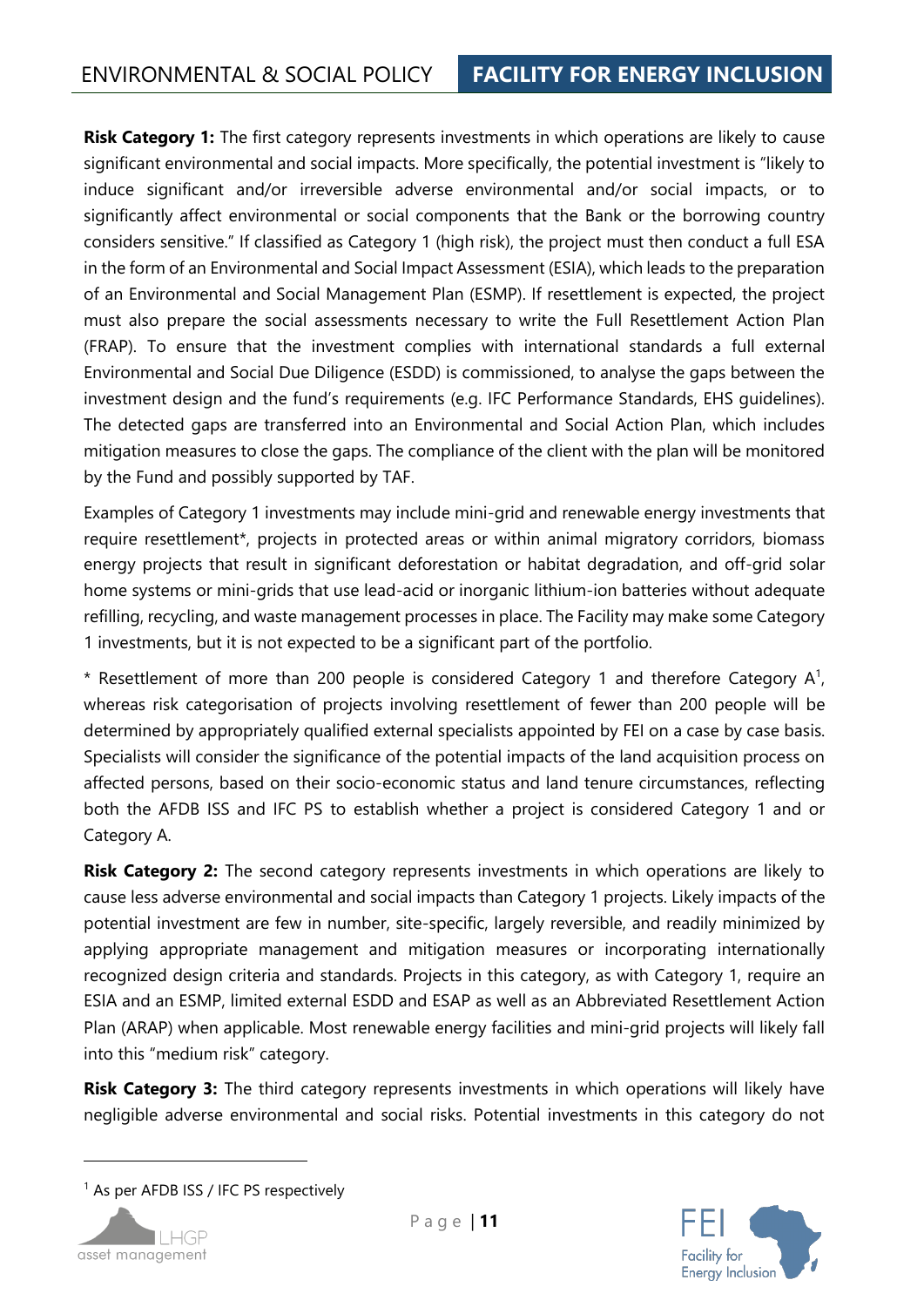**Risk Category 1:** The first category represents investments in which operations are likely to cause significant environmental and social impacts. More specifically, the potential investment is "likely to induce significant and/or irreversible adverse environmental and/or social impacts, or to significantly affect environmental or social components that the Bank or the borrowing country considers sensitive." If classified as Category 1 (high risk), the project must then conduct a full ESA in the form of an Environmental and Social Impact Assessment (ESIA), which leads to the preparation of an Environmental and Social Management Plan (ESMP). If resettlement is expected, the project must also prepare the social assessments necessary to write the Full Resettlement Action Plan (FRAP). To ensure that the investment complies with international standards a full external Environmental and Social Due Diligence (ESDD) is commissioned, to analyse the gaps between the investment design and the fund's requirements (e.g. IFC Performance Standards, EHS guidelines). The detected gaps are transferred into an Environmental and Social Action Plan, which includes mitigation measures to close the gaps. The compliance of the client with the plan will be monitored by the Fund and possibly supported by TAF.

Examples of Category 1 investments may include mini-grid and renewable energy investments that require resettlement\*, projects in protected areas or within animal migratory corridors, biomass energy projects that result in significant deforestation or habitat degradation, and off-grid solar home systems or mini-grids that use lead-acid or inorganic lithium-ion batteries without adequate refilling, recycling, and waste management processes in place. The Facility may make some Category 1 investments, but it is not expected to be a significant part of the portfolio.

\* Resettlement of more than 200 people is considered Category 1 and therefore Category  $A^1$ , whereas risk categorisation of projects involving resettlement of fewer than 200 people will be determined by appropriately qualified external specialists appointed by FEI on a case by case basis. Specialists will consider the significance of the potential impacts of the land acquisition process on affected persons, based on their socio-economic status and land tenure circumstances, reflecting both the AFDB ISS and IFC PS to establish whether a project is considered Category 1 and or Category A.

**Risk Category 2:** The second category represents investments in which operations are likely to cause less adverse environmental and social impacts than Category 1 projects. Likely impacts of the potential investment are few in number, site-specific, largely reversible, and readily minimized by applying appropriate management and mitigation measures or incorporating internationally recognized design criteria and standards. Projects in this category, as with Category 1, require an ESIA and an ESMP, limited external ESDD and ESAP as well as an Abbreviated Resettlement Action Plan (ARAP) when applicable. Most renewable energy facilities and mini-grid projects will likely fall into this "medium risk" category.

**Risk Category 3:** The third category represents investments in which operations will likely have negligible adverse environmental and social risks. Potential investments in this category do not

<sup>&</sup>lt;sup>1</sup> As per AFDB ISS / IFC PS respectively



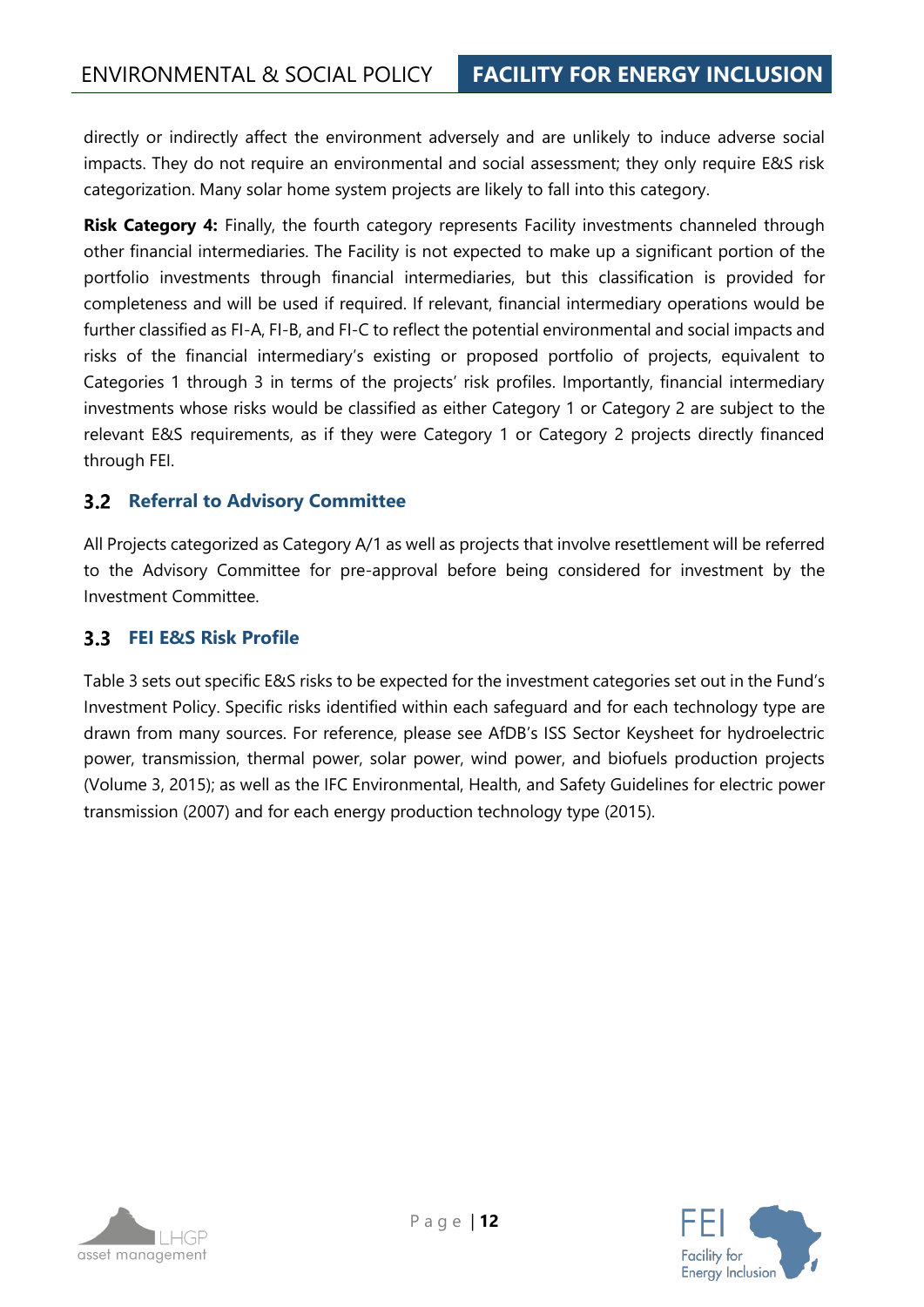directly or indirectly affect the environment adversely and are unlikely to induce adverse social impacts. They do not require an environmental and social assessment; they only require E&S risk categorization. Many solar home system projects are likely to fall into this category.

**Risk Category 4:** Finally, the fourth category represents Facility investments channeled through other financial intermediaries. The Facility is not expected to make up a significant portion of the portfolio investments through financial intermediaries, but this classification is provided for completeness and will be used if required. If relevant, financial intermediary operations would be further classified as FI-A, FI-B, and FI-C to reflect the potential environmental and social impacts and risks of the financial intermediary's existing or proposed portfolio of projects, equivalent to Categories 1 through 3 in terms of the projects' risk profiles. Importantly, financial intermediary investments whose risks would be classified as either Category 1 or Category 2 are subject to the relevant E&S requirements, as if they were Category 1 or Category 2 projects directly financed through FEI.

#### <span id="page-11-0"></span>**3.2 Referral to Advisory Committee**

All Projects categorized as Category A/1 as well as projects that involve resettlement will be referred to the Advisory Committee for pre-approval before being considered for investment by the Investment Committee.

#### <span id="page-11-1"></span>**FEI E&S Risk Profile**

[Table 3](#page-12-0) sets out specific E&S risks to be expected for the investment categories set out in the Fund's Investment Policy. Specific risks identified within each safeguard and for each technology type are drawn from many sources. For reference, please see AfDB's ISS Sector Keysheet for hydroelectric power, transmission, thermal power, solar power, wind power, and biofuels production projects (Volume 3, 2015); as well as the IFC Environmental, Health, and Safety Guidelines for electric power transmission (2007) and for each energy production technology type (2015).

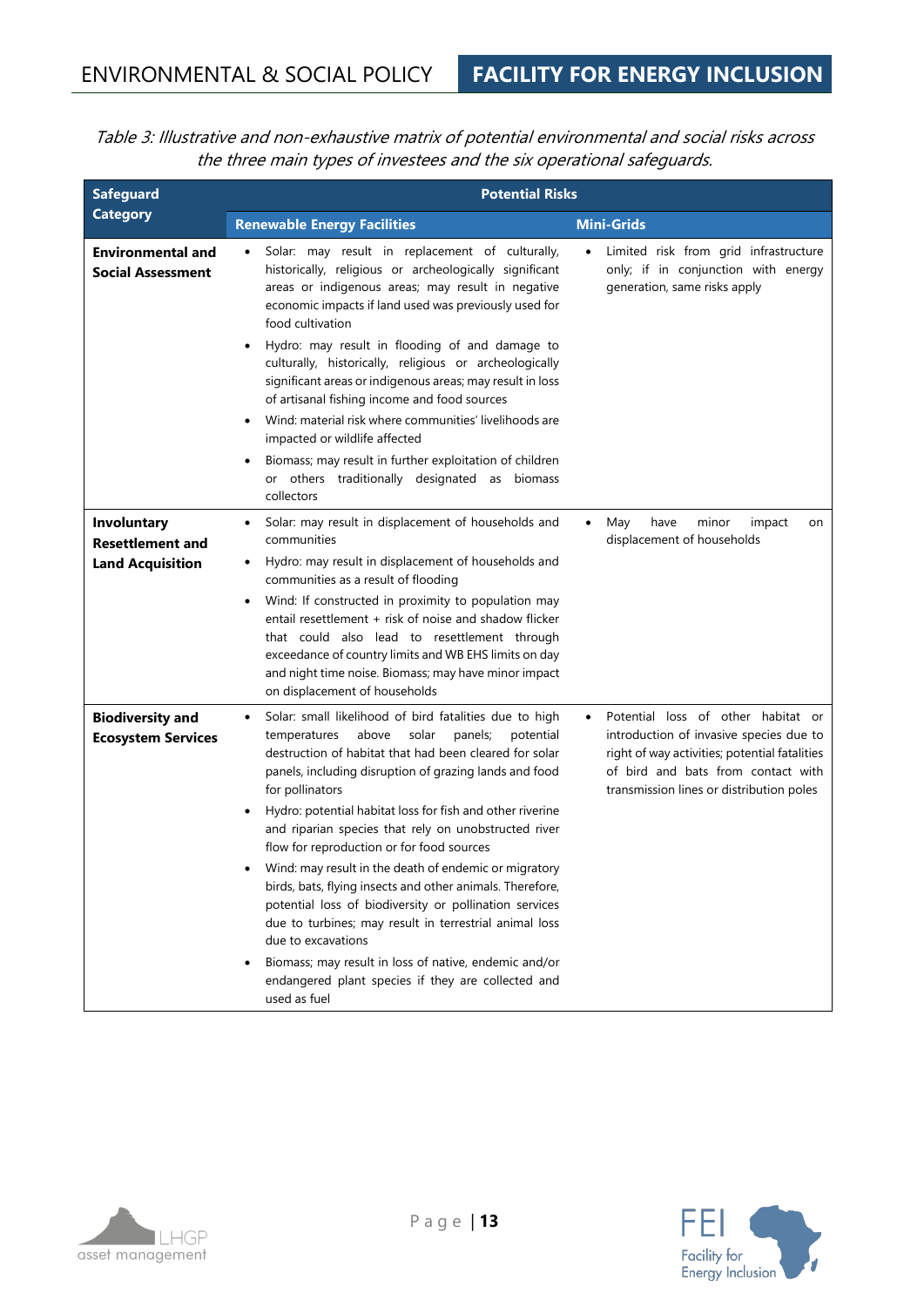<span id="page-12-0"></span>Table 3: Illustrative and non-exhaustive matrix of potential environmental and social risks across the three main types of investees and the six operational safeguards.

| <b>Safeguard</b>                                                  | <b>Potential Risks</b>                                                                                                                                                                                                                                                                                                                                                                                                                                                                                                                                                                                                                                                                                                                                                                                                                |                                                                                                                                                                                                                               |  |
|-------------------------------------------------------------------|---------------------------------------------------------------------------------------------------------------------------------------------------------------------------------------------------------------------------------------------------------------------------------------------------------------------------------------------------------------------------------------------------------------------------------------------------------------------------------------------------------------------------------------------------------------------------------------------------------------------------------------------------------------------------------------------------------------------------------------------------------------------------------------------------------------------------------------|-------------------------------------------------------------------------------------------------------------------------------------------------------------------------------------------------------------------------------|--|
| <b>Category</b>                                                   | <b>Renewable Energy Facilities</b>                                                                                                                                                                                                                                                                                                                                                                                                                                                                                                                                                                                                                                                                                                                                                                                                    | <b>Mini-Grids</b>                                                                                                                                                                                                             |  |
| <b>Environmental and</b><br><b>Social Assessment</b>              | Solar: may result in replacement of culturally,<br>$\bullet$<br>historically, religious or archeologically significant<br>areas or indigenous areas; may result in negative<br>economic impacts if land used was previously used for<br>food cultivation<br>Hydro: may result in flooding of and damage to<br>٠<br>culturally, historically, religious or archeologically<br>significant areas or indigenous areas; may result in loss<br>of artisanal fishing income and food sources<br>Wind: material risk where communities' livelihoods are<br>impacted or wildlife affected<br>Biomass; may result in further exploitation of children<br>or others traditionally designated as biomass<br>collectors                                                                                                                           | Limited risk from grid infrastructure<br>only; if in conjunction with energy<br>generation, same risks apply                                                                                                                  |  |
| Involuntary<br><b>Resettlement and</b><br><b>Land Acquisition</b> | Solar: may result in displacement of households and<br>٠<br>communities<br>Hydro: may result in displacement of households and<br>٠<br>communities as a result of flooding<br>Wind: If constructed in proximity to population may<br>٠<br>entail resettlement + risk of noise and shadow flicker<br>that could also lead to resettlement through<br>exceedance of country limits and WB EHS limits on day<br>and night time noise. Biomass; may have minor impact<br>on displacement of households                                                                                                                                                                                                                                                                                                                                    | May<br>have<br>minor<br>impact<br>$\bullet$<br>on<br>displacement of households                                                                                                                                               |  |
| <b>Biodiversity and</b><br><b>Ecosystem Services</b>              | Solar: small likelihood of bird fatalities due to high<br>$\bullet$<br>solar<br>temperatures<br>above<br>panels;<br>potential<br>destruction of habitat that had been cleared for solar<br>panels, including disruption of grazing lands and food<br>for pollinators<br>Hydro: potential habitat loss for fish and other riverine<br>and riparian species that rely on unobstructed river<br>flow for reproduction or for food sources<br>Wind: may result in the death of endemic or migratory<br>birds, bats, flying insects and other animals. Therefore,<br>potential loss of biodiversity or pollination services<br>due to turbines; may result in terrestrial animal loss<br>due to excavations<br>Biomass; may result in loss of native, endemic and/or<br>endangered plant species if they are collected and<br>used as fuel | Potential loss of other habitat or<br>$\bullet$<br>introduction of invasive species due to<br>right of way activities; potential fatalities<br>of bird and bats from contact with<br>transmission lines or distribution poles |  |



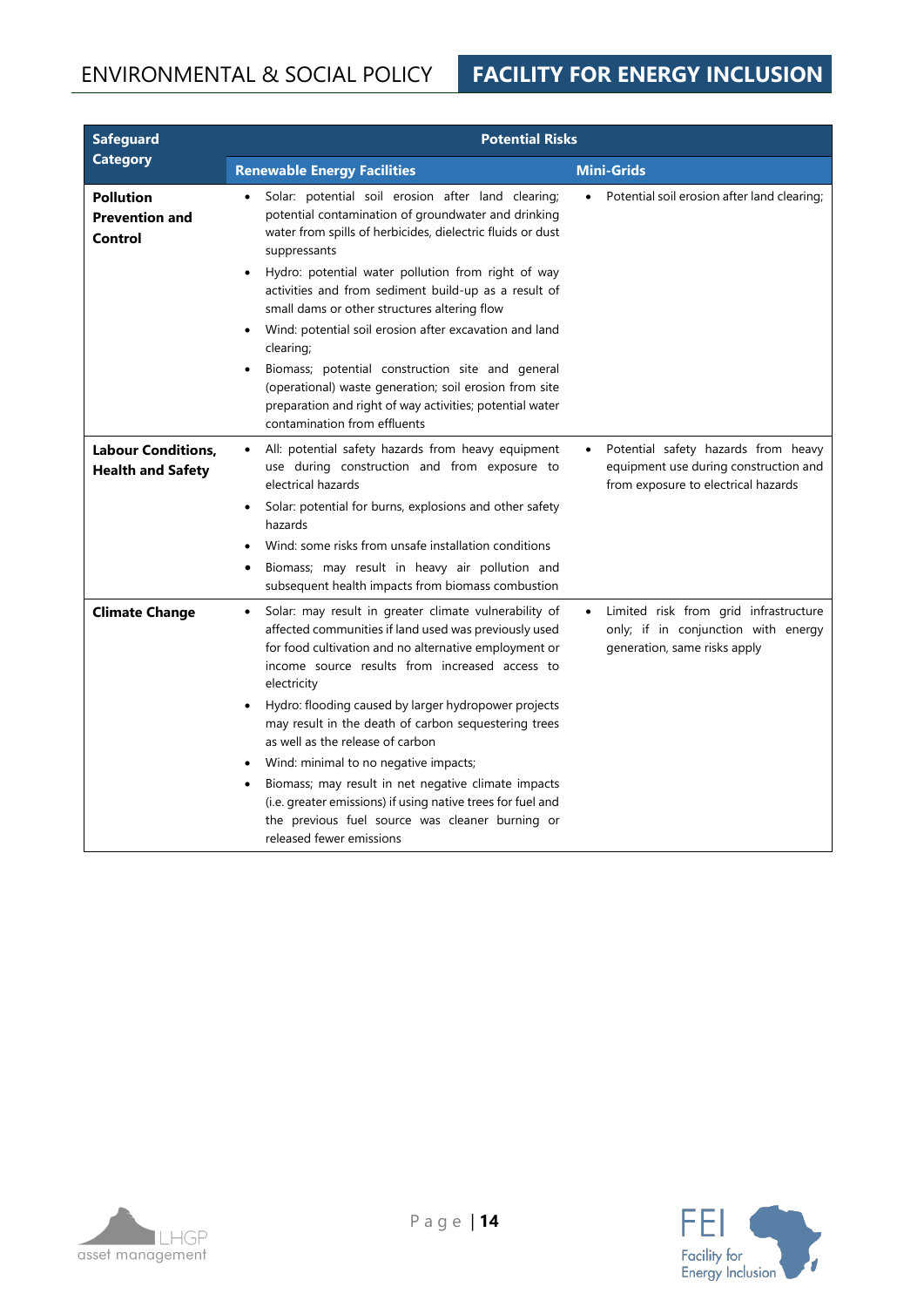## ENVIRONMENTAL & SOCIAL POLICY **FACILITY FOR ENERGY INCLUSION**

| <b>Safeguard</b>                                      | <b>Potential Risks</b>                                                                                                                                                                                                                                                                                                                                                                                                                                                                                                                                                                                 |                                                                                                                           |  |
|-------------------------------------------------------|--------------------------------------------------------------------------------------------------------------------------------------------------------------------------------------------------------------------------------------------------------------------------------------------------------------------------------------------------------------------------------------------------------------------------------------------------------------------------------------------------------------------------------------------------------------------------------------------------------|---------------------------------------------------------------------------------------------------------------------------|--|
| <b>Category</b>                                       | <b>Renewable Energy Facilities</b>                                                                                                                                                                                                                                                                                                                                                                                                                                                                                                                                                                     | <b>Mini-Grids</b>                                                                                                         |  |
| <b>Pollution</b><br><b>Prevention and</b><br>Control  | Solar: potential soil erosion after land clearing;<br>potential contamination of groundwater and drinking<br>water from spills of herbicides, dielectric fluids or dust<br>suppressants<br>Hydro: potential water pollution from right of way<br>activities and from sediment build-up as a result of<br>small dams or other structures altering flow<br>Wind: potential soil erosion after excavation and land<br>clearing;<br>Biomass; potential construction site and general<br>(operational) waste generation; soil erosion from site<br>preparation and right of way activities; potential water | Potential soil erosion after land clearing;                                                                               |  |
|                                                       | contamination from effluents                                                                                                                                                                                                                                                                                                                                                                                                                                                                                                                                                                           |                                                                                                                           |  |
| <b>Labour Conditions,</b><br><b>Health and Safety</b> | All: potential safety hazards from heavy equipment<br>$\bullet$<br>use during construction and from exposure to<br>electrical hazards<br>Solar: potential for burns, explosions and other safety<br>$\bullet$<br>hazards                                                                                                                                                                                                                                                                                                                                                                               | Potential safety hazards from heavy<br>equipment use during construction and<br>from exposure to electrical hazards       |  |
|                                                       | Wind: some risks from unsafe installation conditions<br>Biomass; may result in heavy air pollution and<br>٠<br>subsequent health impacts from biomass combustion                                                                                                                                                                                                                                                                                                                                                                                                                                       |                                                                                                                           |  |
| <b>Climate Change</b>                                 | Solar: may result in greater climate vulnerability of<br>٠<br>affected communities if land used was previously used<br>for food cultivation and no alternative employment or<br>income source results from increased access to<br>electricity<br>Hydro: flooding caused by larger hydropower projects                                                                                                                                                                                                                                                                                                  | Limited risk from grid infrastructure<br>$\bullet$<br>only; if in conjunction with energy<br>generation, same risks apply |  |
|                                                       | may result in the death of carbon sequestering trees<br>as well as the release of carbon                                                                                                                                                                                                                                                                                                                                                                                                                                                                                                               |                                                                                                                           |  |
|                                                       | Wind: minimal to no negative impacts;                                                                                                                                                                                                                                                                                                                                                                                                                                                                                                                                                                  |                                                                                                                           |  |
|                                                       | Biomass; may result in net negative climate impacts<br>(i.e. greater emissions) if using native trees for fuel and<br>the previous fuel source was cleaner burning or<br>released fewer emissions                                                                                                                                                                                                                                                                                                                                                                                                      |                                                                                                                           |  |



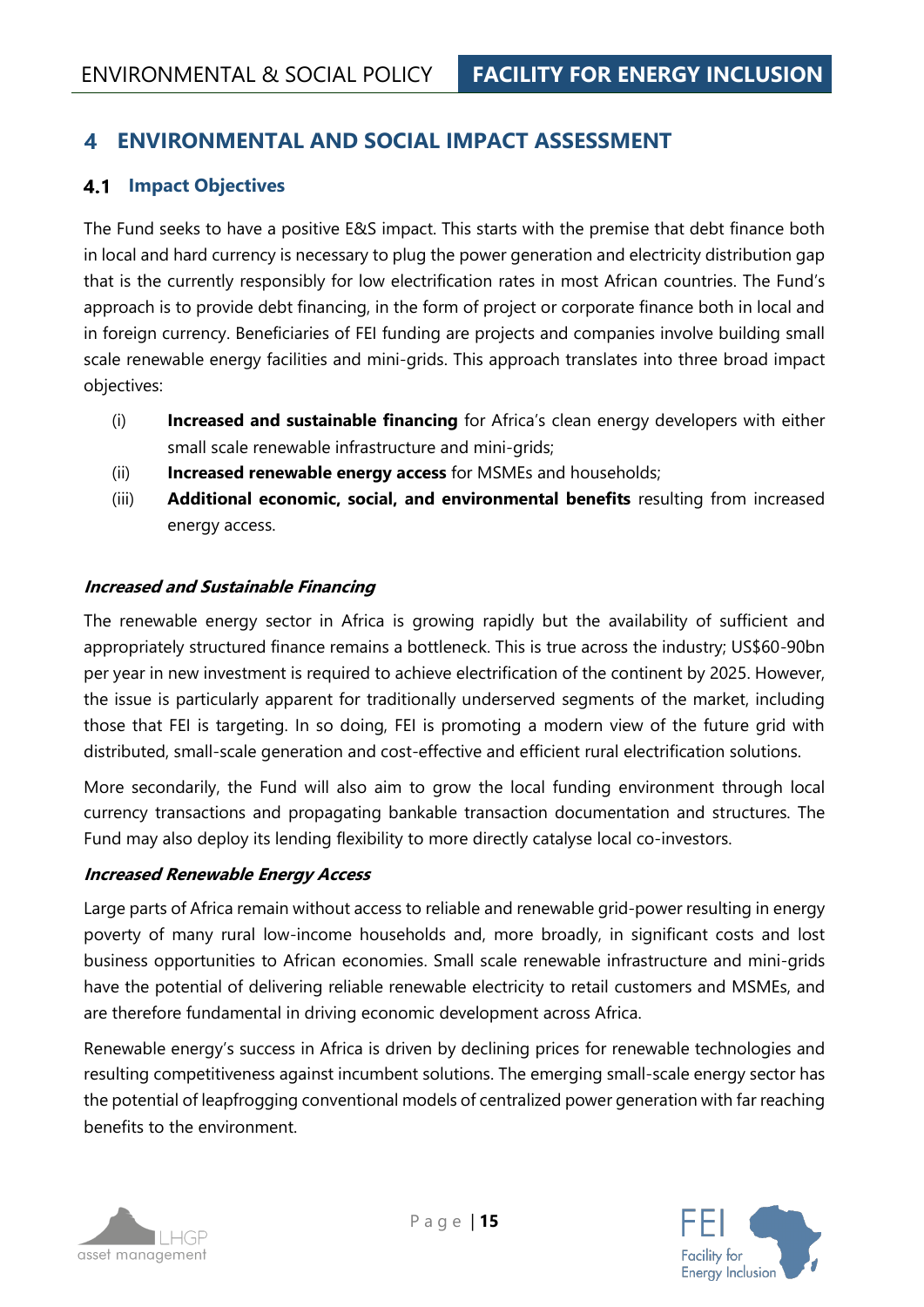#### <span id="page-14-0"></span>**ENVIRONMENTAL AND SOCIAL IMPACT ASSESSMENT**  $\blacktriangle$

#### <span id="page-14-1"></span>**4.1 Impact Objectives**

The Fund seeks to have a positive E&S impact. This starts with the premise that debt finance both in local and hard currency is necessary to plug the power generation and electricity distribution gap that is the currently responsibly for low electrification rates in most African countries. The Fund's approach is to provide debt financing, in the form of project or corporate finance both in local and in foreign currency. Beneficiaries of FEI funding are projects and companies involve building small scale renewable energy facilities and mini-grids. This approach translates into three broad impact objectives:

- (i) **Increased and sustainable financing** for Africa's clean energy developers with either small scale renewable infrastructure and mini-grids;
- (ii) **Increased renewable energy access** for MSMEs and households;
- (iii) **Additional economic, social, and environmental benefits** resulting from increased energy access.

#### **Increased and Sustainable Financing**

The renewable energy sector in Africa is growing rapidly but the availability of sufficient and appropriately structured finance remains a bottleneck. This is true across the industry; US\$60-90bn per year in new investment is required to achieve electrification of the continent by 2025. However, the issue is particularly apparent for traditionally underserved segments of the market, including those that FEI is targeting. In so doing, FEI is promoting a modern view of the future grid with distributed, small-scale generation and cost-effective and efficient rural electrification solutions.

More secondarily, the Fund will also aim to grow the local funding environment through local currency transactions and propagating bankable transaction documentation and structures. The Fund may also deploy its lending flexibility to more directly catalyse local co-investors.

#### **Increased Renewable Energy Access**

Large parts of Africa remain without access to reliable and renewable grid-power resulting in energy poverty of many rural low-income households and, more broadly, in significant costs and lost business opportunities to African economies. Small scale renewable infrastructure and mini-grids have the potential of delivering reliable renewable electricity to retail customers and MSMEs, and are therefore fundamental in driving economic development across Africa.

Renewable energy's success in Africa is driven by declining prices for renewable technologies and resulting competitiveness against incumbent solutions. The emerging small-scale energy sector has the potential of leapfrogging conventional models of centralized power generation with far reaching benefits to the environment.



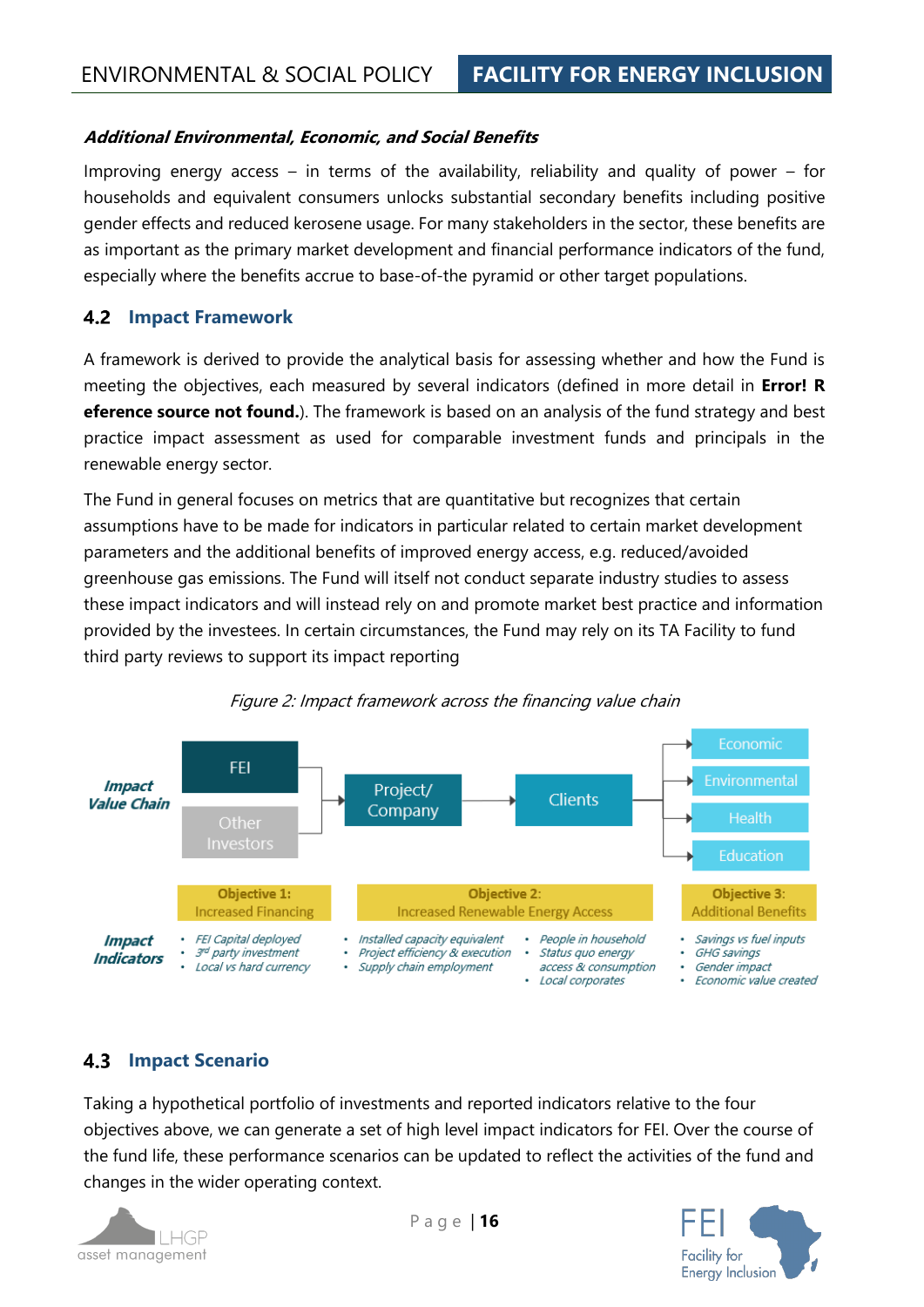#### **Additional Environmental, Economic, and Social Benefits**

Improving energy access – in terms of the availability, reliability and quality of power – for households and equivalent consumers unlocks substantial secondary benefits including positive gender effects and reduced kerosene usage. For many stakeholders in the sector, these benefits are as important as the primary market development and financial performance indicators of the fund, especially where the benefits accrue to base-of-the pyramid or other target populations.

#### <span id="page-15-0"></span>**4.2 Impact Framework**

A framework is derived to provide the analytical basis for assessing whether and how the Fund is meeting the objectives, each measured by several indicators (defined in more detail in **Error! R eference source not found.**). The framework is based on an analysis of the fund strategy and best practice impact assessment as used for comparable investment funds and principals in the renewable energy sector.

The Fund in general focuses on metrics that are quantitative but recognizes that certain assumptions have to be made for indicators in particular related to certain market development parameters and the additional benefits of improved energy access, e.g. reduced/avoided greenhouse gas emissions. The Fund will itself not conduct separate industry studies to assess these impact indicators and will instead rely on and promote market best practice and information provided by the investees. In certain circumstances, the Fund may rely on its TA Facility to fund third party reviews to support its impact reporting



#### Figure 2: Impact framework across the financing value chain

#### <span id="page-15-1"></span>**4.3 Impact Scenario**

Taking a hypothetical portfolio of investments and reported indicators relative to the four objectives above, we can generate a set of high level impact indicators for FEI. Over the course of the fund life, these performance scenarios can be updated to reflect the activities of the fund and changes in the wider operating context.



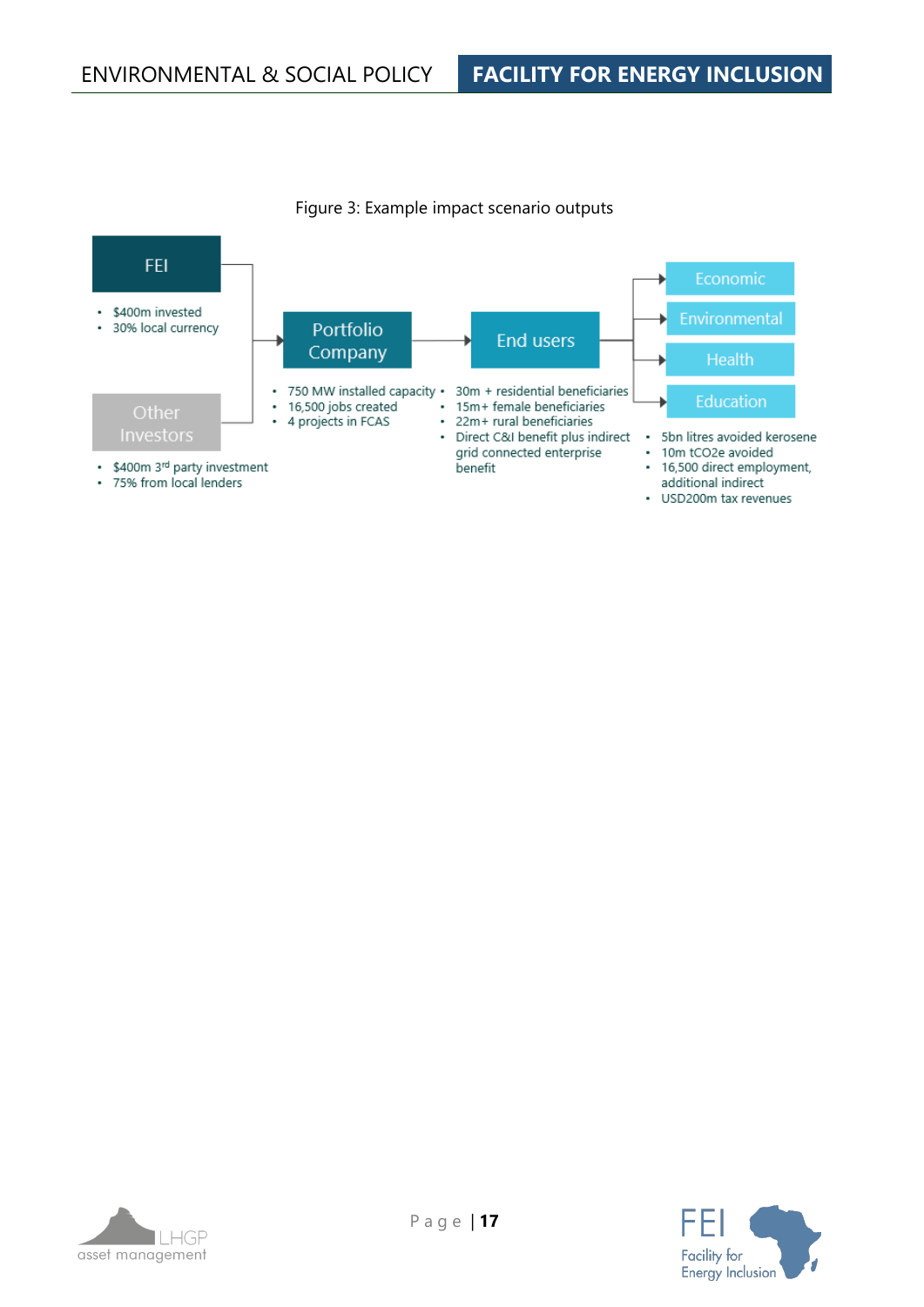

Figure 3: Example impact scenario outputs



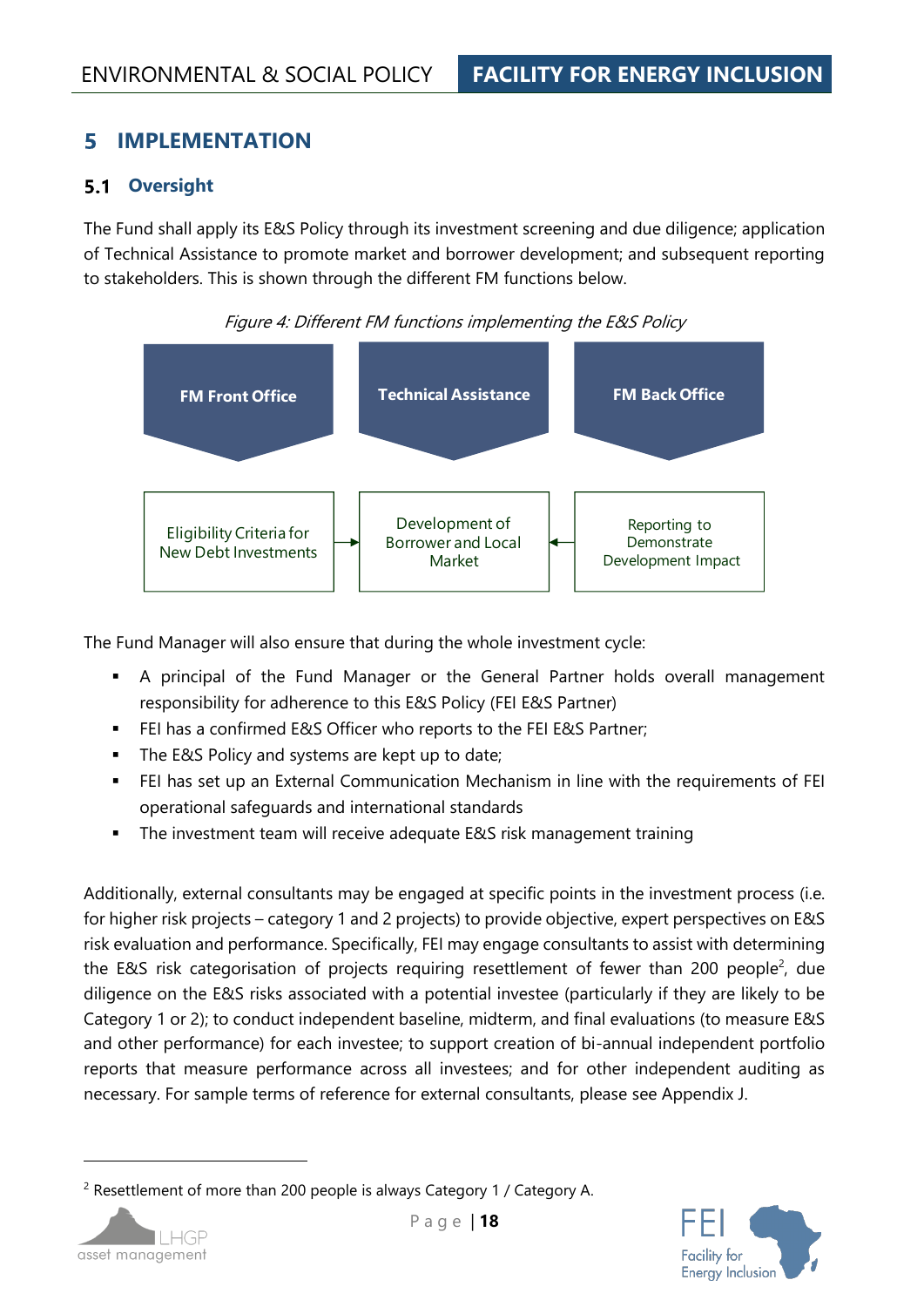#### <span id="page-17-0"></span>5 **IMPLEMENTATION**

#### <span id="page-17-1"></span>**5.1 Oversight**

The Fund shall apply its E&S Policy through its investment screening and due diligence; application of Technical Assistance to promote market and borrower development; and subsequent reporting to stakeholders. This is shown through the different FM functions below.



Figure 4: Different FM functions implementing the E&S Policy

The Fund Manager will also ensure that during the whole investment cycle:

- **EXT** A principal of the Fund Manager or the General Partner holds overall management responsibility for adherence to this E&S Policy (FEI E&S Partner)
- FEI has a confirmed E&S Officer who reports to the FEI E&S Partner;
- The E&S Policy and systems are kept up to date;
- **EXTEE:** has set up an External Communication Mechanism in line with the requirements of FEI operational safeguards and international standards
- The investment team will receive adequate E&S risk management training

Additionally, external consultants may be engaged at specific points in the investment process (i.e. for higher risk projects – category 1 and 2 projects) to provide objective, expert perspectives on E&S risk evaluation and performance. Specifically, FEI may engage consultants to assist with determining the E&S risk categorisation of projects requiring resettlement of fewer than 200 people<sup>2</sup>, due diligence on the E&S risks associated with a potential investee (particularly if they are likely to be Category 1 or 2); to conduct independent baseline, midterm, and final evaluations (to measure E&S and other performance) for each investee; to support creation of bi-annual independent portfolio reports that measure performance across all investees; and for other independent auditing as necessary. For sample terms of reference for external consultants, please see [Appendix J.](#page-71-0)

<sup>&</sup>lt;sup>2</sup> Resettlement of more than 200 people is always Category 1 / Category A.



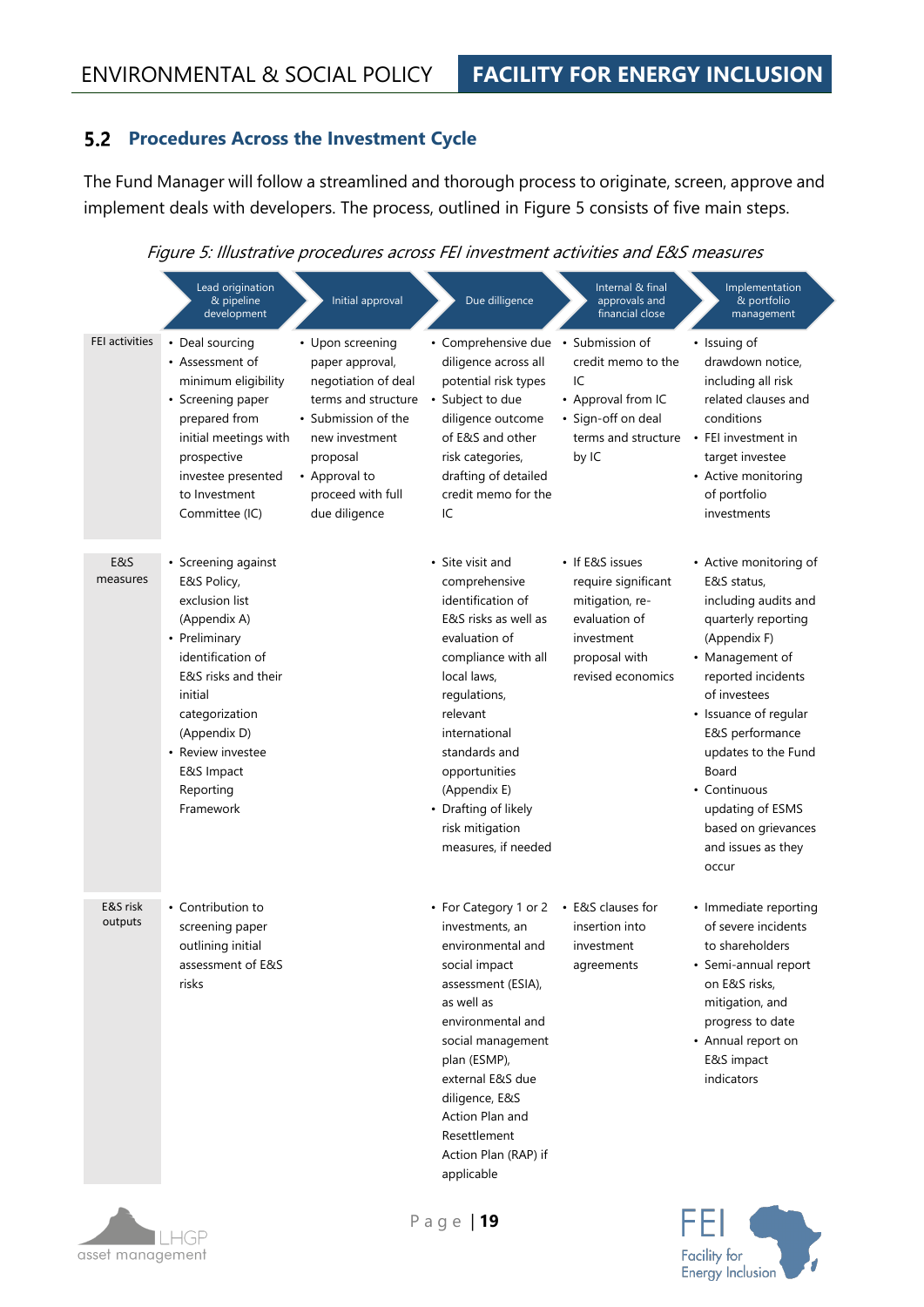#### <span id="page-18-0"></span>**Procedures Across the Investment Cycle**

The Fund Manager will follow a streamlined and thorough process to originate, screen, approve and implement deals with developers. The process, outlined in [Figure 5](#page-18-1) consists of five main steps.

Figure 5: Illustrative procedures across FEI investment activities and E&S measures

<span id="page-18-1"></span>

|                       | Lead origination<br>& pipeline<br>development                                                                                                                                                                                               | Initial approval                                                                                                                                                                              | Due dilligence                                                                                                                                                                                                                                                                                         | Internal & final<br>approvals and<br>financial close                                                                           | Implementation<br>& portfolio<br>management                                                                                                                                                                                                                                                                                         |
|-----------------------|---------------------------------------------------------------------------------------------------------------------------------------------------------------------------------------------------------------------------------------------|-----------------------------------------------------------------------------------------------------------------------------------------------------------------------------------------------|--------------------------------------------------------------------------------------------------------------------------------------------------------------------------------------------------------------------------------------------------------------------------------------------------------|--------------------------------------------------------------------------------------------------------------------------------|-------------------------------------------------------------------------------------------------------------------------------------------------------------------------------------------------------------------------------------------------------------------------------------------------------------------------------------|
| <b>FEI activities</b> | • Deal sourcing<br>• Assessment of<br>minimum eligibility<br>• Screening paper<br>prepared from<br>initial meetings with<br>prospective<br>investee presented<br>to Investment<br>Committee (IC)                                            | • Upon screening<br>paper approval,<br>negotiation of deal<br>terms and structure<br>• Submission of the<br>new investment<br>proposal<br>• Approval to<br>proceed with full<br>due diligence | • Comprehensive due • Submission of<br>diligence across all<br>potential risk types<br>· Subject to due<br>diligence outcome<br>of E&S and other<br>risk categories,<br>drafting of detailed<br>credit memo for the<br>IC                                                                              | credit memo to the<br>IC<br>• Approval from IC<br>• Sign-off on deal<br>terms and structure<br>by IC                           | • Issuing of<br>drawdown notice.<br>including all risk<br>related clauses and<br>conditions<br>• FEI investment in<br>target investee<br>• Active monitoring<br>of portfolio<br>investments                                                                                                                                         |
| E&S<br>measures       | • Screening against<br>E&S Policy,<br>exclusion list<br>(Appendix A)<br>• Preliminary<br>identification of<br>E&S risks and their<br>initial<br>categorization<br>(Appendix D)<br>• Review investee<br>E&S Impact<br>Reporting<br>Framework |                                                                                                                                                                                               | • Site visit and<br>comprehensive<br>identification of<br>E&S risks as well as<br>evaluation of<br>compliance with all<br>local laws,<br>regulations,<br>relevant<br>international<br>standards and<br>opportunities<br>(Appendix E)<br>• Drafting of likely<br>risk mitigation<br>measures, if needed | • If E&S issues<br>require significant<br>mitigation, re-<br>evaluation of<br>investment<br>proposal with<br>revised economics | • Active monitoring of<br>E&S status,<br>including audits and<br>quarterly reporting<br>(Appendix F)<br>• Management of<br>reported incidents<br>of investees<br>• Issuance of regular<br>E&S performance<br>updates to the Fund<br>Board<br>• Continuous<br>updating of ESMS<br>based on grievances<br>and issues as they<br>occur |
| E&S risk<br>outputs   | • Contribution to<br>screening paper<br>outlining initial<br>assessment of E&S<br>risks                                                                                                                                                     |                                                                                                                                                                                               | • For Category 1 or 2<br>investments, an<br>environmental and<br>social impact<br>assessment (ESIA),<br>as well as<br>environmental and<br>social management<br>plan (ESMP),<br>external E&S due<br>diligence, E&S<br>Action Plan and<br>Resettlement<br>Action Plan (RAP) if<br>applicable            | • E&S clauses for<br>insertion into<br>investment<br>agreements                                                                | • Immediate reporting<br>of severe incidents<br>to shareholders<br>• Semi-annual report<br>on E&S risks,<br>mitigation, and<br>progress to date<br>• Annual report on<br>E&S impact<br>indicators                                                                                                                                   |



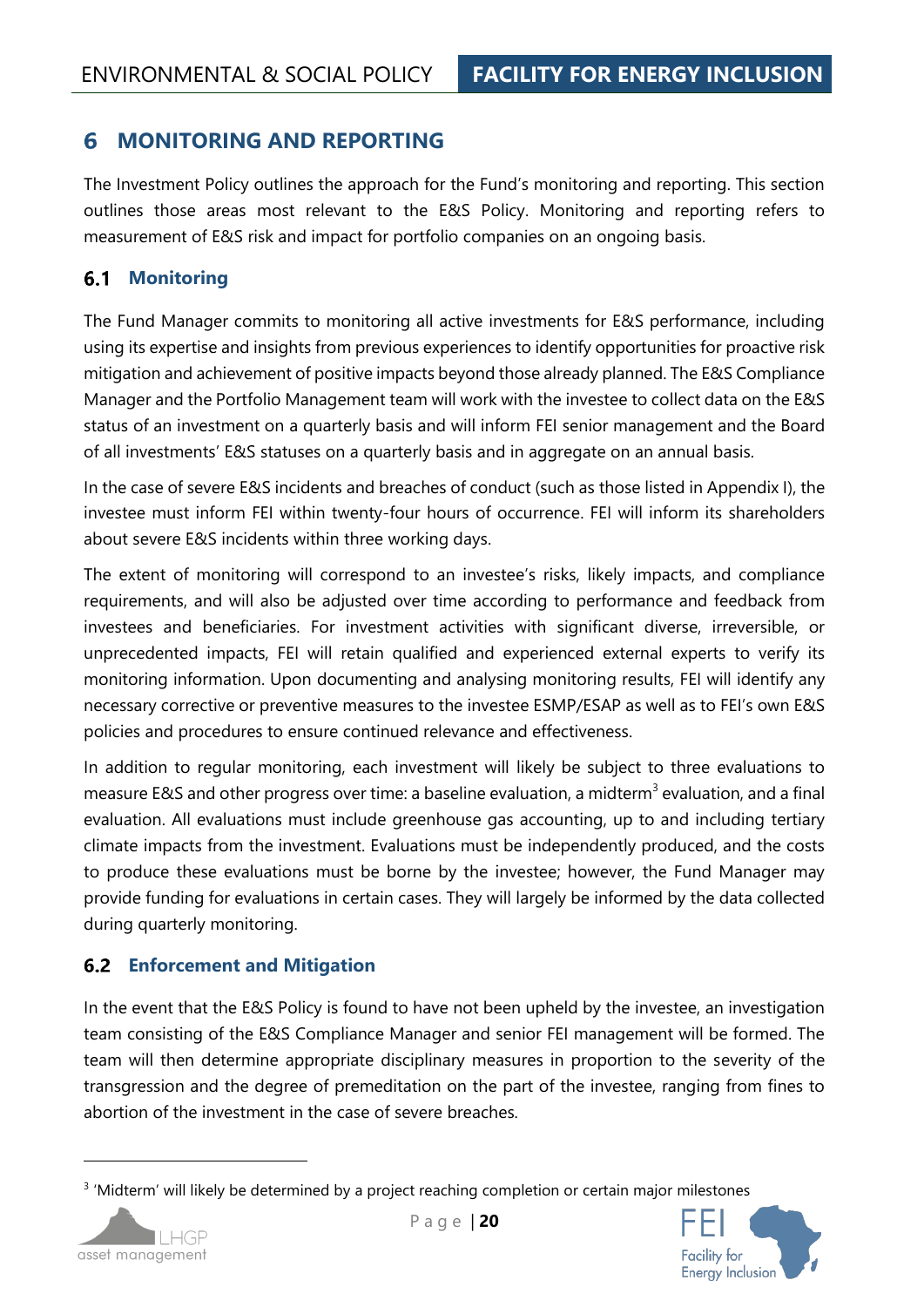#### <span id="page-19-0"></span>6 **MONITORING AND REPORTING**

The Investment Policy outlines the approach for the Fund's monitoring and reporting. This section outlines those areas most relevant to the E&S Policy. Monitoring and reporting refers to measurement of E&S risk and impact for portfolio companies on an ongoing basis.

#### <span id="page-19-1"></span> $6.1$ **Monitoring**

The Fund Manager commits to monitoring all active investments for E&S performance, including using its expertise and insights from previous experiences to identify opportunities for proactive risk mitigation and achievement of positive impacts beyond those already planned. The E&S Compliance Manager and the Portfolio Management team will work with the investee to collect data on the E&S status of an investment on a quarterly basis and will inform FEI senior management and the Board of all investments' E&S statuses on a quarterly basis and in aggregate on an annual basis.

In the case of severe E&S incidents and breaches of conduct (such as those listed in [Appendix I\)](#page-70-1), the investee must inform FEI within twenty-four hours of occurrence. FEI will inform its shareholders about severe E&S incidents within three working days.

The extent of monitoring will correspond to an investee's risks, likely impacts, and compliance requirements, and will also be adjusted over time according to performance and feedback from investees and beneficiaries. For investment activities with significant diverse, irreversible, or unprecedented impacts, FEI will retain qualified and experienced external experts to verify its monitoring information. Upon documenting and analysing monitoring results, FEI will identify any necessary corrective or preventive measures to the investee ESMP/ESAP as well as to FEI's own E&S policies and procedures to ensure continued relevance and effectiveness.

In addition to regular monitoring, each investment will likely be subject to three evaluations to measure E&S and other progress over time: a baseline evaluation, a midterm<sup>3</sup> evaluation, and a final evaluation. All evaluations must include greenhouse gas accounting, up to and including tertiary climate impacts from the investment. Evaluations must be independently produced, and the costs to produce these evaluations must be borne by the investee; however, the Fund Manager may provide funding for evaluations in certain cases. They will largely be informed by the data collected during quarterly monitoring.

#### <span id="page-19-2"></span>**Enforcement and Mitigation**

In the event that the E&S Policy is found to have not been upheld by the investee, an investigation team consisting of the E&S Compliance Manager and senior FEI management will be formed. The team will then determine appropriate disciplinary measures in proportion to the severity of the transgression and the degree of premeditation on the part of the investee, ranging from fines to abortion of the investment in the case of severe breaches.

<sup>&</sup>lt;sup>3</sup> 'Midterm' will likely be determined by a project reaching completion or certain major milestones



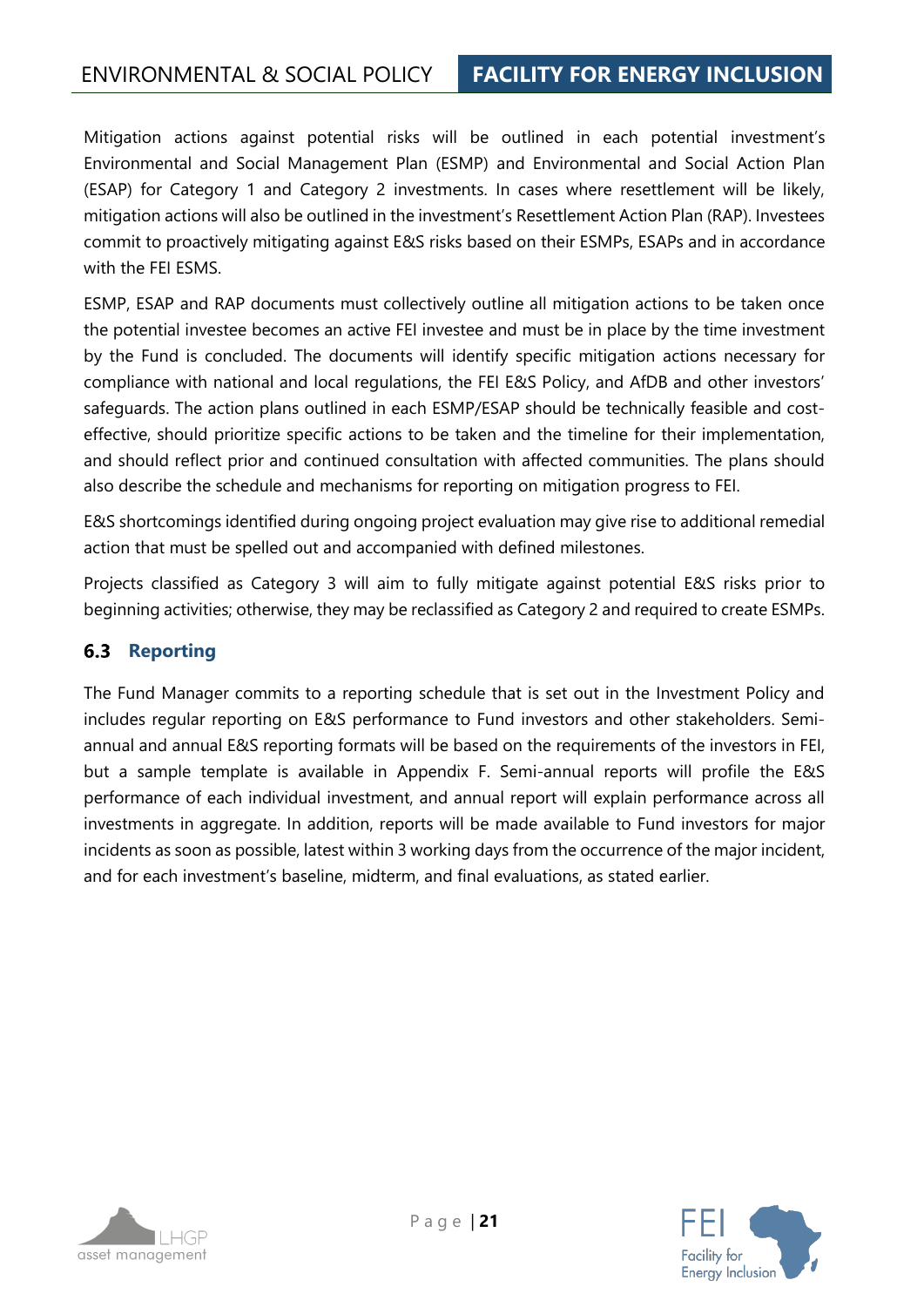Mitigation actions against potential risks will be outlined in each potential investment's Environmental and Social Management Plan (ESMP) and Environmental and Social Action Plan (ESAP) for Category 1 and Category 2 investments. In cases where resettlement will be likely, mitigation actions will also be outlined in the investment's Resettlement Action Plan (RAP). Investees commit to proactively mitigating against E&S risks based on their ESMPs, ESAPs and in accordance with the FEI ESMS.

ESMP, ESAP and RAP documents must collectively outline all mitigation actions to be taken once the potential investee becomes an active FEI investee and must be in place by the time investment by the Fund is concluded. The documents will identify specific mitigation actions necessary for compliance with national and local regulations, the FEI E&S Policy, and AfDB and other investors' safeguards. The action plans outlined in each ESMP/ESAP should be technically feasible and costeffective, should prioritize specific actions to be taken and the timeline for their implementation, and should reflect prior and continued consultation with affected communities. The plans should also describe the schedule and mechanisms for reporting on mitigation progress to FEI.

E&S shortcomings identified during ongoing project evaluation may give rise to additional remedial action that must be spelled out and accompanied with defined milestones.

Projects classified as Category 3 will aim to fully mitigate against potential E&S risks prior to beginning activities; otherwise, they may be reclassified as Category 2 and required to create ESMPs.

## <span id="page-20-0"></span>**6.3 Reporting**

The Fund Manager commits to a reporting schedule that is set out in the Investment Policy and includes regular reporting on E&S performance to Fund investors and other stakeholders. Semiannual and annual E&S reporting formats will be based on the requirements of the investors in FEI, but a sample template is available in [Appendix F.](#page-59-0) Semi-annual reports will profile the E&S performance of each individual investment, and annual report will explain performance across all investments in aggregate. In addition, reports will be made available to Fund investors for major incidents as soon as possible, latest within 3 working days from the occurrence of the major incident, and for each investment's baseline, midterm, and final evaluations, as stated earlier.

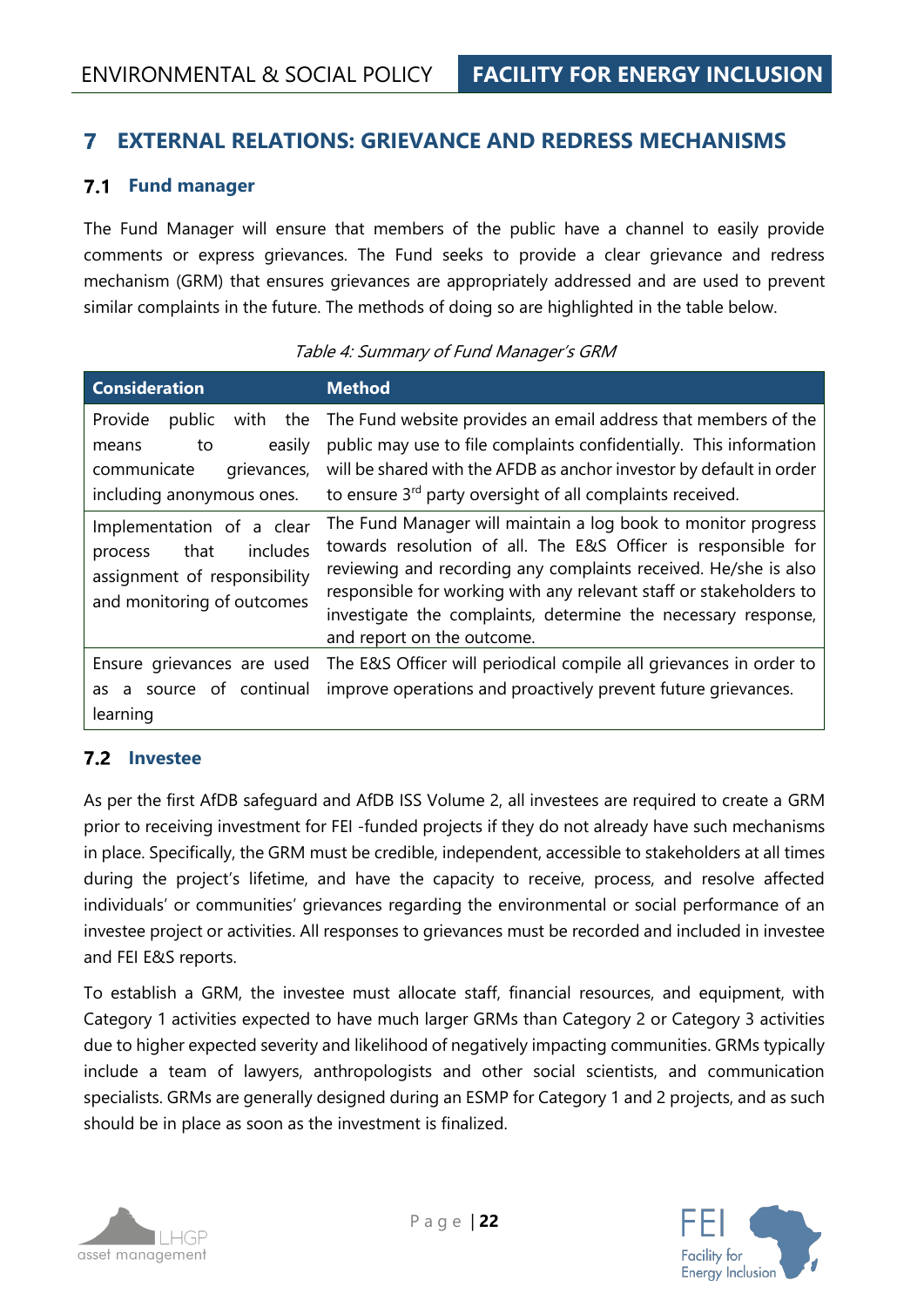#### <span id="page-21-0"></span>7 **EXTERNAL RELATIONS: GRIEVANCE AND REDRESS MECHANISMS**

#### <span id="page-21-1"></span>**Fund manager**

The Fund Manager will ensure that members of the public have a channel to easily provide comments or express grievances. The Fund seeks to provide a clear grievance and redress mechanism (GRM) that ensures grievances are appropriately addressed and are used to prevent similar complaints in the future. The methods of doing so are highlighted in the table below.

| <b>Consideration</b>                                                                                                   | <b>Method</b>                                                                                                                                                                                                                                                                                                                                                          |
|------------------------------------------------------------------------------------------------------------------------|------------------------------------------------------------------------------------------------------------------------------------------------------------------------------------------------------------------------------------------------------------------------------------------------------------------------------------------------------------------------|
| Provide<br>the<br>public<br>with<br>easily<br>to<br>means<br>communicate<br>grievances,<br>including anonymous ones.   | The Fund website provides an email address that members of the<br>public may use to file complaints confidentially. This information<br>will be shared with the AFDB as anchor investor by default in order<br>to ensure 3 <sup>rd</sup> party oversight of all complaints received.                                                                                   |
| Implementation of a clear<br>includes<br>that<br>process<br>assignment of responsibility<br>and monitoring of outcomes | The Fund Manager will maintain a log book to monitor progress<br>towards resolution of all. The E&S Officer is responsible for<br>reviewing and recording any complaints received. He/she is also<br>responsible for working with any relevant staff or stakeholders to<br>investigate the complaints, determine the necessary response,<br>and report on the outcome. |
| Ensure grievances are used<br>source of continual<br>as<br>a<br>learning                                               | The E&S Officer will periodical compile all grievances in order to<br>improve operations and proactively prevent future grievances.                                                                                                                                                                                                                                    |

#### Table 4: Summary of Fund Manager's GRM

#### <span id="page-21-2"></span>**Investee**

As per the first AfDB safeguard and AfDB ISS Volume 2, all investees are required to create a GRM prior to receiving investment for FEI -funded projects if they do not already have such mechanisms in place. Specifically, the GRM must be credible, independent, accessible to stakeholders at all times during the project's lifetime, and have the capacity to receive, process, and resolve affected individuals' or communities' grievances regarding the environmental or social performance of an investee project or activities. All responses to grievances must be recorded and included in investee and FEI E&S reports.

To establish a GRM, the investee must allocate staff, financial resources, and equipment, with Category 1 activities expected to have much larger GRMs than Category 2 or Category 3 activities due to higher expected severity and likelihood of negatively impacting communities. GRMs typically include a team of lawyers, anthropologists and other social scientists, and communication specialists. GRMs are generally designed during an ESMP for Category 1 and 2 projects, and as such should be in place as soon as the investment is finalized.



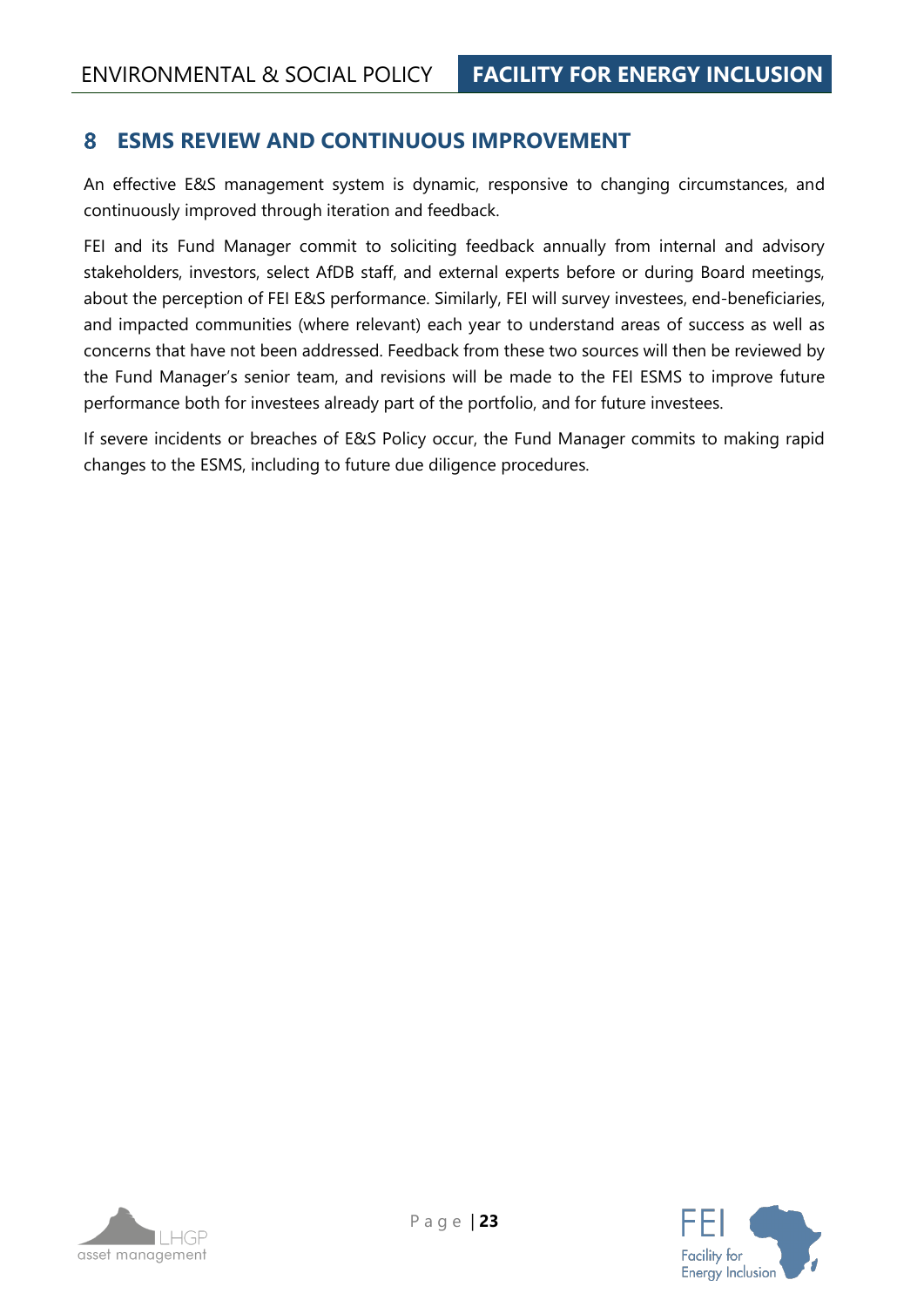#### <span id="page-22-0"></span>**ESMS REVIEW AND CONTINUOUS IMPROVEMENT** 8

An effective E&S management system is dynamic, responsive to changing circumstances, and continuously improved through iteration and feedback.

FEI and its Fund Manager commit to soliciting feedback annually from internal and advisory stakeholders, investors, select AfDB staff, and external experts before or during Board meetings, about the perception of FEI E&S performance. Similarly, FEI will survey investees, end-beneficiaries, and impacted communities (where relevant) each year to understand areas of success as well as concerns that have not been addressed. Feedback from these two sources will then be reviewed by the Fund Manager's senior team, and revisions will be made to the FEI ESMS to improve future performance both for investees already part of the portfolio, and for future investees.

If severe incidents or breaches of E&S Policy occur, the Fund Manager commits to making rapid changes to the ESMS, including to future due diligence procedures.

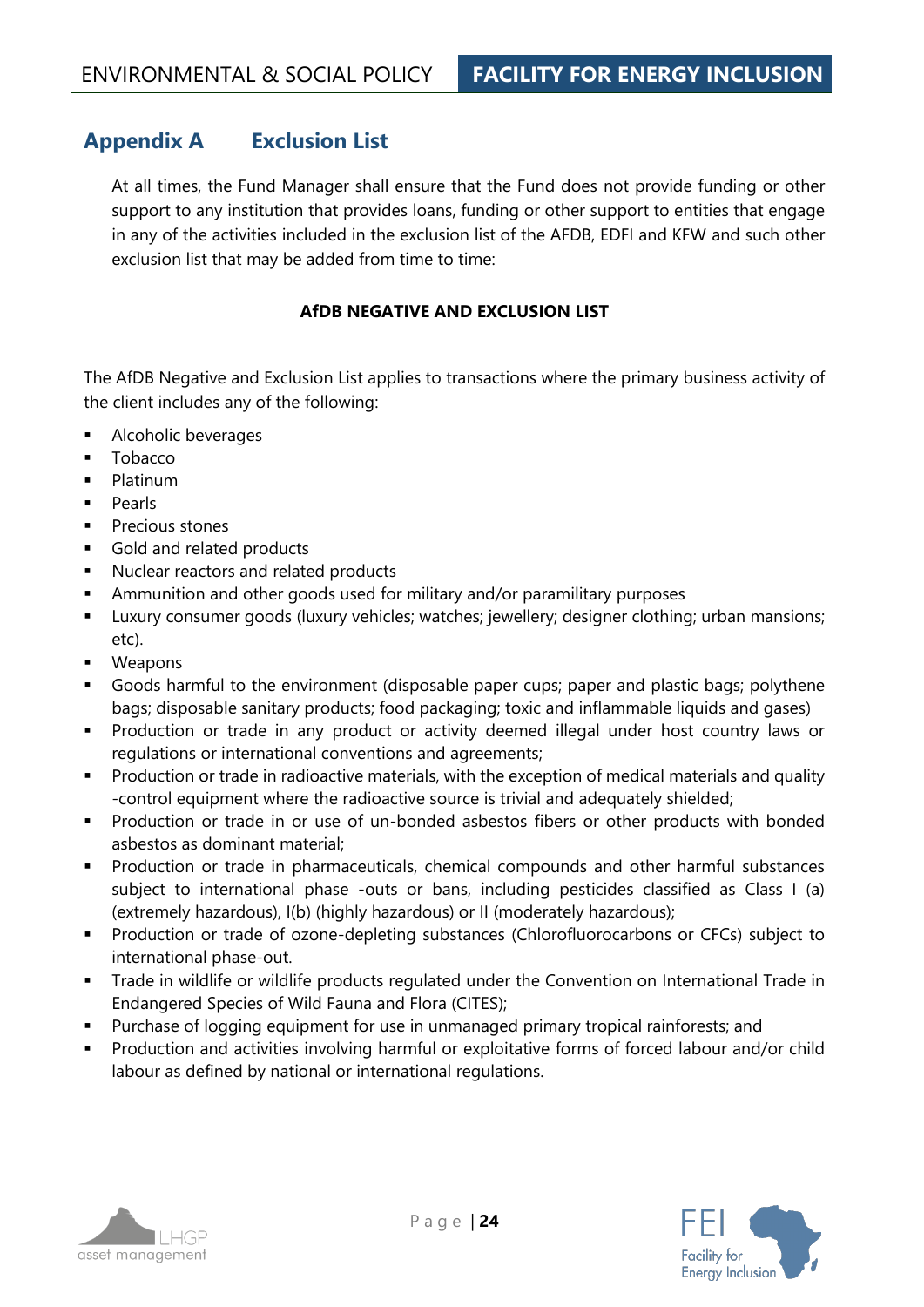## <span id="page-23-0"></span>**Appendix A Exclusion List**

At all times, the Fund Manager shall ensure that the Fund does not provide funding or other support to any institution that provides loans, funding or other support to entities that engage in any of the activities included in the exclusion list of the AFDB, EDFI and KFW and such other exclusion list that may be added from time to time:

#### **AfDB NEGATIVE AND EXCLUSION LIST**

The AfDB Negative and Exclusion List applies to transactions where the primary business activity of the client includes any of the following:

- **EXECUTE:** Alcoholic beverages
- **Tobacco**
- **Platinum**
- Pearls
- Precious stones
- Gold and related products
- Nuclear reactors and related products
- **EXED** Ammunition and other goods used for military and/or paramilitary purposes
- **■** Luxury consumer goods (luxury vehicles; watches; jewellery; designer clothing; urban mansions; etc).
- **Weapons**
- Goods harmful to the environment (disposable paper cups; paper and plastic bags; polythene bags; disposable sanitary products; food packaging; toxic and inflammable liquids and gases)
- Production or trade in any product or activity deemed illegal under host country laws or regulations or international conventions and agreements;
- Production or trade in radioactive materials, with the exception of medical materials and quality -control equipment where the radioactive source is trivial and adequately shielded;
- **•** Production or trade in or use of un-bonded asbestos fibers or other products with bonded asbestos as dominant material;
- Production or trade in pharmaceuticals, chemical compounds and other harmful substances subject to international phase -outs or bans, including pesticides classified as Class I (a) (extremely hazardous), I(b) (highly hazardous) or II (moderately hazardous);
- Production or trade of ozone-depleting substances (Chlorofluorocarbons or CFCs) subject to international phase-out.
- **Trade in wildlife or wildlife products regulated under the Convention on International Trade in** Endangered Species of Wild Fauna and Flora (CITES);
- Purchase of logging equipment for use in unmanaged primary tropical rainforests; and
- Production and activities involving harmful or exploitative forms of forced labour and/or child labour as defined by national or international regulations.



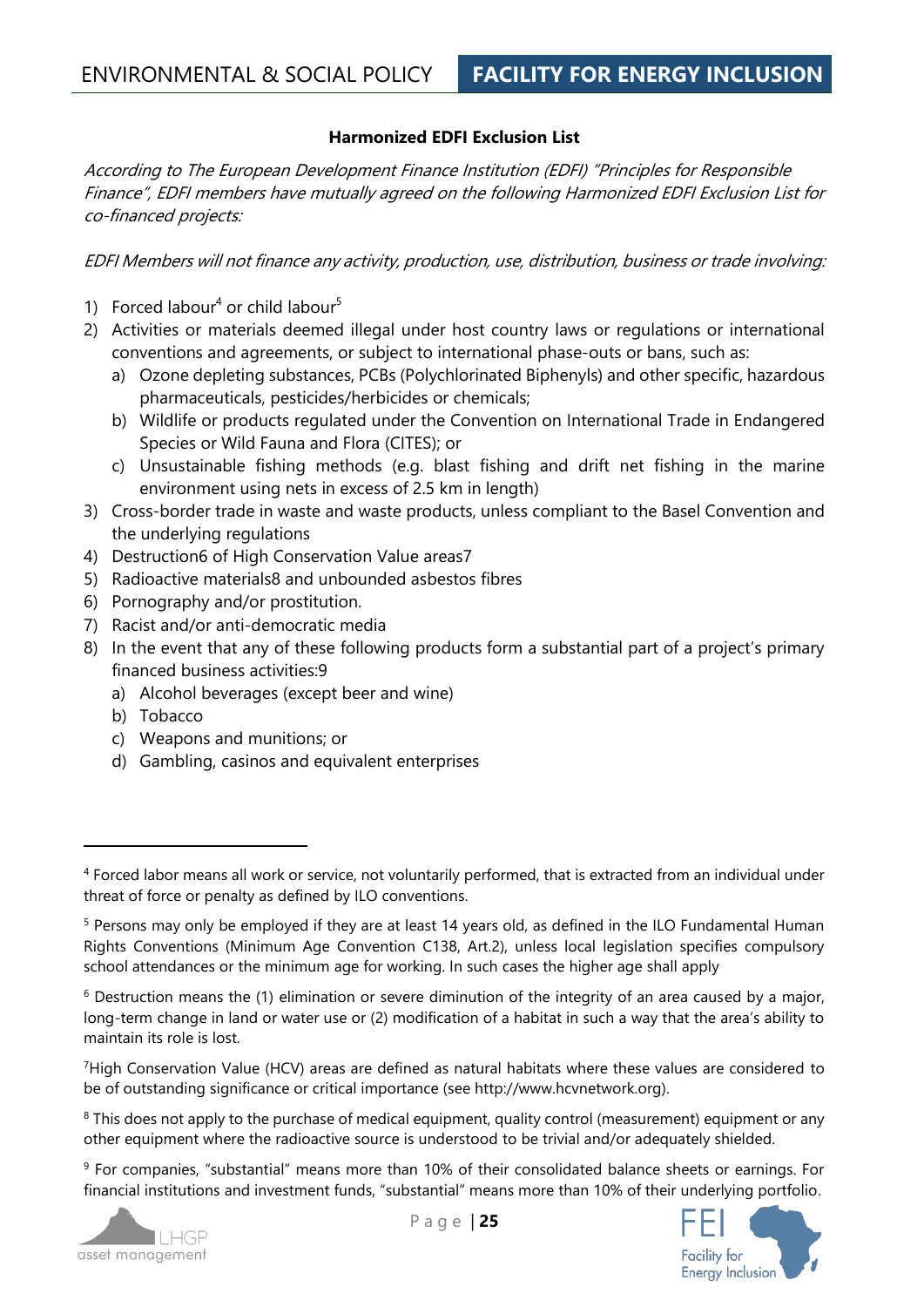#### **Harmonized EDFI Exclusion List**

According to The European Development Finance Institution (EDFI) "Principles for Responsible Finance", EDFI members have mutually agreed on the following Harmonized EDFI Exclusion List for co-financed projects:

EDFI Members will not finance any activity, production, use, distribution, business or trade involving:

- 1) Forced labour<sup>4</sup> or child labour<sup>5</sup>
- 2) Activities or materials deemed illegal under host country laws or regulations or international conventions and agreements, or subject to international phase-outs or bans, such as:
	- a) Ozone depleting substances, PCBs (Polychlorinated Biphenyls) and other specific, hazardous pharmaceuticals, pesticides/herbicides or chemicals;
	- b) Wildlife or products regulated under the Convention on International Trade in Endangered Species or Wild Fauna and Flora (CITES); or
	- c) Unsustainable fishing methods (e.g. blast fishing and drift net fishing in the marine environment using nets in excess of 2.5 km in length)
- 3) Cross-border trade in waste and waste products, unless compliant to the Basel Convention and the underlying regulations
- 4) Destruction6 of High Conservation Value areas7
- 5) Radioactive materials8 and unbounded asbestos fibres
- 6) Pornography and/or prostitution.
- 7) Racist and/or anti-democratic media
- 8) In the event that any of these following products form a substantial part of a project's primary financed business activities:9
	- a) Alcohol beverages (except beer and wine)
	- b) Tobacco
	- c) Weapons and munitions; or
	- d) Gambling, casinos and equivalent enterprises

<sup>7</sup>High Conservation Value (HCV) areas are defined as natural habitats where these values are considered to be of outstanding significance or critical importance (see http://www.hcvnetwork.org).

<sup>9</sup> For companies, "substantial" means more than 10% of their consolidated balance sheets or earnings. For financial institutions and investment funds, "substantial" means more than 10% of their underlying portfolio.





<sup>4</sup> Forced labor means all work or service, not voluntarily performed, that is extracted from an individual under threat of force or penalty as defined by ILO conventions.

<sup>5</sup> Persons may only be employed if they are at least 14 years old, as defined in the ILO Fundamental Human Rights Conventions (Minimum Age Convention C138, Art.2), unless local legislation specifies compulsory school attendances or the minimum age for working. In such cases the higher age shall apply

 $6$  Destruction means the (1) elimination or severe diminution of the integrity of an area caused by a major, long-term change in land or water use or (2) modification of a habitat in such a way that the area's ability to maintain its role is lost.

<sup>&</sup>lt;sup>8</sup> This does not apply to the purchase of medical equipment, quality control (measurement) equipment or any other equipment where the radioactive source is understood to be trivial and/or adequately shielded.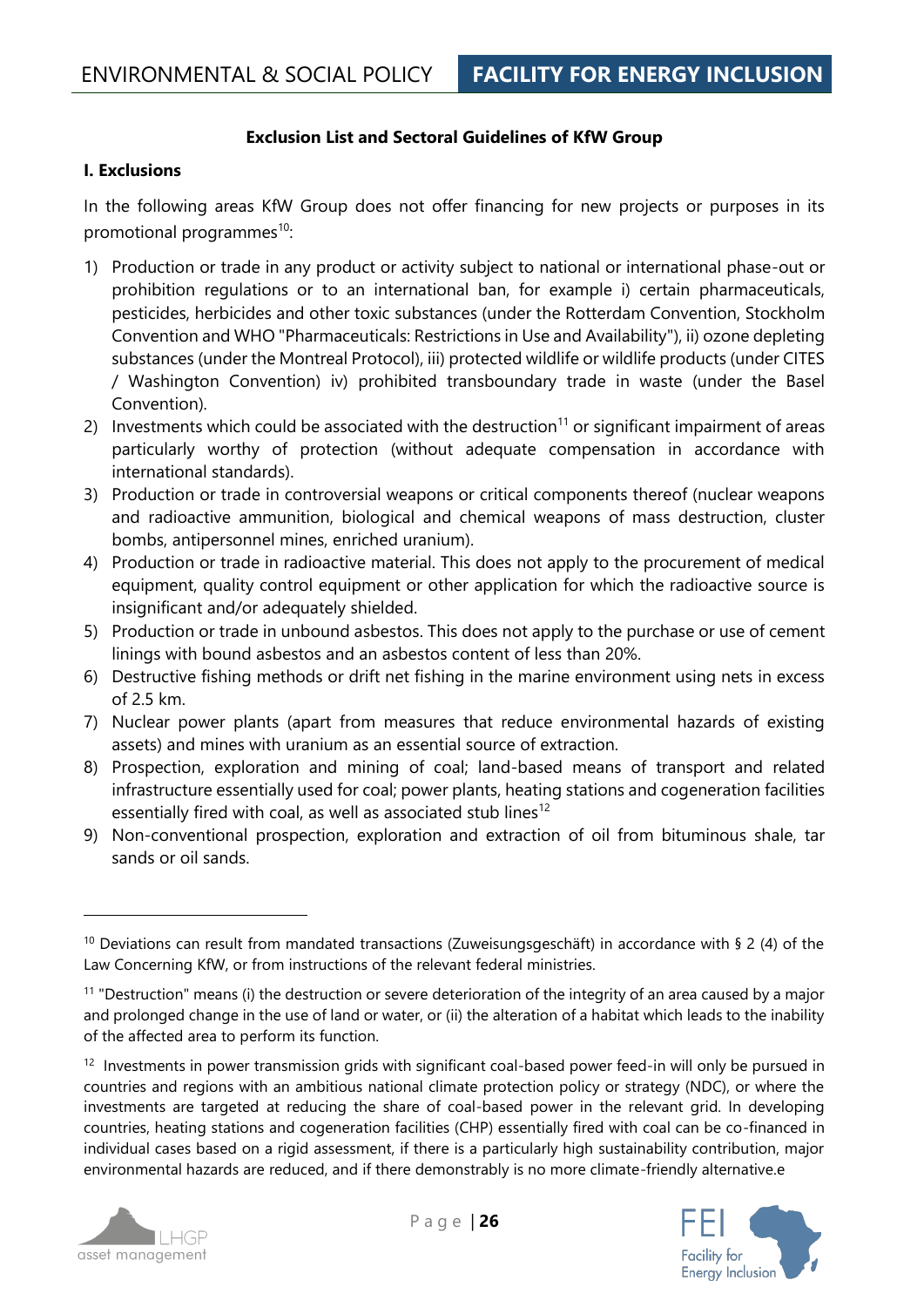#### **Exclusion List and Sectoral Guidelines of KfW Group**

#### **I. Exclusions**

In the following areas KfW Group does not offer financing for new projects or purposes in its promotional programmes $^{10}$ :

- 1) Production or trade in any product or activity subject to national or international phase-out or prohibition regulations or to an international ban, for example i) certain pharmaceuticals, pesticides, herbicides and other toxic substances (under the Rotterdam Convention, Stockholm Convention and WHO "Pharmaceuticals: Restrictions in Use and Availability"), ii) ozone depleting substances (under the Montreal Protocol), iii) protected wildlife or wildlife products (under CITES / Washington Convention) iv) prohibited transboundary trade in waste (under the Basel Convention).
- 2) Investments which could be associated with the destruction<sup>11</sup> or significant impairment of areas particularly worthy of protection (without adequate compensation in accordance with international standards).
- 3) Production or trade in controversial weapons or critical components thereof (nuclear weapons and radioactive ammunition, biological and chemical weapons of mass destruction, cluster bombs, antipersonnel mines, enriched uranium).
- 4) Production or trade in radioactive material. This does not apply to the procurement of medical equipment, quality control equipment or other application for which the radioactive source is insignificant and/or adequately shielded.
- 5) Production or trade in unbound asbestos. This does not apply to the purchase or use of cement linings with bound asbestos and an asbestos content of less than 20%.
- 6) Destructive fishing methods or drift net fishing in the marine environment using nets in excess of 2.5 km.
- 7) Nuclear power plants (apart from measures that reduce environmental hazards of existing assets) and mines with uranium as an essential source of extraction.
- 8) Prospection, exploration and mining of coal; land-based means of transport and related infrastructure essentially used for coal; power plants, heating stations and cogeneration facilities essentially fired with coal, as well as associated stub lines<sup>12</sup>
- 9) Non-conventional prospection, exploration and extraction of oil from bituminous shale, tar sands or oil sands.

<sup>&</sup>lt;sup>12</sup> Investments in power transmission grids with significant coal-based power feed-in will only be pursued in countries and regions with an ambitious national climate protection policy or strategy (NDC), or where the investments are targeted at reducing the share of coal-based power in the relevant grid. In developing countries, heating stations and cogeneration facilities (CHP) essentially fired with coal can be co-financed in individual cases based on a rigid assessment, if there is a particularly high sustainability contribution, major environmental hazards are reduced, and if there demonstrably is no more climate-friendly alternative.e





<sup>&</sup>lt;sup>10</sup> Deviations can result from mandated transactions (Zuweisungsgeschäft) in accordance with § 2 (4) of the Law Concerning KfW, or from instructions of the relevant federal ministries.

 $11$  "Destruction" means (i) the destruction or severe deterioration of the integrity of an area caused by a major and prolonged change in the use of land or water, or (ii) the alteration of a habitat which leads to the inability of the affected area to perform its function.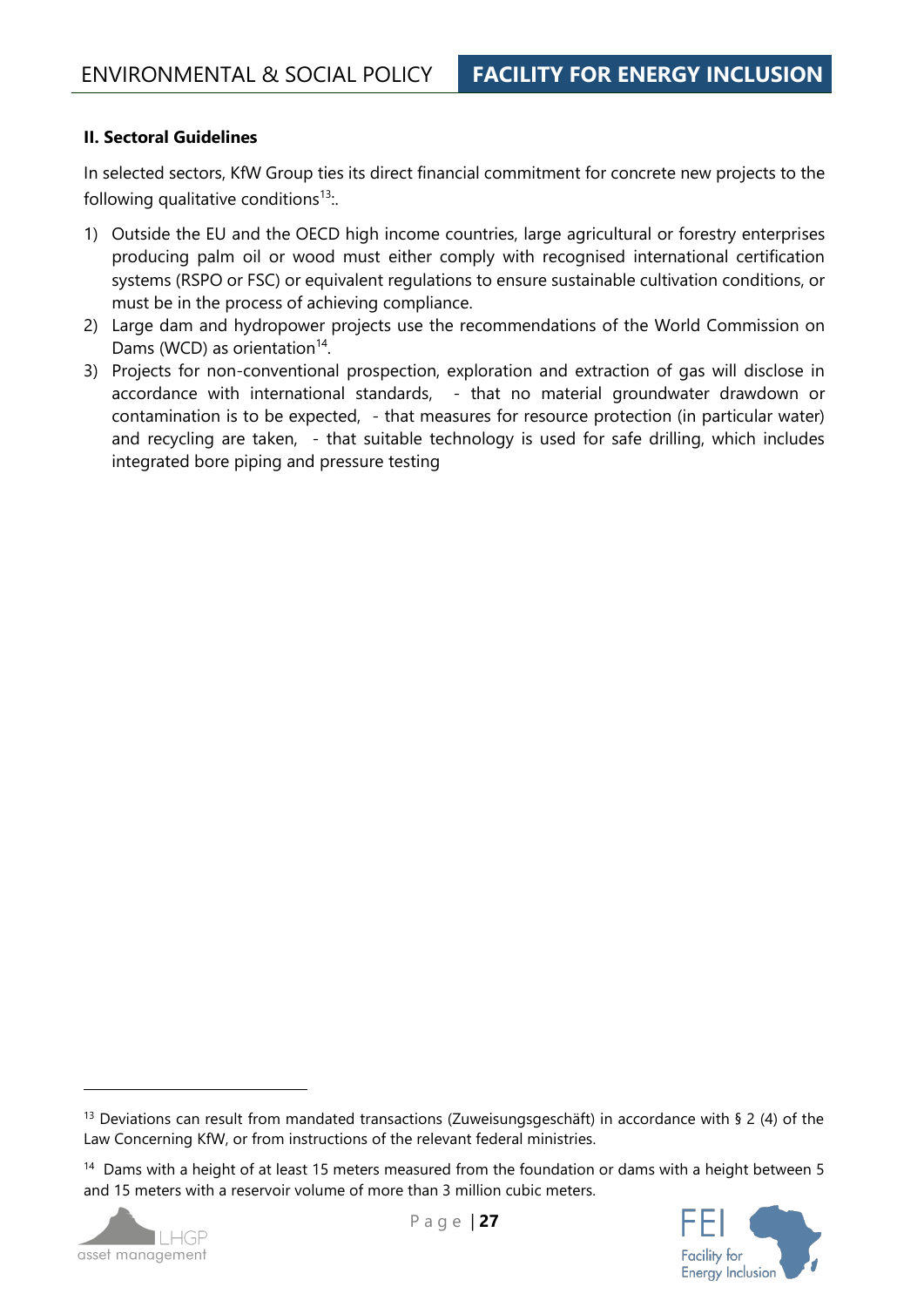#### **II. Sectoral Guidelines**

In selected sectors, KfW Group ties its direct financial commitment for concrete new projects to the following qualitative conditions<sup>13</sup>.

- 1) Outside the EU and the OECD high income countries, large agricultural or forestry enterprises producing palm oil or wood must either comply with recognised international certification systems (RSPO or FSC) or equivalent regulations to ensure sustainable cultivation conditions, or must be in the process of achieving compliance.
- 2) Large dam and hydropower projects use the recommendations of the World Commission on Dams (WCD) as orientation $14$ .
- 3) Projects for non-conventional prospection, exploration and extraction of gas will disclose in accordance with international standards, - that no material groundwater drawdown or contamination is to be expected, - that measures for resource protection (in particular water) and recycling are taken, - that suitable technology is used for safe drilling, which includes integrated bore piping and pressure testing

<sup>&</sup>lt;sup>14</sup> Dams with a height of at least 15 meters measured from the foundation or dams with a height between 5 and 15 meters with a reservoir volume of more than 3 million cubic meters.





<sup>&</sup>lt;sup>13</sup> Deviations can result from mandated transactions (Zuweisungsgeschäft) in accordance with § 2 (4) of the Law Concerning KfW, or from instructions of the relevant federal ministries.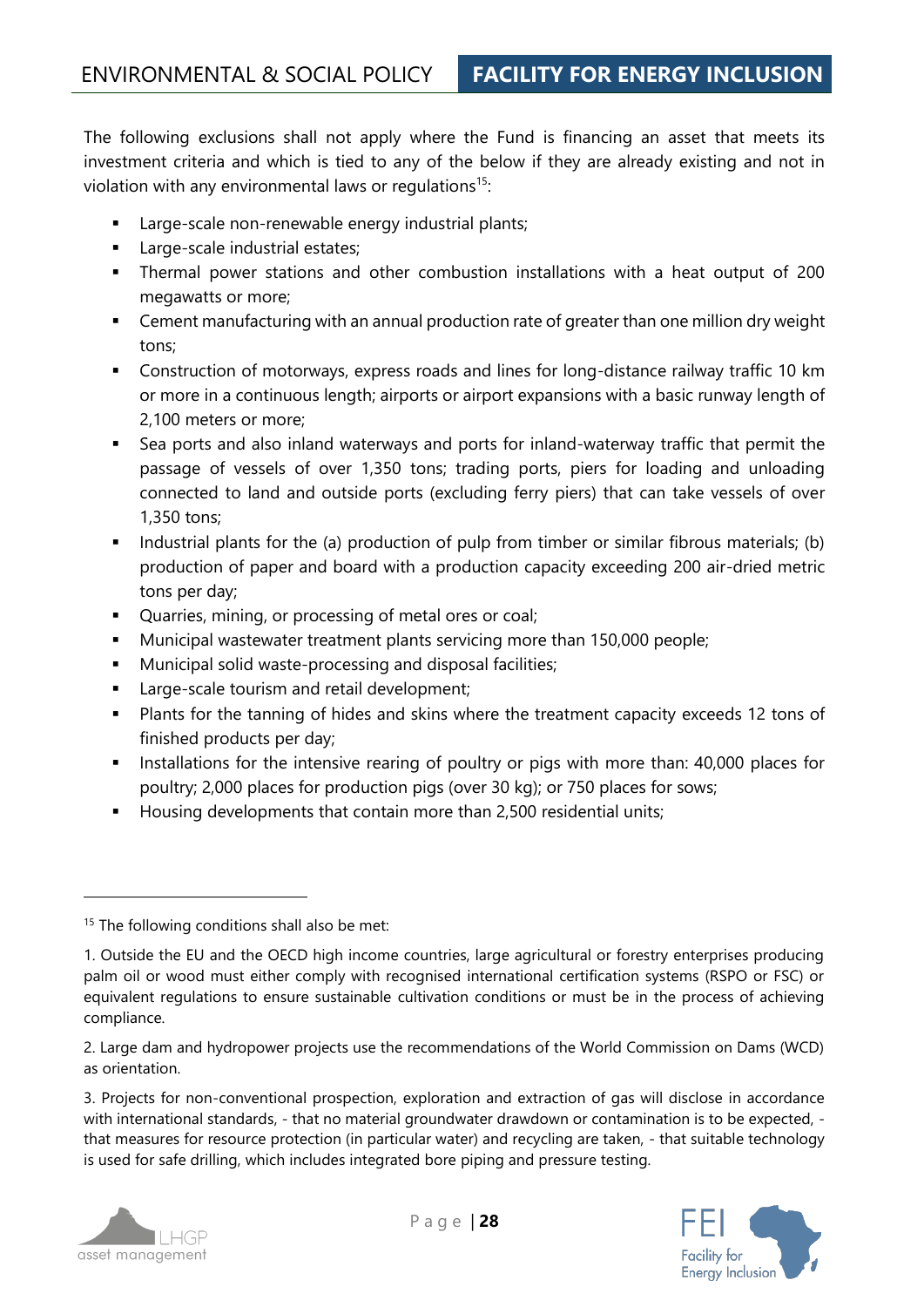The following exclusions shall not apply where the Fund is financing an asset that meets its investment criteria and which is tied to any of the below if they are already existing and not in violation with any environmental laws or regulations<sup>15</sup>:

- Large-scale non-renewable energy industrial plants;
- **EXEC** Large-scale industrial estates;
- Thermal power stations and other combustion installations with a heat output of 200 megawatts or more;
- Cement manufacturing with an annual production rate of greater than one million dry weight tons;
- Construction of motorways, express roads and lines for long-distance railway traffic 10 km or more in a continuous length; airports or airport expansions with a basic runway length of 2,100 meters or more;
- Sea ports and also inland waterways and ports for inland-waterway traffic that permit the passage of vessels of over 1,350 tons; trading ports, piers for loading and unloading connected to land and outside ports (excluding ferry piers) that can take vessels of over 1,350 tons;
- **•** Industrial plants for the (a) production of pulp from timber or similar fibrous materials; (b) production of paper and board with a production capacity exceeding 200 air-dried metric tons per day;
- Quarries, mining, or processing of metal ores or coal;
- Municipal wastewater treatment plants servicing more than 150,000 people;
- **■** Municipal solid waste-processing and disposal facilities;
- Large-scale tourism and retail development;
- Plants for the tanning of hides and skins where the treatment capacity exceeds 12 tons of finished products per day;
- **■** Installations for the intensive rearing of poultry or pigs with more than: 40,000 places for poultry; 2,000 places for production pigs (over 30 kg); or 750 places for sows;
- Housing developments that contain more than 2,500 residential units;

2. Large dam and hydropower projects use the recommendations of the World Commission on Dams (WCD) as orientation.

3. Projects for non-conventional prospection, exploration and extraction of gas will disclose in accordance with international standards, - that no material groundwater drawdown or contamination is to be expected, that measures for resource protection (in particular water) and recycling are taken, - that suitable technology is used for safe drilling, which includes integrated bore piping and pressure testing.





<sup>&</sup>lt;sup>15</sup> The following conditions shall also be met:

<sup>1.</sup> Outside the EU and the OECD high income countries, large agricultural or forestry enterprises producing palm oil or wood must either comply with recognised international certification systems (RSPO or FSC) or equivalent regulations to ensure sustainable cultivation conditions or must be in the process of achieving compliance.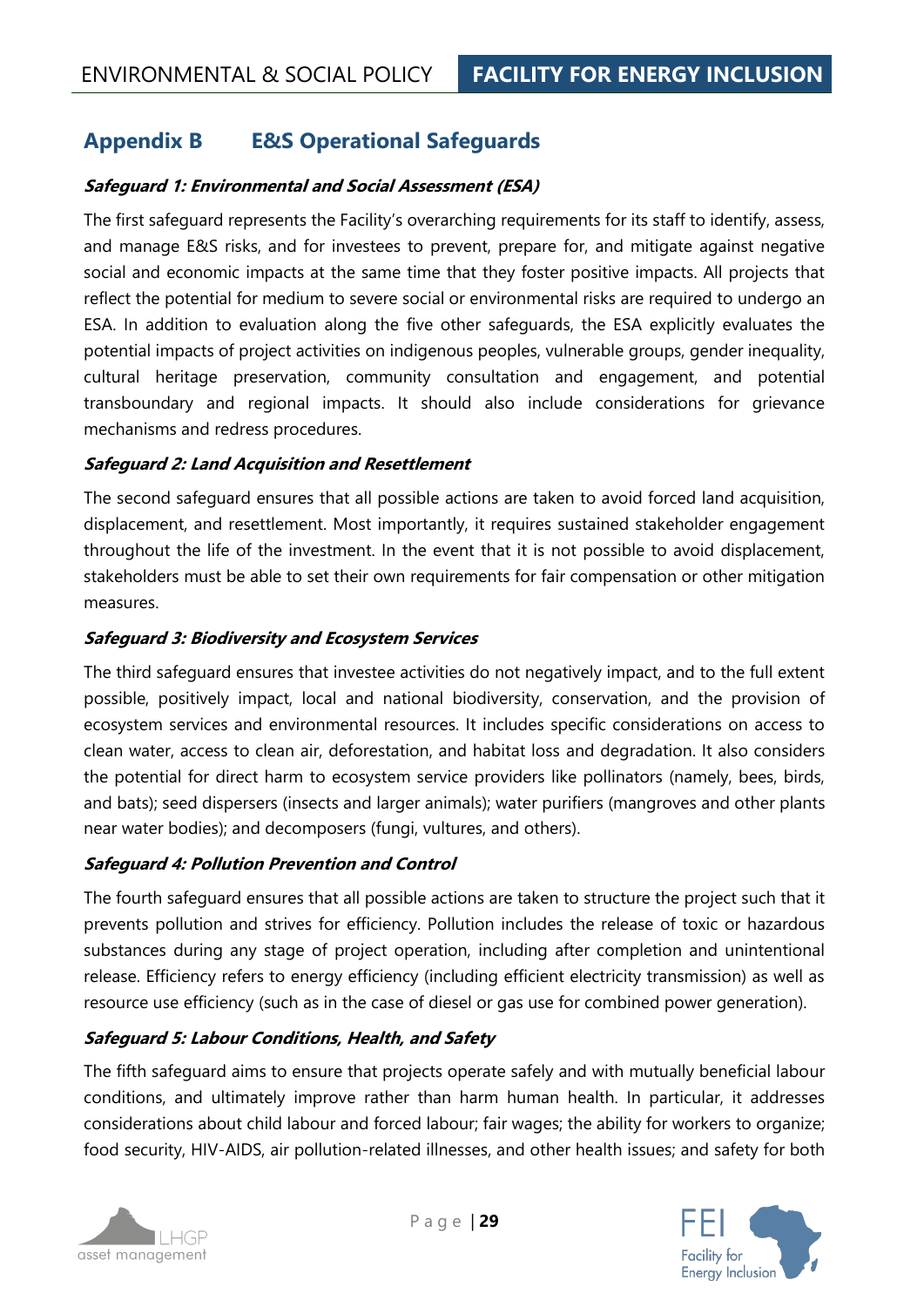## <span id="page-28-0"></span>**Appendix B E&S Operational Safeguards**

#### **Safeguard 1: Environmental and Social Assessment (ESA)**

The first safeguard represents the Facility's overarching requirements for its staff to identify, assess, and manage E&S risks, and for investees to prevent, prepare for, and mitigate against negative social and economic impacts at the same time that they foster positive impacts. All projects that reflect the potential for medium to severe social or environmental risks are required to undergo an ESA. In addition to evaluation along the five other safeguards, the ESA explicitly evaluates the potential impacts of project activities on indigenous peoples, vulnerable groups, gender inequality, cultural heritage preservation, community consultation and engagement, and potential transboundary and regional impacts. It should also include considerations for grievance mechanisms and redress procedures.

#### **Safeguard 2: Land Acquisition and Resettlement**

The second safeguard ensures that all possible actions are taken to avoid forced land acquisition, displacement, and resettlement. Most importantly, it requires sustained stakeholder engagement throughout the life of the investment. In the event that it is not possible to avoid displacement, stakeholders must be able to set their own requirements for fair compensation or other mitigation measures.

#### **Safeguard 3: Biodiversity and Ecosystem Services**

The third safeguard ensures that investee activities do not negatively impact, and to the full extent possible, positively impact, local and national biodiversity, conservation, and the provision of ecosystem services and environmental resources. It includes specific considerations on access to clean water, access to clean air, deforestation, and habitat loss and degradation. It also considers the potential for direct harm to ecosystem service providers like pollinators (namely, bees, birds, and bats); seed dispersers (insects and larger animals); water purifiers (mangroves and other plants near water bodies); and decomposers (fungi, vultures, and others).

#### **Safeguard 4: Pollution Prevention and Control**

The fourth safeguard ensures that all possible actions are taken to structure the project such that it prevents pollution and strives for efficiency. Pollution includes the release of toxic or hazardous substances during any stage of project operation, including after completion and unintentional release. Efficiency refers to energy efficiency (including efficient electricity transmission) as well as resource use efficiency (such as in the case of diesel or gas use for combined power generation).

#### **Safeguard 5: Labour Conditions, Health, and Safety**

The fifth safeguard aims to ensure that projects operate safely and with mutually beneficial labour conditions, and ultimately improve rather than harm human health. In particular, it addresses considerations about child labour and forced labour; fair wages; the ability for workers to organize; food security, HIV-AIDS, air pollution-related illnesses, and other health issues; and safety for both



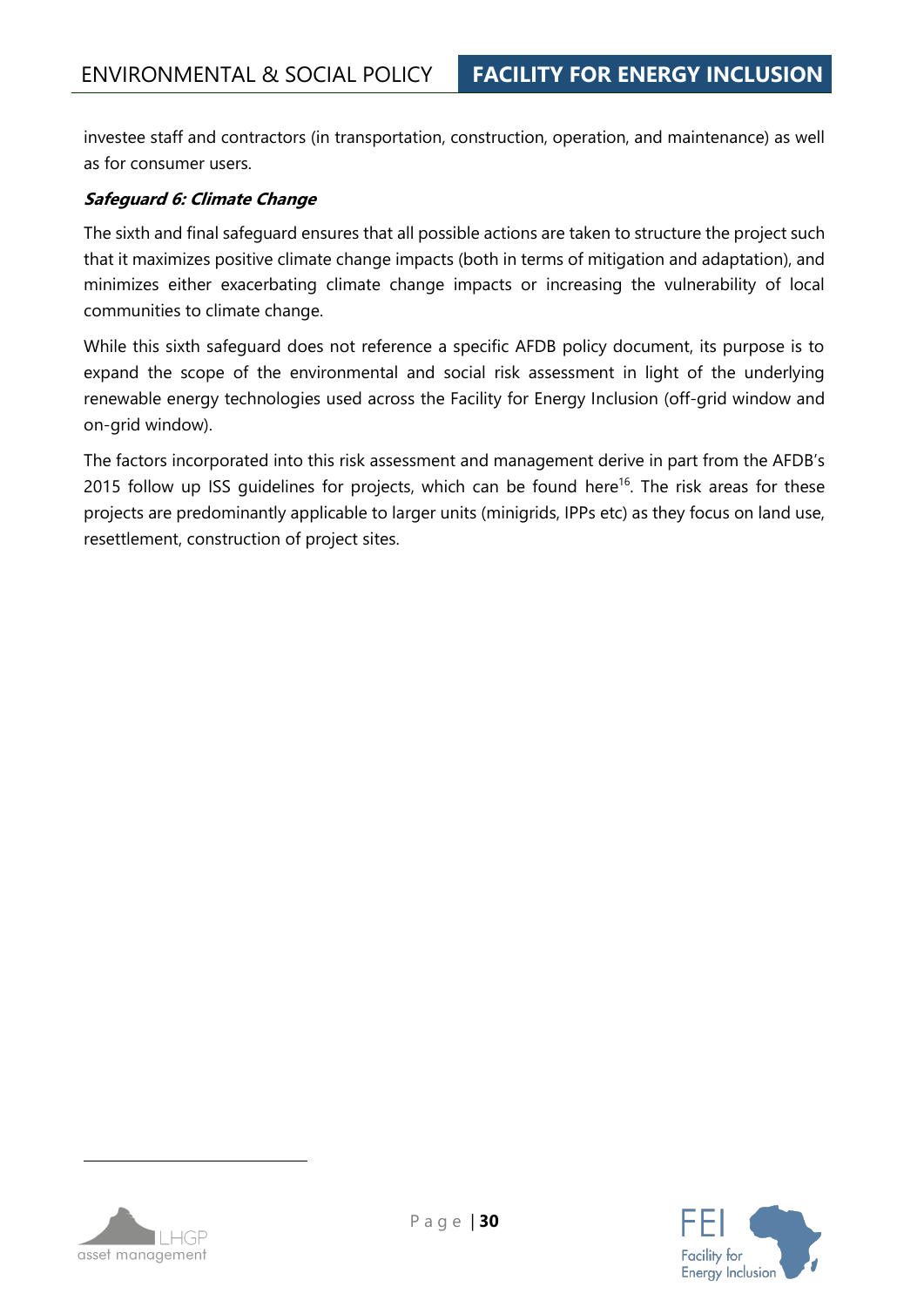investee staff and contractors (in transportation, construction, operation, and maintenance) as well as for consumer users.

#### **Safeguard 6: Climate Change**

The sixth and final safeguard ensures that all possible actions are taken to structure the project such that it maximizes positive climate change impacts (both in terms of mitigation and adaptation), and minimizes either exacerbating climate change impacts or increasing the vulnerability of local communities to climate change.

While this sixth safeguard does not reference a specific AFDB policy document, its purpose is to expand the scope of the environmental and social risk assessment in light of the underlying renewable energy technologies used across the Facility for Energy Inclusion (off-grid window and on-grid window).

The factors incorporated into this risk assessment and management derive in part from the AFDB's 2015 follow up ISS guidelines for projects, which can be found [here](https://esa.afdb.org/sites/default/files/IESIA%20Guidance%20Materials%20Vol%203.pdf)<sup>16</sup>. The risk areas for these projects are predominantly applicable to larger units (minigrids, IPPs etc) as they focus on land use, resettlement, construction of project sites.

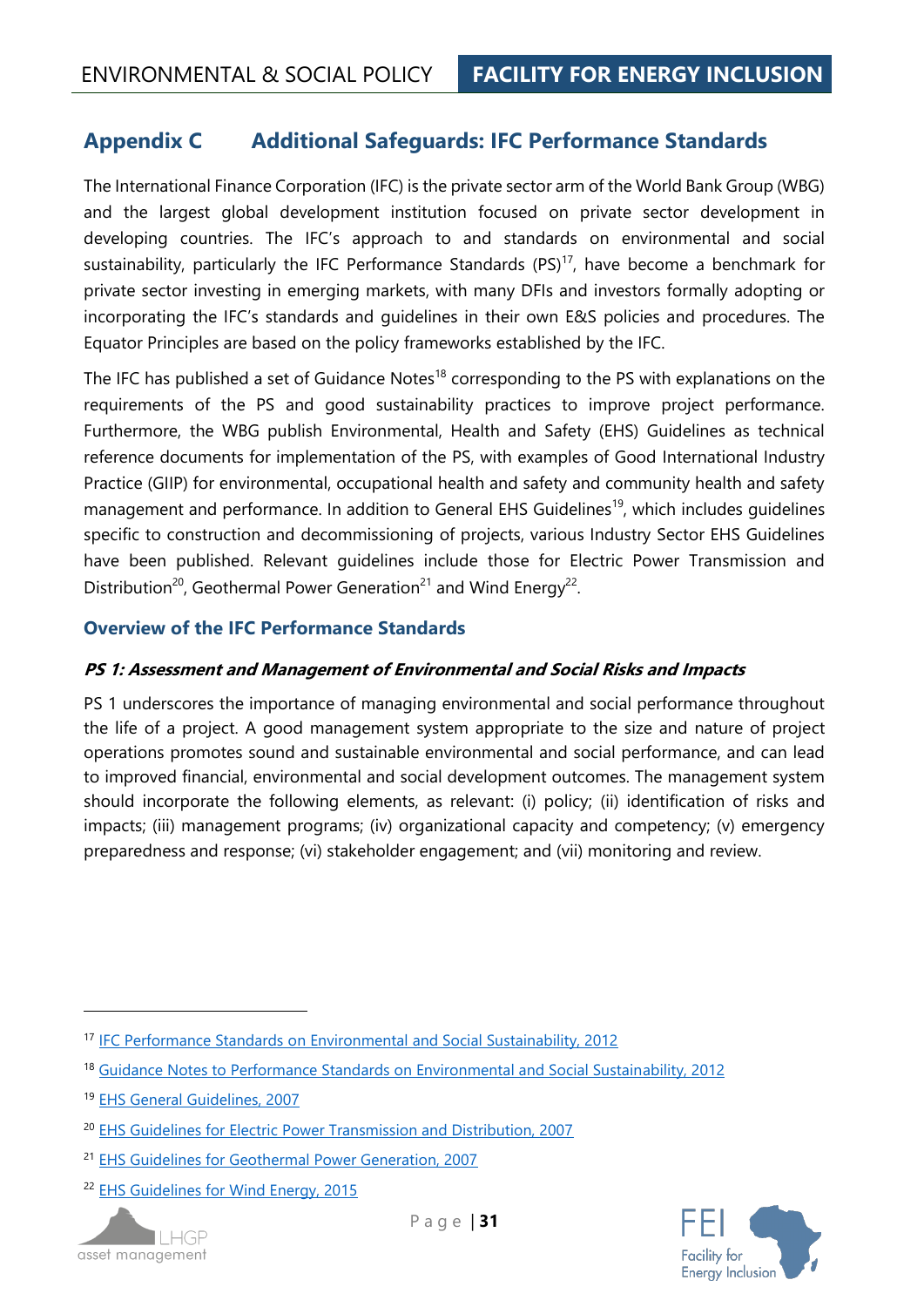## <span id="page-30-0"></span>**Appendix C Additional Safeguards: IFC Performance Standards**

The International Finance Corporation (IFC) is the private sector arm of the World Bank Group (WBG) and the largest global development institution focused on private sector development in developing countries. The IFC's approach to and standards on environmental and social sustainability, particularly the IFC Performance Standards  $(PS)^{17}$ , have become a benchmark for private sector investing in emerging markets, with many DFIs and investors formally adopting or incorporating the IFC's standards and guidelines in their own E&S policies and procedures. The Equator Principles are based on the policy frameworks established by the IFC.

The IFC has published a set of Guidance Notes<sup>18</sup> corresponding to the PS with explanations on the requirements of the PS and good sustainability practices to improve project performance. Furthermore, the WBG publish Environmental, Health and Safety (EHS) Guidelines as technical reference documents for implementation of the PS, with examples of Good International Industry Practice (GIIP) for environmental, occupational health and safety and community health and safety management and performance. In addition to General EHS Guidelines<sup>19</sup>, which includes guidelines specific to construction and decommissioning of projects, various Industry Sector EHS Guidelines have been published. Relevant guidelines include those for Electric Power Transmission and Distribution<sup>20</sup>, Geothermal Power Generation<sup>21</sup> and Wind Energy<sup>22</sup>.

#### **Overview of the IFC Performance Standards**

#### **PS 1: Assessment and Management of Environmental and Social Risks and Impacts**

PS 1 underscores the importance of managing environmental and social performance throughout the life of a project. A good management system appropriate to the size and nature of project operations promotes sound and sustainable environmental and social performance, and can lead to improved financial, environmental and social development outcomes. The management system should incorporate the following elements, as relevant: (i) policy; (ii) identification of risks and impacts; (iii) management programs; (iv) organizational capacity and competency; (v) emergency preparedness and response; (vi) stakeholder engagement; and (vii) monitoring and review.

<sup>22</sup> [EHS Guidelines for Wind Energy, 2015](https://www.ifc.org/wps/wcm/connect/2c410700497a7933b04cf1ef20a40540/FINAL_Aug%2B2015_Wind%2BEnergy_EHS%2BGuideline.pdf?MOD=AJPERES)





<sup>17</sup> [IFC Performance Standards on Environmental and Social Sustainability, 2012](https://www.ifc.org/wps/wcm/connect/115482804a0255db96fbffd1a5d13d27/PS_English_2012_Full-Document.pdf?MOD=AJPERES)

<sup>&</sup>lt;sup>18</sup> [Guidance Notes to Performance Standards on Environmental and Social Sustainability, 2012](https://www.ifc.org/wps/wcm/connect/e280ef804a0256609709ffd1a5d13d27/GN_English_2012_Full-Document.pdf?MOD=AJPERES)

<sup>19</sup> [EHS General Guidelines, 2007](https://www.ifc.org/wps/wcm/connect/554e8d80488658e4b76af76a6515bb18/Final%2B-%2BGeneral%2BEHS%2BGuidelines.pdf?MOD=AJPERES)

<sup>20</sup> [EHS Guidelines for Electric Power Transmission and Distribution, 2007](https://www.ifc.org/wps/wcm/connect/66b56e00488657eeb36af36a6515bb18/Final%2B-%2BElectric%2BTransmission%2Band%2BDistribution.pdf?MOD=AJPERES&id=1323162154847)

<sup>21</sup> [EHS Guidelines for Geothermal Power Generation, 2007](https://www.ifc.org/wps/wcm/connect/329e1c80488557dabe1cfe6a6515bb18/Final%2B-%2BGeothermal%2BPower%2BGeneration.pdf?MOD=AJPERES&id=1323161975166)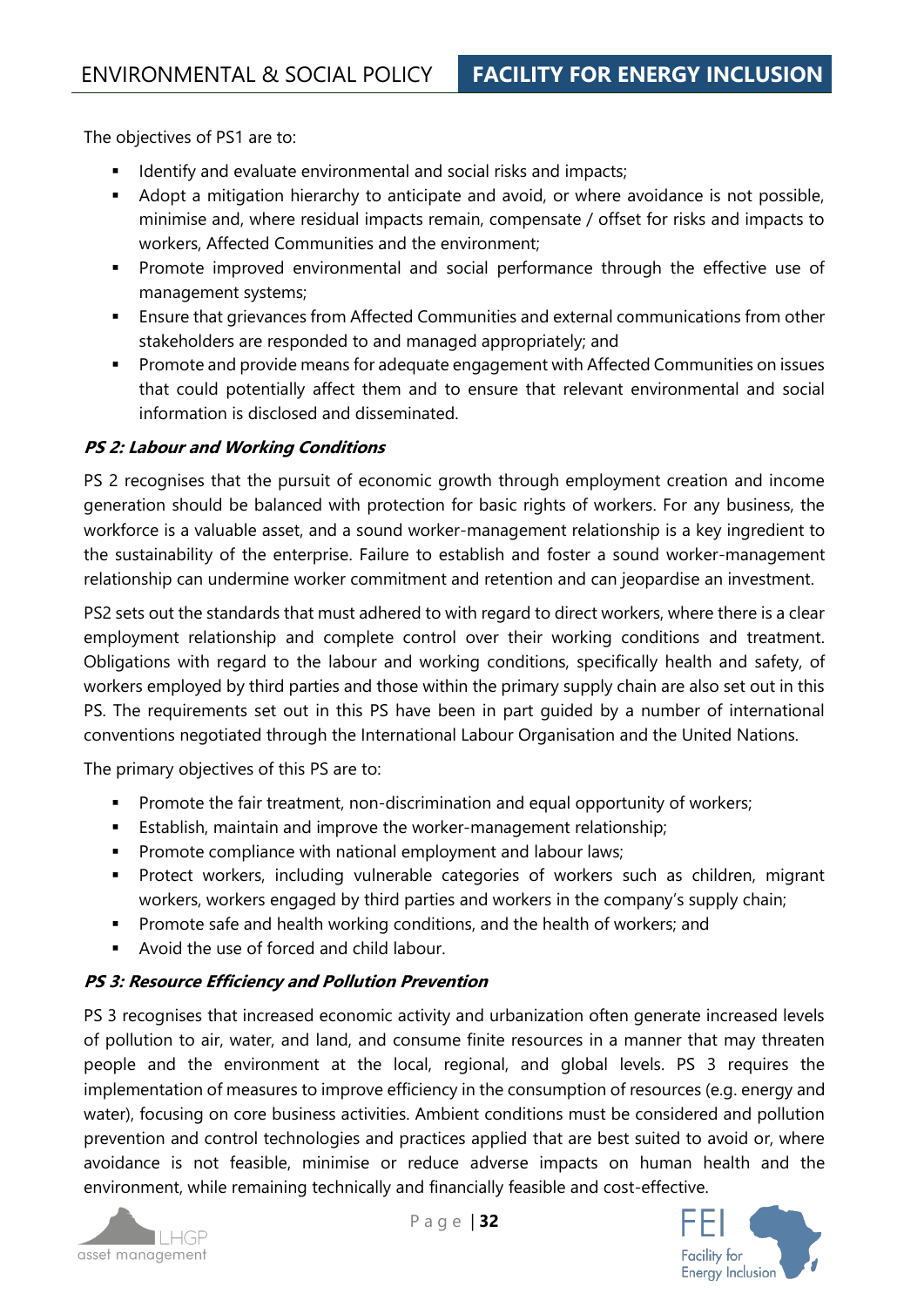The objectives of PS1 are to:

- **■** Identify and evaluate environmental and social risks and impacts;
- Adopt a mitigation hierarchy to anticipate and avoid, or where avoidance is not possible, minimise and, where residual impacts remain, compensate / offset for risks and impacts to workers, Affected Communities and the environment;
- **•** Promote improved environmental and social performance through the effective use of management systems;
- Ensure that grievances from Affected Communities and external communications from other stakeholders are responded to and managed appropriately; and
- Promote and provide means for adequate engagement with Affected Communities on issues that could potentially affect them and to ensure that relevant environmental and social information is disclosed and disseminated.

#### **PS 2: Labour and Working Conditions**

PS 2 recognises that the pursuit of economic growth through employment creation and income generation should be balanced with protection for basic rights of workers. For any business, the workforce is a valuable asset, and a sound worker-management relationship is a key ingredient to the sustainability of the enterprise. Failure to establish and foster a sound worker-management relationship can undermine worker commitment and retention and can jeopardise an investment.

PS2 sets out the standards that must adhered to with regard to direct workers, where there is a clear employment relationship and complete control over their working conditions and treatment. Obligations with regard to the labour and working conditions, specifically health and safety, of workers employed by third parties and those within the primary supply chain are also set out in this PS. The requirements set out in this PS have been in part guided by a number of international conventions negotiated through the International Labour Organisation and the United Nations.

The primary objectives of this PS are to:

- **•** Promote the fair treatment, non-discrimination and equal opportunity of workers;
- **Establish, maintain and improve the worker-management relationship;**
- **•** Promote compliance with national employment and labour laws;
- **•** Protect workers, including vulnerable categories of workers such as children, migrant workers, workers engaged by third parties and workers in the company's supply chain;
- Promote safe and health working conditions, and the health of workers; and
- Avoid the use of forced and child labour.

#### **PS 3: Resource Efficiency and Pollution Prevention**

PS 3 recognises that increased economic activity and urbanization often generate increased levels of pollution to air, water, and land, and consume finite resources in a manner that may threaten people and the environment at the local, regional, and global levels. PS 3 requires the implementation of measures to improve efficiency in the consumption of resources (e.g. energy and water), focusing on core business activities. Ambient conditions must be considered and pollution prevention and control technologies and practices applied that are best suited to avoid or, where avoidance is not feasible, minimise or reduce adverse impacts on human health and the environment, while remaining technically and financially feasible and cost-effective.



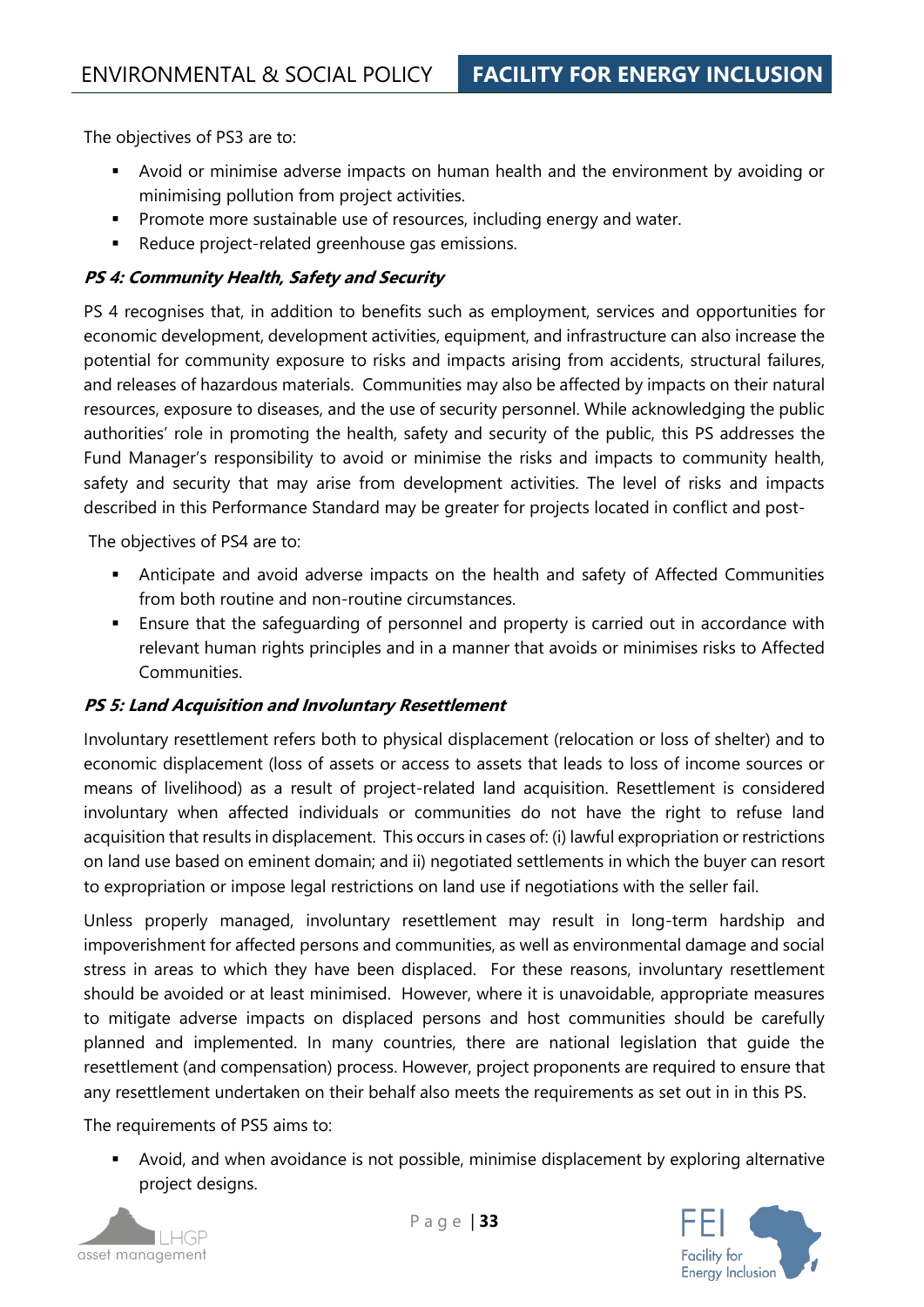The objectives of PS3 are to:

- Avoid or minimise adverse impacts on human health and the environment by avoiding or minimising pollution from project activities.
- **•** Promote more sustainable use of resources, including energy and water.
- Reduce project-related greenhouse gas emissions.

#### **PS 4: Community Health, Safety and Security**

PS 4 recognises that, in addition to benefits such as employment, services and opportunities for economic development, development activities, equipment, and infrastructure can also increase the potential for community exposure to risks and impacts arising from accidents, structural failures, and releases of hazardous materials. Communities may also be affected by impacts on their natural resources, exposure to diseases, and the use of security personnel. While acknowledging the public authorities' role in promoting the health, safety and security of the public, this PS addresses the Fund Manager's responsibility to avoid or minimise the risks and impacts to community health, safety and security that may arise from development activities. The level of risks and impacts described in this Performance Standard may be greater for projects located in conflict and post-

The objectives of PS4 are to:

- **•** Anticipate and avoid adverse impacts on the health and safety of Affected Communities from both routine and non-routine circumstances.
- **Ensure that the safeguarding of personnel and property is carried out in accordance with** relevant human rights principles and in a manner that avoids or minimises risks to Affected Communities.

#### **PS 5: Land Acquisition and Involuntary Resettlement**

Involuntary resettlement refers both to physical displacement (relocation or loss of shelter) and to economic displacement (loss of assets or access to assets that leads to loss of income sources or means of livelihood) as a result of project-related land acquisition. Resettlement is considered involuntary when affected individuals or communities do not have the right to refuse land acquisition that results in displacement. This occurs in cases of: (i) lawful expropriation or restrictions on land use based on eminent domain; and ii) negotiated settlements in which the buyer can resort to expropriation or impose legal restrictions on land use if negotiations with the seller fail.

Unless properly managed, involuntary resettlement may result in long-term hardship and impoverishment for affected persons and communities, as well as environmental damage and social stress in areas to which they have been displaced. For these reasons, involuntary resettlement should be avoided or at least minimised. However, where it is unavoidable, appropriate measures to mitigate adverse impacts on displaced persons and host communities should be carefully planned and implemented. In many countries, there are national legislation that guide the resettlement (and compensation) process. However, project proponents are required to ensure that any resettlement undertaken on their behalf also meets the requirements as set out in in this PS.

The requirements of PS5 aims to:

■ Avoid, and when avoidance is not possible, minimise displacement by exploring alternative project designs.



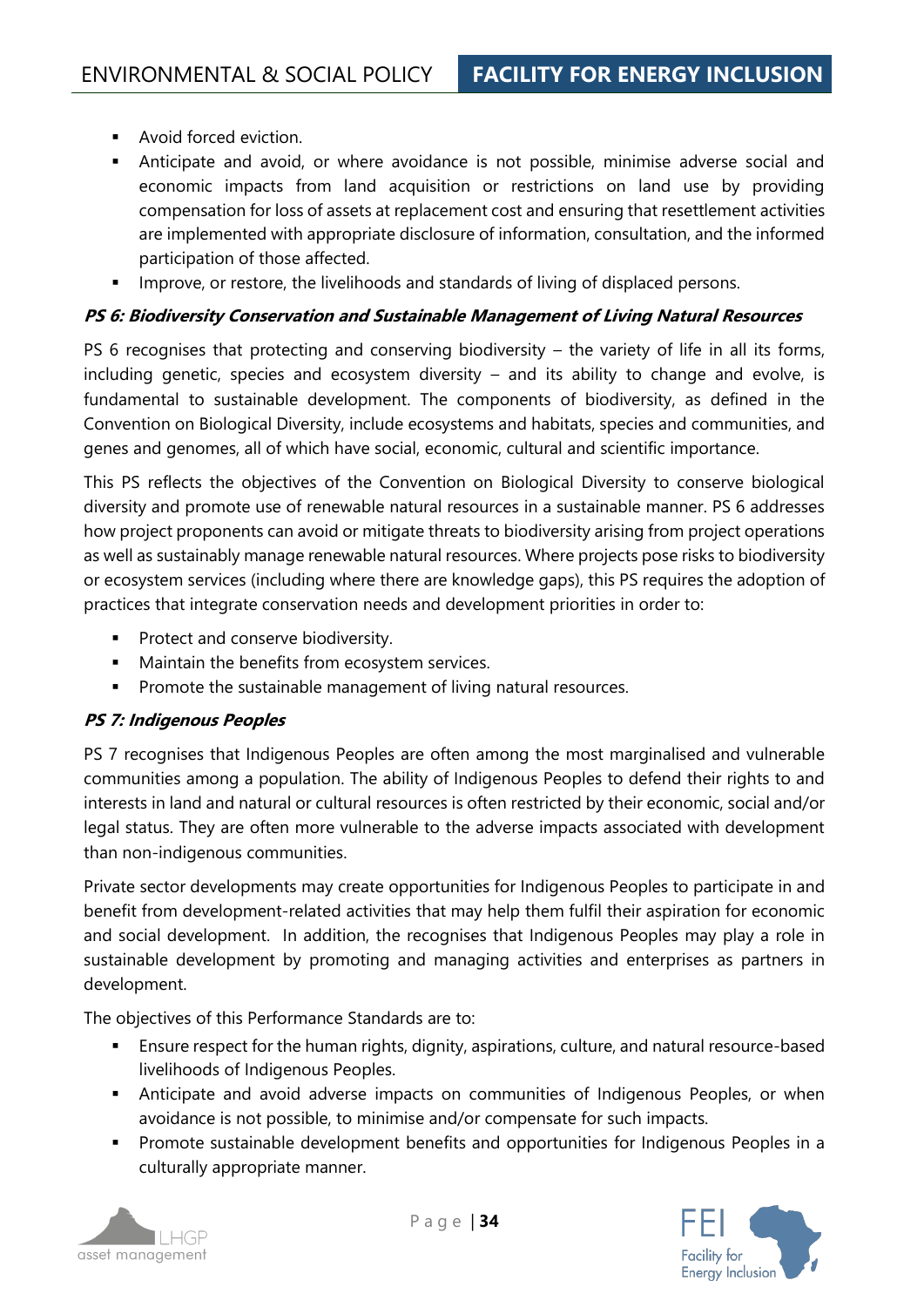- Avoid forced eviction.
- **EXECT** Anticipate and avoid, or where avoidance is not possible, minimise adverse social and economic impacts from land acquisition or restrictions on land use by providing compensation for loss of assets at replacement cost and ensuring that resettlement activities are implemented with appropriate disclosure of information, consultation, and the informed participation of those affected.
- **•** Improve, or restore, the livelihoods and standards of living of displaced persons.

#### **PS 6: Biodiversity Conservation and Sustainable Management of Living Natural Resources**

PS 6 recognises that protecting and conserving biodiversity – the variety of life in all its forms, including genetic, species and ecosystem diversity – and its ability to change and evolve, is fundamental to sustainable development. The components of biodiversity, as defined in the Convention on Biological Diversity, include ecosystems and habitats, species and communities, and genes and genomes, all of which have social, economic, cultural and scientific importance.

This PS reflects the objectives of the Convention on Biological Diversity to conserve biological diversity and promote use of renewable natural resources in a sustainable manner. PS 6 addresses how project proponents can avoid or mitigate threats to biodiversity arising from project operations as well as sustainably manage renewable natural resources. Where projects pose risks to biodiversity or ecosystem services (including where there are knowledge gaps), this PS requires the adoption of practices that integrate conservation needs and development priorities in order to:

- **•** Protect and conserve biodiversity.
- Maintain the benefits from ecosystem services.
- **•** Promote the sustainable management of living natural resources.

#### **PS 7: Indigenous Peoples**

PS 7 recognises that Indigenous Peoples are often among the most marginalised and vulnerable communities among a population. The ability of Indigenous Peoples to defend their rights to and interests in land and natural or cultural resources is often restricted by their economic, social and/or legal status. They are often more vulnerable to the adverse impacts associated with development than non-indigenous communities.

Private sector developments may create opportunities for Indigenous Peoples to participate in and benefit from development-related activities that may help them fulfil their aspiration for economic and social development. In addition, the recognises that Indigenous Peoples may play a role in sustainable development by promoting and managing activities and enterprises as partners in development.

The objectives of this Performance Standards are to:

- **Ensure respect for the human rights, dignity, aspirations, culture, and natural resource-based** livelihoods of Indigenous Peoples.
- **EXECT** Anticipate and avoid adverse impacts on communities of Indigenous Peoples, or when avoidance is not possible, to minimise and/or compensate for such impacts.
- **•** Promote sustainable development benefits and opportunities for Indigenous Peoples in a culturally appropriate manner.



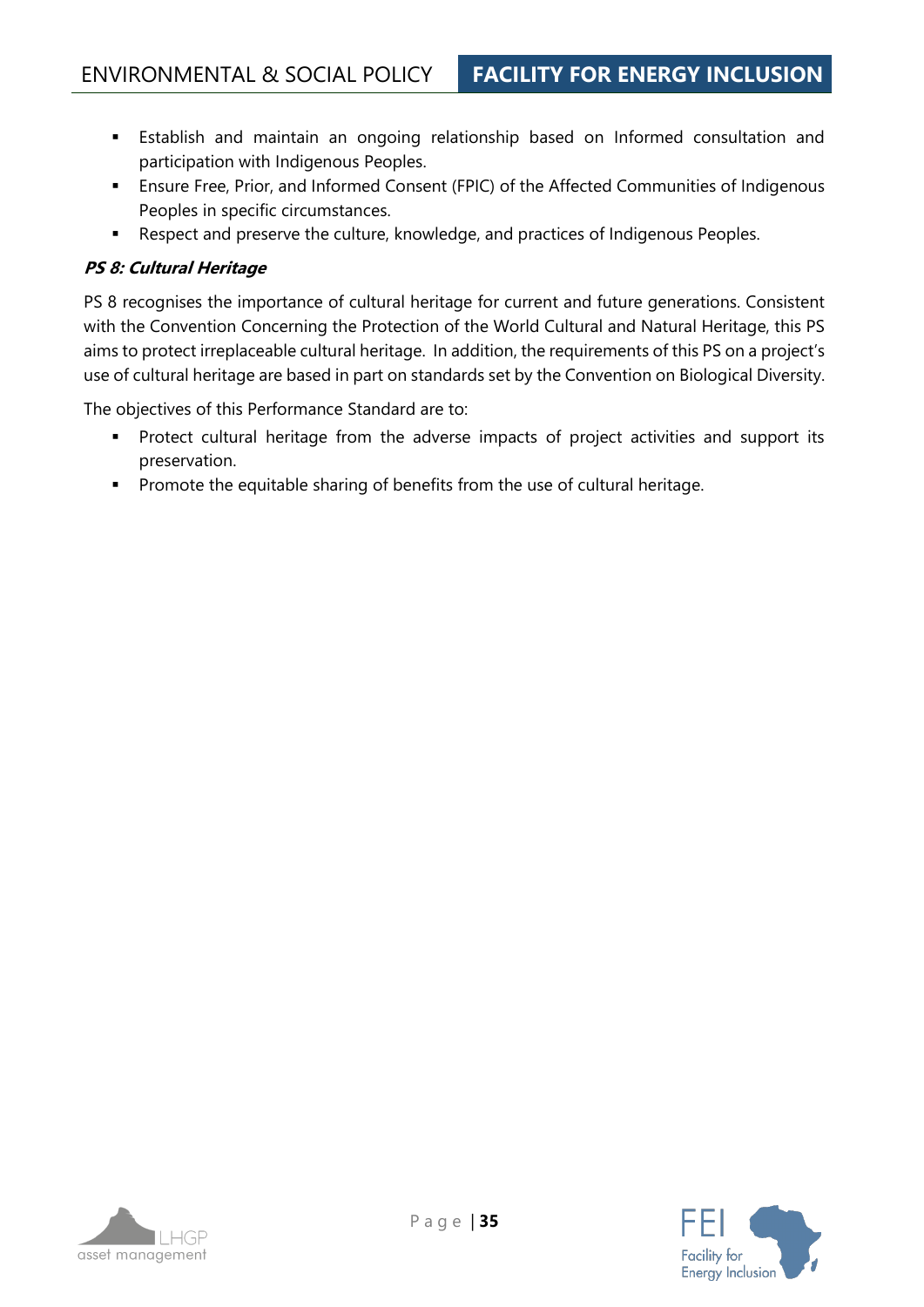- **Establish and maintain an ongoing relationship based on Informed consultation and** participation with Indigenous Peoples.
- **Ensure Free, Prior, and Informed Consent (FPIC) of the Affected Communities of Indigenous** Peoples in specific circumstances.
- Respect and preserve the culture, knowledge, and practices of Indigenous Peoples.

#### **PS 8: Cultural Heritage**

PS 8 recognises the importance of cultural heritage for current and future generations. Consistent with the Convention Concerning the Protection of the World Cultural and Natural Heritage, this PS aims to protect irreplaceable cultural heritage. In addition, the requirements of this PS on a project's use of cultural heritage are based in part on standards set by the Convention on Biological Diversity.

The objectives of this Performance Standard are to:

- Protect cultural heritage from the adverse impacts of project activities and support its preservation.
- Promote the equitable sharing of benefits from the use of cultural heritage.

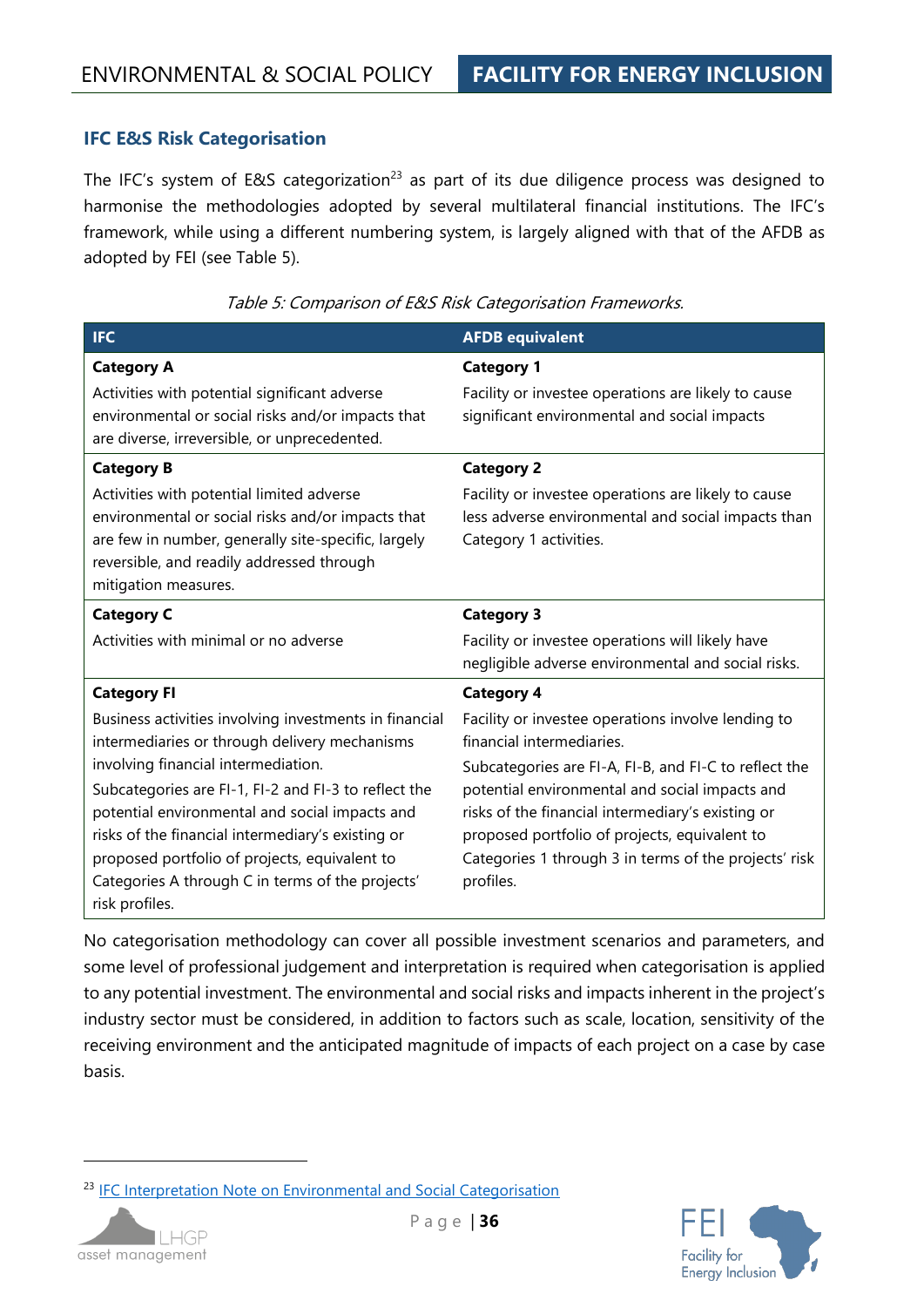#### **IFC E&S Risk Categorisation**

The IFC's system of E&S categorization<sup>23</sup> as part of its due diligence process was designed to harmonise the methodologies adopted by several multilateral financial institutions. The IFC's framework, while using a different numbering system, is largely aligned with that of the AFDB as adopted by FEI (see [Table 5\)](#page-35-0).

<span id="page-35-0"></span>

| <b>IFC</b>                                                                                                                                                                                                                                                                                                                                                                                                                                                 | <b>AFDB equivalent</b>                                                                                                                                                                                                                                                                                                                                                                      |
|------------------------------------------------------------------------------------------------------------------------------------------------------------------------------------------------------------------------------------------------------------------------------------------------------------------------------------------------------------------------------------------------------------------------------------------------------------|---------------------------------------------------------------------------------------------------------------------------------------------------------------------------------------------------------------------------------------------------------------------------------------------------------------------------------------------------------------------------------------------|
| <b>Category A</b><br>Activities with potential significant adverse<br>environmental or social risks and/or impacts that<br>are diverse, irreversible, or unprecedented.                                                                                                                                                                                                                                                                                    | <b>Category 1</b><br>Facility or investee operations are likely to cause<br>significant environmental and social impacts                                                                                                                                                                                                                                                                    |
| <b>Category B</b><br>Activities with potential limited adverse<br>environmental or social risks and/or impacts that<br>are few in number, generally site-specific, largely<br>reversible, and readily addressed through<br>mitigation measures.                                                                                                                                                                                                            | <b>Category 2</b><br>Facility or investee operations are likely to cause<br>less adverse environmental and social impacts than<br>Category 1 activities.                                                                                                                                                                                                                                    |
| <b>Category C</b><br>Activities with minimal or no adverse                                                                                                                                                                                                                                                                                                                                                                                                 | <b>Category 3</b><br>Facility or investee operations will likely have<br>negligible adverse environmental and social risks.                                                                                                                                                                                                                                                                 |
| <b>Category FI</b><br>Business activities involving investments in financial<br>intermediaries or through delivery mechanisms<br>involving financial intermediation.<br>Subcategories are FI-1, FI-2 and FI-3 to reflect the<br>potential environmental and social impacts and<br>risks of the financial intermediary's existing or<br>proposed portfolio of projects, equivalent to<br>Categories A through C in terms of the projects'<br>risk profiles. | <b>Category 4</b><br>Facility or investee operations involve lending to<br>financial intermediaries.<br>Subcategories are FI-A, FI-B, and FI-C to reflect the<br>potential environmental and social impacts and<br>risks of the financial intermediary's existing or<br>proposed portfolio of projects, equivalent to<br>Categories 1 through 3 in terms of the projects' risk<br>profiles. |

Table 5: Comparison of E&S Risk Categorisation Frameworks.

No categorisation methodology can cover all possible investment scenarios and parameters, and some level of professional judgement and interpretation is required when categorisation is applied to any potential investment. The environmental and social risks and impacts inherent in the project's industry sector must be considered, in addition to factors such as scale, location, sensitivity of the receiving environment and the anticipated magnitude of impacts of each project on a case by case basis.

<sup>&</sup>lt;sup>23</sup> [IFC Interpretation Note on Environmental and Social Categorisation](https://www.ifc.org/wps/wcm/connect/18993fe1-0c0f-4b83-9959-8e021f313e6f/Interpretation+Note+on+E+and+S+Categorization.pdf?MOD=AJPERES)



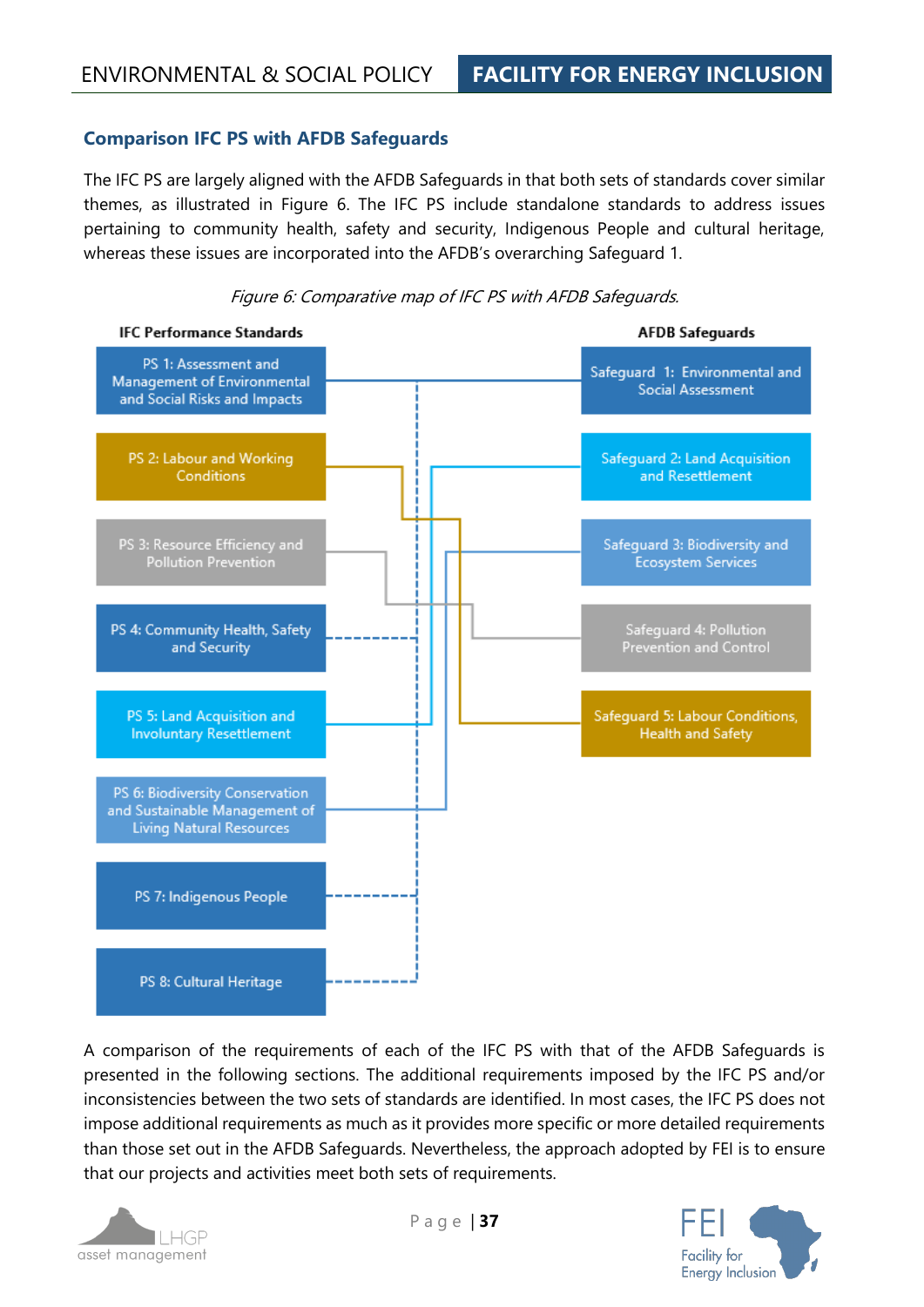# **Comparison IFC PS with AFDB Safeguards**

The IFC PS are largely aligned with the AFDB Safeguards in that both sets of standards cover similar themes, as illustrated in [Figure 6.](#page-36-0) The IFC PS include standalone standards to address issues pertaining to community health, safety and security, Indigenous People and cultural heritage, whereas these issues are incorporated into the AFDB's overarching Safeguard 1.

<span id="page-36-0"></span>



A comparison of the requirements of each of the IFC PS with that of the AFDB Safeguards is presented in the following sections. The additional requirements imposed by the IFC PS and/or inconsistencies between the two sets of standards are identified. In most cases, the IFC PS does not impose additional requirements as much as it provides more specific or more detailed requirements than those set out in the AFDB Safeguards. Nevertheless, the approach adopted by FEI is to ensure that our projects and activities meet both sets of requirements.



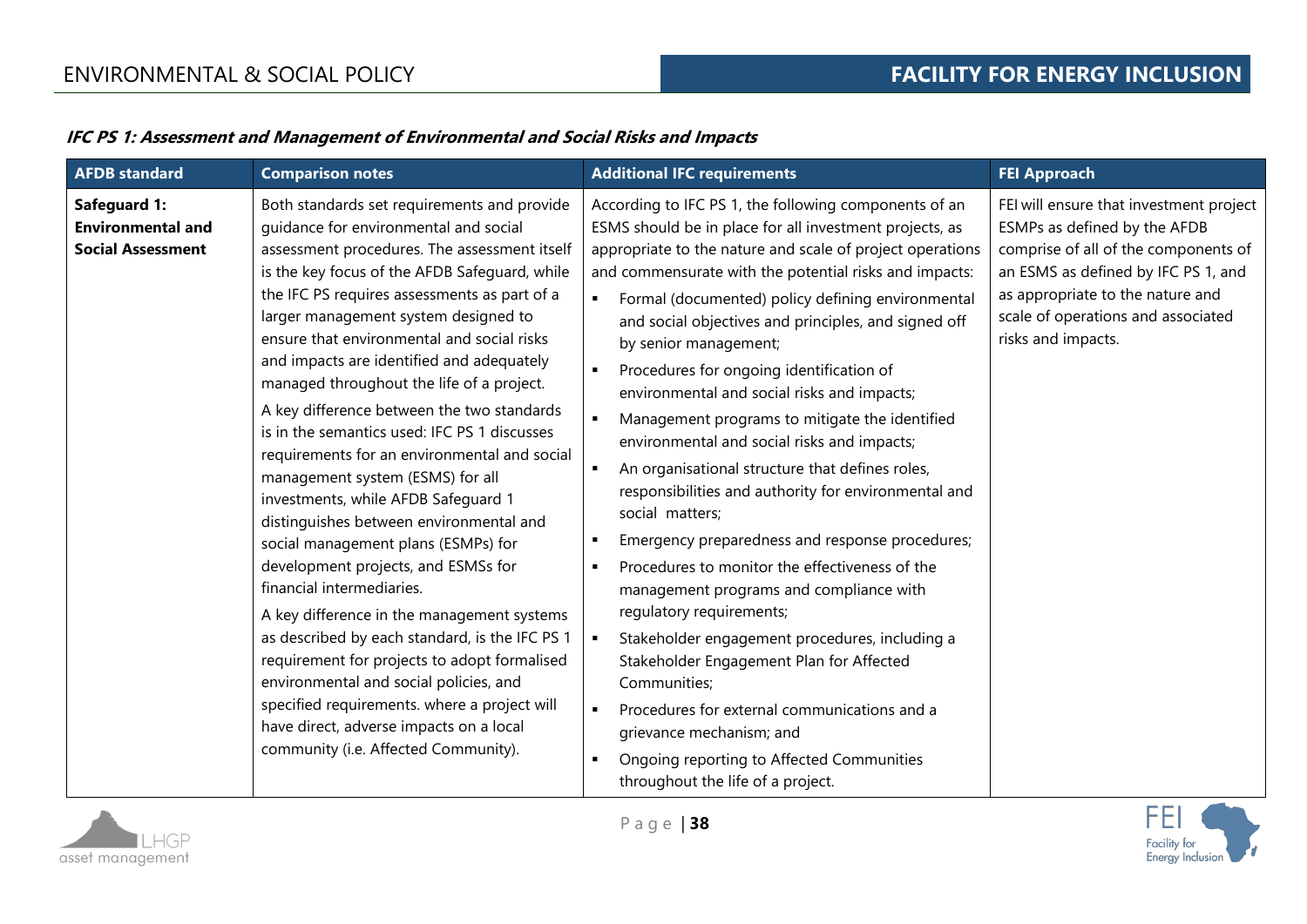# **IFC PS 1: Assessment and Management of Environmental and Social Risks and Impacts**

| <b>AFDB</b> standard                                                        | <b>Comparison notes</b>                                                                                                                                                                                                                                                                                                                                                                                                                                                                                                                                                                                                                                                                                                                                                                                                                                                                                                                                                                                                                                                                                                           | <b>Additional IFC requirements</b>                                                                                                                                                                                                                                                                                                                                                                                                                                                                                                                                                                                                                                                                                                                                                                                                                                                                                                                                                                                                                                                                                                                                                                                    | <b>FEI Approach</b>                                                                                                                                                                                                                                    |
|-----------------------------------------------------------------------------|-----------------------------------------------------------------------------------------------------------------------------------------------------------------------------------------------------------------------------------------------------------------------------------------------------------------------------------------------------------------------------------------------------------------------------------------------------------------------------------------------------------------------------------------------------------------------------------------------------------------------------------------------------------------------------------------------------------------------------------------------------------------------------------------------------------------------------------------------------------------------------------------------------------------------------------------------------------------------------------------------------------------------------------------------------------------------------------------------------------------------------------|-----------------------------------------------------------------------------------------------------------------------------------------------------------------------------------------------------------------------------------------------------------------------------------------------------------------------------------------------------------------------------------------------------------------------------------------------------------------------------------------------------------------------------------------------------------------------------------------------------------------------------------------------------------------------------------------------------------------------------------------------------------------------------------------------------------------------------------------------------------------------------------------------------------------------------------------------------------------------------------------------------------------------------------------------------------------------------------------------------------------------------------------------------------------------------------------------------------------------|--------------------------------------------------------------------------------------------------------------------------------------------------------------------------------------------------------------------------------------------------------|
| <b>Safeguard 1:</b><br><b>Environmental and</b><br><b>Social Assessment</b> | Both standards set requirements and provide<br>guidance for environmental and social<br>assessment procedures. The assessment itself<br>is the key focus of the AFDB Safeguard, while<br>the IFC PS requires assessments as part of a<br>larger management system designed to<br>ensure that environmental and social risks<br>and impacts are identified and adequately<br>managed throughout the life of a project.<br>A key difference between the two standards<br>is in the semantics used: IFC PS 1 discusses<br>requirements for an environmental and social<br>management system (ESMS) for all<br>investments, while AFDB Safeguard 1<br>distinguishes between environmental and<br>social management plans (ESMPs) for<br>development projects, and ESMSs for<br>financial intermediaries.<br>A key difference in the management systems<br>as described by each standard, is the IFC PS 1<br>requirement for projects to adopt formalised<br>environmental and social policies, and<br>specified requirements. where a project will<br>have direct, adverse impacts on a local<br>community (i.e. Affected Community). | According to IFC PS 1, the following components of an<br>ESMS should be in place for all investment projects, as<br>appropriate to the nature and scale of project operations<br>and commensurate with the potential risks and impacts:<br>Formal (documented) policy defining environmental<br>$\blacksquare$<br>and social objectives and principles, and signed off<br>by senior management;<br>Procedures for ongoing identification of<br>$\blacksquare$<br>environmental and social risks and impacts;<br>Management programs to mitigate the identified<br>environmental and social risks and impacts;<br>An organisational structure that defines roles,<br>responsibilities and authority for environmental and<br>social matters;<br>Emergency preparedness and response procedures;<br>Procedures to monitor the effectiveness of the<br>management programs and compliance with<br>regulatory requirements;<br>Stakeholder engagement procedures, including a<br>$\blacksquare$<br>Stakeholder Engagement Plan for Affected<br>Communities;<br>Procedures for external communications and a<br>grievance mechanism; and<br>Ongoing reporting to Affected Communities<br>throughout the life of a project. | FEI will ensure that investment project<br>ESMPs as defined by the AFDB<br>comprise of all of the components of<br>an ESMS as defined by IFC PS 1, and<br>as appropriate to the nature and<br>scale of operations and associated<br>risks and impacts. |

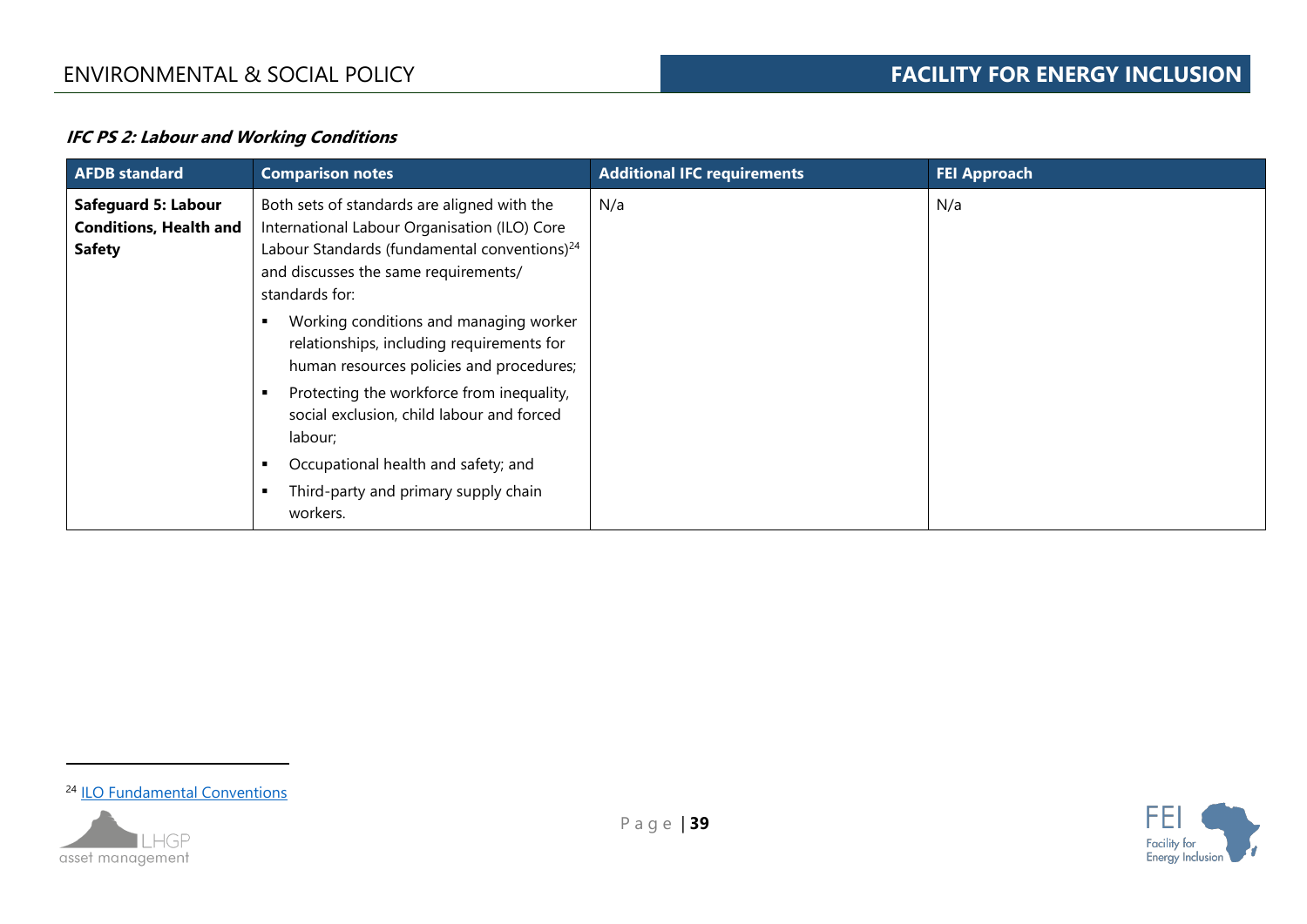### **IFC PS 2: Labour and Working Conditions**

| <b>AFDB</b> standard                                                         | <b>Comparison notes</b>                                                                                                                                                                                           | <b>Additional IFC requirements</b> | <b>FEI Approach</b> |
|------------------------------------------------------------------------------|-------------------------------------------------------------------------------------------------------------------------------------------------------------------------------------------------------------------|------------------------------------|---------------------|
| <b>Safeguard 5: Labour</b><br><b>Conditions, Health and</b><br><b>Safety</b> | Both sets of standards are aligned with the<br>International Labour Organisation (ILO) Core<br>Labour Standards (fundamental conventions) <sup>24</sup><br>and discusses the same requirements/<br>standards for: | N/a                                | N/a                 |
|                                                                              | Working conditions and managing worker<br>relationships, including requirements for<br>human resources policies and procedures;                                                                                   |                                    |                     |
|                                                                              | Protecting the workforce from inequality,<br>social exclusion, child labour and forced<br>labour;                                                                                                                 |                                    |                     |
|                                                                              | Occupational health and safety; and<br>Third-party and primary supply chain<br>workers.                                                                                                                           |                                    |                     |

<sup>&</sup>lt;sup>24</sup> [ILO Fundamental Conventions](https://www.ilo.org/global/standards/introduction-to-international-labour-standards/conventions-and-recommendations/lang--en/index.htm)



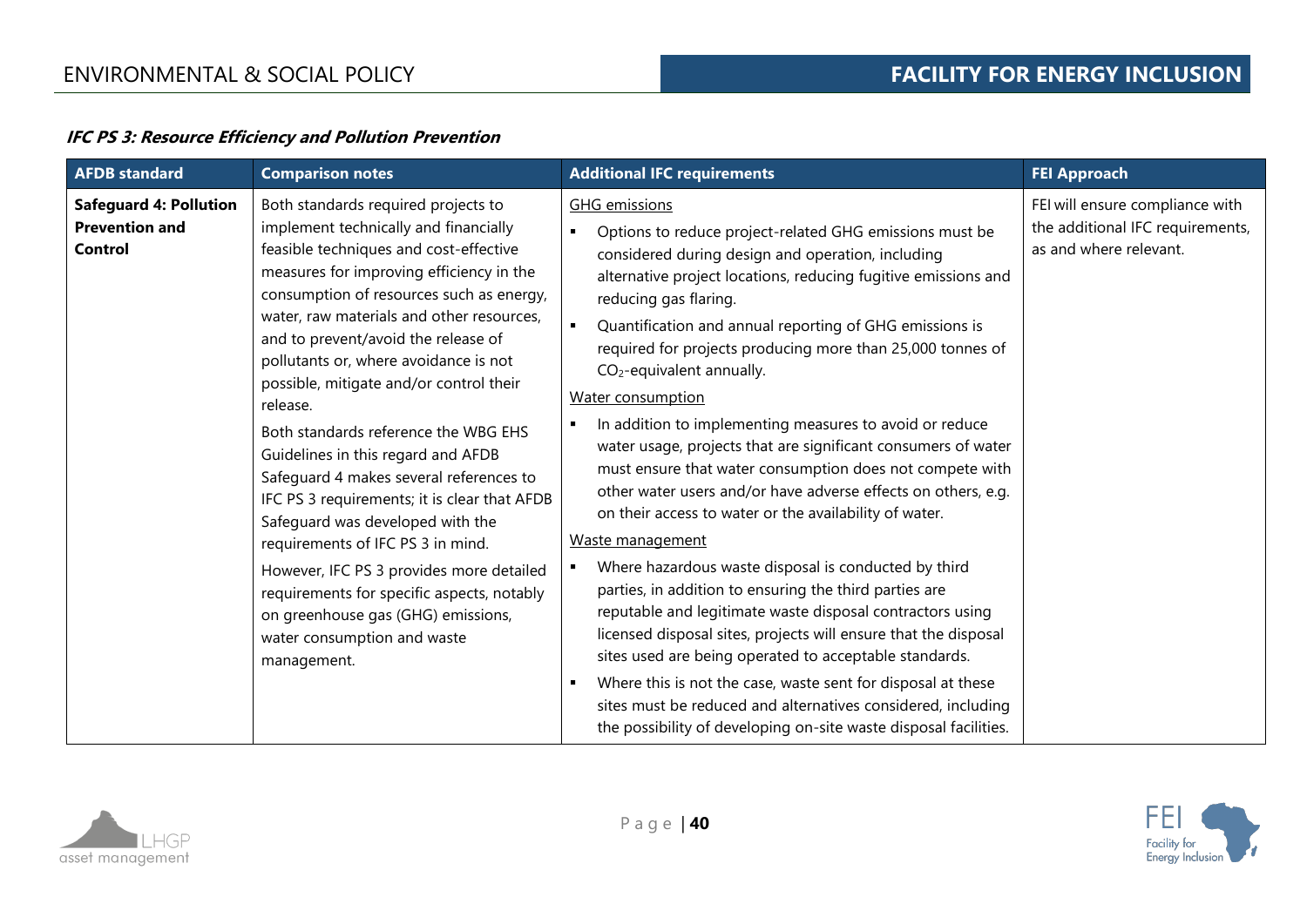# **IFC PS 3: Resource Efficiency and Pollution Prevention**

| <b>Safeguard 4: Pollution</b><br>Both standards required projects to<br><b>GHG</b> emissions<br><b>Prevention and</b><br>implement technically and financially<br>Options to reduce project-related GHG emissions must be<br>as and where relevant.<br>feasible techniques and cost-effective<br>Control<br>considered during design and operation, including<br>measures for improving efficiency in the<br>alternative project locations, reducing fugitive emissions and<br>consumption of resources such as energy,<br>reducing gas flaring.<br>water, raw materials and other resources,<br>Quantification and annual reporting of GHG emissions is<br>and to prevent/avoid the release of<br>required for projects producing more than 25,000 tonnes of<br>pollutants or, where avoidance is not<br>$CO2$ -equivalent annually.<br>possible, mitigate and/or control their<br>Water consumption<br>release.<br>In addition to implementing measures to avoid or reduce<br>Both standards reference the WBG EHS<br>water usage, projects that are significant consumers of water<br>Guidelines in this regard and AFDB<br>must ensure that water consumption does not compete with<br>Safeguard 4 makes several references to<br>other water users and/or have adverse effects on others, e.g.<br>IFC PS 3 requirements; it is clear that AFDB<br>on their access to water or the availability of water.<br>Safeguard was developed with the<br>Waste management<br>requirements of IFC PS 3 in mind.<br>Where hazardous waste disposal is conducted by third<br>However, IFC PS 3 provides more detailed | <b>AFDB</b> standard | <b>Comparison notes</b>                    | <b>Additional IFC requirements</b>                     | <b>FEI Approach</b>                                                 |
|----------------------------------------------------------------------------------------------------------------------------------------------------------------------------------------------------------------------------------------------------------------------------------------------------------------------------------------------------------------------------------------------------------------------------------------------------------------------------------------------------------------------------------------------------------------------------------------------------------------------------------------------------------------------------------------------------------------------------------------------------------------------------------------------------------------------------------------------------------------------------------------------------------------------------------------------------------------------------------------------------------------------------------------------------------------------------------------------------------------------------------------------------------------------------------------------------------------------------------------------------------------------------------------------------------------------------------------------------------------------------------------------------------------------------------------------------------------------------------------------------------------------------------------------------------------------------------------------------------------|----------------------|--------------------------------------------|--------------------------------------------------------|---------------------------------------------------------------------|
| reputable and legitimate waste disposal contractors using<br>on greenhouse gas (GHG) emissions,<br>licensed disposal sites, projects will ensure that the disposal<br>water consumption and waste<br>sites used are being operated to acceptable standards.<br>management.<br>Where this is not the case, waste sent for disposal at these<br>sites must be reduced and alternatives considered, including<br>the possibility of developing on-site waste disposal facilities.                                                                                                                                                                                                                                                                                                                                                                                                                                                                                                                                                                                                                                                                                                                                                                                                                                                                                                                                                                                                                                                                                                                                 |                      | requirements for specific aspects, notably | parties, in addition to ensuring the third parties are | FEI will ensure compliance with<br>the additional IFC requirements, |



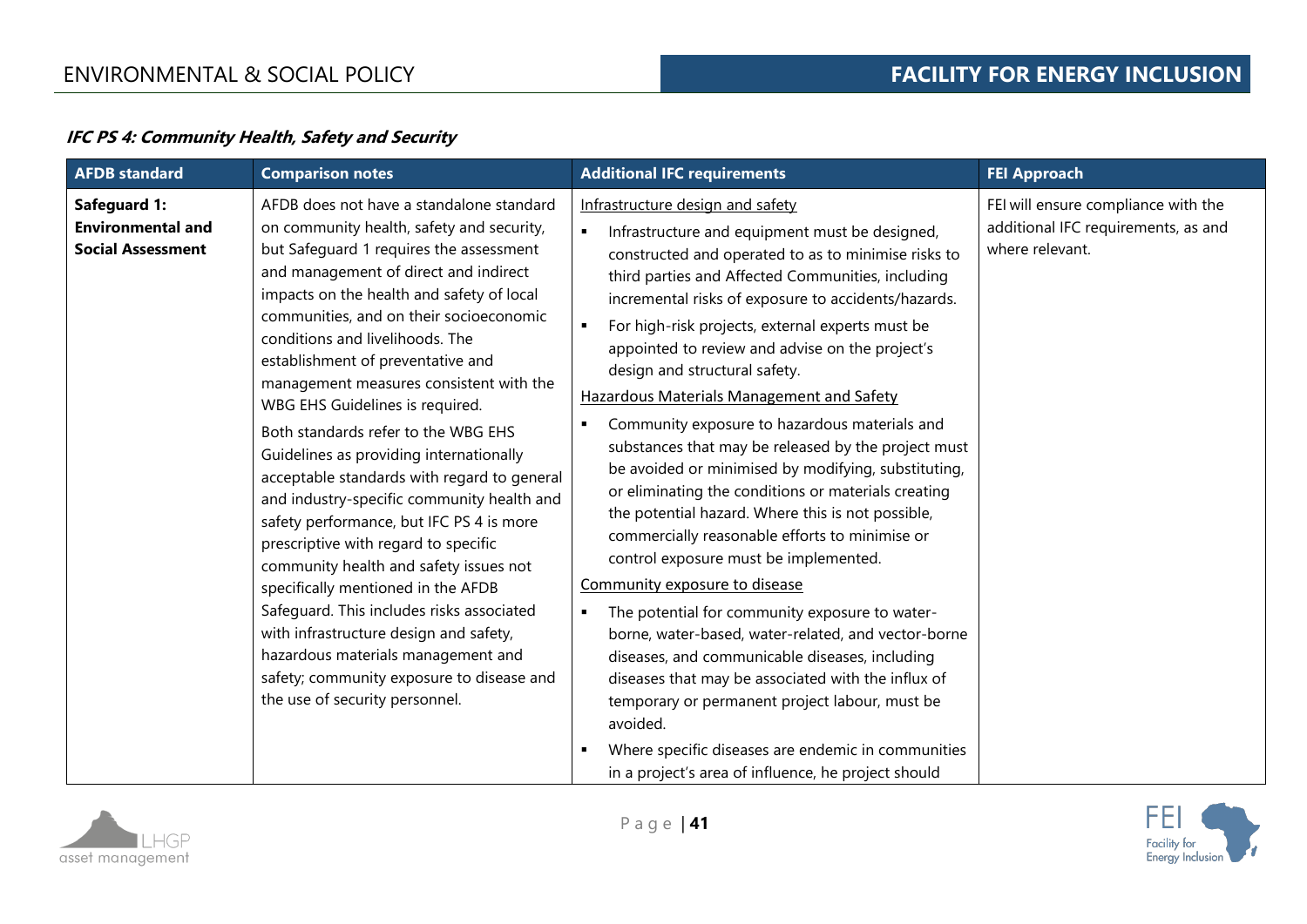# **IFC PS 4: Community Health, Safety and Security**

| <b>AFDB</b> standard                                                 | <b>Comparison notes</b>                                                                                                                                                                                                                                                                                                                                                                                                                                                                                                                                                                                                                                                                                                                                                                                                                                                                                                                                                                | <b>Additional IFC requirements</b>                                                                                                                                                                                                                                                                                                                                                                                                                                                                                                                                                                                                                                                                                                                                                                                                                                                                                                                                                                                                                                                                                                                                                                                                                   | <b>FEI Approach</b>                                                                           |
|----------------------------------------------------------------------|----------------------------------------------------------------------------------------------------------------------------------------------------------------------------------------------------------------------------------------------------------------------------------------------------------------------------------------------------------------------------------------------------------------------------------------------------------------------------------------------------------------------------------------------------------------------------------------------------------------------------------------------------------------------------------------------------------------------------------------------------------------------------------------------------------------------------------------------------------------------------------------------------------------------------------------------------------------------------------------|------------------------------------------------------------------------------------------------------------------------------------------------------------------------------------------------------------------------------------------------------------------------------------------------------------------------------------------------------------------------------------------------------------------------------------------------------------------------------------------------------------------------------------------------------------------------------------------------------------------------------------------------------------------------------------------------------------------------------------------------------------------------------------------------------------------------------------------------------------------------------------------------------------------------------------------------------------------------------------------------------------------------------------------------------------------------------------------------------------------------------------------------------------------------------------------------------------------------------------------------------|-----------------------------------------------------------------------------------------------|
| Safeguard 1:<br><b>Environmental and</b><br><b>Social Assessment</b> | AFDB does not have a standalone standard<br>on community health, safety and security,<br>but Safeguard 1 requires the assessment<br>and management of direct and indirect<br>impacts on the health and safety of local<br>communities, and on their socioeconomic<br>conditions and livelihoods. The<br>establishment of preventative and<br>management measures consistent with the<br>WBG EHS Guidelines is required.<br>Both standards refer to the WBG EHS<br>Guidelines as providing internationally<br>acceptable standards with regard to general<br>and industry-specific community health and<br>safety performance, but IFC PS 4 is more<br>prescriptive with regard to specific<br>community health and safety issues not<br>specifically mentioned in the AFDB<br>Safeguard. This includes risks associated<br>with infrastructure design and safety,<br>hazardous materials management and<br>safety; community exposure to disease and<br>the use of security personnel. | Infrastructure design and safety<br>Infrastructure and equipment must be designed,<br>constructed and operated to as to minimise risks to<br>third parties and Affected Communities, including<br>incremental risks of exposure to accidents/hazards.<br>For high-risk projects, external experts must be<br>appointed to review and advise on the project's<br>design and structural safety.<br><b>Hazardous Materials Management and Safety</b><br>Community exposure to hazardous materials and<br>substances that may be released by the project must<br>be avoided or minimised by modifying, substituting,<br>or eliminating the conditions or materials creating<br>the potential hazard. Where this is not possible,<br>commercially reasonable efforts to minimise or<br>control exposure must be implemented.<br>Community exposure to disease<br>The potential for community exposure to water-<br>borne, water-based, water-related, and vector-borne<br>diseases, and communicable diseases, including<br>diseases that may be associated with the influx of<br>temporary or permanent project labour, must be<br>avoided.<br>Where specific diseases are endemic in communities<br>in a project's area of influence, he project should | FEI will ensure compliance with the<br>additional IFC requirements, as and<br>where relevant. |



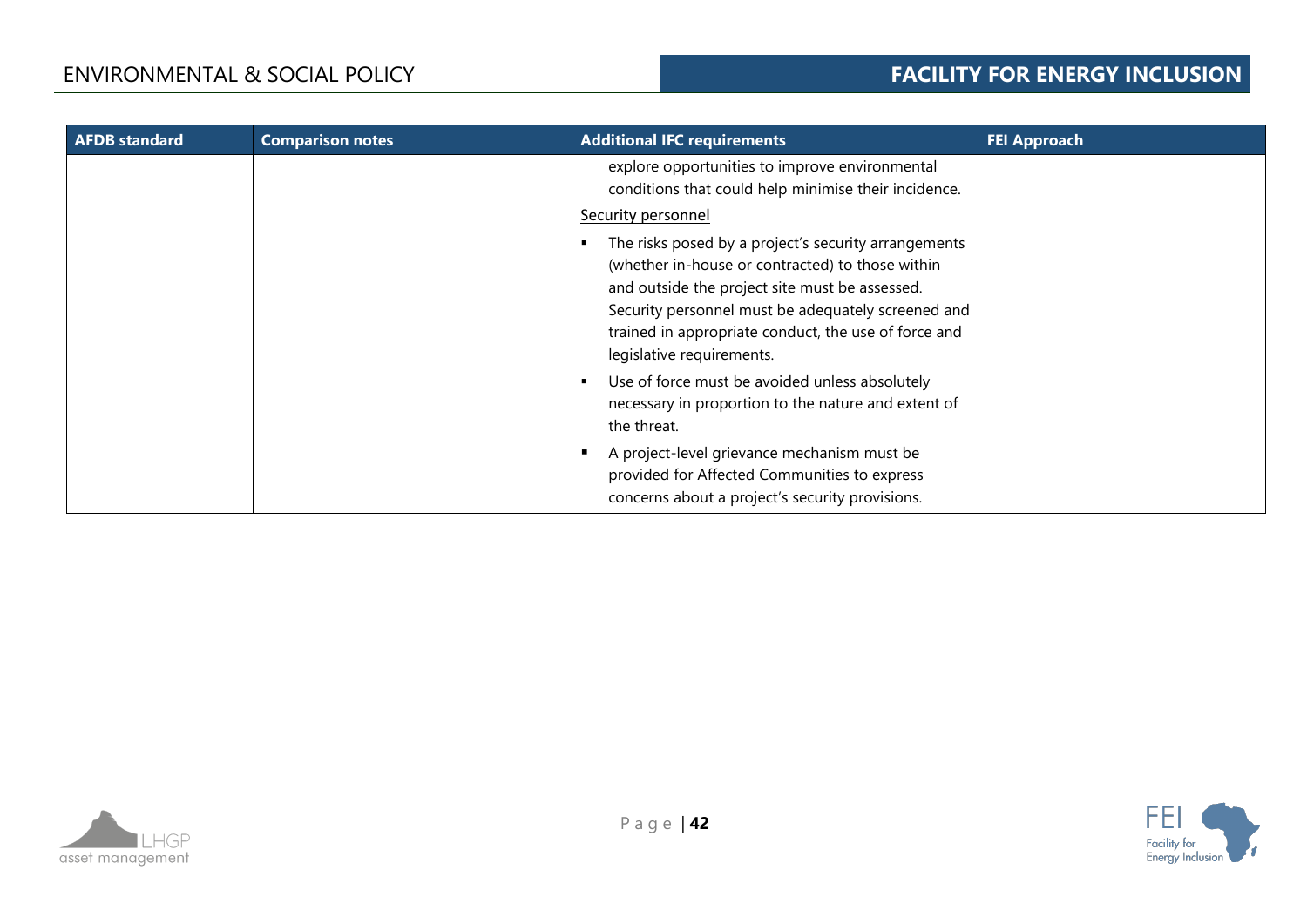| <b>AFDB</b> standard | <b>Comparison notes</b> | <b>Additional IFC requirements</b>                                                                                                                                                                                                                                                                    | <b>FEI Approach</b> |
|----------------------|-------------------------|-------------------------------------------------------------------------------------------------------------------------------------------------------------------------------------------------------------------------------------------------------------------------------------------------------|---------------------|
|                      |                         | explore opportunities to improve environmental<br>conditions that could help minimise their incidence.<br>Security personnel                                                                                                                                                                          |                     |
|                      |                         | The risks posed by a project's security arrangements<br>(whether in-house or contracted) to those within<br>and outside the project site must be assessed.<br>Security personnel must be adequately screened and<br>trained in appropriate conduct, the use of force and<br>legislative requirements. |                     |
|                      |                         | Use of force must be avoided unless absolutely<br>$\blacksquare$<br>necessary in proportion to the nature and extent of<br>the threat.                                                                                                                                                                |                     |
|                      |                         | A project-level grievance mechanism must be<br>provided for Affected Communities to express<br>concerns about a project's security provisions.                                                                                                                                                        |                     |



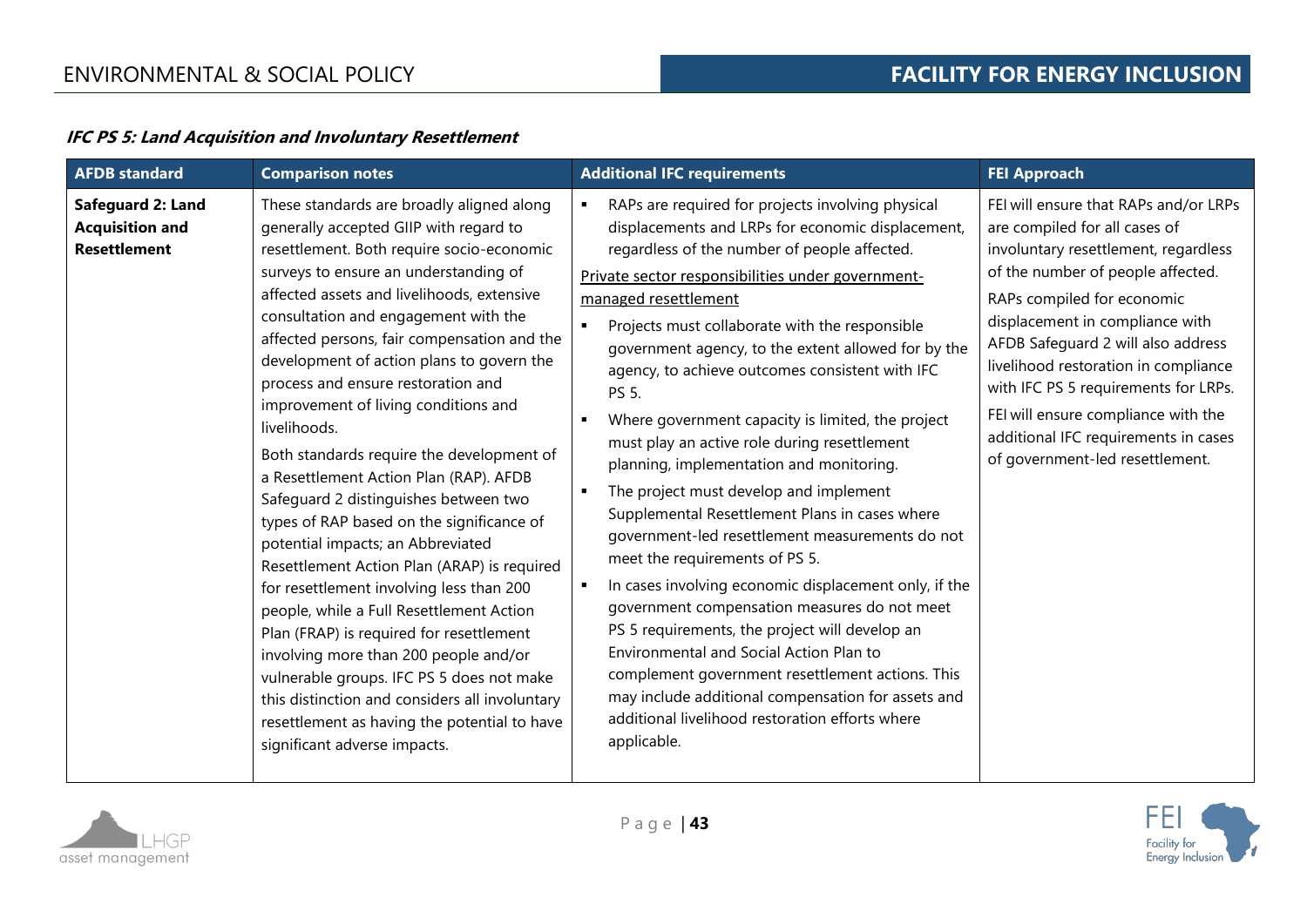### **IFC PS 5: Land Acquisition and Involuntary Resettlement**

| <b>AFDB</b> standard                                               | <b>Comparison notes</b>                                                                                                                                                                                                                                                                                                                                                                                                                                                                                                                                                                                                                                                                                                                                                                                                                                                                                                                                                                                                                                                                | <b>Additional IFC requirements</b>                                                                                                                                                                                                                                                                                                                                                                                                                                                                                                                                                                                                                                                                                                                                                                                                                                                                                                                                                                                                                                                                                                                               | <b>FEI Approach</b>                                                                                                                                                                                                                                                                                                                                                                                                                                          |
|--------------------------------------------------------------------|----------------------------------------------------------------------------------------------------------------------------------------------------------------------------------------------------------------------------------------------------------------------------------------------------------------------------------------------------------------------------------------------------------------------------------------------------------------------------------------------------------------------------------------------------------------------------------------------------------------------------------------------------------------------------------------------------------------------------------------------------------------------------------------------------------------------------------------------------------------------------------------------------------------------------------------------------------------------------------------------------------------------------------------------------------------------------------------|------------------------------------------------------------------------------------------------------------------------------------------------------------------------------------------------------------------------------------------------------------------------------------------------------------------------------------------------------------------------------------------------------------------------------------------------------------------------------------------------------------------------------------------------------------------------------------------------------------------------------------------------------------------------------------------------------------------------------------------------------------------------------------------------------------------------------------------------------------------------------------------------------------------------------------------------------------------------------------------------------------------------------------------------------------------------------------------------------------------------------------------------------------------|--------------------------------------------------------------------------------------------------------------------------------------------------------------------------------------------------------------------------------------------------------------------------------------------------------------------------------------------------------------------------------------------------------------------------------------------------------------|
| Safeguard 2: Land<br><b>Acquisition and</b><br><b>Resettlement</b> | These standards are broadly aligned along<br>generally accepted GIIP with regard to<br>resettlement. Both require socio-economic<br>surveys to ensure an understanding of<br>affected assets and livelihoods, extensive<br>consultation and engagement with the<br>affected persons, fair compensation and the<br>development of action plans to govern the<br>process and ensure restoration and<br>improvement of living conditions and<br>livelihoods.<br>Both standards require the development of<br>a Resettlement Action Plan (RAP). AFDB<br>Safeguard 2 distinguishes between two<br>types of RAP based on the significance of<br>potential impacts; an Abbreviated<br>Resettlement Action Plan (ARAP) is required<br>for resettlement involving less than 200<br>people, while a Full Resettlement Action<br>Plan (FRAP) is required for resettlement<br>involving more than 200 people and/or<br>vulnerable groups. IFC PS 5 does not make<br>this distinction and considers all involuntary<br>resettlement as having the potential to have<br>significant adverse impacts. | RAPs are required for projects involving physical<br>displacements and LRPs for economic displacement,<br>regardless of the number of people affected.<br>Private sector responsibilities under government-<br>managed resettlement<br>Projects must collaborate with the responsible<br>$\blacksquare$<br>government agency, to the extent allowed for by the<br>agency, to achieve outcomes consistent with IFC<br>PS 5.<br>Where government capacity is limited, the project<br>must play an active role during resettlement<br>planning, implementation and monitoring.<br>The project must develop and implement<br>$\blacksquare$<br>Supplemental Resettlement Plans in cases where<br>government-led resettlement measurements do not<br>meet the requirements of PS 5.<br>In cases involving economic displacement only, if the<br>government compensation measures do not meet<br>PS 5 requirements, the project will develop an<br>Environmental and Social Action Plan to<br>complement government resettlement actions. This<br>may include additional compensation for assets and<br>additional livelihood restoration efforts where<br>applicable. | FEI will ensure that RAPs and/or LRPs<br>are compiled for all cases of<br>involuntary resettlement, regardless<br>of the number of people affected.<br>RAPs compiled for economic<br>displacement in compliance with<br>AFDB Safeguard 2 will also address<br>livelihood restoration in compliance<br>with IFC PS 5 requirements for LRPs.<br>FEI will ensure compliance with the<br>additional IFC requirements in cases<br>of government-led resettlement. |

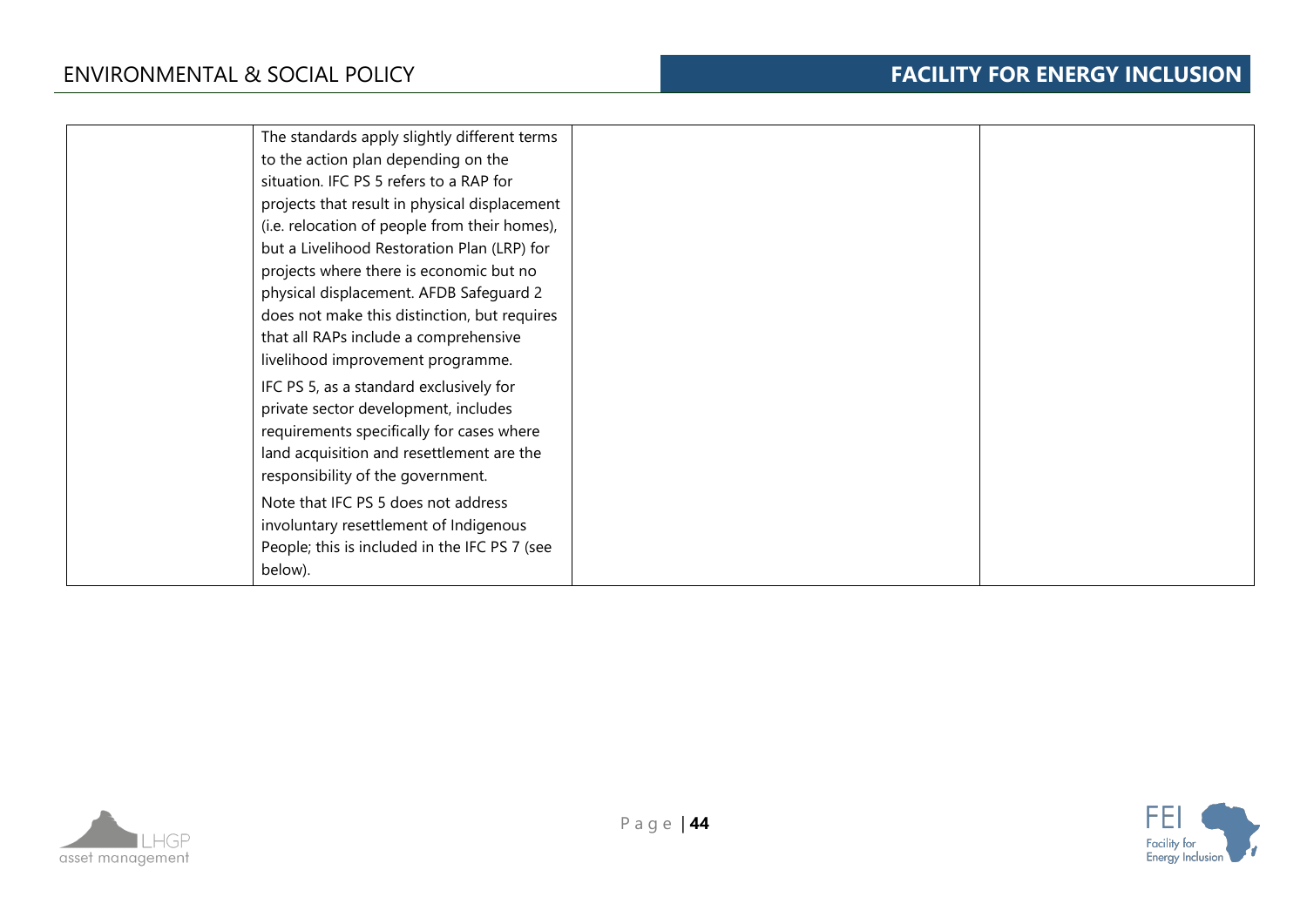| The standards apply slightly different terms<br>to the action plan depending on the |  |
|-------------------------------------------------------------------------------------|--|
| situation. IFC PS 5 refers to a RAP for                                             |  |
| projects that result in physical displacement                                       |  |
| (i.e. relocation of people from their homes),                                       |  |
| but a Livelihood Restoration Plan (LRP) for                                         |  |
| projects where there is economic but no                                             |  |
| physical displacement. AFDB Safeguard 2                                             |  |
| does not make this distinction, but requires                                        |  |
| that all RAPs include a comprehensive                                               |  |
| livelihood improvement programme.                                                   |  |
| IFC PS 5, as a standard exclusively for                                             |  |
| private sector development, includes                                                |  |
| requirements specifically for cases where                                           |  |
| land acquisition and resettlement are the                                           |  |
| responsibility of the government.                                                   |  |
| Note that IFC PS 5 does not address                                                 |  |
| involuntary resettlement of Indigenous                                              |  |
| People; this is included in the IFC PS 7 (see                                       |  |
| below).                                                                             |  |



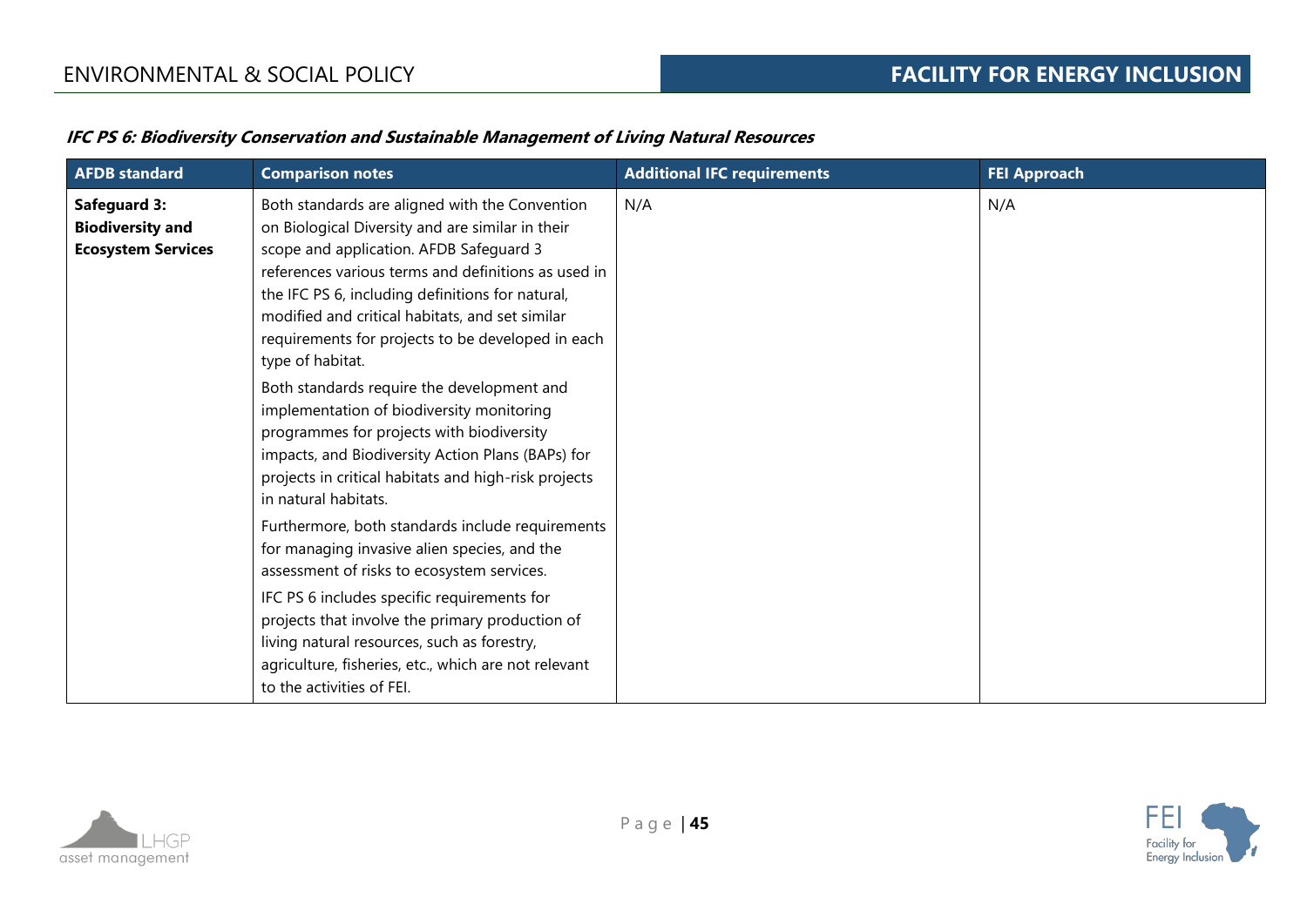| <b>AFDB</b> standard                                                        | <b>Comparison notes</b>                                                                                                                                                                                                                                                                                                                                                              | <b>Additional IFC requirements</b> | <b>FEI Approach</b> |
|-----------------------------------------------------------------------------|--------------------------------------------------------------------------------------------------------------------------------------------------------------------------------------------------------------------------------------------------------------------------------------------------------------------------------------------------------------------------------------|------------------------------------|---------------------|
| <b>Safeguard 3:</b><br><b>Biodiversity and</b><br><b>Ecosystem Services</b> | Both standards are aligned with the Convention<br>on Biological Diversity and are similar in their<br>scope and application. AFDB Safeguard 3<br>references various terms and definitions as used in<br>the IFC PS 6, including definitions for natural,<br>modified and critical habitats, and set similar<br>requirements for projects to be developed in each<br>type of habitat. | N/A                                | N/A                 |
|                                                                             | Both standards require the development and<br>implementation of biodiversity monitoring<br>programmes for projects with biodiversity<br>impacts, and Biodiversity Action Plans (BAPs) for<br>projects in critical habitats and high-risk projects<br>in natural habitats.                                                                                                            |                                    |                     |
|                                                                             | Furthermore, both standards include requirements<br>for managing invasive alien species, and the<br>assessment of risks to ecosystem services.<br>IFC PS 6 includes specific requirements for<br>projects that involve the primary production of<br>living natural resources, such as forestry,<br>agriculture, fisheries, etc., which are not relevant<br>to the activities of FEI. |                                    |                     |

# **IFC PS 6: Biodiversity Conservation and Sustainable Management of Living Natural Resources**



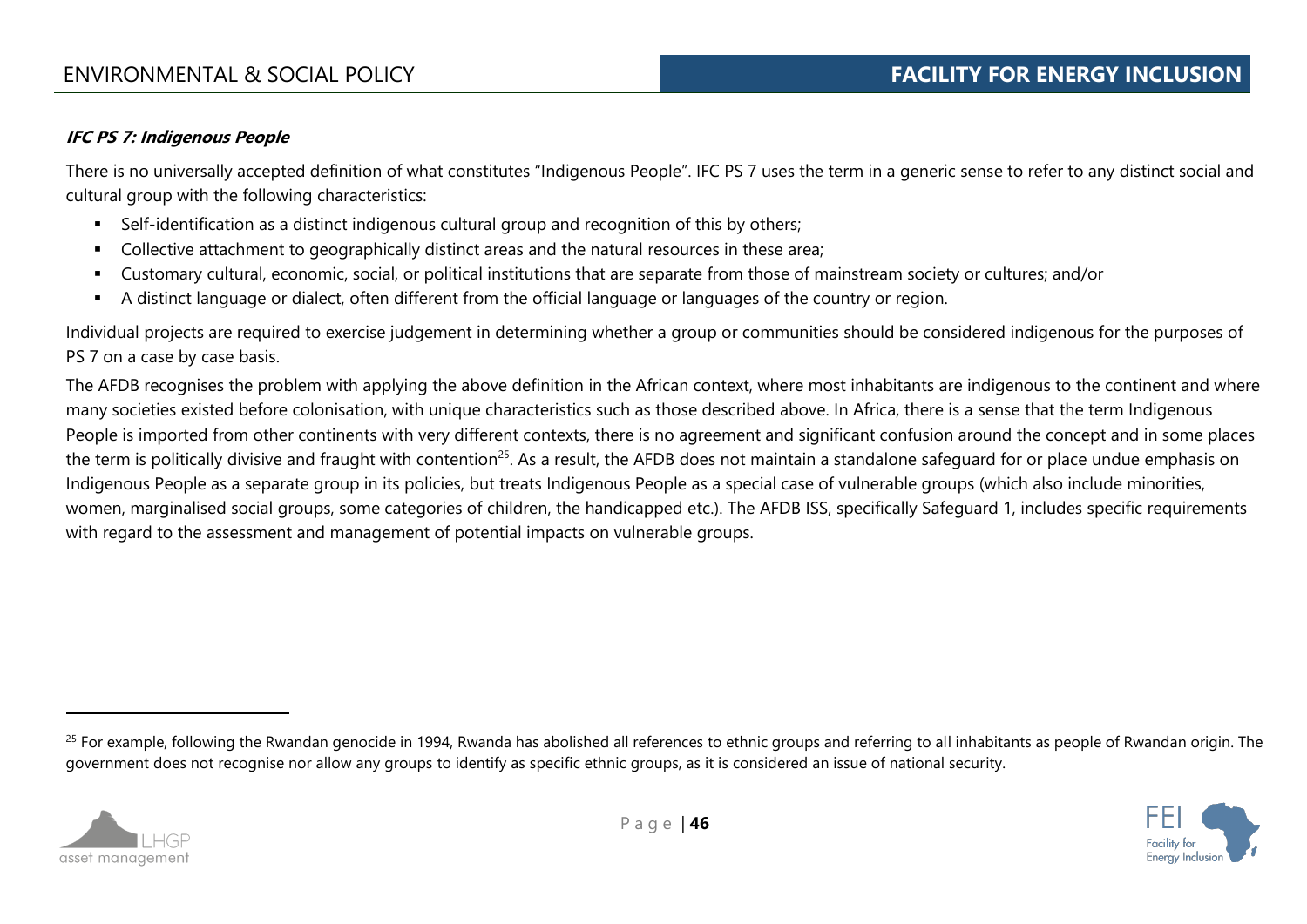# **IFC PS 7: Indigenous People**

There is no universally accepted definition of what constitutes "Indigenous People". IFC PS 7 uses the term in a generic sense to refer to any distinct social and cultural group with the following characteristics:

- Self-identification as a distinct indigenous cultural group and recognition of this by others;
- Collective attachment to geographically distinct areas and the natural resources in these area;
- Customary cultural, economic, social, or political institutions that are separate from those of mainstream society or cultures; and/or
- A distinct language or dialect, often different from the official language or languages of the country or region.

Individual projects are required to exercise judgement in determining whether a group or communities should be considered indigenous for the purposes of PS 7 on a case by case basis.

The AFDB recognises the problem with applying the above definition in the African context, where most inhabitants are indigenous to the continent and where many societies existed before colonisation, with unique characteristics such as those described above. In Africa, there is a sense that the term Indigenous People is imported from other continents with very different contexts, there is no agreement and significant confusion around the concept and in some places the term is politically divisive and fraught with contention<sup>25</sup>. As a result, the AFDB does not maintain a standalone safeguard for or place undue emphasis on Indigenous People as a separate group in its policies, but treats Indigenous People as a special case of vulnerable groups (which also include minorities, women, marginalised social groups, some categories of children, the handicapped etc.). The AFDB ISS, specifically Safeguard 1, includes specific requirements with regard to the assessment and management of potential impacts on vulnerable groups.

<sup>&</sup>lt;sup>25</sup> For example, following the Rwandan genocide in 1994, Rwanda has abolished all references to ethnic groups and referring to all inhabitants as people of Rwandan origin. The government does not recognise nor allow any groups to identify as specific ethnic groups, as it is considered an issue of national security.



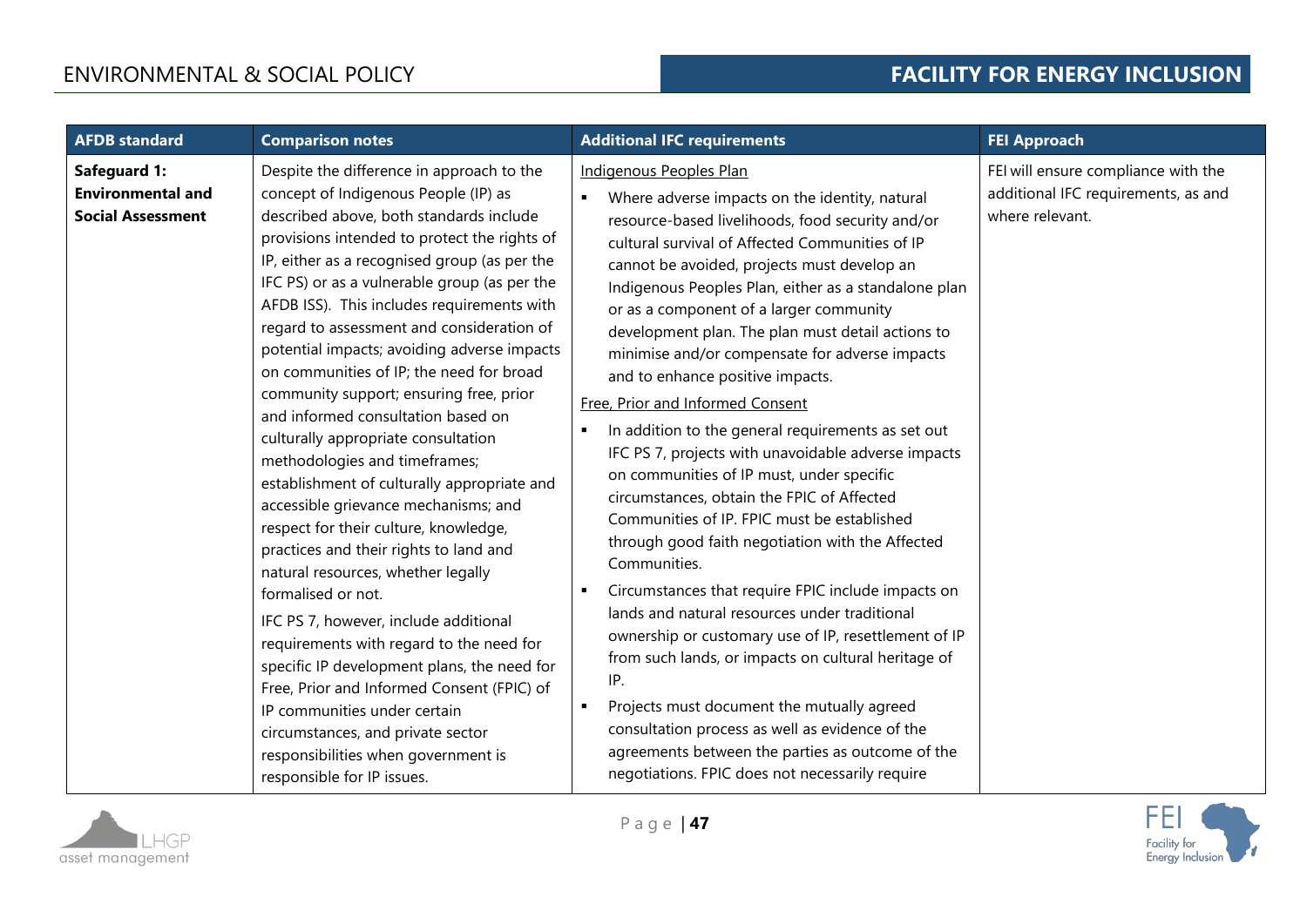| <b>AFDB</b> standard                                                 | <b>Comparison notes</b>                                                                                                                                                                                                                                                                                                                                                                                                                                                                                                                                                                                                                                                                                                                                                                                                                                                                                                                                                                                                                                                                                                                                                                       | <b>Additional IFC requirements</b>                                                                                                                                                                                                                                                                                                                                                                                                                                                                                                                                                                                                                                                                                                                                                                                                                                                                                                                                                                                                                                                                                                                                                                                                                                                                            | <b>FEI Approach</b>                                                                           |
|----------------------------------------------------------------------|-----------------------------------------------------------------------------------------------------------------------------------------------------------------------------------------------------------------------------------------------------------------------------------------------------------------------------------------------------------------------------------------------------------------------------------------------------------------------------------------------------------------------------------------------------------------------------------------------------------------------------------------------------------------------------------------------------------------------------------------------------------------------------------------------------------------------------------------------------------------------------------------------------------------------------------------------------------------------------------------------------------------------------------------------------------------------------------------------------------------------------------------------------------------------------------------------|---------------------------------------------------------------------------------------------------------------------------------------------------------------------------------------------------------------------------------------------------------------------------------------------------------------------------------------------------------------------------------------------------------------------------------------------------------------------------------------------------------------------------------------------------------------------------------------------------------------------------------------------------------------------------------------------------------------------------------------------------------------------------------------------------------------------------------------------------------------------------------------------------------------------------------------------------------------------------------------------------------------------------------------------------------------------------------------------------------------------------------------------------------------------------------------------------------------------------------------------------------------------------------------------------------------|-----------------------------------------------------------------------------------------------|
| Safeguard 1:<br><b>Environmental and</b><br><b>Social Assessment</b> | Despite the difference in approach to the<br>concept of Indigenous People (IP) as<br>described above, both standards include<br>provisions intended to protect the rights of<br>IP, either as a recognised group (as per the<br>IFC PS) or as a vulnerable group (as per the<br>AFDB ISS). This includes requirements with<br>regard to assessment and consideration of<br>potential impacts; avoiding adverse impacts<br>on communities of IP; the need for broad<br>community support; ensuring free, prior<br>and informed consultation based on<br>culturally appropriate consultation<br>methodologies and timeframes;<br>establishment of culturally appropriate and<br>accessible grievance mechanisms; and<br>respect for their culture, knowledge,<br>practices and their rights to land and<br>natural resources, whether legally<br>formalised or not.<br>IFC PS 7, however, include additional<br>requirements with regard to the need for<br>specific IP development plans, the need for<br>Free, Prior and Informed Consent (FPIC) of<br>IP communities under certain<br>circumstances, and private sector<br>responsibilities when government is<br>responsible for IP issues. | Indigenous Peoples Plan<br>$\blacksquare$<br>Where adverse impacts on the identity, natural<br>resource-based livelihoods, food security and/or<br>cultural survival of Affected Communities of IP<br>cannot be avoided, projects must develop an<br>Indigenous Peoples Plan, either as a standalone plan<br>or as a component of a larger community<br>development plan. The plan must detail actions to<br>minimise and/or compensate for adverse impacts<br>and to enhance positive impacts.<br>Free, Prior and Informed Consent<br>In addition to the general requirements as set out<br>IFC PS 7, projects with unavoidable adverse impacts<br>on communities of IP must, under specific<br>circumstances, obtain the FPIC of Affected<br>Communities of IP. FPIC must be established<br>through good faith negotiation with the Affected<br>Communities.<br>Circumstances that require FPIC include impacts on<br>٠<br>lands and natural resources under traditional<br>ownership or customary use of IP, resettlement of IP<br>from such lands, or impacts on cultural heritage of<br>IP.<br>Projects must document the mutually agreed<br>п<br>consultation process as well as evidence of the<br>agreements between the parties as outcome of the<br>negotiations. FPIC does not necessarily require | FEI will ensure compliance with the<br>additional IFC requirements, as and<br>where relevant. |

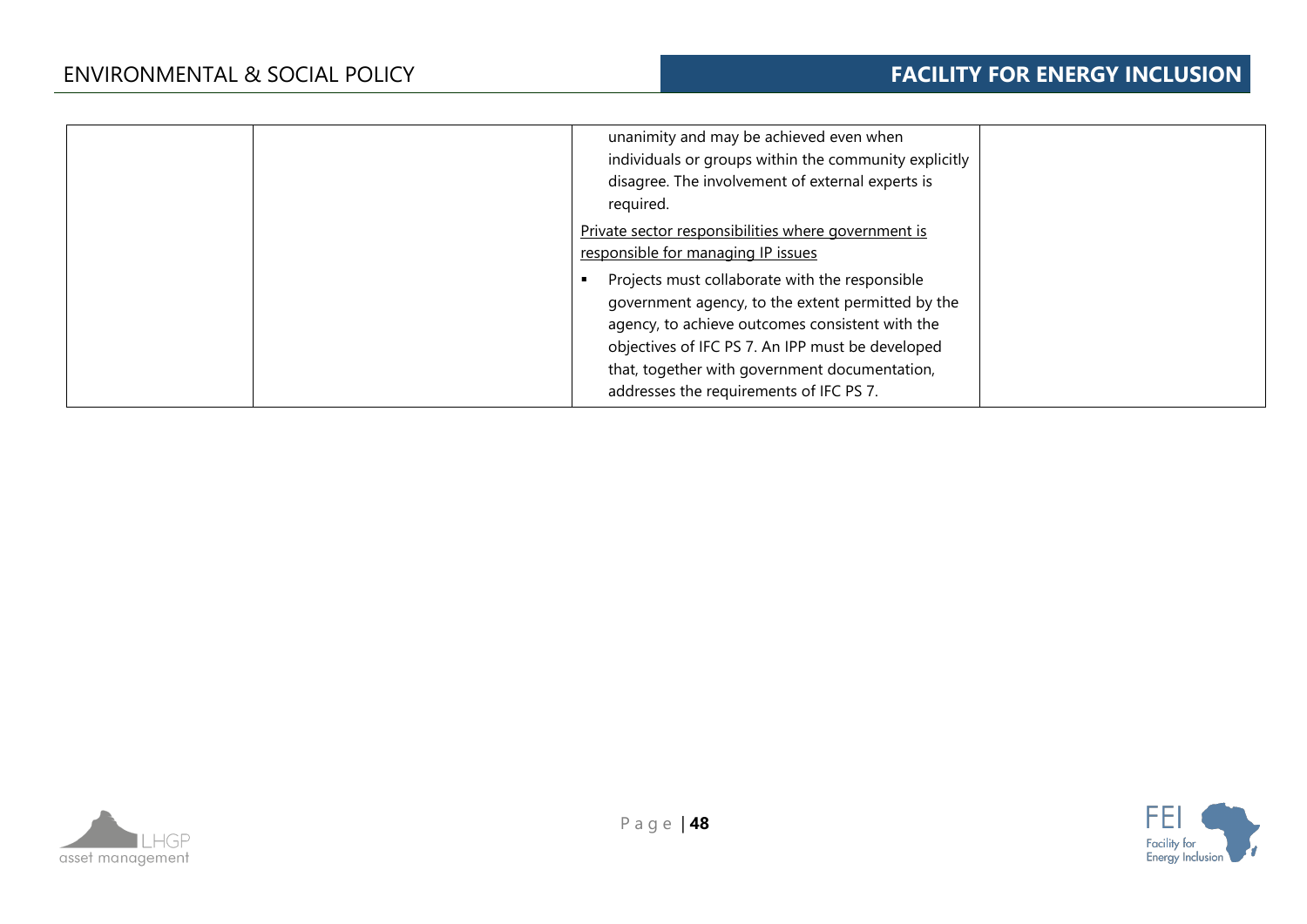| unanimity and may be achieved even when<br>individuals or groups within the community explicitly<br>disagree. The involvement of external experts is<br>required.                                                                                                                                                                                        |  |
|----------------------------------------------------------------------------------------------------------------------------------------------------------------------------------------------------------------------------------------------------------------------------------------------------------------------------------------------------------|--|
| Private sector responsibilities where government is<br>responsible for managing IP issues<br>Projects must collaborate with the responsible<br>government agency, to the extent permitted by the<br>agency, to achieve outcomes consistent with the<br>objectives of IFC PS 7. An IPP must be developed<br>that, together with government documentation, |  |
| addresses the requirements of IFC PS 7.                                                                                                                                                                                                                                                                                                                  |  |



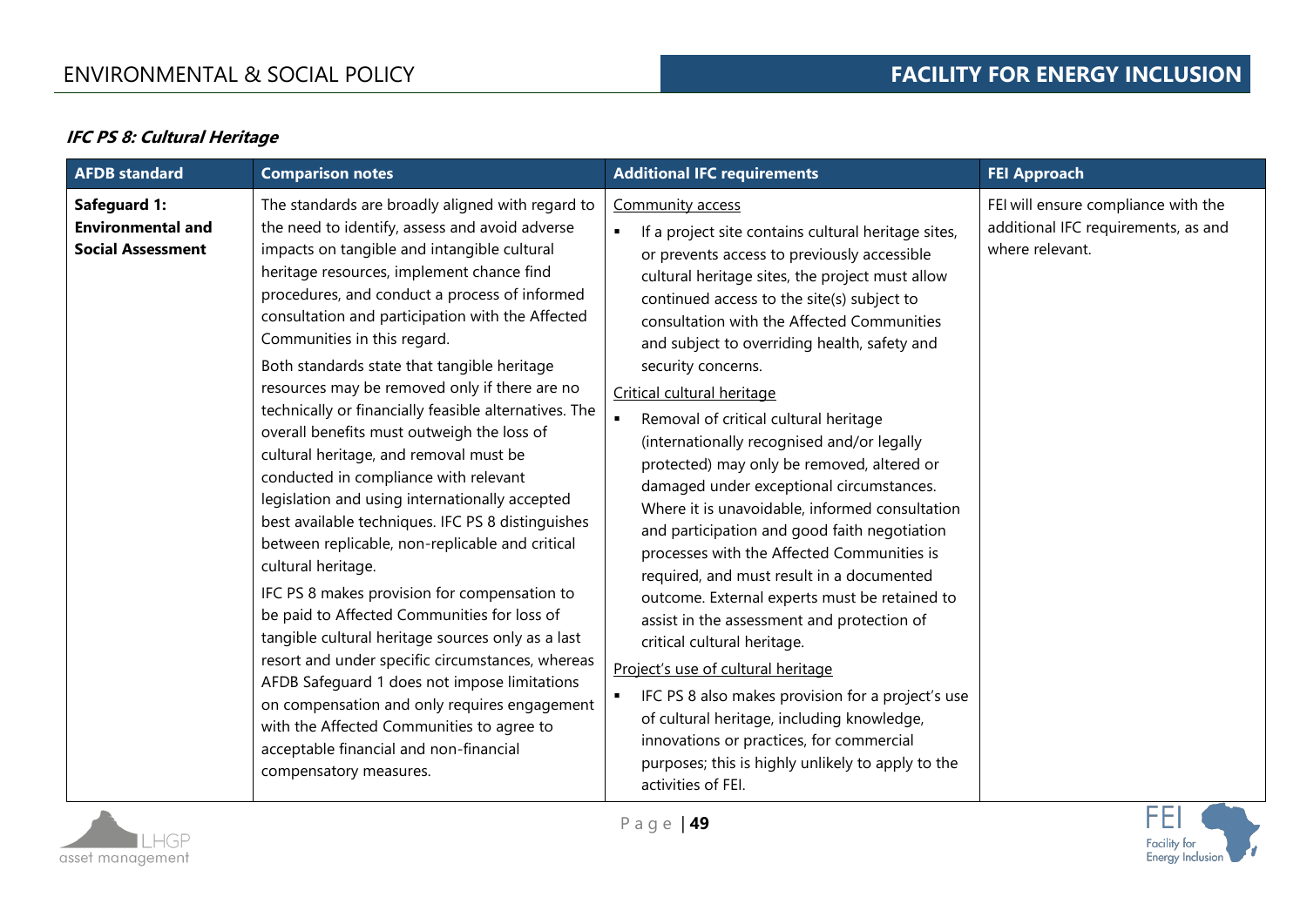# **IFC PS 8: Cultural Heritage**

| <b>AFDB</b> standard                                                        | <b>Comparison notes</b>                                                                                                                                                                                                                                                                                                                                                                                                                                                                                                                                                                                                                                                                                                                                                                                                                                                                                                                                                                                                                                                                                                                                                                                                               | <b>Additional IFC requirements</b>                                                                                                                                                                                                                                                                                                                                                                                                                                                                                                                                                                                                                                                                                                                                                                                                                                                                                                                                                                                                                                                                                                                                      | <b>FEI Approach</b>                                                                           |
|-----------------------------------------------------------------------------|---------------------------------------------------------------------------------------------------------------------------------------------------------------------------------------------------------------------------------------------------------------------------------------------------------------------------------------------------------------------------------------------------------------------------------------------------------------------------------------------------------------------------------------------------------------------------------------------------------------------------------------------------------------------------------------------------------------------------------------------------------------------------------------------------------------------------------------------------------------------------------------------------------------------------------------------------------------------------------------------------------------------------------------------------------------------------------------------------------------------------------------------------------------------------------------------------------------------------------------|-------------------------------------------------------------------------------------------------------------------------------------------------------------------------------------------------------------------------------------------------------------------------------------------------------------------------------------------------------------------------------------------------------------------------------------------------------------------------------------------------------------------------------------------------------------------------------------------------------------------------------------------------------------------------------------------------------------------------------------------------------------------------------------------------------------------------------------------------------------------------------------------------------------------------------------------------------------------------------------------------------------------------------------------------------------------------------------------------------------------------------------------------------------------------|-----------------------------------------------------------------------------------------------|
| <b>Safeguard 1:</b><br><b>Environmental and</b><br><b>Social Assessment</b> | The standards are broadly aligned with regard to<br>the need to identify, assess and avoid adverse<br>impacts on tangible and intangible cultural<br>heritage resources, implement chance find<br>procedures, and conduct a process of informed<br>consultation and participation with the Affected<br>Communities in this regard.<br>Both standards state that tangible heritage<br>resources may be removed only if there are no<br>technically or financially feasible alternatives. The<br>overall benefits must outweigh the loss of<br>cultural heritage, and removal must be<br>conducted in compliance with relevant<br>legislation and using internationally accepted<br>best available techniques. IFC PS 8 distinguishes<br>between replicable, non-replicable and critical<br>cultural heritage.<br>IFC PS 8 makes provision for compensation to<br>be paid to Affected Communities for loss of<br>tangible cultural heritage sources only as a last<br>resort and under specific circumstances, whereas<br>AFDB Safeguard 1 does not impose limitations<br>on compensation and only requires engagement<br>with the Affected Communities to agree to<br>acceptable financial and non-financial<br>compensatory measures. | Community access<br>If a project site contains cultural heritage sites,<br>or prevents access to previously accessible<br>cultural heritage sites, the project must allow<br>continued access to the site(s) subject to<br>consultation with the Affected Communities<br>and subject to overriding health, safety and<br>security concerns.<br>Critical cultural heritage<br>Removal of critical cultural heritage<br>(internationally recognised and/or legally<br>protected) may only be removed, altered or<br>damaged under exceptional circumstances.<br>Where it is unavoidable, informed consultation<br>and participation and good faith negotiation<br>processes with the Affected Communities is<br>required, and must result in a documented<br>outcome. External experts must be retained to<br>assist in the assessment and protection of<br>critical cultural heritage.<br>Project's use of cultural heritage<br>IFC PS 8 also makes provision for a project's use<br>$\blacksquare$<br>of cultural heritage, including knowledge,<br>innovations or practices, for commercial<br>purposes; this is highly unlikely to apply to the<br>activities of FEI. | FEI will ensure compliance with the<br>additional IFC requirements, as and<br>where relevant. |

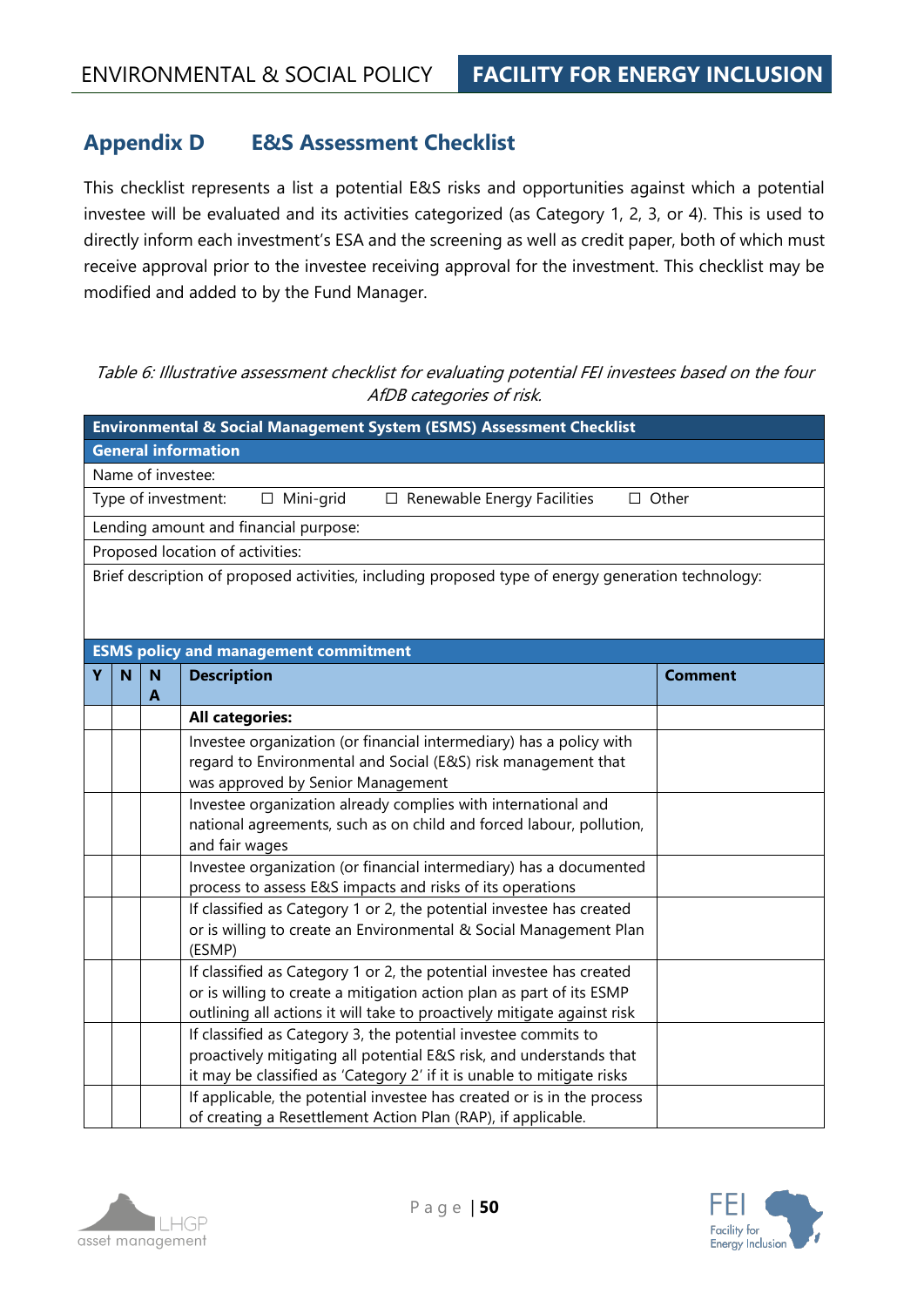# **Appendix D E&S Assessment Checklist**

This checklist represents a list a potential E&S risks and opportunities against which a potential investee will be evaluated and its activities categorized (as Category 1, 2, 3, or 4). This is used to directly inform each investment's ESA and the screening as well as credit paper, both of which must receive approval prior to the investee receiving approval for the investment. This checklist may be modified and added to by the Fund Manager.

# Table 6: Illustrative assessment checklist for evaluating potential FEI investees based on the four AfDB categories of risk.

|                                                                                                                                           | Environmental & Social Management System (ESMS) Assessment Checklist                               |                   |                                                                                                    |                |  |
|-------------------------------------------------------------------------------------------------------------------------------------------|----------------------------------------------------------------------------------------------------|-------------------|----------------------------------------------------------------------------------------------------|----------------|--|
|                                                                                                                                           |                                                                                                    |                   | <b>General information</b>                                                                         |                |  |
|                                                                                                                                           |                                                                                                    | Name of investee: |                                                                                                    |                |  |
|                                                                                                                                           |                                                                                                    |                   | Type of investment:<br>$\Box$ Mini-grid<br>$\Box$ Renewable Energy Facilities                      | $\Box$ Other   |  |
|                                                                                                                                           |                                                                                                    |                   | Lending amount and financial purpose:                                                              |                |  |
|                                                                                                                                           |                                                                                                    |                   | Proposed location of activities:                                                                   |                |  |
|                                                                                                                                           |                                                                                                    |                   | Brief description of proposed activities, including proposed type of energy generation technology: |                |  |
|                                                                                                                                           |                                                                                                    |                   | <b>ESMS policy and management commitment</b>                                                       |                |  |
| Υ                                                                                                                                         | N                                                                                                  | N                 | <b>Description</b>                                                                                 | <b>Comment</b> |  |
| A<br><b>All categories:</b>                                                                                                               |                                                                                                    |                   |                                                                                                    |                |  |
| Investee organization (or financial intermediary) has a policy with                                                                       |                                                                                                    |                   |                                                                                                    |                |  |
|                                                                                                                                           | regard to Environmental and Social (E&S) risk management that<br>was approved by Senior Management |                   |                                                                                                    |                |  |
| Investee organization already complies with international and<br>national agreements, such as on child and forced labour, pollution,      |                                                                                                    |                   |                                                                                                    |                |  |
| and fair wages                                                                                                                            |                                                                                                    |                   |                                                                                                    |                |  |
| Investee organization (or financial intermediary) has a documented<br>process to assess E&S impacts and risks of its operations           |                                                                                                    |                   |                                                                                                    |                |  |
| If classified as Category 1 or 2, the potential investee has created                                                                      |                                                                                                    |                   |                                                                                                    |                |  |
| or is willing to create an Environmental & Social Management Plan                                                                         |                                                                                                    |                   |                                                                                                    |                |  |
| (ESMP)                                                                                                                                    |                                                                                                    |                   |                                                                                                    |                |  |
| If classified as Category 1 or 2, the potential investee has created                                                                      |                                                                                                    |                   |                                                                                                    |                |  |
|                                                                                                                                           | or is willing to create a mitigation action plan as part of its ESMP                               |                   |                                                                                                    |                |  |
| outlining all actions it will take to proactively mitigate against risk<br>If classified as Category 3, the potential investee commits to |                                                                                                    |                   |                                                                                                    |                |  |
|                                                                                                                                           |                                                                                                    |                   | proactively mitigating all potential E&S risk, and understands that                                |                |  |
|                                                                                                                                           |                                                                                                    |                   | it may be classified as 'Category 2' if it is unable to mitigate risks                             |                |  |
|                                                                                                                                           |                                                                                                    |                   | If applicable, the potential investee has created or is in the process                             |                |  |
|                                                                                                                                           |                                                                                                    |                   | of creating a Resettlement Action Plan (RAP), if applicable.                                       |                |  |



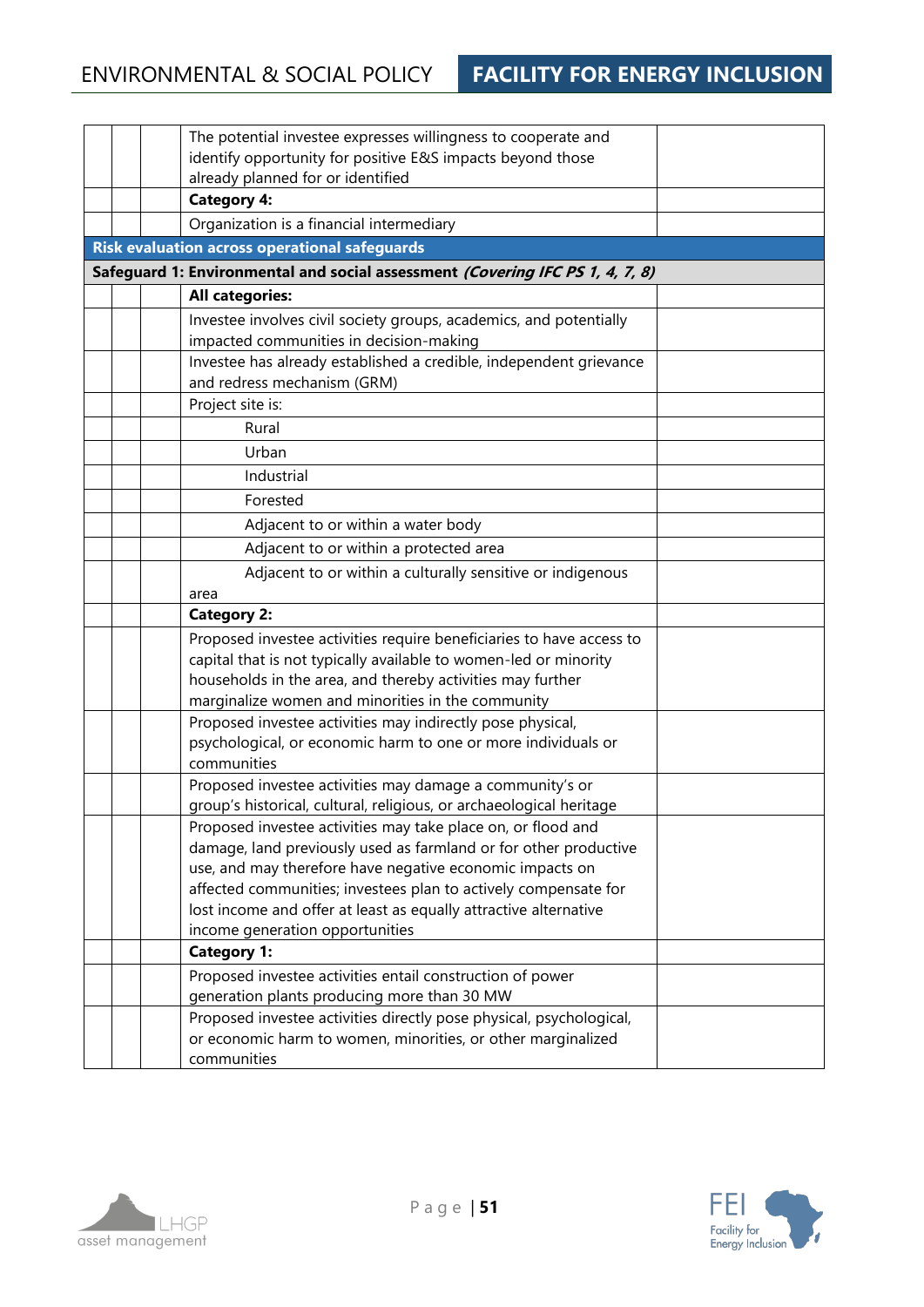|  | The potential investee expresses willingness to cooperate and<br>identify opportunity for positive E&S impacts beyond those |
|--|-----------------------------------------------------------------------------------------------------------------------------|
|  | already planned for or identified                                                                                           |
|  | <b>Category 4:</b>                                                                                                          |
|  | Organization is a financial intermediary                                                                                    |
|  | <b>Risk evaluation across operational safeguards</b>                                                                        |
|  | Safeguard 1: Environmental and social assessment (Covering IFC PS 1, 4, 7, 8)                                               |
|  | <b>All categories:</b>                                                                                                      |
|  | Investee involves civil society groups, academics, and potentially                                                          |
|  | impacted communities in decision-making                                                                                     |
|  | Investee has already established a credible, independent grievance<br>and redress mechanism (GRM)                           |
|  | Project site is:                                                                                                            |
|  | Rural                                                                                                                       |
|  | Urban                                                                                                                       |
|  | Industrial                                                                                                                  |
|  | Forested                                                                                                                    |
|  | Adjacent to or within a water body                                                                                          |
|  | Adjacent to or within a protected area                                                                                      |
|  | Adjacent to or within a culturally sensitive or indigenous                                                                  |
|  | area                                                                                                                        |
|  | <b>Category 2:</b>                                                                                                          |
|  | Proposed investee activities require beneficiaries to have access to                                                        |
|  | capital that is not typically available to women-led or minority                                                            |
|  | households in the area, and thereby activities may further                                                                  |
|  | marginalize women and minorities in the community                                                                           |
|  | Proposed investee activities may indirectly pose physical,<br>psychological, or economic harm to one or more individuals or |
|  | communities                                                                                                                 |
|  | Proposed investee activities may damage a community's or                                                                    |
|  | group's historical, cultural, religious, or archaeological heritage                                                         |
|  | Proposed investee activities may take place on, or flood and                                                                |
|  | damage, land previously used as farmland or for other productive                                                            |
|  | use, and may therefore have negative economic impacts on                                                                    |
|  | affected communities; investees plan to actively compensate for                                                             |
|  | lost income and offer at least as equally attractive alternative                                                            |
|  | income generation opportunities<br><b>Category 1:</b>                                                                       |
|  | Proposed investee activities entail construction of power                                                                   |
|  | generation plants producing more than 30 MW                                                                                 |
|  | Proposed investee activities directly pose physical, psychological,                                                         |
|  | or economic harm to women, minorities, or other marginalized                                                                |
|  | communities                                                                                                                 |



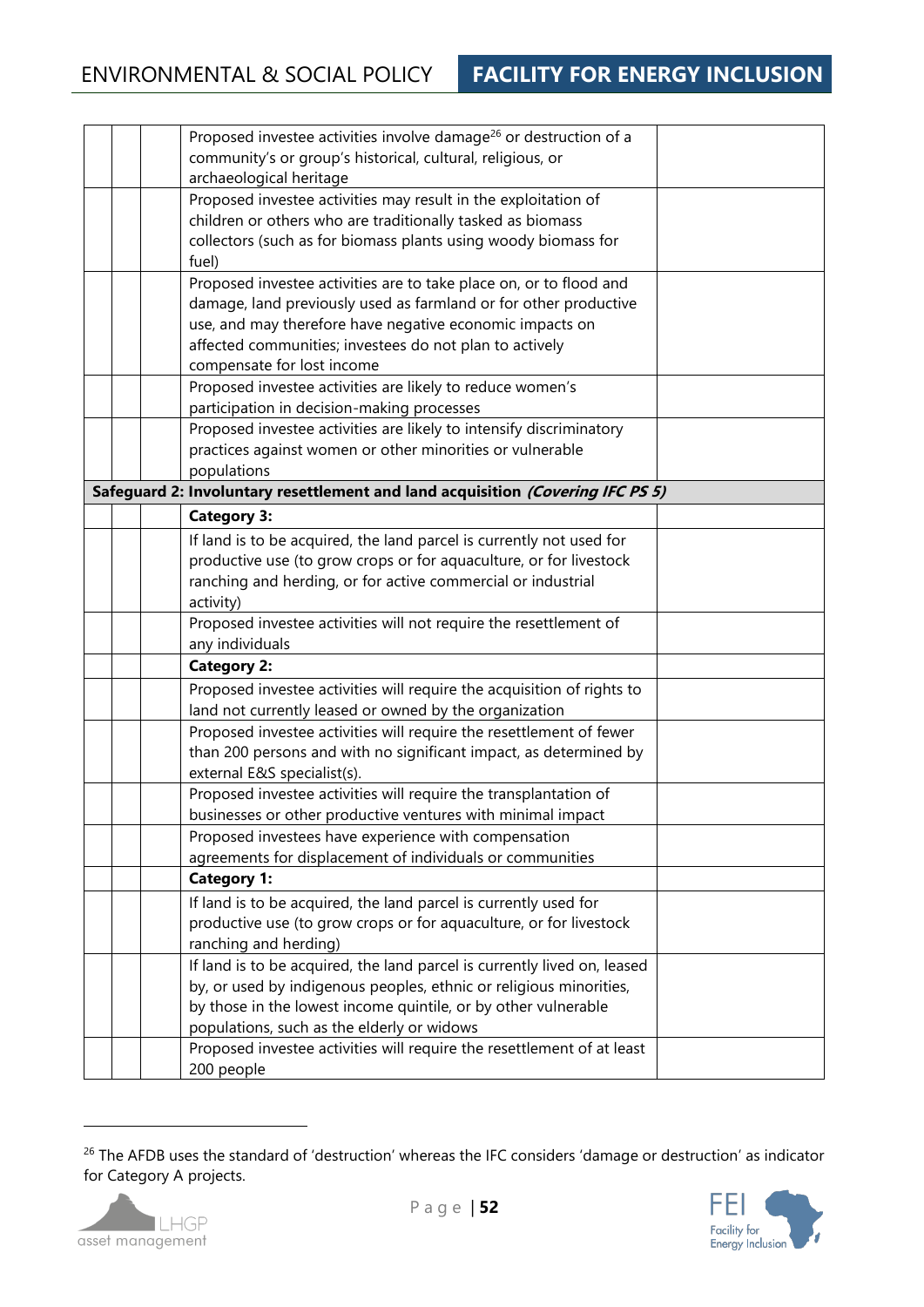|  | Proposed investee activities involve damage <sup>26</sup> or destruction of a                 |  |
|--|-----------------------------------------------------------------------------------------------|--|
|  | community's or group's historical, cultural, religious, or                                    |  |
|  | archaeological heritage                                                                       |  |
|  | Proposed investee activities may result in the exploitation of                                |  |
|  | children or others who are traditionally tasked as biomass                                    |  |
|  | collectors (such as for biomass plants using woody biomass for<br>fuel)                       |  |
|  | Proposed investee activities are to take place on, or to flood and                            |  |
|  | damage, land previously used as farmland or for other productive                              |  |
|  | use, and may therefore have negative economic impacts on                                      |  |
|  | affected communities; investees do not plan to actively                                       |  |
|  | compensate for lost income                                                                    |  |
|  | Proposed investee activities are likely to reduce women's                                     |  |
|  | participation in decision-making processes                                                    |  |
|  | Proposed investee activities are likely to intensify discriminatory                           |  |
|  | practices against women or other minorities or vulnerable                                     |  |
|  | populations<br>Safeguard 2: Involuntary resettlement and land acquisition (Covering IFC PS 5) |  |
|  |                                                                                               |  |
|  | <b>Category 3:</b>                                                                            |  |
|  | If land is to be acquired, the land parcel is currently not used for                          |  |
|  | productive use (to grow crops or for aquaculture, or for livestock                            |  |
|  | ranching and herding, or for active commercial or industrial                                  |  |
|  | activity)<br>Proposed investee activities will not require the resettlement of                |  |
|  | any individuals                                                                               |  |
|  | <b>Category 2:</b>                                                                            |  |
|  | Proposed investee activities will require the acquisition of rights to                        |  |
|  | land not currently leased or owned by the organization                                        |  |
|  | Proposed investee activities will require the resettlement of fewer                           |  |
|  | than 200 persons and with no significant impact, as determined by                             |  |
|  | external E&S specialist(s).                                                                   |  |
|  | Proposed investee activities will require the transplantation of                              |  |
|  | businesses or other productive ventures with minimal impact                                   |  |
|  | Proposed investees have experience with compensation                                          |  |
|  | agreements for displacement of individuals or communities                                     |  |
|  | <b>Category 1:</b>                                                                            |  |
|  | If land is to be acquired, the land parcel is currently used for                              |  |
|  | productive use (to grow crops or for aquaculture, or for livestock                            |  |
|  | ranching and herding)                                                                         |  |
|  | If land is to be acquired, the land parcel is currently lived on, leased                      |  |
|  | by, or used by indigenous peoples, ethnic or religious minorities,                            |  |
|  | by those in the lowest income quintile, or by other vulnerable                                |  |
|  | populations, such as the elderly or widows                                                    |  |
|  | Proposed investee activities will require the resettlement of at least                        |  |
|  | 200 people                                                                                    |  |

<sup>&</sup>lt;sup>26</sup> The AFDB uses the standard of 'destruction' whereas the IFC considers 'damage or destruction' as indicator for Category A projects.



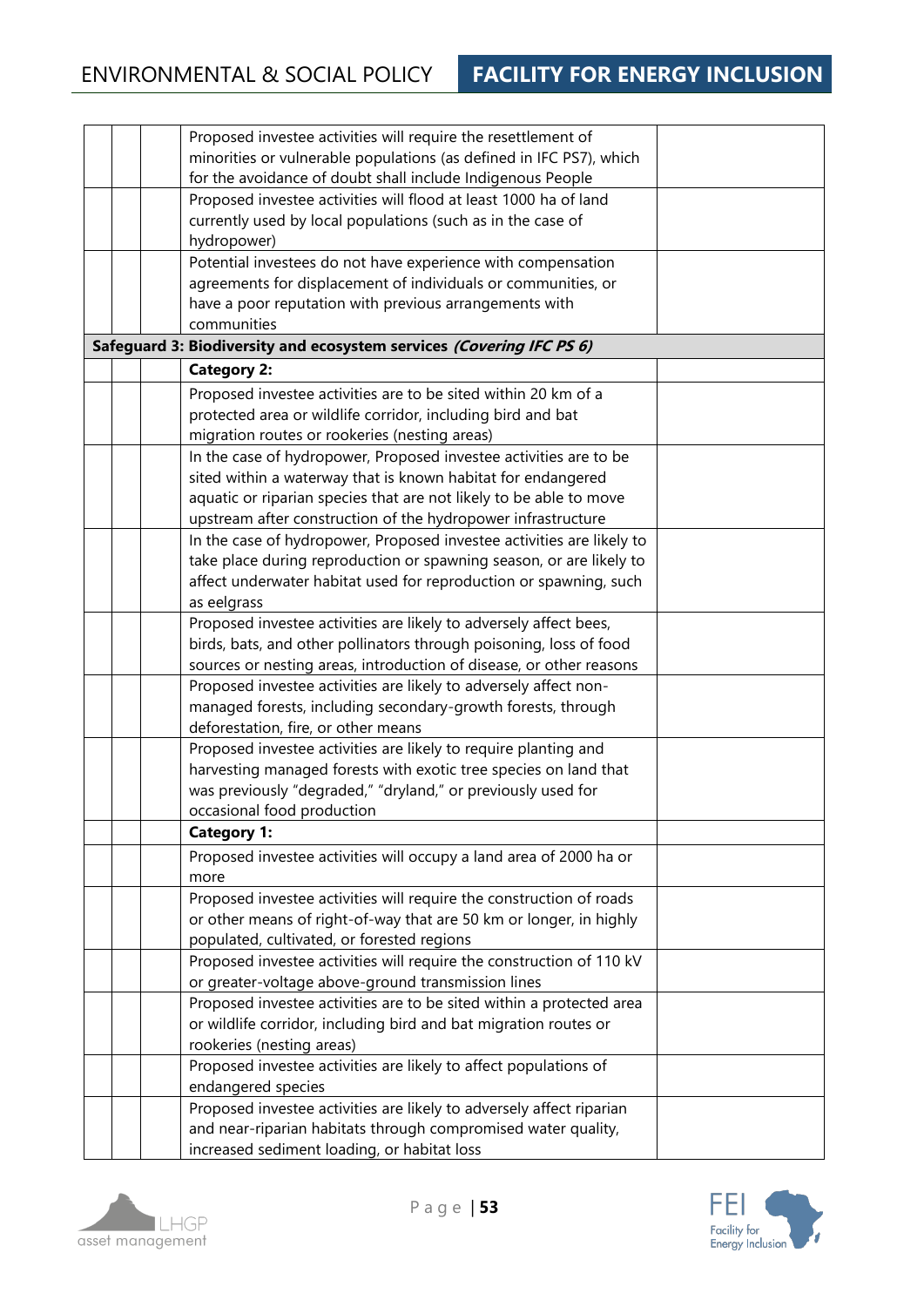|  | Proposed investee activities will require the resettlement of         |  |
|--|-----------------------------------------------------------------------|--|
|  | minorities or vulnerable populations (as defined in IFC PS7), which   |  |
|  | for the avoidance of doubt shall include Indigenous People            |  |
|  | Proposed investee activities will flood at least 1000 ha of land      |  |
|  | currently used by local populations (such as in the case of           |  |
|  | hydropower)                                                           |  |
|  | Potential investees do not have experience with compensation          |  |
|  | agreements for displacement of individuals or communities, or         |  |
|  | have a poor reputation with previous arrangements with                |  |
|  | communities                                                           |  |
|  | Safeguard 3: Biodiversity and ecosystem services (Covering IFC PS 6)  |  |
|  | <b>Category 2:</b>                                                    |  |
|  | Proposed investee activities are to be sited within 20 km of a        |  |
|  | protected area or wildlife corridor, including bird and bat           |  |
|  | migration routes or rookeries (nesting areas)                         |  |
|  | In the case of hydropower, Proposed investee activities are to be     |  |
|  | sited within a waterway that is known habitat for endangered          |  |
|  | aquatic or riparian species that are not likely to be able to move    |  |
|  | upstream after construction of the hydropower infrastructure          |  |
|  | In the case of hydropower, Proposed investee activities are likely to |  |
|  | take place during reproduction or spawning season, or are likely to   |  |
|  | affect underwater habitat used for reproduction or spawning, such     |  |
|  | as eelgrass                                                           |  |
|  | Proposed investee activities are likely to adversely affect bees,     |  |
|  | birds, bats, and other pollinators through poisoning, loss of food    |  |
|  | sources or nesting areas, introduction of disease, or other reasons   |  |
|  | Proposed investee activities are likely to adversely affect non-      |  |
|  | managed forests, including secondary-growth forests, through          |  |
|  | deforestation, fire, or other means                                   |  |
|  | Proposed investee activities are likely to require planting and       |  |
|  | harvesting managed forests with exotic tree species on land that      |  |
|  | was previously "degraded," "dryland," or previously used for          |  |
|  | occasional food production                                            |  |
|  | <b>Category 1:</b>                                                    |  |
|  | Proposed investee activities will occupy a land area of 2000 ha or    |  |
|  | more                                                                  |  |
|  | Proposed investee activities will require the construction of roads   |  |
|  | or other means of right-of-way that are 50 km or longer, in highly    |  |
|  | populated, cultivated, or forested regions                            |  |
|  | Proposed investee activities will require the construction of 110 kV  |  |
|  | or greater-voltage above-ground transmission lines                    |  |
|  | Proposed investee activities are to be sited within a protected area  |  |
|  | or wildlife corridor, including bird and bat migration routes or      |  |
|  | rookeries (nesting areas)                                             |  |
|  | Proposed investee activities are likely to affect populations of      |  |
|  | endangered species                                                    |  |
|  | Proposed investee activities are likely to adversely affect riparian  |  |
|  | and near-riparian habitats through compromised water quality,         |  |
|  | increased sediment loading, or habitat loss                           |  |



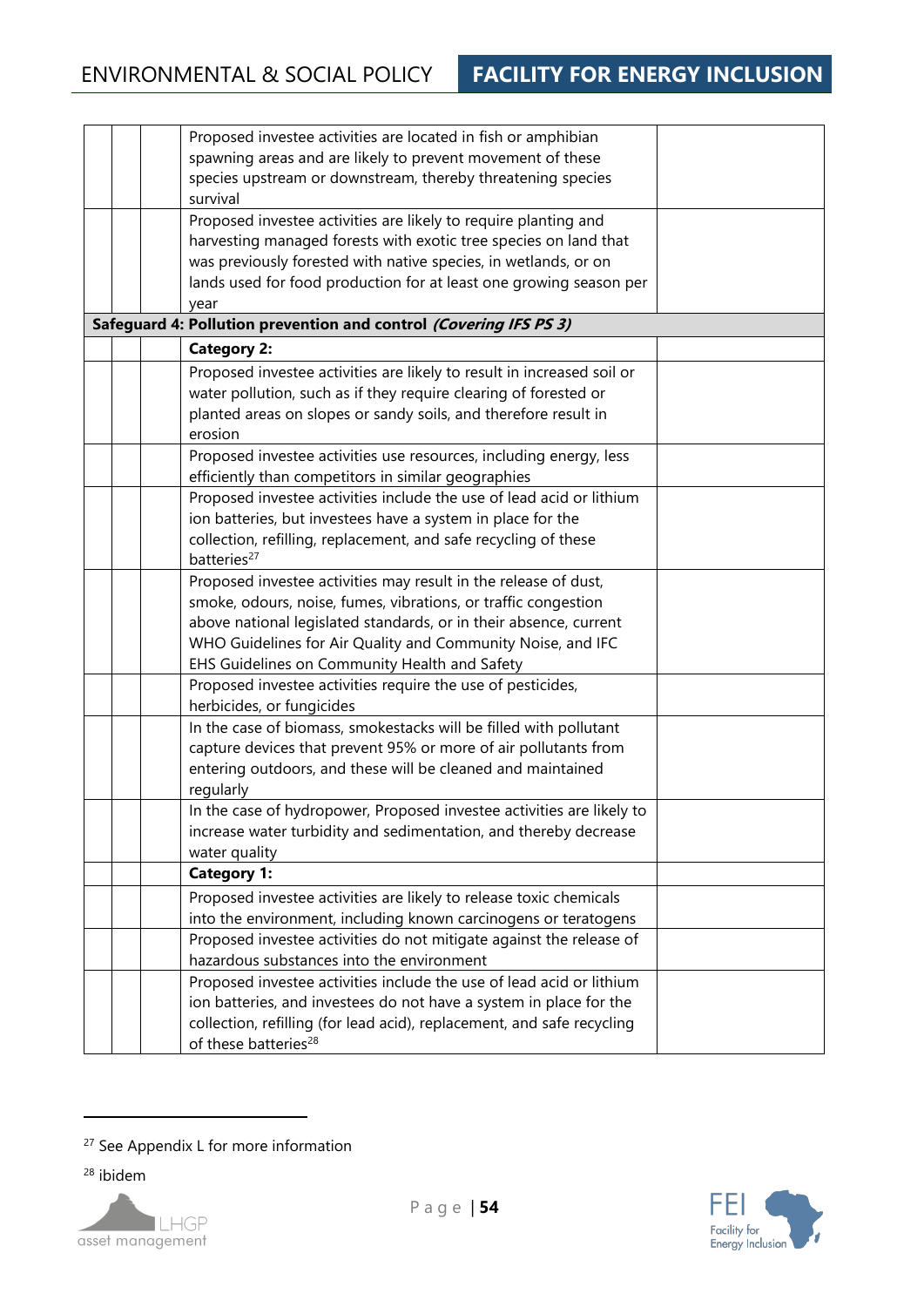| Proposed investee activities are located in fish or amphibian          |  |
|------------------------------------------------------------------------|--|
| spawning areas and are likely to prevent movement of these             |  |
| species upstream or downstream, thereby threatening species            |  |
| survival                                                               |  |
| Proposed investee activities are likely to require planting and        |  |
| harvesting managed forests with exotic tree species on land that       |  |
| was previously forested with native species, in wetlands, or on        |  |
| lands used for food production for at least one growing season per     |  |
| year                                                                   |  |
| Safeguard 4: Pollution prevention and control (Covering IFS PS 3)      |  |
| <b>Category 2:</b>                                                     |  |
| Proposed investee activities are likely to result in increased soil or |  |
| water pollution, such as if they require clearing of forested or       |  |
| planted areas on slopes or sandy soils, and therefore result in        |  |
| erosion                                                                |  |
| Proposed investee activities use resources, including energy, less     |  |
| efficiently than competitors in similar geographies                    |  |
| Proposed investee activities include the use of lead acid or lithium   |  |
| ion batteries, but investees have a system in place for the            |  |
| collection, refilling, replacement, and safe recycling of these        |  |
| batteries <sup>27</sup>                                                |  |
| Proposed investee activities may result in the release of dust,        |  |
| smoke, odours, noise, fumes, vibrations, or traffic congestion         |  |
| above national legislated standards, or in their absence, current      |  |
| WHO Guidelines for Air Quality and Community Noise, and IFC            |  |
| EHS Guidelines on Community Health and Safety                          |  |
| Proposed investee activities require the use of pesticides,            |  |
| herbicides, or fungicides                                              |  |
| In the case of biomass, smokestacks will be filled with pollutant      |  |
| capture devices that prevent 95% or more of air pollutants from        |  |
| entering outdoors, and these will be cleaned and maintained            |  |
| regularly                                                              |  |
| In the case of hydropower, Proposed investee activities are likely to  |  |
| increase water turbidity and sedimentation, and thereby decrease       |  |
| water quality                                                          |  |
| <b>Category 1:</b>                                                     |  |
| Proposed investee activities are likely to release toxic chemicals     |  |
| into the environment, including known carcinogens or teratogens        |  |
| Proposed investee activities do not mitigate against the release of    |  |
| hazardous substances into the environment                              |  |
| Proposed investee activities include the use of lead acid or lithium   |  |
| ion batteries, and investees do not have a system in place for the     |  |
| collection, refilling (for lead acid), replacement, and safe recycling |  |
| of these batteries <sup>28</sup>                                       |  |

<sup>28</sup> ibidem





<sup>&</sup>lt;sup>27</sup> See Appendix L for more information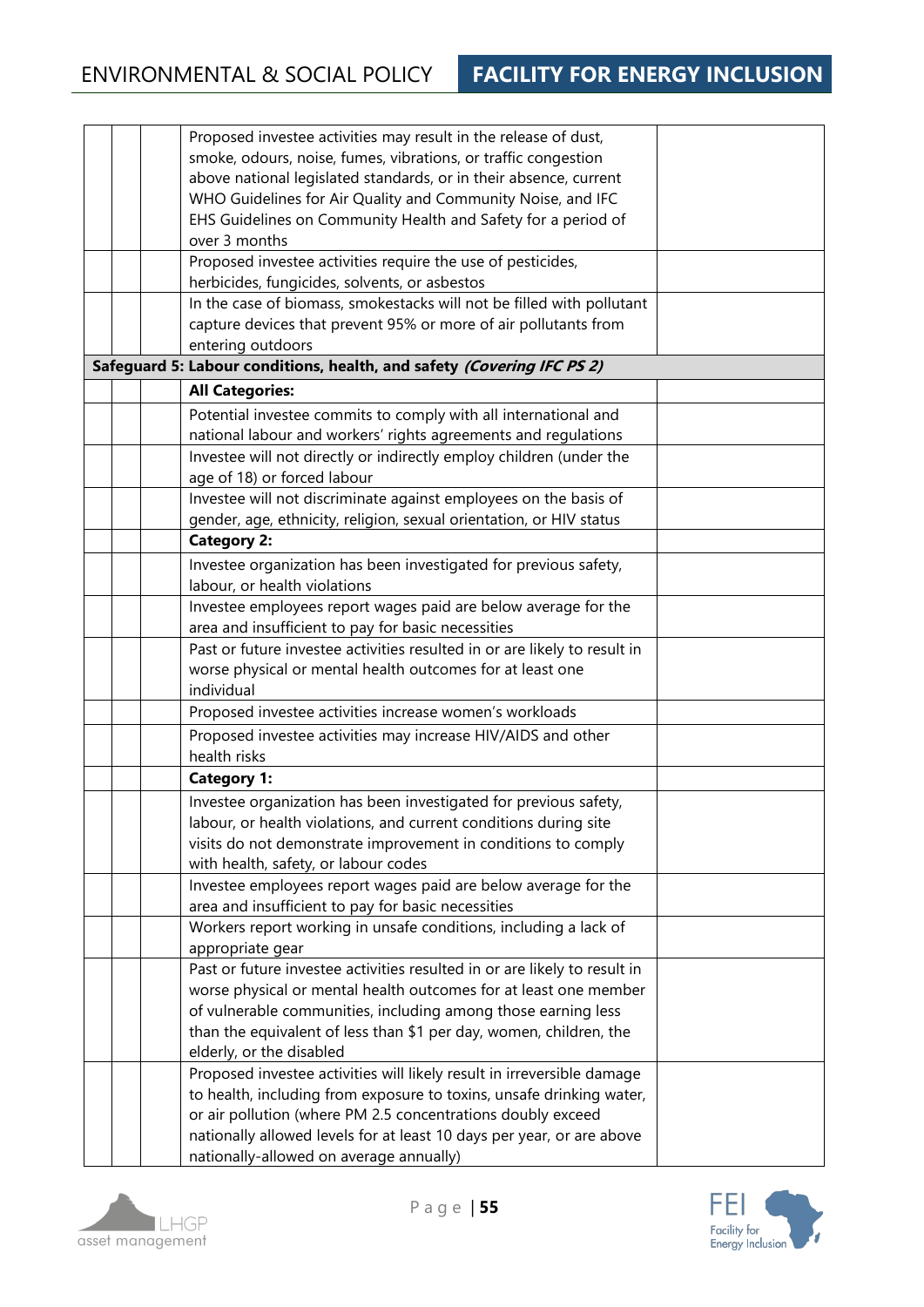|  |                                                                        | Proposed investee activities may result in the release of dust,<br>smoke, odours, noise, fumes, vibrations, or traffic congestion<br>above national legislated standards, or in their absence, current<br>WHO Guidelines for Air Quality and Community Noise, and IFC |  |
|--|------------------------------------------------------------------------|-----------------------------------------------------------------------------------------------------------------------------------------------------------------------------------------------------------------------------------------------------------------------|--|
|  |                                                                        | EHS Guidelines on Community Health and Safety for a period of<br>over 3 months                                                                                                                                                                                        |  |
|  |                                                                        | Proposed investee activities require the use of pesticides,<br>herbicides, fungicides, solvents, or asbestos                                                                                                                                                          |  |
|  |                                                                        | In the case of biomass, smokestacks will not be filled with pollutant<br>capture devices that prevent 95% or more of air pollutants from                                                                                                                              |  |
|  |                                                                        | entering outdoors                                                                                                                                                                                                                                                     |  |
|  | Safeguard 5: Labour conditions, health, and safety (Covering IFC PS 2) |                                                                                                                                                                                                                                                                       |  |
|  |                                                                        | <b>All Categories:</b>                                                                                                                                                                                                                                                |  |
|  |                                                                        | Potential investee commits to comply with all international and                                                                                                                                                                                                       |  |
|  |                                                                        | national labour and workers' rights agreements and regulations                                                                                                                                                                                                        |  |
|  |                                                                        | Investee will not directly or indirectly employ children (under the<br>age of 18) or forced labour                                                                                                                                                                    |  |
|  |                                                                        | Investee will not discriminate against employees on the basis of                                                                                                                                                                                                      |  |
|  |                                                                        | gender, age, ethnicity, religion, sexual orientation, or HIV status                                                                                                                                                                                                   |  |
|  |                                                                        | <b>Category 2:</b>                                                                                                                                                                                                                                                    |  |
|  |                                                                        | Investee organization has been investigated for previous safety,<br>labour, or health violations                                                                                                                                                                      |  |
|  |                                                                        | Investee employees report wages paid are below average for the<br>area and insufficient to pay for basic necessities                                                                                                                                                  |  |
|  |                                                                        | Past or future investee activities resulted in or are likely to result in                                                                                                                                                                                             |  |
|  |                                                                        | worse physical or mental health outcomes for at least one                                                                                                                                                                                                             |  |
|  |                                                                        | individual                                                                                                                                                                                                                                                            |  |
|  |                                                                        | Proposed investee activities increase women's workloads                                                                                                                                                                                                               |  |
|  |                                                                        | Proposed investee activities may increase HIV/AIDS and other<br>health risks                                                                                                                                                                                          |  |
|  |                                                                        | <b>Category 1:</b>                                                                                                                                                                                                                                                    |  |
|  |                                                                        | Investee organization has been investigated for previous safety,<br>labour, or health violations, and current conditions during site<br>visits do not demonstrate improvement in conditions to comply                                                                 |  |
|  |                                                                        | with health, safety, or labour codes                                                                                                                                                                                                                                  |  |
|  |                                                                        | Investee employees report wages paid are below average for the<br>area and insufficient to pay for basic necessities                                                                                                                                                  |  |
|  |                                                                        | Workers report working in unsafe conditions, including a lack of<br>appropriate gear                                                                                                                                                                                  |  |
|  |                                                                        | Past or future investee activities resulted in or are likely to result in                                                                                                                                                                                             |  |
|  |                                                                        | worse physical or mental health outcomes for at least one member                                                                                                                                                                                                      |  |
|  |                                                                        | of vulnerable communities, including among those earning less                                                                                                                                                                                                         |  |
|  |                                                                        | than the equivalent of less than \$1 per day, women, children, the                                                                                                                                                                                                    |  |
|  |                                                                        | elderly, or the disabled<br>Proposed investee activities will likely result in irreversible damage                                                                                                                                                                    |  |
|  |                                                                        | to health, including from exposure to toxins, unsafe drinking water,                                                                                                                                                                                                  |  |
|  |                                                                        | or air pollution (where PM 2.5 concentrations doubly exceed                                                                                                                                                                                                           |  |
|  |                                                                        | nationally allowed levels for at least 10 days per year, or are above                                                                                                                                                                                                 |  |
|  |                                                                        | nationally-allowed on average annually)                                                                                                                                                                                                                               |  |



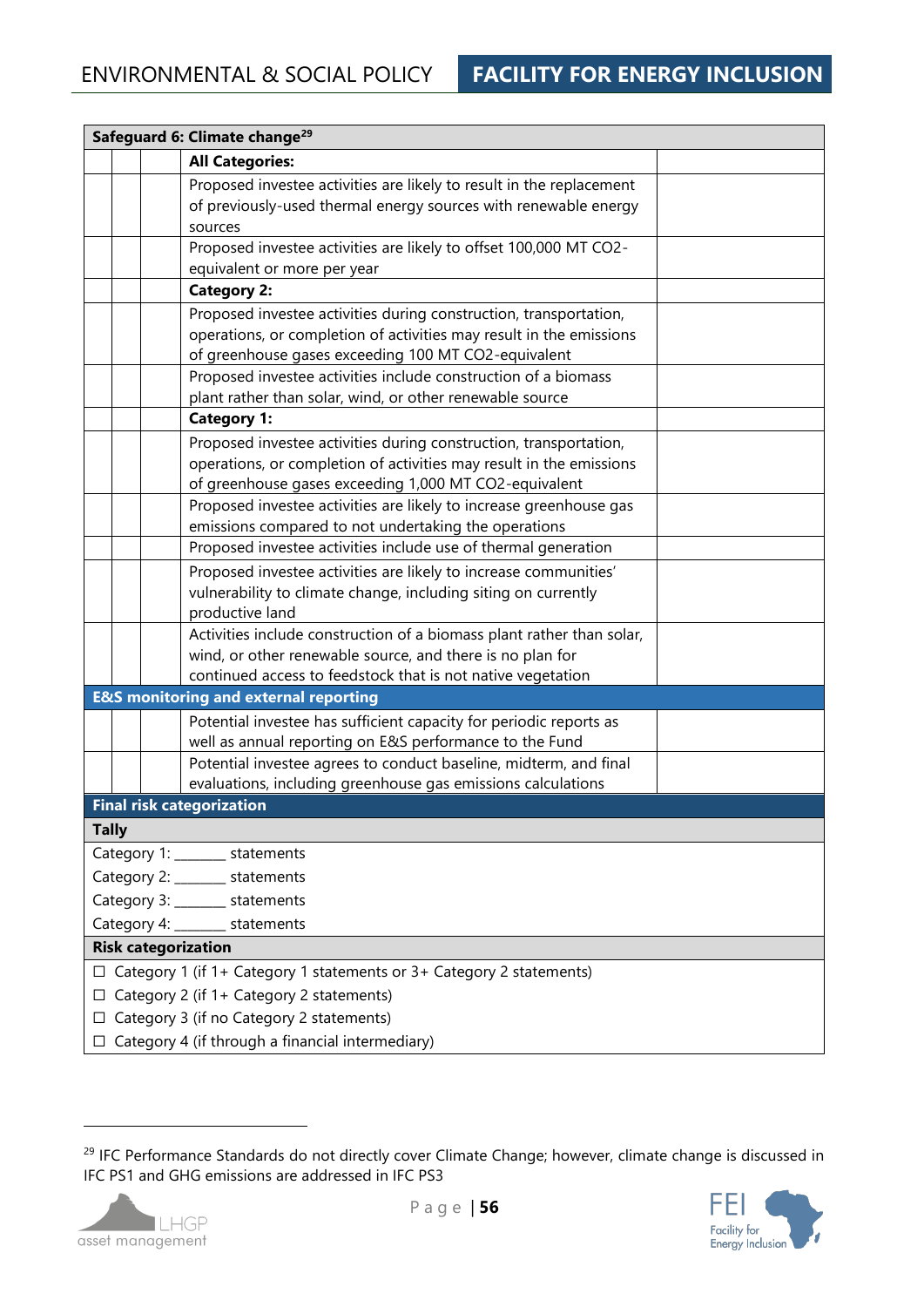| Safeguard 6: Climate change <sup>29</sup>                                   |  |  |  |  |
|-----------------------------------------------------------------------------|--|--|--|--|
| <b>All Categories:</b>                                                      |  |  |  |  |
| Proposed investee activities are likely to result in the replacement        |  |  |  |  |
| of previously-used thermal energy sources with renewable energy             |  |  |  |  |
| sources                                                                     |  |  |  |  |
| Proposed investee activities are likely to offset 100,000 MT CO2-           |  |  |  |  |
| equivalent or more per year                                                 |  |  |  |  |
| <b>Category 2:</b>                                                          |  |  |  |  |
| Proposed investee activities during construction, transportation,           |  |  |  |  |
| operations, or completion of activities may result in the emissions         |  |  |  |  |
| of greenhouse gases exceeding 100 MT CO2-equivalent                         |  |  |  |  |
| Proposed investee activities include construction of a biomass              |  |  |  |  |
| plant rather than solar, wind, or other renewable source                    |  |  |  |  |
| <b>Category 1:</b>                                                          |  |  |  |  |
| Proposed investee activities during construction, transportation,           |  |  |  |  |
| operations, or completion of activities may result in the emissions         |  |  |  |  |
| of greenhouse gases exceeding 1,000 MT CO2-equivalent                       |  |  |  |  |
| Proposed investee activities are likely to increase greenhouse gas          |  |  |  |  |
| emissions compared to not undertaking the operations                        |  |  |  |  |
| Proposed investee activities include use of thermal generation              |  |  |  |  |
| Proposed investee activities are likely to increase communities'            |  |  |  |  |
| vulnerability to climate change, including siting on currently              |  |  |  |  |
| productive land                                                             |  |  |  |  |
| Activities include construction of a biomass plant rather than solar,       |  |  |  |  |
| wind, or other renewable source, and there is no plan for                   |  |  |  |  |
| continued access to feedstock that is not native vegetation                 |  |  |  |  |
| <b>E&amp;S monitoring and external reporting</b>                            |  |  |  |  |
| Potential investee has sufficient capacity for periodic reports as          |  |  |  |  |
| well as annual reporting on E&S performance to the Fund                     |  |  |  |  |
| Potential investee agrees to conduct baseline, midterm, and final           |  |  |  |  |
| evaluations, including greenhouse gas emissions calculations                |  |  |  |  |
| <b>Final risk categorization</b>                                            |  |  |  |  |
| <b>Tally</b>                                                                |  |  |  |  |
| Category 1: _______ statements                                              |  |  |  |  |
| Category 2: ______ statements                                               |  |  |  |  |
| Category 3: _______ statements                                              |  |  |  |  |
| Category 4: ______ statements                                               |  |  |  |  |
| <b>Risk categorization</b>                                                  |  |  |  |  |
| $\Box$ Category 1 (if 1+ Category 1 statements or 3+ Category 2 statements) |  |  |  |  |
| $\Box$ Category 2 (if 1+ Category 2 statements)                             |  |  |  |  |
| $\Box$ Category 3 (if no Category 2 statements)                             |  |  |  |  |
| $\Box$ Category 4 (if through a financial intermediary)                     |  |  |  |  |

<sup>&</sup>lt;sup>29</sup> IFC Performance Standards do not directly cover Climate Change; however, climate change is discussed in IFC PS1 and GHG emissions are addressed in IFC PS3



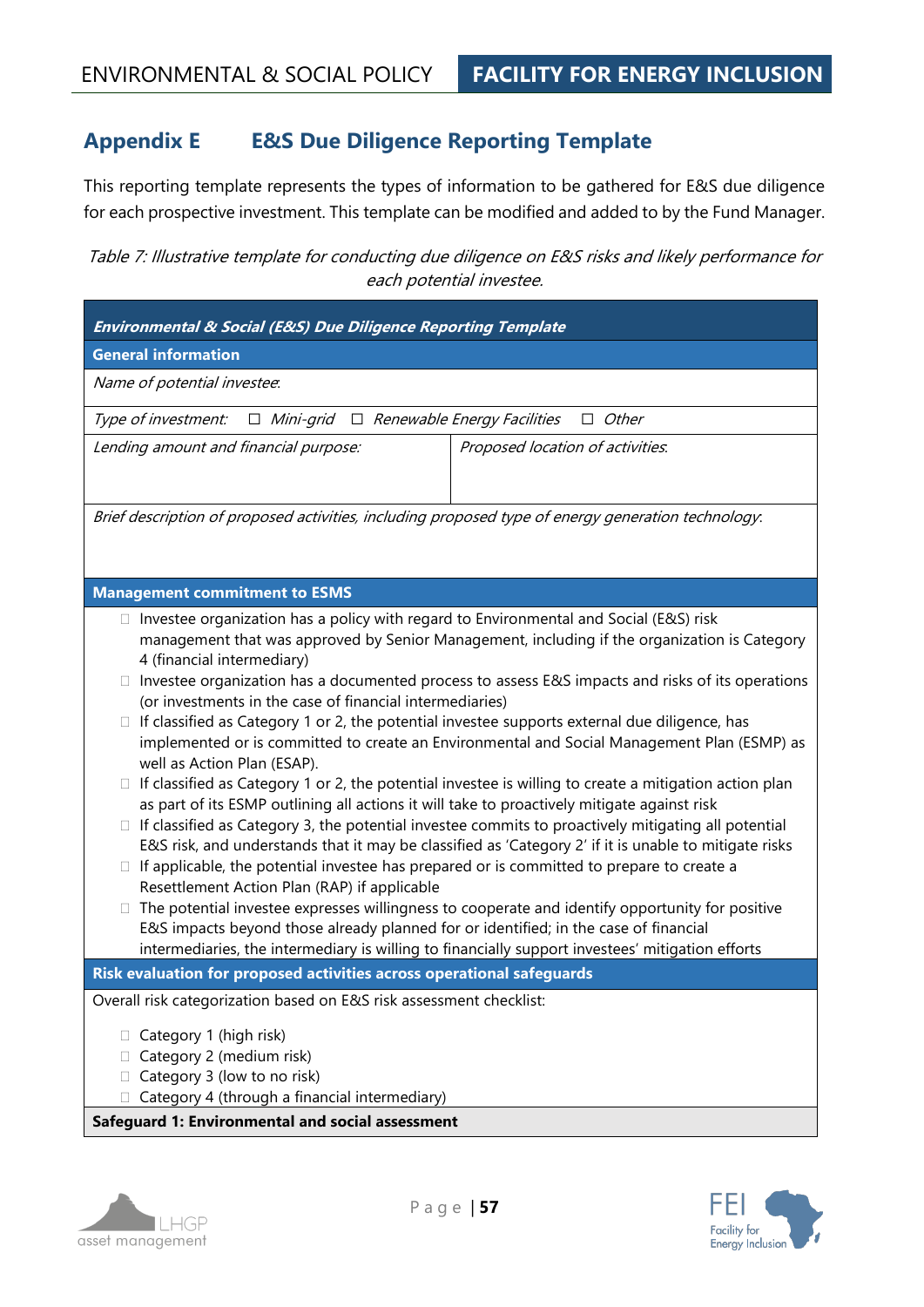# **Appendix E E&S Due Diligence Reporting Template**

This reporting template represents the types of information to be gathered for E&S due diligence for each prospective investment. This template can be modified and added to by the Fund Manager.

Table 7: Illustrative template for conducting due diligence on E&S risks and likely performance for each potential investee.

| Environmental & Social (E&S) Due Diligence Reporting Template                                                                                                                                                                                                                                                                                                                                                                                                                                                                                                                                                                                                                                                                                                                                                                                                                                                                                                                                                                                                                                                                                                                                                                                                                                                                                                                                                                                                                                            |                                  |  |  |  |  |
|----------------------------------------------------------------------------------------------------------------------------------------------------------------------------------------------------------------------------------------------------------------------------------------------------------------------------------------------------------------------------------------------------------------------------------------------------------------------------------------------------------------------------------------------------------------------------------------------------------------------------------------------------------------------------------------------------------------------------------------------------------------------------------------------------------------------------------------------------------------------------------------------------------------------------------------------------------------------------------------------------------------------------------------------------------------------------------------------------------------------------------------------------------------------------------------------------------------------------------------------------------------------------------------------------------------------------------------------------------------------------------------------------------------------------------------------------------------------------------------------------------|----------------------------------|--|--|--|--|
| <b>General information</b>                                                                                                                                                                                                                                                                                                                                                                                                                                                                                                                                                                                                                                                                                                                                                                                                                                                                                                                                                                                                                                                                                                                                                                                                                                                                                                                                                                                                                                                                               |                                  |  |  |  |  |
| Name of potential investee.                                                                                                                                                                                                                                                                                                                                                                                                                                                                                                                                                                                                                                                                                                                                                                                                                                                                                                                                                                                                                                                                                                                                                                                                                                                                                                                                                                                                                                                                              |                                  |  |  |  |  |
| $\Box$ Mini-grid $\Box$ Renewable Energy Facilities<br>Type of investment:                                                                                                                                                                                                                                                                                                                                                                                                                                                                                                                                                                                                                                                                                                                                                                                                                                                                                                                                                                                                                                                                                                                                                                                                                                                                                                                                                                                                                               | $\Box$ Other                     |  |  |  |  |
| Lending amount and financial purpose:                                                                                                                                                                                                                                                                                                                                                                                                                                                                                                                                                                                                                                                                                                                                                                                                                                                                                                                                                                                                                                                                                                                                                                                                                                                                                                                                                                                                                                                                    | Proposed location of activities. |  |  |  |  |
| Brief description of proposed activities, including proposed type of energy generation technology.                                                                                                                                                                                                                                                                                                                                                                                                                                                                                                                                                                                                                                                                                                                                                                                                                                                                                                                                                                                                                                                                                                                                                                                                                                                                                                                                                                                                       |                                  |  |  |  |  |
| <b>Management commitment to ESMS</b>                                                                                                                                                                                                                                                                                                                                                                                                                                                                                                                                                                                                                                                                                                                                                                                                                                                                                                                                                                                                                                                                                                                                                                                                                                                                                                                                                                                                                                                                     |                                  |  |  |  |  |
| $\Box$ Investee organization has a policy with regard to Environmental and Social (E&S) risk<br>management that was approved by Senior Management, including if the organization is Category<br>4 (financial intermediary)<br>Investee organization has a documented process to assess E&S impacts and risks of its operations<br>(or investments in the case of financial intermediaries)<br>If classified as Category 1 or 2, the potential investee supports external due diligence, has<br>□<br>implemented or is committed to create an Environmental and Social Management Plan (ESMP) as<br>well as Action Plan (ESAP).<br>If classified as Category 1 or 2, the potential investee is willing to create a mitigation action plan<br>□<br>as part of its ESMP outlining all actions it will take to proactively mitigate against risk<br>If classified as Category 3, the potential investee commits to proactively mitigating all potential<br>E&S risk, and understands that it may be classified as 'Category 2' if it is unable to mitigate risks<br>If applicable, the potential investee has prepared or is committed to prepare to create a<br>Resettlement Action Plan (RAP) if applicable<br>The potential investee expresses willingness to cooperate and identify opportunity for positive<br>E&S impacts beyond those already planned for or identified; in the case of financial<br>intermediaries, the intermediary is willing to financially support investees' mitigation efforts |                                  |  |  |  |  |
| Risk evaluation for proposed activities across operational safeguards                                                                                                                                                                                                                                                                                                                                                                                                                                                                                                                                                                                                                                                                                                                                                                                                                                                                                                                                                                                                                                                                                                                                                                                                                                                                                                                                                                                                                                    |                                  |  |  |  |  |
| Overall risk categorization based on E&S risk assessment checklist:<br>Category 1 (high risk)<br>Category 2 (medium risk)<br>Category 3 (low to no risk)<br>Category 4 (through a financial intermediary)<br>Safeguard 1: Environmental and social assessment                                                                                                                                                                                                                                                                                                                                                                                                                                                                                                                                                                                                                                                                                                                                                                                                                                                                                                                                                                                                                                                                                                                                                                                                                                            |                                  |  |  |  |  |



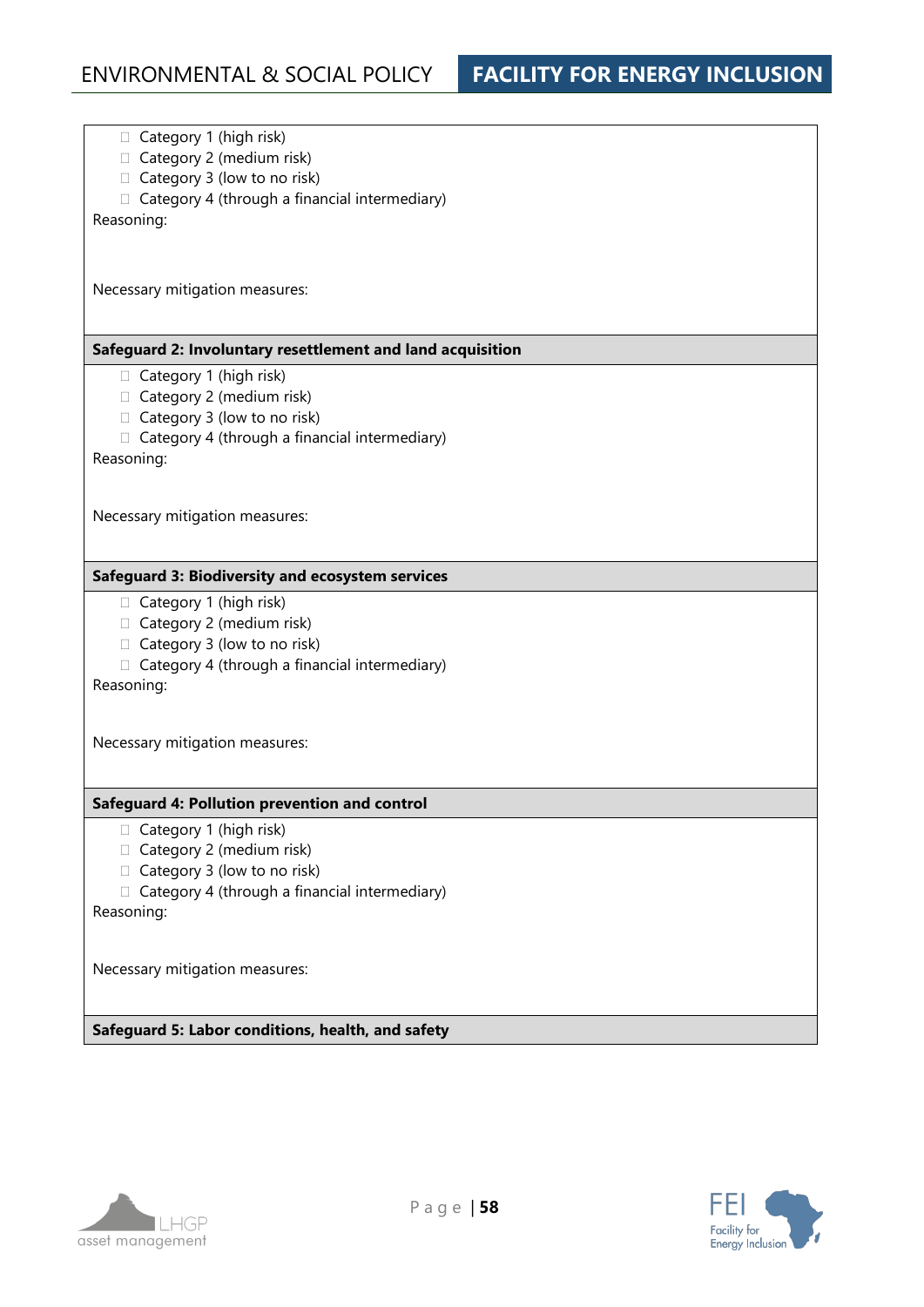$\Box$  Category 1 (high risk)  $\Box$  Category 2 (medium risk)  $\Box$  Category 3 (low to no risk)  $\Box$  Category 4 (through a financial intermediary) Reasoning: Necessary mitigation measures: **Safeguard 2: Involuntary resettlement and land acquisition**   $\Box$  Category 1 (high risk)  $\Box$  Category 2 (medium risk)  $\Box$  Category 3 (low to no risk)  $\Box$  Category 4 (through a financial intermediary) Reasoning: Necessary mitigation measures: **Safeguard 3: Biodiversity and ecosystem services** Category 1 (high risk)  $\Box$  Category 2 (medium risk)  $\Box$  Category 3 (low to no risk)  $\Box$  Category 4 (through a financial intermediary) Reasoning: Necessary mitigation measures: **Safeguard 4: Pollution prevention and control**   $\Box$  Category 1 (high risk)  $\Box$  Category 2 (medium risk) □ Category 3 (low to no risk)  $\Box$  Category 4 (through a financial intermediary) Reasoning: Necessary mitigation measures: **Safeguard 5: Labor conditions, health, and safety** 



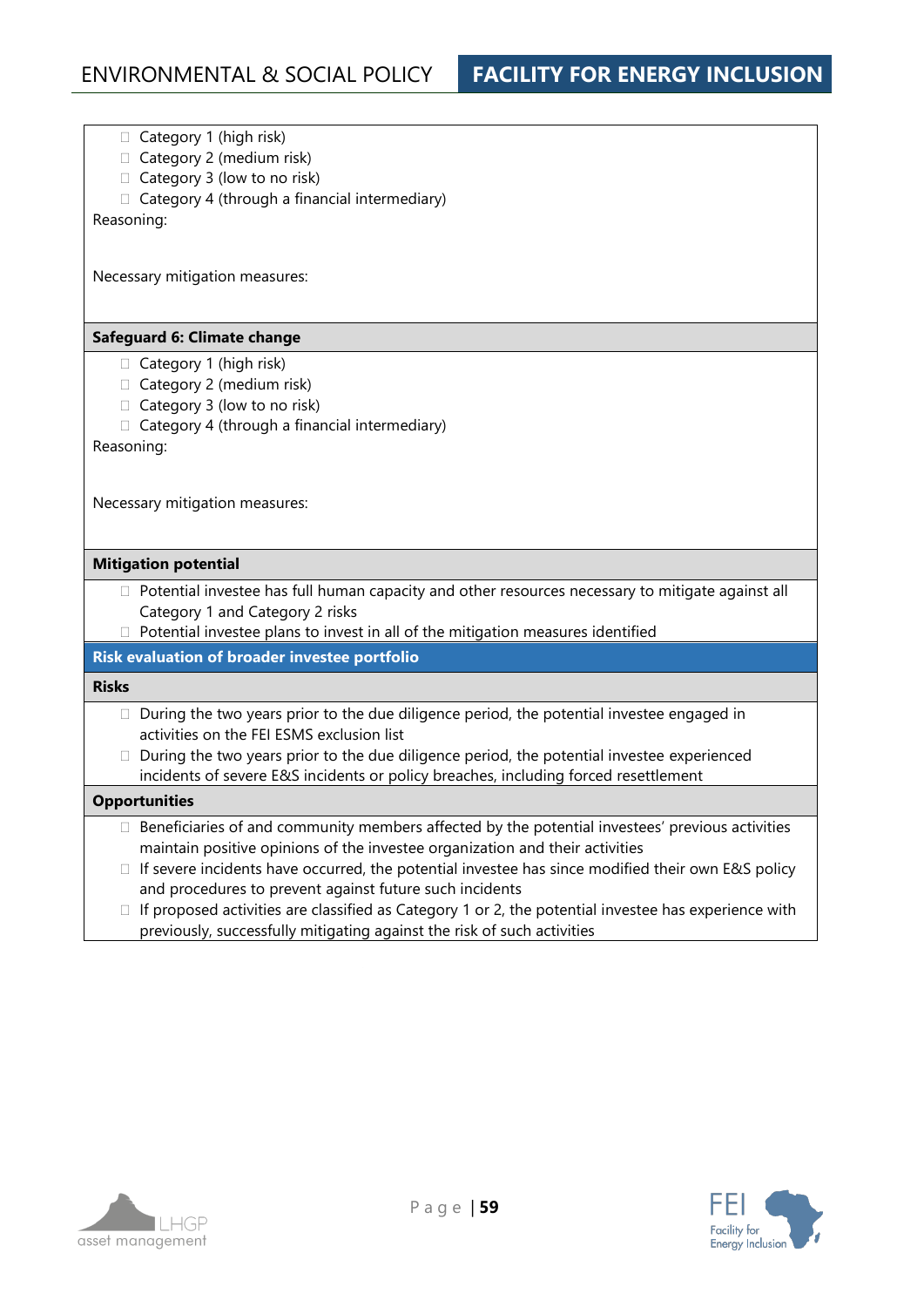- $\Box$  Category 1 (high risk)
- $\Box$  Category 2 (medium risk)
- $\Box$  Category 3 (low to no risk)
- $\Box$  Category 4 (through a financial intermediary)

Reasoning:

Necessary mitigation measures:

#### **Safeguard 6: Climate change**

- $\Box$  Category 1 (high risk)
- $\Box$  Category 2 (medium risk)
- $\Box$  Category 3 (low to no risk)
- $\Box$  Category 4 (through a financial intermediary)

Reasoning:

Necessary mitigation measures:

#### **Mitigation potential**

- $\Box$  Potential investee has full human capacity and other resources necessary to mitigate against all Category 1 and Category 2 risks
- $\Box$  Potential investee plans to invest in all of the mitigation measures identified

### **Risk evaluation of broader investee portfolio**

#### **Risks**

- $\Box$  During the two years prior to the due diligence period, the potential investee engaged in activities on the FEI ESMS exclusion list
- $\Box$  During the two years prior to the due diligence period, the potential investee experienced incidents of severe E&S incidents or policy breaches, including forced resettlement

#### **Opportunities**

- $\Box$  Beneficiaries of and community members affected by the potential investees' previous activities maintain positive opinions of the investee organization and their activities
- $\Box$  If severe incidents have occurred, the potential investee has since modified their own E&S policy and procedures to prevent against future such incidents
- $\Box$  If proposed activities are classified as Category 1 or 2, the potential investee has experience with previously, successfully mitigating against the risk of such activities



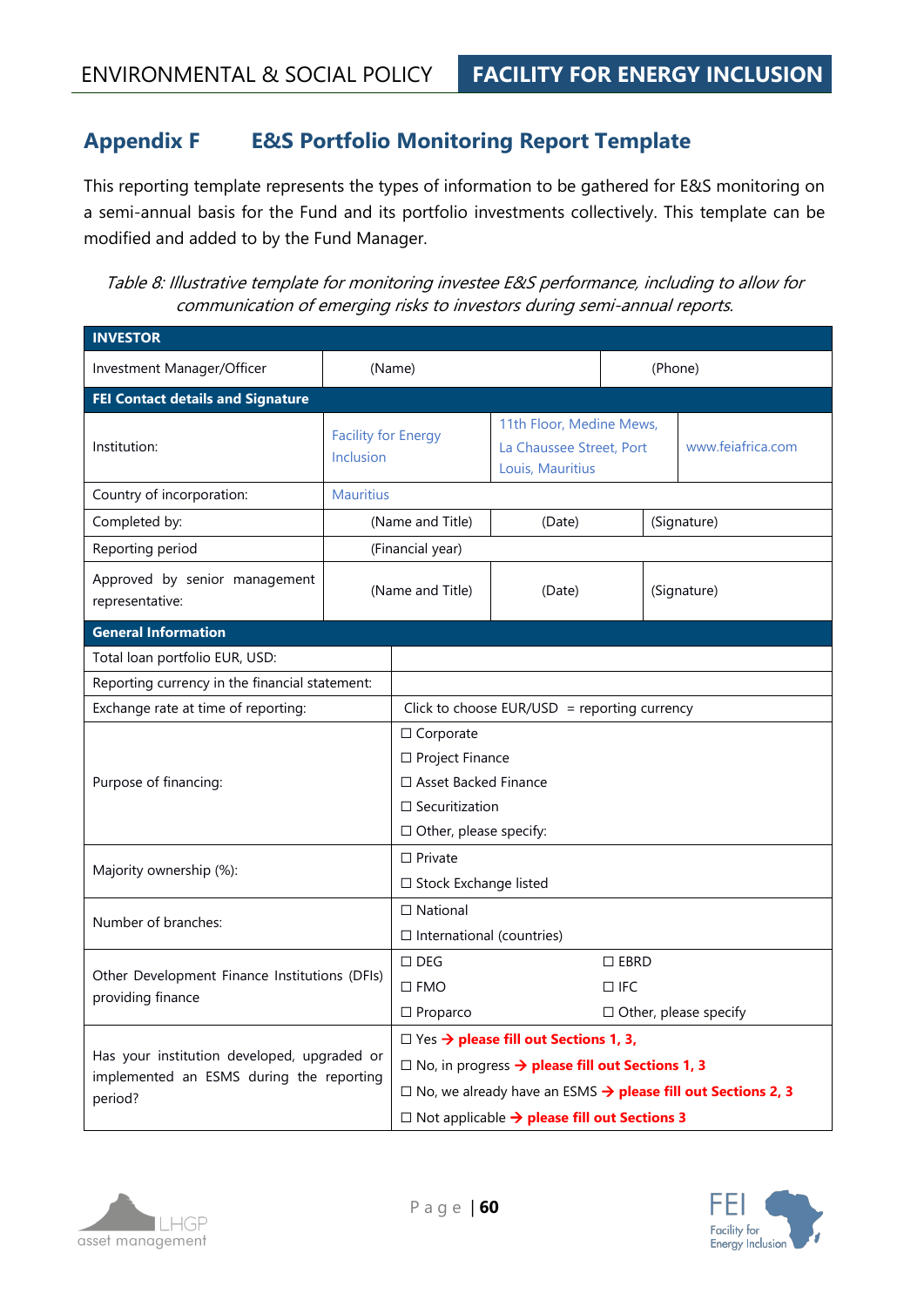# **Appendix F E&S Portfolio Monitoring Report Template**

This reporting template represents the types of information to be gathered for E&S monitoring on a semi-annual basis for the Fund and its portfolio investments collectively. This template can be modified and added to by the Fund Manager.

Table 8: Illustrative template for monitoring investee E&S performance, including to allow for communication of emerging risks to investors during semi-annual reports.

| <b>INVESTOR</b>                                                                                    |                  |                                                                                                                                                                                                                                                                        |                                                                          |         |                   |
|----------------------------------------------------------------------------------------------------|------------------|------------------------------------------------------------------------------------------------------------------------------------------------------------------------------------------------------------------------------------------------------------------------|--------------------------------------------------------------------------|---------|-------------------|
| Investment Manager/Officer                                                                         |                  | (Name)                                                                                                                                                                                                                                                                 |                                                                          | (Phone) |                   |
| <b>FEI Contact details and Signature</b>                                                           |                  |                                                                                                                                                                                                                                                                        |                                                                          |         |                   |
| <b>Facility for Energy</b><br>Institution:<br><b>Inclusion</b>                                     |                  |                                                                                                                                                                                                                                                                        | 11th Floor, Medine Mews,<br>La Chaussee Street, Port<br>Louis, Mauritius |         | www.feiafrica.com |
| Country of incorporation:                                                                          | <b>Mauritius</b> |                                                                                                                                                                                                                                                                        |                                                                          |         |                   |
| Completed by:                                                                                      |                  | (Name and Title)                                                                                                                                                                                                                                                       | (Date)                                                                   |         | (Signature)       |
| Reporting period                                                                                   |                  | (Financial year)                                                                                                                                                                                                                                                       |                                                                          |         |                   |
| Approved by senior management<br>representative:                                                   |                  | (Name and Title)                                                                                                                                                                                                                                                       | (Date)                                                                   |         | (Signature)       |
| <b>General Information</b>                                                                         |                  |                                                                                                                                                                                                                                                                        |                                                                          |         |                   |
| Total loan portfolio EUR, USD:                                                                     |                  |                                                                                                                                                                                                                                                                        |                                                                          |         |                   |
| Reporting currency in the financial statement:                                                     |                  |                                                                                                                                                                                                                                                                        |                                                                          |         |                   |
| Exchange rate at time of reporting:                                                                |                  |                                                                                                                                                                                                                                                                        | Click to choose EUR/USD = reporting currency                             |         |                   |
| Purpose of financing:                                                                              |                  | $\Box$ Corporate<br>□ Project Finance<br>$\Box$ Asset Backed Finance<br>$\square$ Securitization<br>$\Box$ Other, please specify:                                                                                                                                      |                                                                          |         |                   |
| Majority ownership (%):                                                                            |                  | $\Box$ Private<br>□ Stock Exchange listed                                                                                                                                                                                                                              |                                                                          |         |                   |
| Number of branches:                                                                                |                  | $\Box$ National<br>$\Box$ International (countries)                                                                                                                                                                                                                    |                                                                          |         |                   |
| Other Development Finance Institutions (DFIs)<br>providing finance                                 |                  | $\Box$ EBRD<br>$\Box$ DEG<br>$\square$ FMO<br>$\Box$ IFC<br>$\Box$ Proparco<br>$\Box$ Other, please specify                                                                                                                                                            |                                                                          |         |                   |
| Has your institution developed, upgraded or<br>implemented an ESMS during the reporting<br>period? |                  | $\Box$ Yes $\rightarrow$ please fill out Sections 1, 3,<br>$\square$ No, in progress $\rightarrow$ please fill out Sections 1, 3<br>$\square$ No, we already have an ESMS $\rightarrow$ please fill out Sections 2, 3<br>□ Not applicable > please fill out Sections 3 |                                                                          |         |                   |



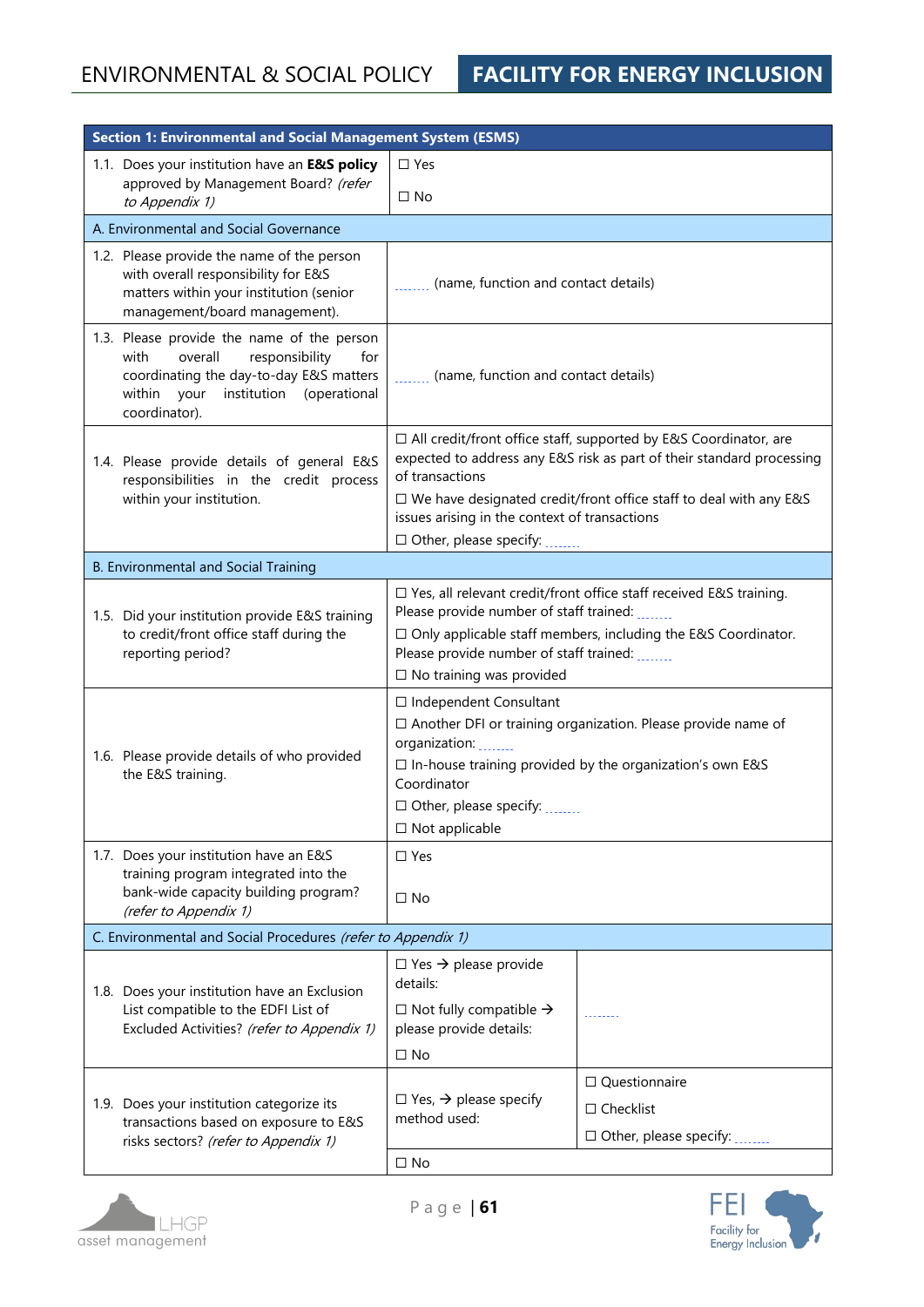| <b>Section 1: Environmental and Social Management System (ESMS)</b> |                                                                                                                                                                                       |                                                                                                                                                                                                                                                                                                                              |                                                                                  |  |  |
|---------------------------------------------------------------------|---------------------------------------------------------------------------------------------------------------------------------------------------------------------------------------|------------------------------------------------------------------------------------------------------------------------------------------------------------------------------------------------------------------------------------------------------------------------------------------------------------------------------|----------------------------------------------------------------------------------|--|--|
|                                                                     | 1.1. Does your institution have an E&S policy                                                                                                                                         | $\square$ Yes                                                                                                                                                                                                                                                                                                                |                                                                                  |  |  |
|                                                                     | approved by Management Board? (refer<br>to Appendix 1)                                                                                                                                | $\square$ No                                                                                                                                                                                                                                                                                                                 |                                                                                  |  |  |
|                                                                     | A. Environmental and Social Governance                                                                                                                                                |                                                                                                                                                                                                                                                                                                                              |                                                                                  |  |  |
|                                                                     | 1.2. Please provide the name of the person<br>with overall responsibility for E&S<br>matters within your institution (senior<br>management/board management).                         | (name, function and contact details)                                                                                                                                                                                                                                                                                         |                                                                                  |  |  |
| with                                                                | 1.3. Please provide the name of the person<br>overall<br>responsibility<br>for<br>coordinating the day-to-day E&S matters<br>within your<br>institution (operational<br>coordinator). | (name, function and contact details)                                                                                                                                                                                                                                                                                         |                                                                                  |  |  |
|                                                                     | 1.4. Please provide details of general E&S<br>responsibilities in the credit process<br>within your institution.                                                                      | □ All credit/front office staff, supported by E&S Coordinator, are<br>expected to address any E&S risk as part of their standard processing<br>of transactions<br>$\Box$ We have designated credit/front office staff to deal with any E&S<br>issues arising in the context of transactions<br>$\Box$ Other, please specify: |                                                                                  |  |  |
|                                                                     | <b>B. Environmental and Social Training</b>                                                                                                                                           |                                                                                                                                                                                                                                                                                                                              |                                                                                  |  |  |
|                                                                     | 1.5. Did your institution provide E&S training<br>to credit/front office staff during the<br>reporting period?                                                                        | $\Box$ Yes, all relevant credit/front office staff received E&S training.<br>Please provide number of staff trained:<br>$\Box$ Only applicable staff members, including the E&S Coordinator.<br>Please provide number of staff trained:<br>$\square$ No training was provided                                                |                                                                                  |  |  |
|                                                                     | 1.6. Please provide details of who provided<br>the E&S training.                                                                                                                      | $\Box$ Independent Consultant<br>$\Box$ Another DFI or training organization. Please provide name of<br>organization:<br>$\square$ In-house training provided by the organization's own E&S<br>Coordinator<br>□ Other, please specify:<br>$\Box$ Not applicable                                                              |                                                                                  |  |  |
|                                                                     | 1.7. Does your institution have an E&S<br>training program integrated into the<br>bank-wide capacity building program?<br>(refer to Appendix 1)                                       | $\Box$ Yes<br>$\Box$ No                                                                                                                                                                                                                                                                                                      |                                                                                  |  |  |
|                                                                     | C. Environmental and Social Procedures (refer to Appendix 1)                                                                                                                          |                                                                                                                                                                                                                                                                                                                              |                                                                                  |  |  |
|                                                                     | 1.8. Does your institution have an Exclusion<br>List compatible to the EDFI List of<br>Excluded Activities? (refer to Appendix 1)                                                     | $\Box$ Yes $\rightarrow$ please provide<br>details:<br>$\Box$ Not fully compatible $\rightarrow$<br>please provide details:<br>$\Box$ No                                                                                                                                                                                     |                                                                                  |  |  |
|                                                                     | 1.9. Does your institution categorize its<br>transactions based on exposure to E&S<br>risks sectors? (refer to Appendix 1)                                                            | $\Box$ Yes, $\rightarrow$ please specify<br>method used:<br>$\square$ No                                                                                                                                                                                                                                                     | $\Box$ Questionnaire<br>$\Box$ Checklist<br>$\Box$ Other, please specify: $\Box$ |  |  |



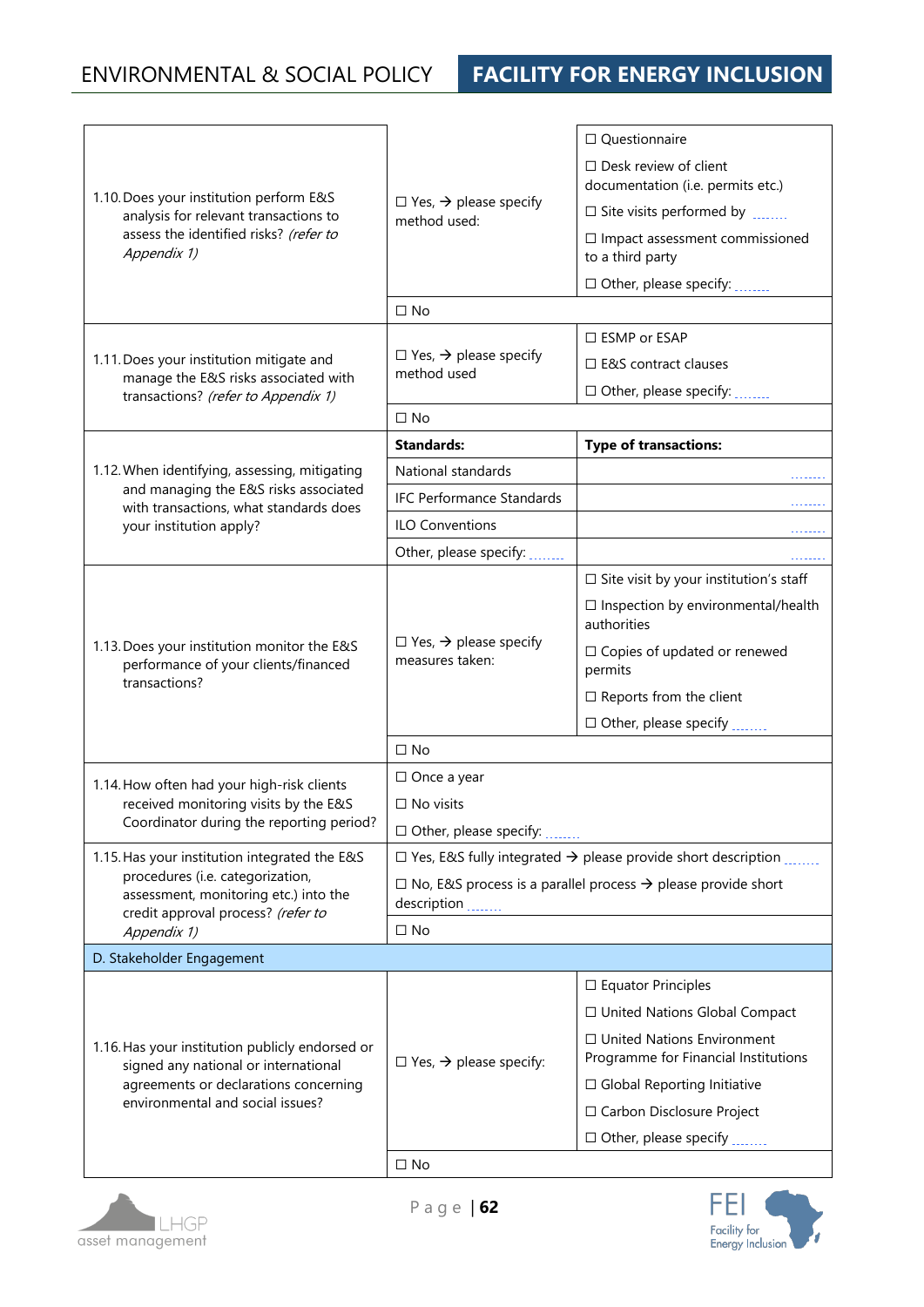# ENVIRONMENTAL & SOCIAL POLICY **FACILITY FOR ENERGY INCLUSION**

|                                                                                     |                                                                                 | $\Box$ Questionnaire                                                            |  |  |
|-------------------------------------------------------------------------------------|---------------------------------------------------------------------------------|---------------------------------------------------------------------------------|--|--|
|                                                                                     |                                                                                 | $\Box$ Desk review of client                                                    |  |  |
| 1.10. Does your institution perform E&S                                             | $\Box$ Yes, $\rightarrow$ please specify                                        | documentation (i.e. permits etc.)                                               |  |  |
| analysis for relevant transactions to                                               | method used:                                                                    | $\square$ Site visits performed by $\ldots$                                     |  |  |
| assess the identified risks? (refer to<br>Appendix 1)                               |                                                                                 | $\Box$ Impact assessment commissioned<br>to a third party                       |  |  |
|                                                                                     |                                                                                 | $\Box$ Other, please specify: $\Box$                                            |  |  |
|                                                                                     | $\Box$ No                                                                       |                                                                                 |  |  |
|                                                                                     |                                                                                 | □ ESMP or ESAP                                                                  |  |  |
| 1.11. Does your institution mitigate and                                            | $\Box$ Yes, $\rightarrow$ please specify<br>method used                         | $\Box$ E&S contract clauses                                                     |  |  |
| manage the E&S risks associated with<br>transactions? (refer to Appendix 1)         |                                                                                 | $\Box$ Other, please specify: $\Box$                                            |  |  |
|                                                                                     | $\Box$ No                                                                       |                                                                                 |  |  |
|                                                                                     | <b>Standards:</b>                                                               | <b>Type of transactions:</b>                                                    |  |  |
| 1.12. When identifying, assessing, mitigating                                       | National standards                                                              |                                                                                 |  |  |
| and managing the E&S risks associated<br>with transactions, what standards does     | <b>IFC Performance Standards</b>                                                |                                                                                 |  |  |
| your institution apply?                                                             | <b>ILO Conventions</b>                                                          |                                                                                 |  |  |
|                                                                                     | Other, please specify: _______                                                  |                                                                                 |  |  |
|                                                                                     |                                                                                 | $\Box$ Site visit by your institution's staff                                   |  |  |
|                                                                                     | $\Box$ Yes, $\rightarrow$ please specify<br>measures taken:                     | $\Box$ Inspection by environmental/health<br>authorities                        |  |  |
| 1.13. Does your institution monitor the E&S<br>performance of your clients/financed |                                                                                 | $\Box$ Copies of updated or renewed<br>permits                                  |  |  |
| transactions?                                                                       |                                                                                 | $\Box$ Reports from the client                                                  |  |  |
|                                                                                     |                                                                                 | □ Other, please specify                                                         |  |  |
|                                                                                     | $\square$ No                                                                    |                                                                                 |  |  |
| 1.14. How often had your high-risk clients                                          | $\Box$ Once a year                                                              |                                                                                 |  |  |
| received monitoring visits by the E&S                                               | $\Box$ No visits                                                                |                                                                                 |  |  |
| Coordinator during the reporting period?                                            | $\Box$ Other, please specify:                                                   |                                                                                 |  |  |
| 1.15. Has your institution integrated the E&S                                       |                                                                                 | $\Box$ Yes, E&S fully integrated $\rightarrow$ please provide short description |  |  |
| procedures (i.e. categorization,<br>assessment, monitoring etc.) into the           | $\Box$ No, E&S process is a parallel process $\rightarrow$ please provide short |                                                                                 |  |  |
| credit approval process? (refer to                                                  | description                                                                     |                                                                                 |  |  |
| Appendix 1)                                                                         | $\Box$ No                                                                       |                                                                                 |  |  |
| D. Stakeholder Engagement                                                           |                                                                                 |                                                                                 |  |  |
|                                                                                     |                                                                                 | $\square$ Equator Principles                                                    |  |  |
|                                                                                     |                                                                                 | □ United Nations Global Compact                                                 |  |  |
| 1.16. Has your institution publicly endorsed or                                     | $\Box$ Yes, $\rightarrow$ please specify:                                       | $\Box$ United Nations Environment<br>Programme for Financial Institutions       |  |  |
| signed any national or international<br>agreements or declarations concerning       |                                                                                 | $\Box$ Global Reporting Initiative                                              |  |  |
| environmental and social issues?                                                    |                                                                                 | □ Carbon Disclosure Project                                                     |  |  |
|                                                                                     |                                                                                 | $\Box$ Other, please specify                                                    |  |  |
|                                                                                     | $\Box$ No                                                                       |                                                                                 |  |  |



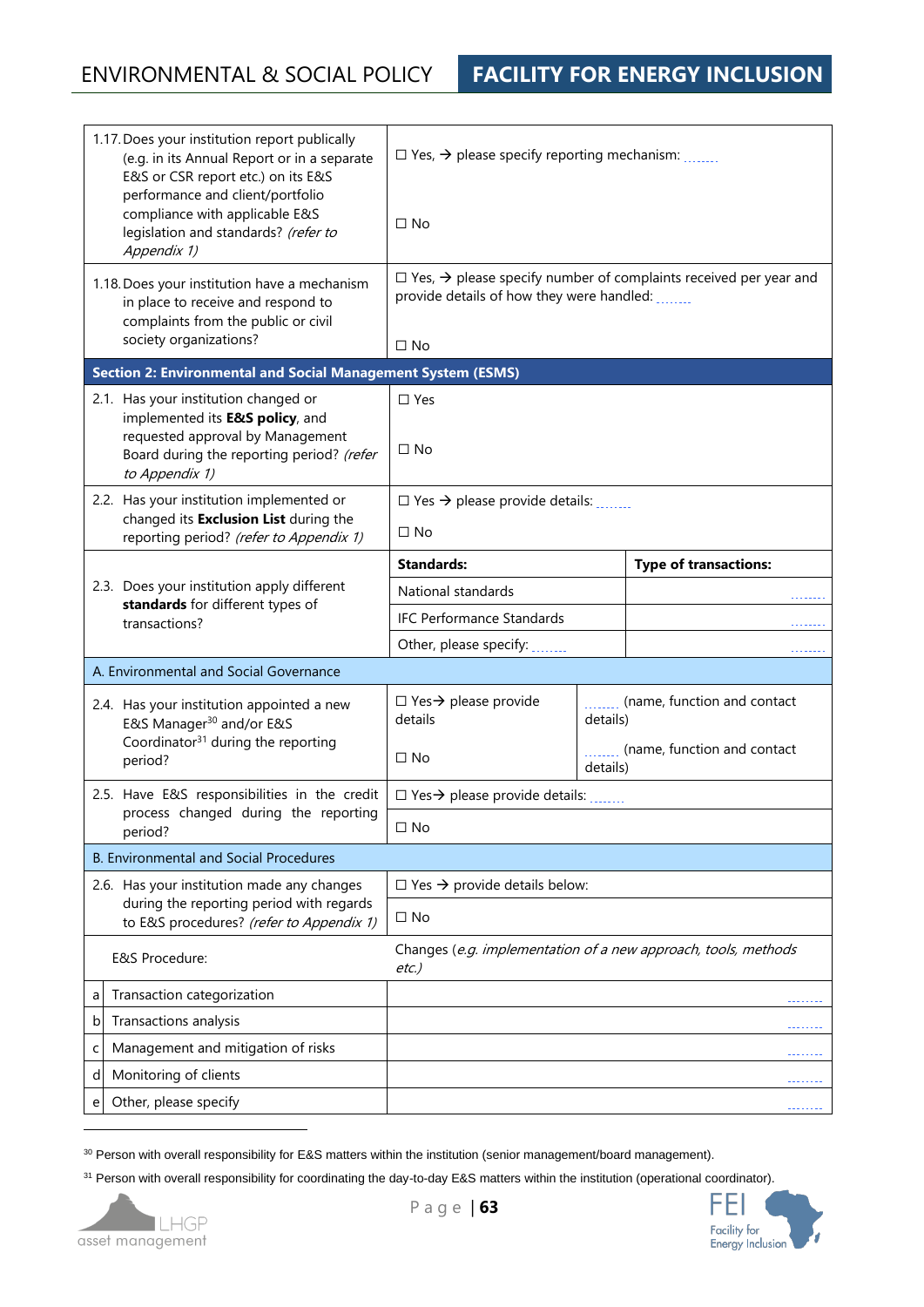| 1.17. Does your institution report publically<br>(e.g. in its Annual Report or in a separate<br>E&S or CSR report etc.) on its E&S<br>performance and client/portfolio<br>compliance with applicable E&S |                                                                                                                              | $\Box$ Yes, $\rightarrow$ please specify reporting mechanism: $\Box$                                                                     |          |                              |  |
|----------------------------------------------------------------------------------------------------------------------------------------------------------------------------------------------------------|------------------------------------------------------------------------------------------------------------------------------|------------------------------------------------------------------------------------------------------------------------------------------|----------|------------------------------|--|
|                                                                                                                                                                                                          | legislation and standards? (refer to<br>Appendix 1)                                                                          | $\Box$ No                                                                                                                                |          |                              |  |
|                                                                                                                                                                                                          | 1.18. Does your institution have a mechanism<br>in place to receive and respond to<br>complaints from the public or civil    | $\Box$ Yes, $\rightarrow$ please specify number of complaints received per year and<br>provide details of how they were handled: _______ |          |                              |  |
|                                                                                                                                                                                                          | society organizations?                                                                                                       | $\Box$ No                                                                                                                                |          |                              |  |
|                                                                                                                                                                                                          | <b>Section 2: Environmental and Social Management System (ESMS)</b>                                                          |                                                                                                                                          |          |                              |  |
|                                                                                                                                                                                                          | 2.1. Has your institution changed or<br>implemented its <b>E&amp;S policy</b> , and                                          | $\square$ Yes                                                                                                                            |          |                              |  |
|                                                                                                                                                                                                          | requested approval by Management<br>Board during the reporting period? (refer<br>to Appendix 1)                              | $\Box$ No                                                                                                                                |          |                              |  |
|                                                                                                                                                                                                          | 2.2. Has your institution implemented or<br>changed its Exclusion List during the<br>reporting period? (refer to Appendix 1) | $\Box$ Yes $\rightarrow$ please provide details:<br>$\Box$ No                                                                            |          |                              |  |
|                                                                                                                                                                                                          |                                                                                                                              | <b>Standards:</b>                                                                                                                        |          | <b>Type of transactions:</b> |  |
|                                                                                                                                                                                                          | 2.3. Does your institution apply different<br>standards for different types of                                               | National standards                                                                                                                       |          |                              |  |
|                                                                                                                                                                                                          |                                                                                                                              | <b>IFC Performance Standards</b>                                                                                                         |          |                              |  |
|                                                                                                                                                                                                          | transactions?                                                                                                                | Other, please specify:                                                                                                                   |          |                              |  |
|                                                                                                                                                                                                          | A. Environmental and Social Governance                                                                                       |                                                                                                                                          |          |                              |  |
|                                                                                                                                                                                                          | 2.4. Has your institution appointed a new<br>E&S Manager <sup>30</sup> and/or E&S                                            | $\Box$ Yes $\rightarrow$ please provide<br>details                                                                                       | details) | (name, function and contact  |  |
|                                                                                                                                                                                                          | Coordinator <sup>31</sup> during the reporting<br>period?                                                                    | $\Box$ No                                                                                                                                | details) | (name, function and contact  |  |
|                                                                                                                                                                                                          | 2.5. Have E&S responsibilities in the credit                                                                                 | $\Box$ Yes $\rightarrow$ please provide details:                                                                                         |          |                              |  |
|                                                                                                                                                                                                          | process changed during the reporting<br>period?                                                                              | $\Box$ No                                                                                                                                |          |                              |  |
|                                                                                                                                                                                                          | <b>B. Environmental and Social Procedures</b>                                                                                |                                                                                                                                          |          |                              |  |
|                                                                                                                                                                                                          | 2.6. Has your institution made any changes                                                                                   | $\Box$ Yes $\rightarrow$ provide details below:                                                                                          |          |                              |  |
|                                                                                                                                                                                                          | during the reporting period with regards<br>to E&S procedures? (refer to Appendix 1)                                         | $\Box$ No                                                                                                                                |          |                              |  |
|                                                                                                                                                                                                          | E&S Procedure:                                                                                                               | Changes (e.g. implementation of a new approach, tools, methods<br>$etc.$ )                                                               |          |                              |  |
| a                                                                                                                                                                                                        | Transaction categorization                                                                                                   |                                                                                                                                          |          |                              |  |
| b                                                                                                                                                                                                        | Transactions analysis                                                                                                        |                                                                                                                                          |          |                              |  |
| C                                                                                                                                                                                                        | Management and mitigation of risks                                                                                           |                                                                                                                                          |          |                              |  |
| d                                                                                                                                                                                                        | Monitoring of clients                                                                                                        |                                                                                                                                          |          |                              |  |
| e                                                                                                                                                                                                        | Other, please specify                                                                                                        |                                                                                                                                          |          |                              |  |

<sup>30</sup> Person with overall responsibility for E&S matters within the institution (senior management/board management).

<sup>31</sup> Person with overall responsibility for coordinating the day-to-day E&S matters within the institution (operational coordinator).



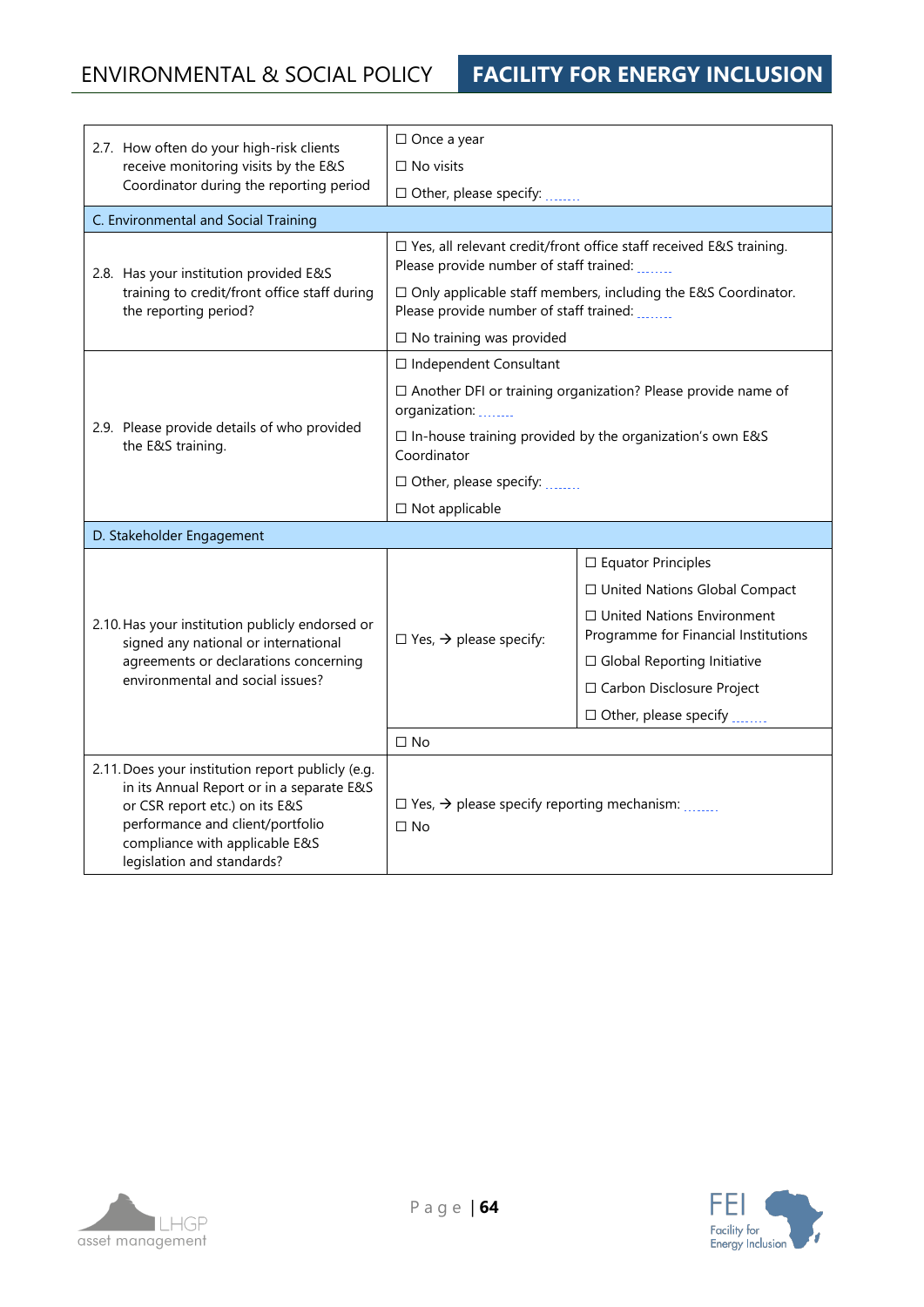| 2.7. How often do your high-risk clients                                                                                                                                                                                             | $\Box$ Once a year                                                             |                                                                                                                 |  |  |
|--------------------------------------------------------------------------------------------------------------------------------------------------------------------------------------------------------------------------------------|--------------------------------------------------------------------------------|-----------------------------------------------------------------------------------------------------------------|--|--|
| receive monitoring visits by the E&S                                                                                                                                                                                                 | $\Box$ No visits                                                               |                                                                                                                 |  |  |
| Coordinator during the reporting period                                                                                                                                                                                              | $\Box$ Other, please specify: $\Box$                                           |                                                                                                                 |  |  |
| C. Environmental and Social Training                                                                                                                                                                                                 |                                                                                |                                                                                                                 |  |  |
| 2.8. Has your institution provided E&S                                                                                                                                                                                               |                                                                                | □ Yes, all relevant credit/front office staff received E&S training.<br>Please provide number of staff trained: |  |  |
| training to credit/front office staff during<br>the reporting period?                                                                                                                                                                |                                                                                | □ Only applicable staff members, including the E&S Coordinator.<br>Please provide number of staff trained:      |  |  |
|                                                                                                                                                                                                                                      | $\Box$ No training was provided                                                |                                                                                                                 |  |  |
|                                                                                                                                                                                                                                      | □ Independent Consultant                                                       |                                                                                                                 |  |  |
|                                                                                                                                                                                                                                      | organization:                                                                  | $\Box$ Another DFI or training organization? Please provide name of                                             |  |  |
| 2.9. Please provide details of who provided<br>the E&S training.                                                                                                                                                                     | $\Box$ In-house training provided by the organization's own E&S<br>Coordinator |                                                                                                                 |  |  |
|                                                                                                                                                                                                                                      | □ Other, please specify:                                                       |                                                                                                                 |  |  |
|                                                                                                                                                                                                                                      | $\Box$ Not applicable                                                          |                                                                                                                 |  |  |
| D. Stakeholder Engagement                                                                                                                                                                                                            |                                                                                |                                                                                                                 |  |  |
|                                                                                                                                                                                                                                      |                                                                                | $\Box$ Equator Principles                                                                                       |  |  |
|                                                                                                                                                                                                                                      |                                                                                | □ United Nations Global Compact                                                                                 |  |  |
| 2.10. Has your institution publicly endorsed or<br>signed any national or international                                                                                                                                              | $\Box$ Yes, $\rightarrow$ please specify:                                      | $\Box$ United Nations Environment<br>Programme for Financial Institutions                                       |  |  |
| agreements or declarations concerning                                                                                                                                                                                                |                                                                                | $\Box$ Global Reporting Initiative                                                                              |  |  |
| environmental and social issues?                                                                                                                                                                                                     |                                                                                | □ Carbon Disclosure Project                                                                                     |  |  |
|                                                                                                                                                                                                                                      |                                                                                | □ Other, please specify                                                                                         |  |  |
|                                                                                                                                                                                                                                      | $\Box$ No                                                                      |                                                                                                                 |  |  |
| 2.11. Does your institution report publicly (e.g.<br>in its Annual Report or in a separate E&S<br>or CSR report etc.) on its E&S<br>performance and client/portfolio<br>compliance with applicable E&S<br>legislation and standards? | $\Box$ Yes, $\rightarrow$ please specify reporting mechanism:<br>$\Box$ No     |                                                                                                                 |  |  |



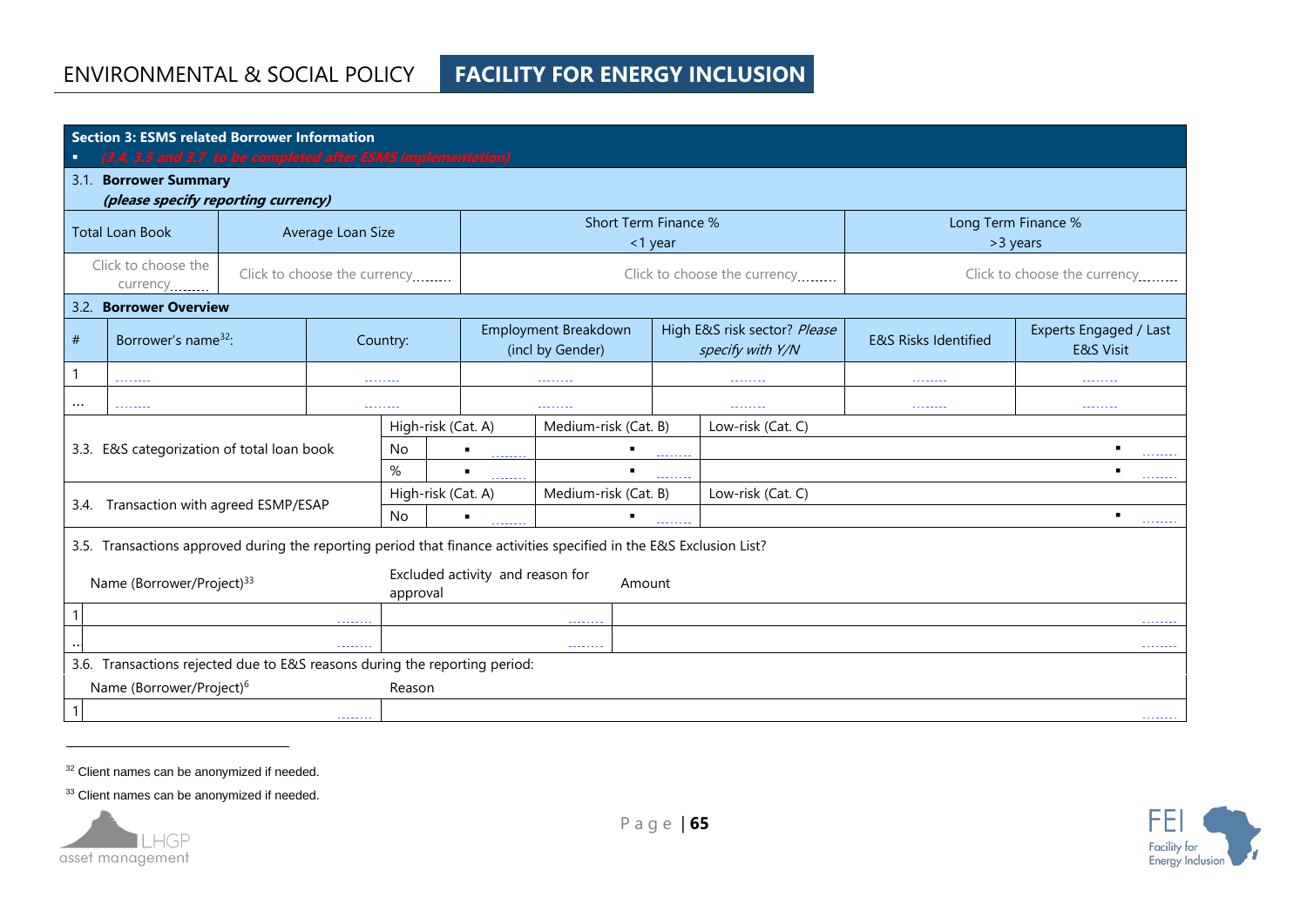| <b>Section 3: ESMS related Borrower Information</b><br>(3.4, 3.5 and 3.7 to be completed after ESMS implementation)<br>п |                                                              |                              |                                            |                          |                                           |                                           |                                 |                                                  |                                 |                                                |
|--------------------------------------------------------------------------------------------------------------------------|--------------------------------------------------------------|------------------------------|--------------------------------------------|--------------------------|-------------------------------------------|-------------------------------------------|---------------------------------|--------------------------------------------------|---------------------------------|------------------------------------------------|
|                                                                                                                          | 3.1. Borrower Summary<br>(please specify reporting currency) |                              |                                            |                          |                                           |                                           |                                 |                                                  |                                 |                                                |
| <b>Total Loan Book</b>                                                                                                   |                                                              | Average Loan Size            |                                            |                          | Short Term Finance %<br><1 year           |                                           | Long Term Finance %<br>>3 years |                                                  |                                 |                                                |
| Click to choose the<br>currency                                                                                          |                                                              | Click to choose the currency |                                            |                          | Click to choose the currency              |                                           | Click to choose the currency    |                                                  |                                 |                                                |
|                                                                                                                          | 3.2. Borrower Overview                                       |                              |                                            |                          |                                           |                                           |                                 |                                                  |                                 |                                                |
| #                                                                                                                        | Borrower's name <sup>32</sup> :                              |                              |                                            | Country:                 | Employment Breakdown<br>(incl by Gender)  |                                           |                                 | High E&S risk sector? Please<br>specify with Y/N | <b>E&amp;S Risks Identified</b> | Experts Engaged / Last<br><b>E&amp;S Visit</b> |
|                                                                                                                          |                                                              |                              |                                            |                          |                                           | --------                                  |                                 |                                                  | --------                        |                                                |
| $\cdots$<br>.<br><u>.</u>                                                                                                |                                                              |                              |                                            | <u>.</u>                 |                                           | <u> 22222222</u>                          | <u>.</u>                        | .                                                |                                 |                                                |
|                                                                                                                          |                                                              |                              |                                            |                          | High-risk (Cat. A)                        | Medium-risk (Cat. B)<br>Low-risk (Cat. C) |                                 |                                                  |                                 |                                                |
|                                                                                                                          | 3.3. E&S categorization of total loan book                   |                              |                                            | <b>No</b>                |                                           |                                           |                                 |                                                  |                                 |                                                |
|                                                                                                                          |                                                              |                              |                                            | $\%$                     |                                           |                                           |                                 |                                                  | .                               |                                                |
| Transaction with agreed ESMP/ESAP                                                                                        |                                                              |                              |                                            | High-risk (Cat. A)       | Medium-risk (Cat. B)<br>Low-risk (Cat. C) |                                           |                                 |                                                  |                                 |                                                |
| 3.4.                                                                                                                     |                                                              |                              |                                            | <b>No</b>                | $\blacksquare$                            |                                           |                                 |                                                  |                                 |                                                |
| 3.5. Transactions approved during the reporting period that finance activities specified in the E&S Exclusion List?      |                                                              |                              |                                            |                          |                                           |                                           |                                 |                                                  |                                 |                                                |
| Name (Borrower/Project) <sup>33</sup><br>approval                                                                        |                                                              |                              | Excluded activity and reason for<br>Amount |                          |                                           |                                           |                                 |                                                  |                                 |                                                |
|                                                                                                                          |                                                              |                              |                                            | <u>.</u>                 |                                           |                                           |                                 | .                                                |                                 |                                                |
| 1.1.1.1.1.1.1                                                                                                            |                                                              |                              |                                            | $-1 - 1 - 1 - 1 - 1 = 0$ |                                           |                                           |                                 |                                                  |                                 |                                                |
| 3.6. Transactions rejected due to E&S reasons during the reporting period:                                               |                                                              |                              |                                            |                          |                                           |                                           |                                 |                                                  |                                 |                                                |
| Name (Borrower/Project) <sup>6</sup><br>Reason                                                                           |                                                              |                              |                                            |                          |                                           |                                           |                                 |                                                  |                                 |                                                |
| .                                                                                                                        |                                                              |                              |                                            |                          |                                           |                                           |                                 |                                                  |                                 |                                                |

<sup>32</sup> Client names can be anonymized if needed.

33 Client names can be anonymized if needed.



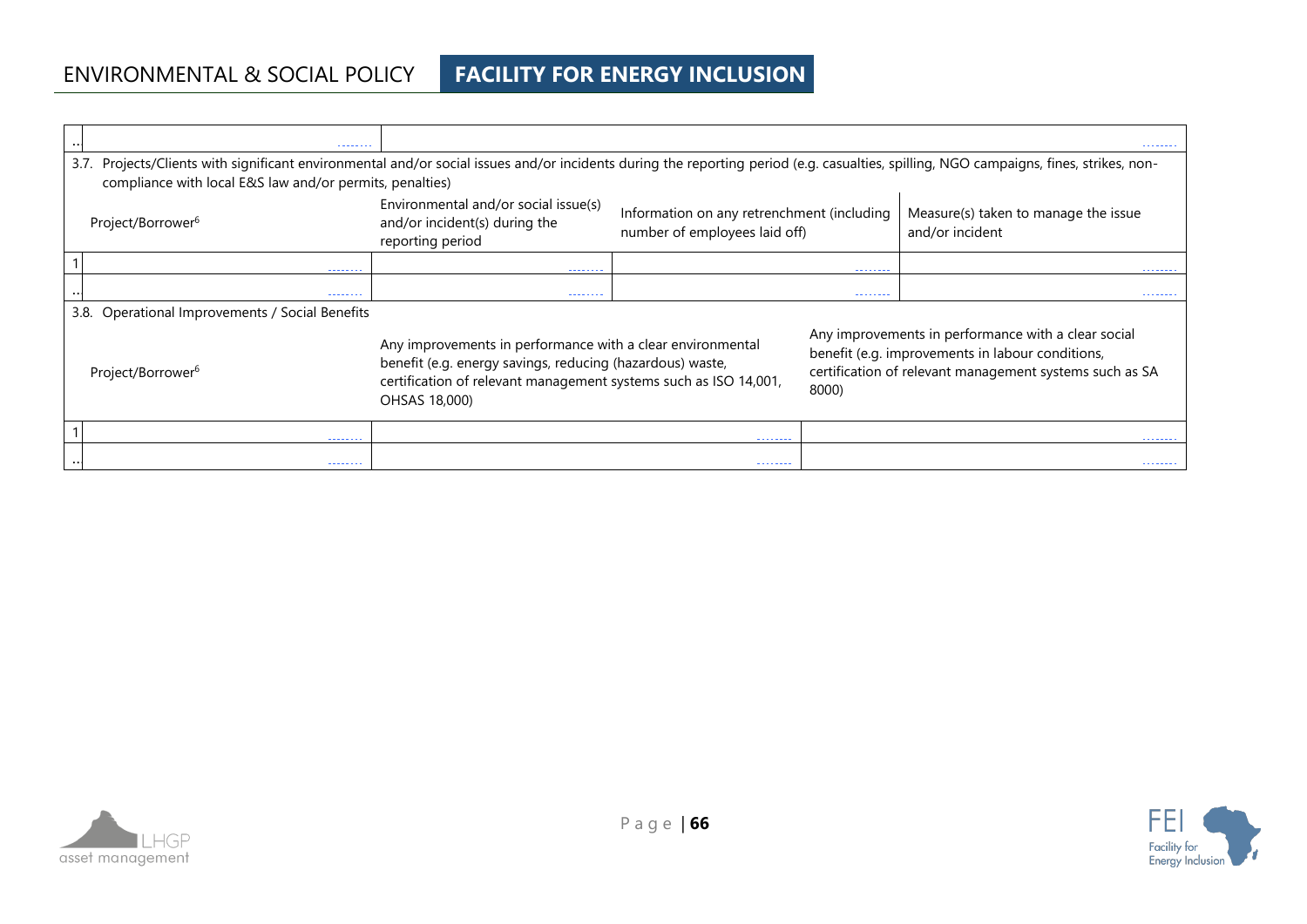# ENVIRONMENTAL & SOCIAL POLICY **FACILITY FOR ENERGY INCLUSION**

| --------                                                                                                                                                                                                                                              |                                                                                                                                                                                                              |                                                                             |          | -------                                                                                                                                                            |  |
|-------------------------------------------------------------------------------------------------------------------------------------------------------------------------------------------------------------------------------------------------------|--------------------------------------------------------------------------------------------------------------------------------------------------------------------------------------------------------------|-----------------------------------------------------------------------------|----------|--------------------------------------------------------------------------------------------------------------------------------------------------------------------|--|
| Projects/Clients with significant environmental and/or social issues and/or incidents during the reporting period (e.g. casualties, spilling, NGO campaigns, fines, strikes, non-<br>3.7.<br>compliance with local E&S law and/or permits, penalties) |                                                                                                                                                                                                              |                                                                             |          |                                                                                                                                                                    |  |
| Project/Borrower <sup>6</sup>                                                                                                                                                                                                                         | Environmental and/or social issue(s)<br>and/or incident(s) during the<br>reporting period                                                                                                                    | Information on any retrenchment (including<br>number of employees laid off) |          | Measure(s) taken to manage the issue<br>and/or incident                                                                                                            |  |
| --------                                                                                                                                                                                                                                              | --------                                                                                                                                                                                                     |                                                                             | -------- | --------                                                                                                                                                           |  |
| --------                                                                                                                                                                                                                                              | --------                                                                                                                                                                                                     |                                                                             | -------- | --------                                                                                                                                                           |  |
| 3.8. Operational Improvements / Social Benefits                                                                                                                                                                                                       |                                                                                                                                                                                                              |                                                                             |          |                                                                                                                                                                    |  |
| Project/Borrower <sup>6</sup>                                                                                                                                                                                                                         | Any improvements in performance with a clear environmental<br>benefit (e.g. energy savings, reducing (hazardous) waste,<br>certification of relevant management systems such as ISO 14,001,<br>OHSAS 18,000) | 8000)                                                                       |          | Any improvements in performance with a clear social<br>benefit (e.g. improvements in labour conditions,<br>certification of relevant management systems such as SA |  |
| -------                                                                                                                                                                                                                                               |                                                                                                                                                                                                              |                                                                             |          | -------                                                                                                                                                            |  |
| --------                                                                                                                                                                                                                                              |                                                                                                                                                                                                              | -------                                                                     |          | -------                                                                                                                                                            |  |



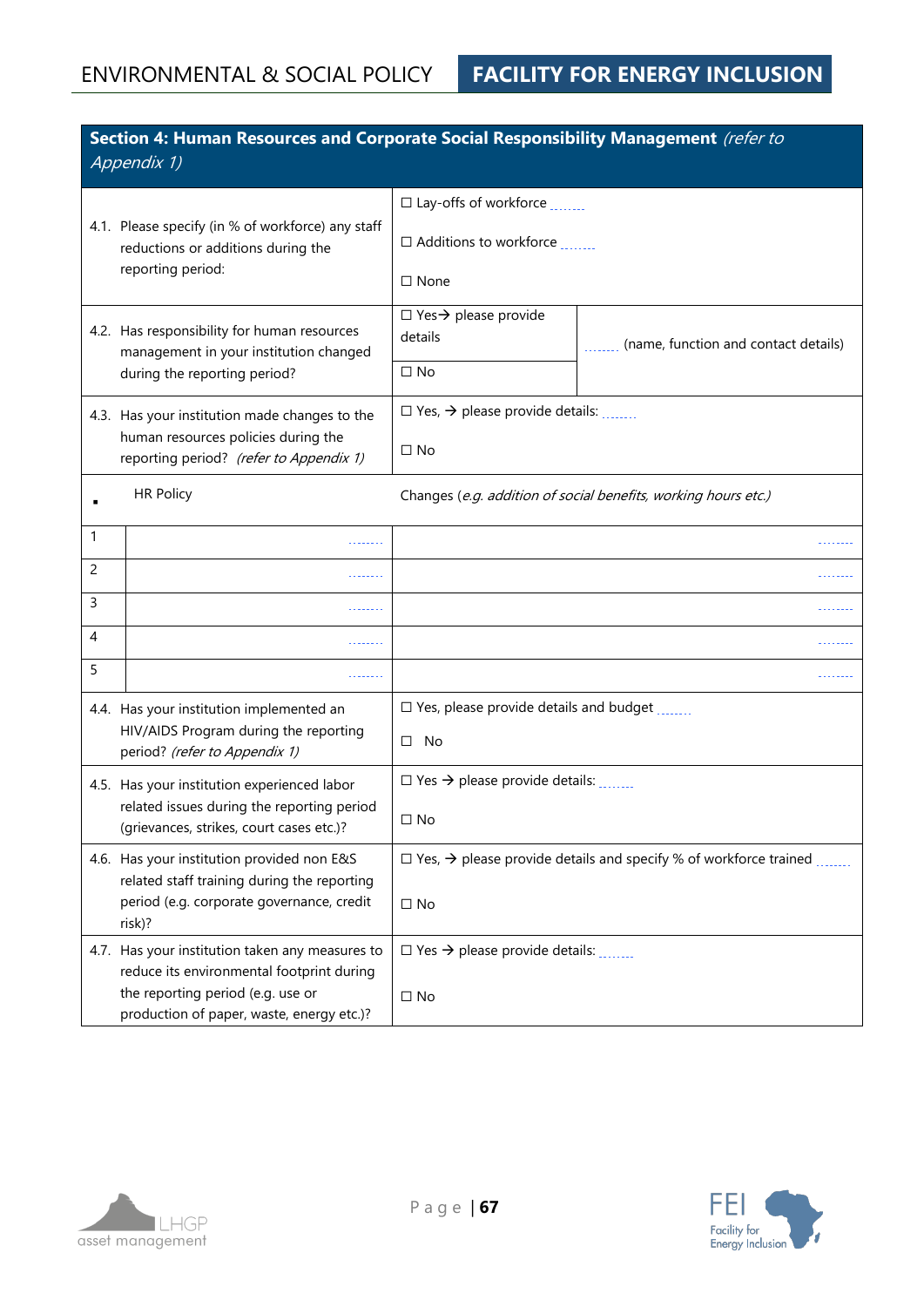|                                                                        | Section 4: Human Resources and Corporate Social Responsibility Management (refer to<br>Appendix 1)           |                                                           |                                                                                            |  |  |
|------------------------------------------------------------------------|--------------------------------------------------------------------------------------------------------------|-----------------------------------------------------------|--------------------------------------------------------------------------------------------|--|--|
|                                                                        |                                                                                                              | $\square$ Lay-offs of workforce $\ldots$                  |                                                                                            |  |  |
|                                                                        | 4.1. Please specify (in % of workforce) any staff<br>reductions or additions during the<br>reporting period: | □ Additions to workforce                                  |                                                                                            |  |  |
|                                                                        |                                                                                                              | $\Box$ None                                               |                                                                                            |  |  |
|                                                                        | 4.2. Has responsibility for human resources<br>management in your institution changed                        | $\Box$ Yes $\rightarrow$ please provide<br>details        | (name, function and contact details)                                                       |  |  |
|                                                                        | during the reporting period?                                                                                 | $\Box$ No                                                 |                                                                                            |  |  |
|                                                                        | 4.3. Has your institution made changes to the                                                                | $\Box$ Yes, $\rightarrow$ please provide details:         |                                                                                            |  |  |
|                                                                        | human resources policies during the<br>reporting period? (refer to Appendix 1)                               | $\Box$ No                                                 |                                                                                            |  |  |
|                                                                        | <b>HR Policy</b>                                                                                             |                                                           | Changes (e.g. addition of social benefits, working hours etc.)                             |  |  |
| 1                                                                      |                                                                                                              |                                                           |                                                                                            |  |  |
| $\overline{2}$                                                         |                                                                                                              |                                                           |                                                                                            |  |  |
| 3                                                                      |                                                                                                              |                                                           |                                                                                            |  |  |
| 4                                                                      |                                                                                                              |                                                           |                                                                                            |  |  |
| 5                                                                      |                                                                                                              |                                                           | .                                                                                          |  |  |
|                                                                        | 4.4. Has your institution implemented an                                                                     | $\square$ Yes, please provide details and budget $\ldots$ |                                                                                            |  |  |
| HIV/AIDS Program during the reporting<br>period? (refer to Appendix 1) |                                                                                                              | $\Box$ No                                                 |                                                                                            |  |  |
|                                                                        | 4.5. Has your institution experienced labor                                                                  | $\Box$ Yes $\rightarrow$ please provide details:          |                                                                                            |  |  |
|                                                                        | related issues during the reporting period<br>(grievances, strikes, court cases etc.)?                       | $\Box$ No                                                 |                                                                                            |  |  |
|                                                                        | 4.6. Has your institution provided non E&S<br>related staff training during the reporting                    |                                                           | $\Box$ Yes, $\rightarrow$ please provide details and specify % of workforce trained $\Box$ |  |  |
|                                                                        | period (e.g. corporate governance, credit<br>risk)?                                                          | $\Box$ No                                                 |                                                                                            |  |  |
|                                                                        | 4.7. Has your institution taken any measures to<br>reduce its environmental footprint during                 | $\Box$ Yes $\rightarrow$ please provide details:          |                                                                                            |  |  |
|                                                                        | the reporting period (e.g. use or<br>production of paper, waste, energy etc.)?                               | $\Box$ No                                                 |                                                                                            |  |  |



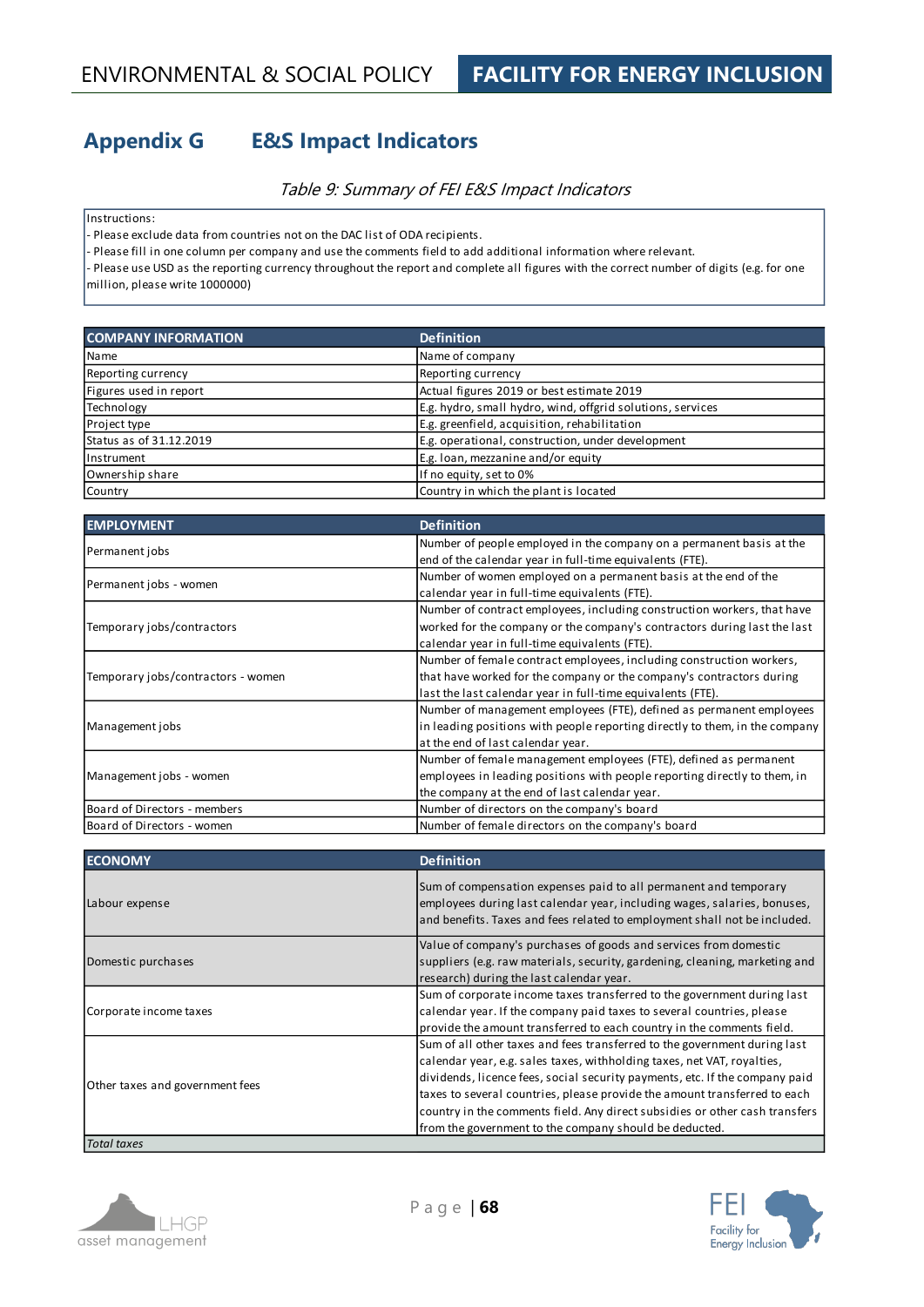# **Appendix G E&S Impact Indicators**

### Table 9: Summary of FEI E&S Impact Indicators

Instructions:

- Please exclude data from countries not on the DAC list of ODA recipients.

- Please fill in one column per company and use the comments field to add additional information where relevant.

- Please use USD as the reporting currency throughout the report and complete all figures with the correct number of digits (e.g. for one million, please write 1000000)

| <b>COMPANY INFORMATION</b> | <b>Definition</b>                                          |
|----------------------------|------------------------------------------------------------|
| Name                       | Name of company                                            |
| Reporting currency         | Reporting currency                                         |
| Figures used in report     | Actual figures 2019 or best estimate 2019                  |
| Technology                 | E.g. hydro, small hydro, wind, offgrid solutions, services |
| Project type               | E.g. greenfield, acquisition, rehabilitation               |
| Status as of 31.12.2019    | E.g. operational, construction, under development          |
| Instrument                 | E.g. loan, mezzanine and/or equity                         |
| Ownership share            | If no equity, set to 0%                                    |
| Country                    | Country in which the plant is located                      |

| <b>EMPLOYMENT</b>                  | <b>Definition</b>                                                           |
|------------------------------------|-----------------------------------------------------------------------------|
|                                    | Number of people employed in the company on a permanent basis at the        |
| Permanent jobs                     | end of the calendar year in full-time equivalents (FTE).                    |
|                                    | Number of women employed on a permanent basis at the end of the             |
| Permanent jobs - women             | calendar year in full-time equivalents (FTE).                               |
|                                    | Number of contract employees, including construction workers, that have     |
| Temporary jobs/contractors         | worked for the company or the company's contractors during last the last    |
|                                    | calendar year in full-time equivalents (FTE).                               |
|                                    | Number of female contract employees, including construction workers,        |
| Temporary jobs/contractors - women | that have worked for the company or the company's contractors during        |
|                                    | last the last calendar year in full-time equivalents (FTE).                 |
|                                    | Number of management employees (FTE), defined as permanent employees        |
| Management jobs                    | in leading positions with people reporting directly to them, in the company |
|                                    | at the end of last calendar year.                                           |
|                                    | Number of female management employees (FTE), defined as permanent           |
| Management jobs - women            | employees in leading positions with people reporting directly to them, in   |
|                                    | the company at the end of last calendar year.                               |
| Board of Directors - members       | Number of directors on the company's board                                  |
| Board of Directors - women         | Number of female directors on the company's board                           |

| <b>ECONOMY</b>                  | <b>Definition</b>                                                                                                                                                                                                                                                                                                                                                                                                                                         |
|---------------------------------|-----------------------------------------------------------------------------------------------------------------------------------------------------------------------------------------------------------------------------------------------------------------------------------------------------------------------------------------------------------------------------------------------------------------------------------------------------------|
| Labour expense                  | Sum of compensation expenses paid to all permanent and temporary<br>employees during last calendar year, including wages, salaries, bonuses,<br>and benefits. Taxes and fees related to employment shall not be included.                                                                                                                                                                                                                                 |
| Domestic purchases              | Value of company's purchases of goods and services from domestic<br>suppliers (e.g. raw materials, security, gardening, cleaning, marketing and<br>research) during the last calendar year.                                                                                                                                                                                                                                                               |
| Corporate income taxes          | Sum of corporate income taxes transferred to the government during last<br>calendar year. If the company paid taxes to several countries, please<br>provide the amount transferred to each country in the comments field.                                                                                                                                                                                                                                 |
| Other taxes and government fees | Sum of all other taxes and fees transferred to the government during last<br>calendar year, e.g. sales taxes, withholding taxes, net VAT, royalties,<br>dividends, licence fees, social security payments, etc. If the company paid<br>taxes to several countries, please provide the amount transferred to each<br>country in the comments field. Any direct subsidies or other cash transfers<br>from the government to the company should be deducted. |





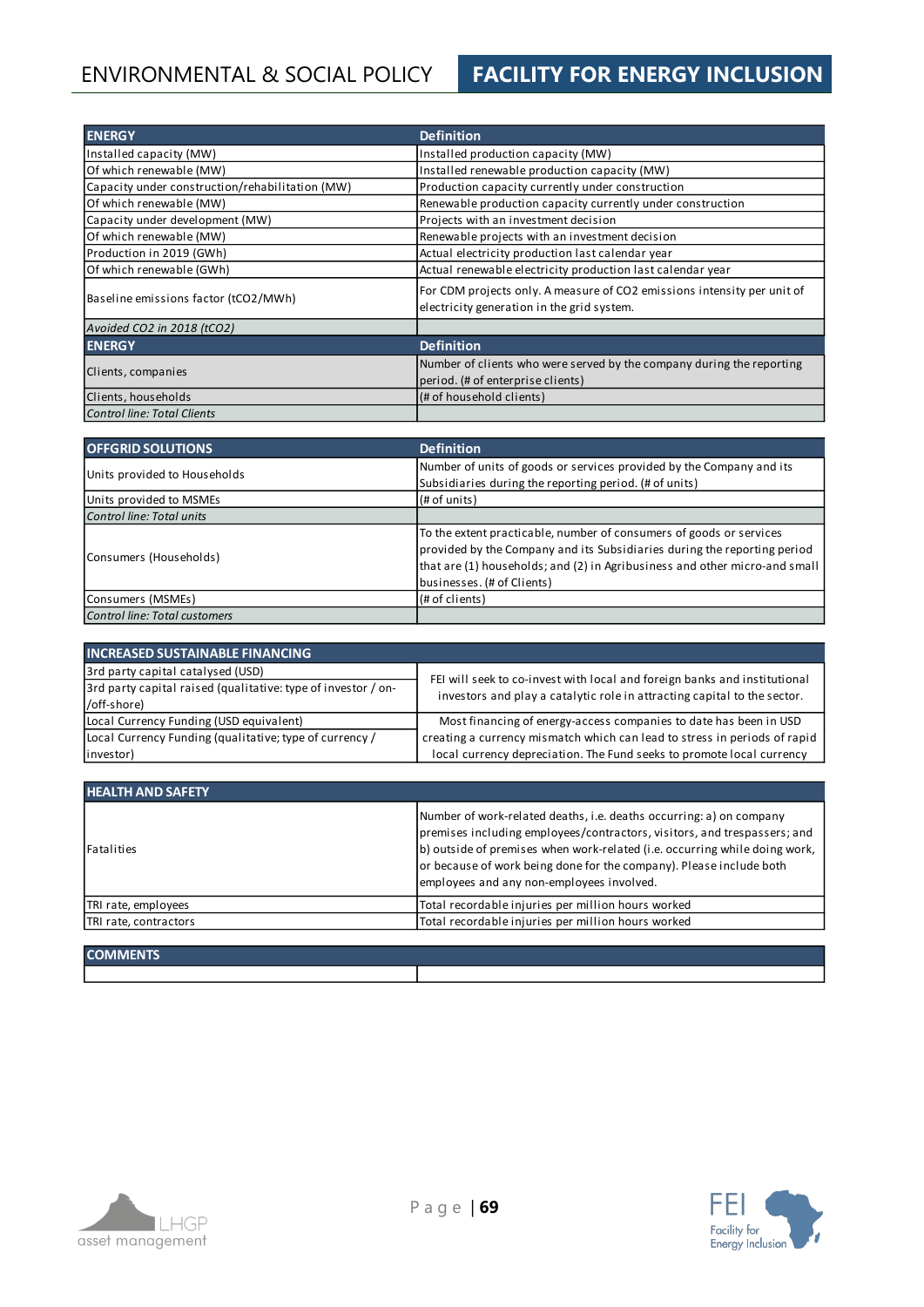# ENVIRONMENTAL & SOCIAL POLICY **FACILITY FOR ENERGY INCLUSION**

| <b>ENERGY</b>                                   | <b>Definition</b>                                                                                                     |
|-------------------------------------------------|-----------------------------------------------------------------------------------------------------------------------|
| Installed capacity (MW)                         | Installed production capacity (MW)                                                                                    |
| Of which renewable (MW)                         | Installed renewable production capacity (MW)                                                                          |
| Capacity under construction/rehabilitation (MW) | Production capacity currently under construction                                                                      |
| Of which renewable (MW)                         | Renewable production capacity currently under construction                                                            |
| Capacity under development (MW)                 | Projects with an investment decision                                                                                  |
| Of which renewable (MW)                         | Renewable projects with an investment decision                                                                        |
| Production in 2019 (GWh)                        | Actual electricity production last calendar year                                                                      |
| Of which renewable (GWh)                        | Actual renewable electricity production last calendar year                                                            |
| Baseline emissions factor (tCO2/MWh)            | For CDM projects only. A measure of CO2 emissions intensity per unit of<br>electricity generation in the grid system. |
| Avoided CO2 in 2018 (tCO2)                      |                                                                                                                       |
| <b>ENERGY</b>                                   | <b>Definition</b>                                                                                                     |
| Clients, companies                              | Number of clients who were served by the company during the reporting<br>period. (# of enterprise clients)            |
| Clients, households                             | (# of household clients)                                                                                              |
| <b>Control line: Total Clients</b>              |                                                                                                                       |

| <b>OFFGRID SOLUTIONS</b>      | <b>Definition</b>                                                          |
|-------------------------------|----------------------------------------------------------------------------|
| Units provided to Households  | Number of units of goods or services provided by the Company and its       |
|                               | Subsidiaries during the reporting period. (# of units)                     |
| Units provided to MSMEs       | (H of units)                                                               |
| Control line: Total units     |                                                                            |
|                               | To the extent practicable, number of consumers of goods or services        |
| Consumers (Households)        | provided by the Company and its Subsidiaries during the reporting period   |
|                               | that are (1) households; and (2) in Agribusiness and other micro-and small |
|                               | businesses. (# of Clients)                                                 |
| Consumers (MSMEs)             | (# of clients)                                                             |
| Control line: Total customers |                                                                            |

| <b>INCREASED SUSTAINABLE FINANCING</b>                        |                                                                                                                                                       |  |  |  |
|---------------------------------------------------------------|-------------------------------------------------------------------------------------------------------------------------------------------------------|--|--|--|
| 3rd party capital catalysed (USD)                             | FEI will seek to co-invest with local and foreign banks and institutional<br>investors and play a catalytic role in attracting capital to the sector. |  |  |  |
| 3rd party capital raised (qualitative: type of investor / on- |                                                                                                                                                       |  |  |  |
| /off-shore)                                                   |                                                                                                                                                       |  |  |  |
| Local Currency Funding (USD equivalent)                       | Most financing of energy-access companies to date has been in USD                                                                                     |  |  |  |
| Local Currency Funding (qualitative; type of currency /       | creating a currency mismatch which can lead to stress in periods of rapid                                                                             |  |  |  |
| investor)                                                     | local currency depreciation. The Fund seeks to promote local currency                                                                                 |  |  |  |

| <b>HEALTH AND SAFETY</b> |                                                                                                                                                                                                                                                                                                                                                   |
|--------------------------|---------------------------------------------------------------------------------------------------------------------------------------------------------------------------------------------------------------------------------------------------------------------------------------------------------------------------------------------------|
| Fatalities               | Number of work-related deaths, i.e. deaths occurring: a) on company<br>premises including employees/contractors, visitors, and trespassers; and<br>b) outside of premises when work-related (i.e. occurring while doing work,<br>or because of work being done for the company). Please include both<br>employees and any non-employees involved. |
| TRI rate, employees      | Total recordable injuries per million hours worked                                                                                                                                                                                                                                                                                                |
| TRI rate, contractors    | Total recordable injuries per million hours worked                                                                                                                                                                                                                                                                                                |
|                          |                                                                                                                                                                                                                                                                                                                                                   |

| <b>COMMENTS</b> |  |
|-----------------|--|
|                 |  |



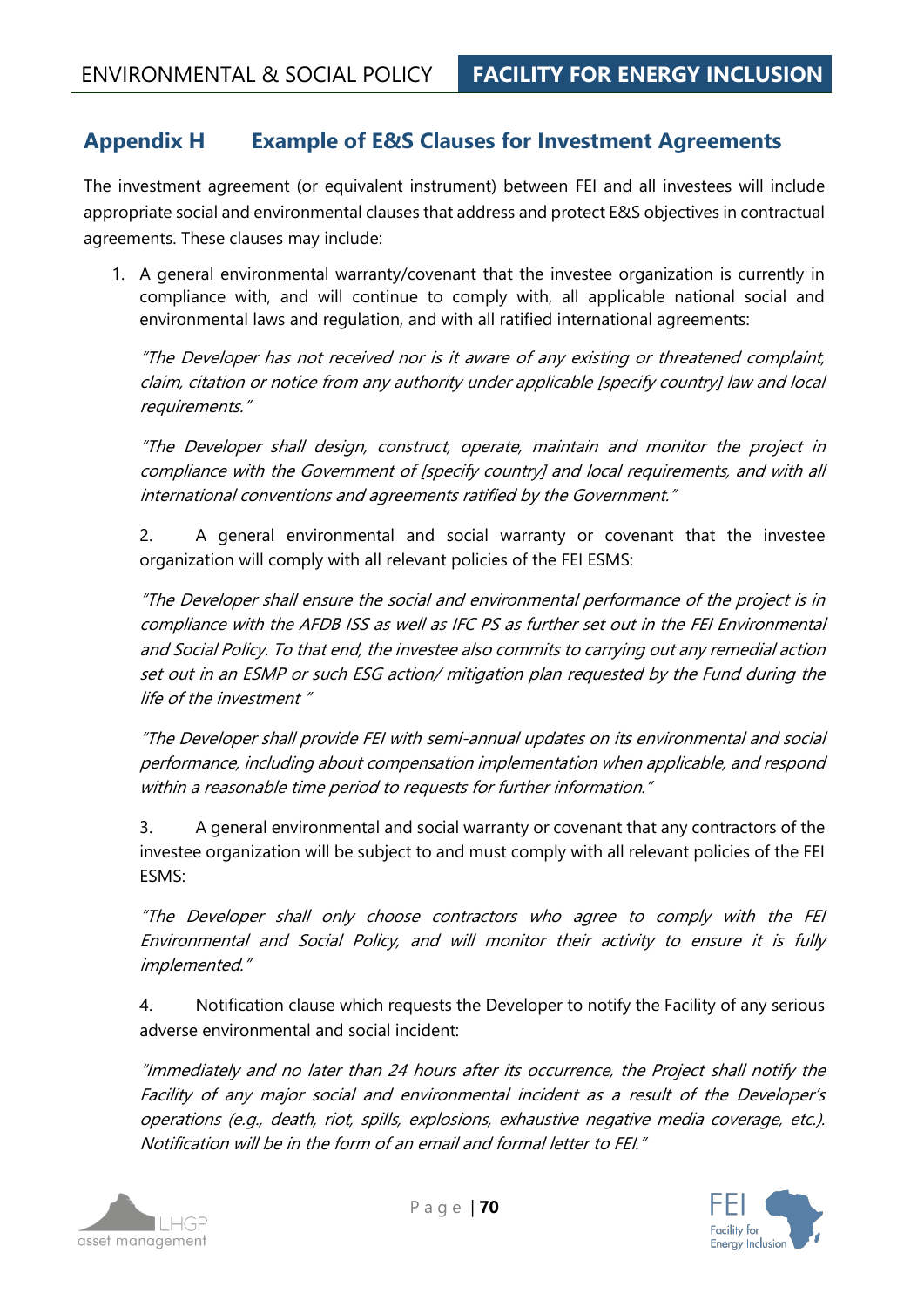# **Appendix H Example of E&S Clauses for Investment Agreements**

The investment agreement (or equivalent instrument) between FEI and all investees will include appropriate social and environmental clauses that address and protect E&S objectives in contractual agreements. These clauses may include:

1. A general environmental warranty/covenant that the investee organization is currently in compliance with, and will continue to comply with, all applicable national social and environmental laws and regulation, and with all ratified international agreements:

"The Developer has not received nor is it aware of any existing or threatened complaint, claim, citation or notice from any authority under applicable [specify country] law and local requirements."

"The Developer shall design, construct, operate, maintain and monitor the project in compliance with the Government of [specify country] and local requirements, and with all international conventions and agreements ratified by the Government."

2. A general environmental and social warranty or covenant that the investee organization will comply with all relevant policies of the FEI ESMS:

"The Developer shall ensure the social and environmental performance of the project is in compliance with the AFDB ISS as well as IFC PS as further set out in the FEI Environmental and Social Policy. To that end, the investee also commits to carrying out any remedial action set out in an ESMP or such ESG action/ mitigation plan requested by the Fund during the life of the investment "

"The Developer shall provide FEI with semi-annual updates on its environmental and social performance, including about compensation implementation when applicable, and respond within a reasonable time period to requests for further information."

3. A general environmental and social warranty or covenant that any contractors of the investee organization will be subject to and must comply with all relevant policies of the FEI ESMS:

"The Developer shall only choose contractors who agree to comply with the FEI Environmental and Social Policy, and will monitor their activity to ensure it is fully implemented."

4. Notification clause which requests the Developer to notify the Facility of any serious adverse environmental and social incident:

"Immediately and no later than 24 hours after its occurrence, the Project shall notify the Facility of any major social and environmental incident as a result of the Developer's operations (e.g., death, riot, spills, explosions, exhaustive negative media coverage, etc.). Notification will be in the form of an email and formal letter to FEI."



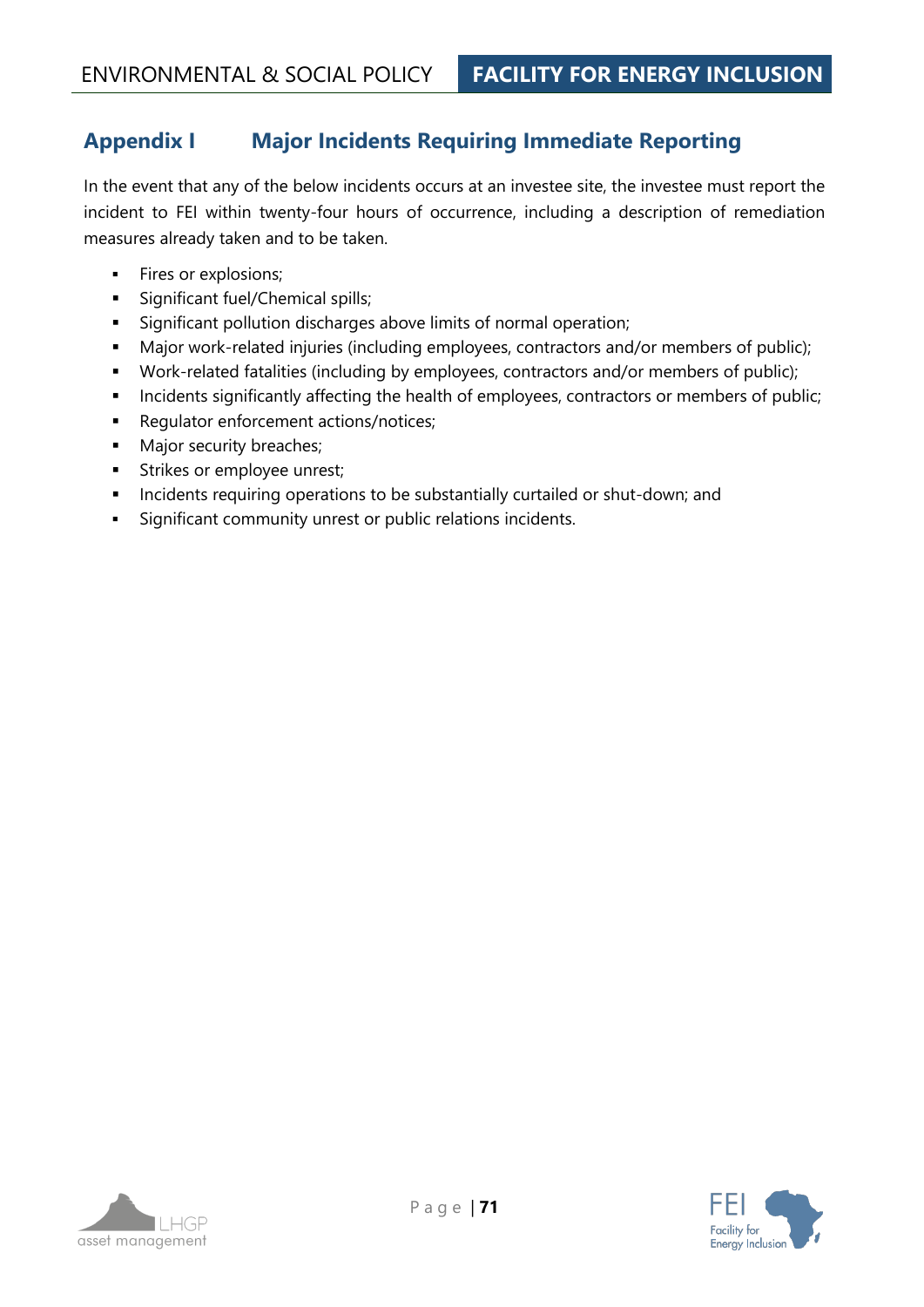# **Appendix I Major Incidents Requiring Immediate Reporting**

In the event that any of the below incidents occurs at an investee site, the investee must report the incident to FEI within twenty-four hours of occurrence, including a description of remediation measures already taken and to be taken.

- **·** Fires or explosions;
- **·** Significant fuel/Chemical spills;
- **EXEDENT** Significant pollution discharges above limits of normal operation;
- Major work-related injuries (including employees, contractors and/or members of public);
- Work-related fatalities (including by employees, contractors and/or members of public);
- **·** Incidents significantly affecting the health of employees, contractors or members of public;
- Regulator enforcement actions/notices;
- **■** Major security breaches;
- **EXEC** Strikes or employee unrest;
- **EXEDENT** Incidents requiring operations to be substantially curtailed or shut-down; and
- Significant community unrest or public relations incidents.

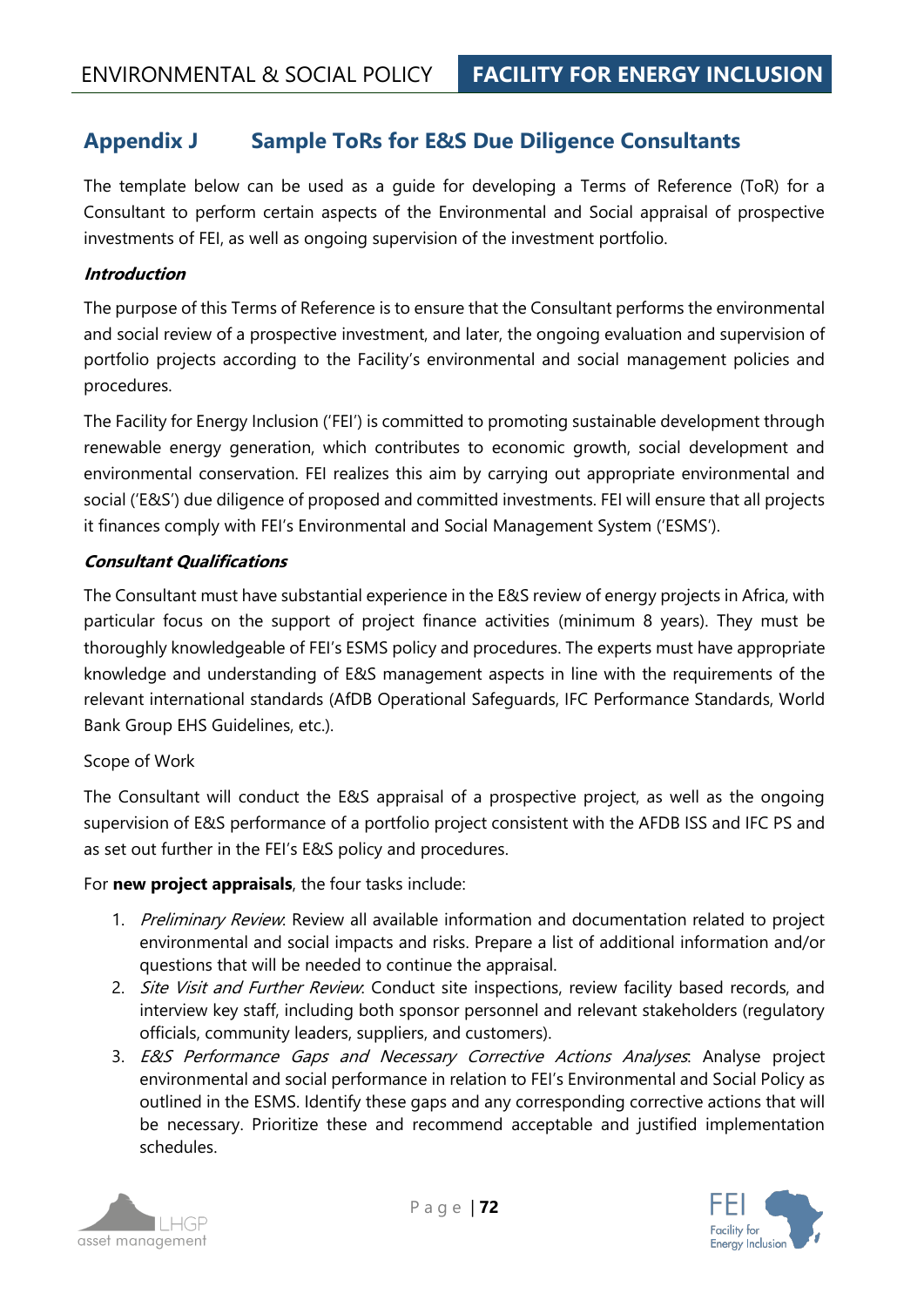# **Appendix J Sample ToRs for E&S Due Diligence Consultants**

The template below can be used as a guide for developing a Terms of Reference (ToR) for a Consultant to perform certain aspects of the Environmental and Social appraisal of prospective investments of FEI, as well as ongoing supervision of the investment portfolio.

### **Introduction**

The purpose of this Terms of Reference is to ensure that the Consultant performs the environmental and social review of a prospective investment, and later, the ongoing evaluation and supervision of portfolio projects according to the Facility's environmental and social management policies and procedures.

The Facility for Energy Inclusion ('FEI') is committed to promoting sustainable development through renewable energy generation, which contributes to economic growth, social development and environmental conservation. FEI realizes this aim by carrying out appropriate environmental and social ('E&S') due diligence of proposed and committed investments. FEI will ensure that all projects it finances comply with FEI's Environmental and Social Management System ('ESMS').

# **Consultant Qualifications**

The Consultant must have substantial experience in the E&S review of energy projects in Africa, with particular focus on the support of project finance activities (minimum 8 years). They must be thoroughly knowledgeable of FEI's ESMS policy and procedures. The experts must have appropriate knowledge and understanding of E&S management aspects in line with the requirements of the relevant international standards (AfDB Operational Safeguards, IFC Performance Standards, World Bank Group EHS Guidelines, etc.).

### Scope of Work

The Consultant will conduct the E&S appraisal of a prospective project, as well as the ongoing supervision of E&S performance of a portfolio project consistent with the AFDB ISS and IFC PS and as set out further in the FEI's E&S policy and procedures.

### For **new project appraisals**, the four tasks include:

- 1. Preliminary Review. Review all available information and documentation related to project environmental and social impacts and risks. Prepare a list of additional information and/or questions that will be needed to continue the appraisal.
- 2. Site Visit and Further Review. Conduct site inspections, review facility based records, and interview key staff, including both sponsor personnel and relevant stakeholders (regulatory officials, community leaders, suppliers, and customers).
- 3. E&S Performance Gaps and Necessary Corrective Actions Analyses. Analyse project environmental and social performance in relation to FEI's Environmental and Social Policy as outlined in the ESMS. Identify these gaps and any corresponding corrective actions that will be necessary. Prioritize these and recommend acceptable and justified implementation schedules.



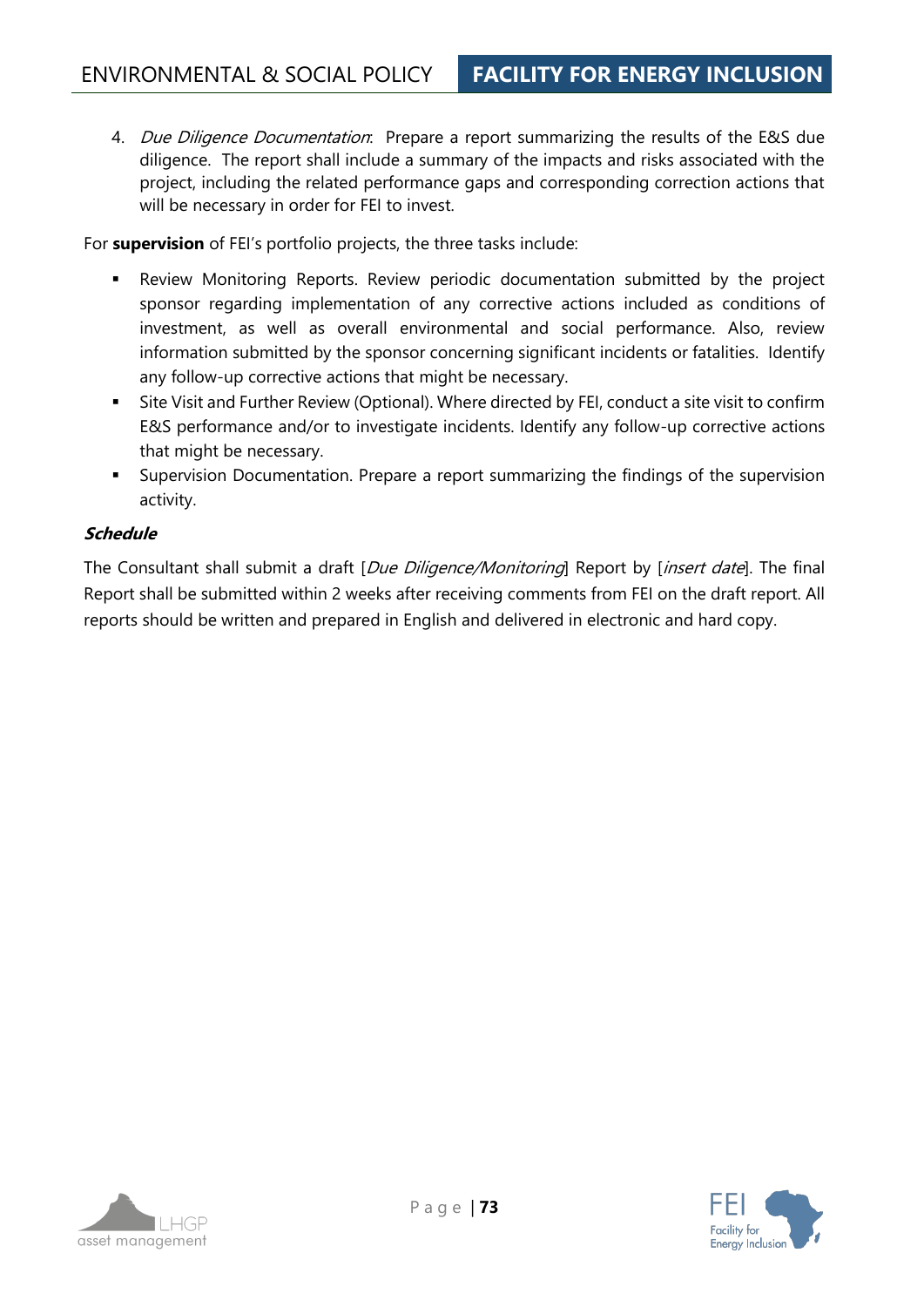4. *Due Diligence Documentation*: Prepare a report summarizing the results of the E&S due diligence. The report shall include a summary of the impacts and risks associated with the project, including the related performance gaps and corresponding correction actions that will be necessary in order for FEI to invest.

For **supervision** of FEI's portfolio projects, the three tasks include:

- Review Monitoring Reports. Review periodic documentation submitted by the project sponsor regarding implementation of any corrective actions included as conditions of investment, as well as overall environmental and social performance. Also, review information submitted by the sponsor concerning significant incidents or fatalities. Identify any follow-up corrective actions that might be necessary.
- Site Visit and Further Review (Optional). Where directed by FEI, conduct a site visit to confirm E&S performance and/or to investigate incidents. Identify any follow-up corrective actions that might be necessary.
- **EX Supervision Documentation. Prepare a report summarizing the findings of the supervision** activity.

## **Schedule**

The Consultant shall submit a draft [*Due Diligence/Monitoring*] Report by [*insert date*]. The final Report shall be submitted within 2 weeks after receiving comments from FEI on the draft report. All reports should be written and prepared in English and delivered in electronic and hard copy.

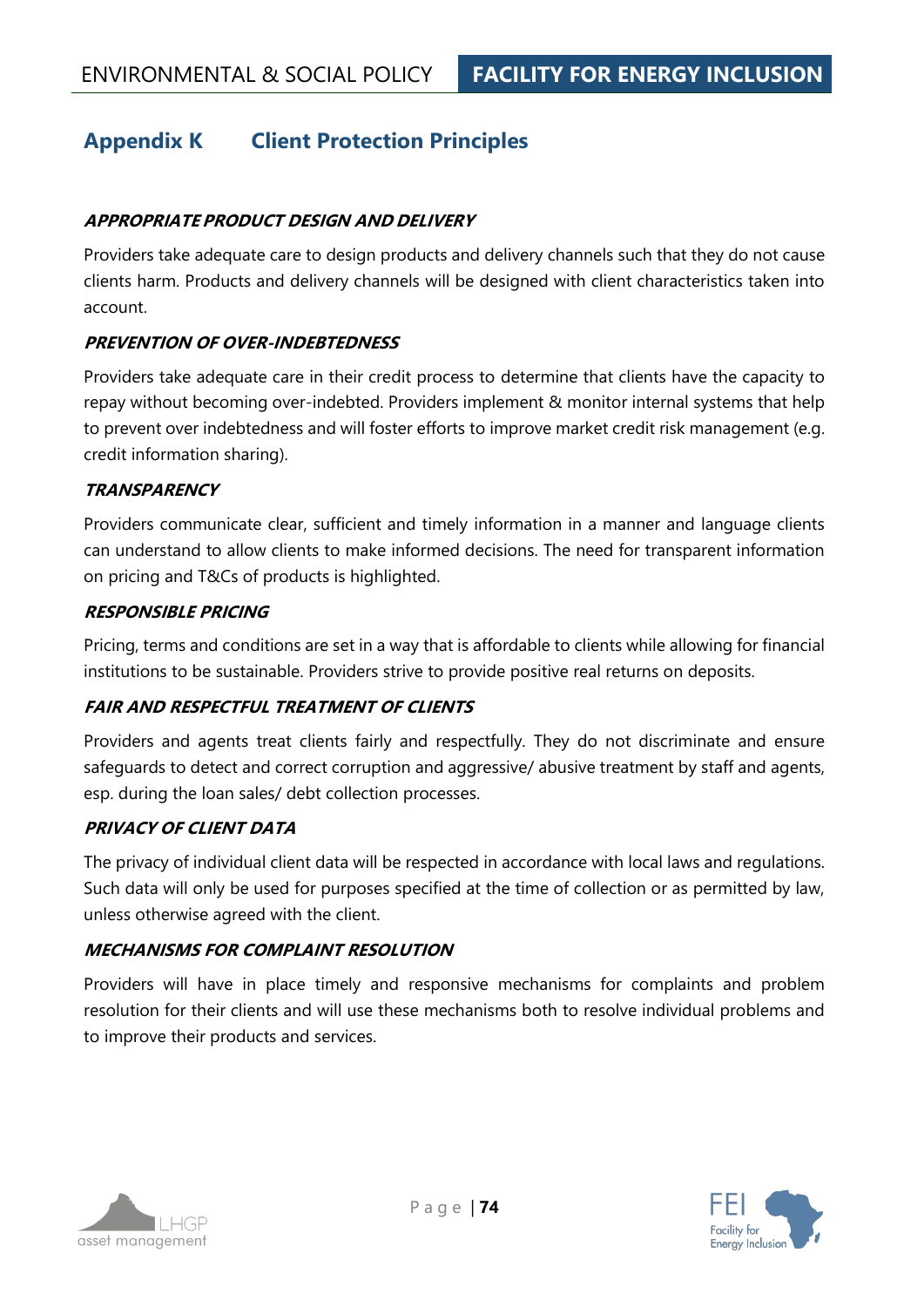# **Appendix K Client Protection Principles**

## **APPROPRIATE PRODUCT DESIGN AND DELIVERY**

Providers take adequate care to design products and delivery channels such that they do not cause clients harm. Products and delivery channels will be designed with client characteristics taken into account.

## **PREVENTION OF OVER-INDEBTEDNESS**

Providers take adequate care in their credit process to determine that clients have the capacity to repay without becoming over-indebted. Providers implement & monitor internal systems that help to prevent over indebtedness and will foster efforts to improve market credit risk management (e.g. credit information sharing).

## **TRANSPARENCY**

Providers communicate clear, sufficient and timely information in a manner and language clients can understand to allow clients to make informed decisions. The need for transparent information on pricing and T&Cs of products is highlighted.

#### **RESPONSIBLE PRICING**

Pricing, terms and conditions are set in a way that is affordable to clients while allowing for financial institutions to be sustainable. Providers strive to provide positive real returns on deposits.

## **FAIR AND RESPECTFUL TREATMENT OF CLIENTS**

Providers and agents treat clients fairly and respectfully. They do not discriminate and ensure safeguards to detect and correct corruption and aggressive/ abusive treatment by staff and agents, esp. during the loan sales/ debt collection processes.

## **PRIVACY OF CLIENT DATA**

The privacy of individual client data will be respected in accordance with local laws and regulations. Such data will only be used for purposes specified at the time of collection or as permitted by law, unless otherwise agreed with the client.

## **MECHANISMS FOR COMPLAINT RESOLUTION**

Providers will have in place timely and responsive mechanisms for complaints and problem resolution for their clients and will use these mechanisms both to resolve individual problems and to improve their products and services.